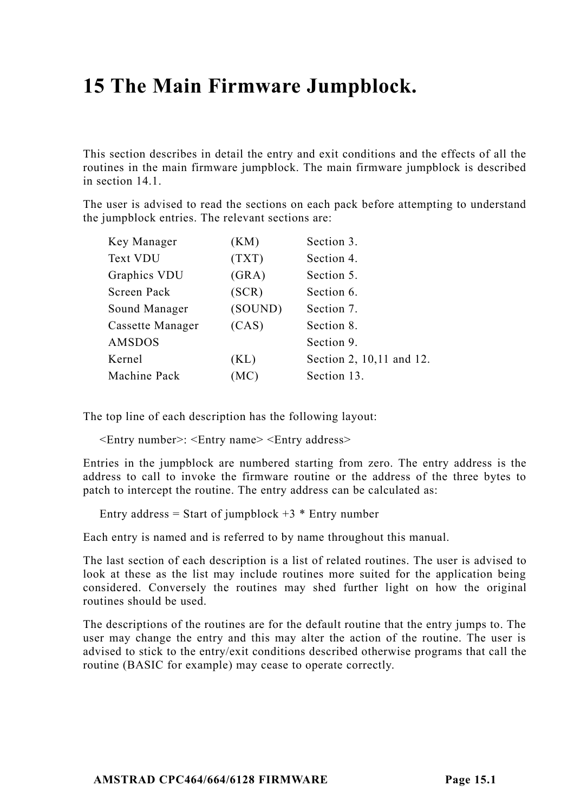# **15 The Main Firmware Jumpblock.**

This section describes in detail the entry and exit conditions and the effects of all the routines in the main firmware jumpblock. The main firmware jumpblock is described in section 14.1.

The user is advised to read the sections on each pack before attempting to understand the jumpblock entries. The relevant sections are:

| Key Manager      | (KM)    | Section 3.               |
|------------------|---------|--------------------------|
| Text VDU         | (TXT)   | Section 4.               |
| Graphics VDU     | (GRA)   | Section 5.               |
| Screen Pack      | (SCR)   | Section 6.               |
| Sound Manager    | (SOUND) | Section 7.               |
| Cassette Manager | (CAS)   | Section 8.               |
| AMSDOS           |         | Section 9.               |
| Kernel           | (KL)    | Section 2, 10,11 and 12. |
| Machine Pack     | (MC)    | Section 13.              |
|                  |         |                          |

The top line of each description has the following layout:

<Entry number>: <Entry name> <Entry address>

Entries in the jumpblock are numbered starting from zero. The entry address is the address to call to invoke the firmware routine or the address of the three bytes to patch to intercept the routine. The entry address can be calculated as:

Entry address = Start of jumpblock  $+3$  \* Entry number

Each entry is named and is referred to by name throughout this manual.

The last section of each description is a list of related routines. The user is advised to look at these as the list may include routines more suited for the application being considered. Conversely the routines may shed further light on how the original routines should be used.

The descriptions of the routines are for the default routine that the entry jumps to. The user may change the entry and this may alter the action of the routine. The user is advised to stick to the entry/exit conditions described otherwise programs that call the routine (BASIC for example) may cease to operate correctly.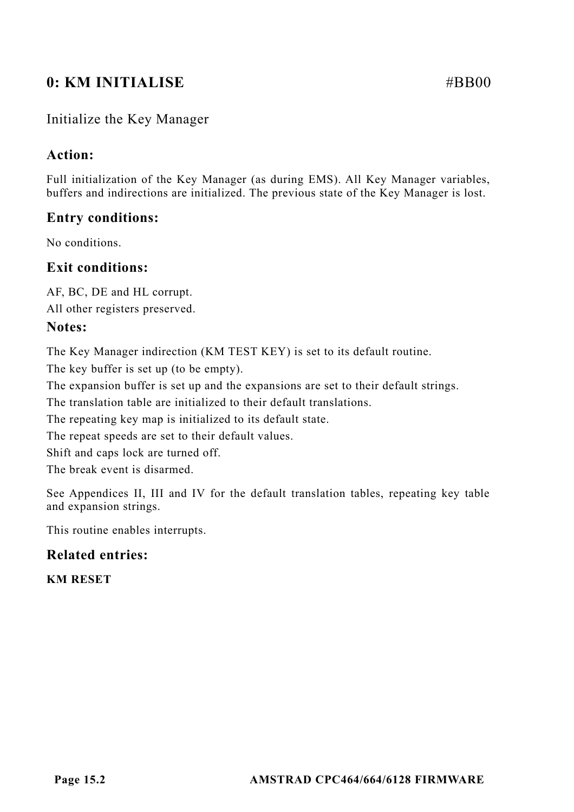# **0: KM INITIALISE** #BB00

# Initialize the Key Manager

# **Action:**

Full initialization of the Key Manager (as during EMS). All Key Manager variables, buffers and indirections are initialized. The previous state of the Key Manager is lost.

# **Entry conditions:**

No conditions.

# **Exit conditions:**

AF, BC, DE and HL corrupt.

All other registers preserved.

#### **Notes:**

The Key Manager indirection (KM TEST KEY) is set to its default routine.

The key buffer is set up (to be empty).

The expansion buffer is set up and the expansions are set to their default strings.

The translation table are initialized to their default translations.

The repeating key map is initialized to its default state.

The repeat speeds are set to their default values.

Shift and caps lock are turned off.

The break event is disarmed.

See Appendices II, III and IV for the default translation tables, repeating key table and expansion strings.

This routine enables interrupts.

# **Related entries:**

**KM RESET**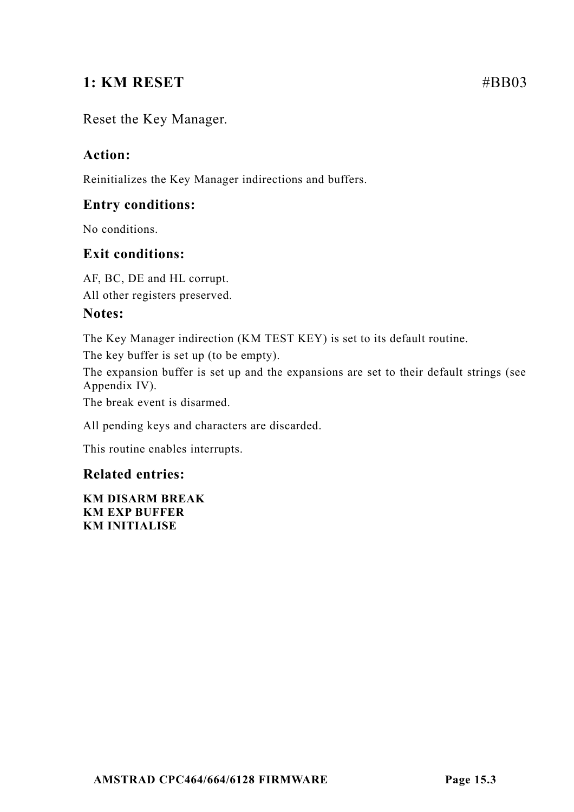# **1: KM RESET #BB03**

# Reset the Key Manager.

# **Action:**

Reinitializes the Key Manager indirections and buffers.

# **Entry conditions:**

No conditions.

# **Exit conditions:**

AF, BC, DE and HL corrupt. All other registers preserved.

# **Notes:**

The Key Manager indirection (KM TEST KEY) is set to its default routine.

The key buffer is set up (to be empty).

The expansion buffer is set up and the expansions are set to their default strings (see Appendix IV).

The break event is disarmed.

All pending keys and characters are discarded.

This routine enables interrupts.

# **Related entries:**

**KM DISARM BREAK KM EXP BUFFER KM INITIALISE**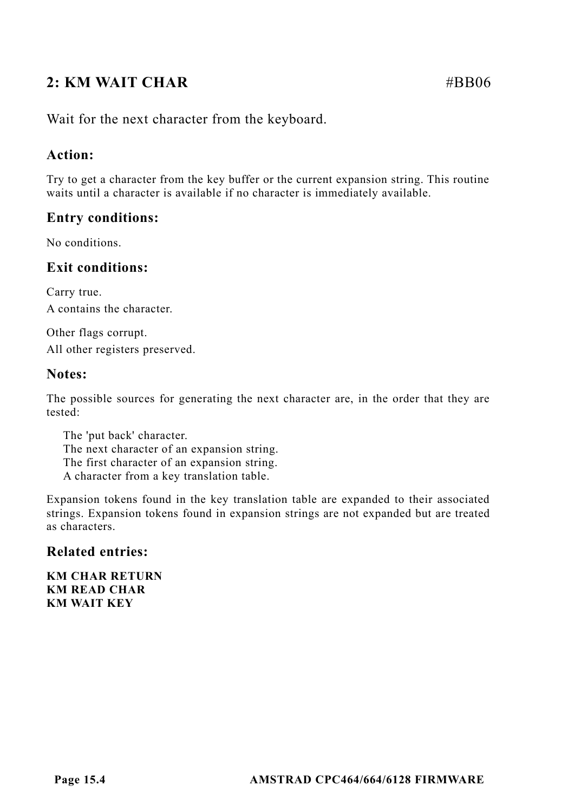# **2: KM WAIT CHAR #BB06**

Wait for the next character from the keyboard.

# **Action:**

Try to get a character from the key buffer or the current expansion string. This routine waits until a character is available if no character is immediately available.

# **Entry conditions:**

No conditions.

# **Exit conditions:**

Carry true. A contains the character.

Other flags corrupt. All other registers preserved.

# **Notes:**

The possible sources for generating the next character are, in the order that they are tested:

The 'put back' character. The next character of an expansion string. The first character of an expansion string. A character from a key translation table.

Expansion tokens found in the key translation table are expanded to their associated strings. Expansion tokens found in expansion strings are not expanded but are treated as characters.

# **Related entries:**

**KM CHAR RETURN KM READ CHAR KM WAIT KEY**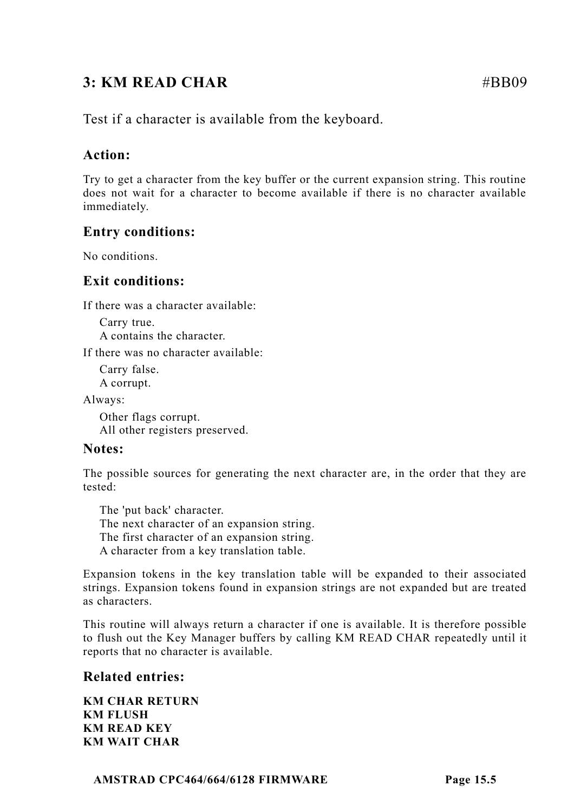# **3: KM READ CHAR #BB09**

Test if a character is available from the keyboard.

# **Action:**

Try to get a character from the key buffer or the current expansion string. This routine does not wait for a character to become available if there is no character available immediately.

# **Entry conditions:**

No conditions.

# **Exit conditions:**

If there was a character available:

Carry true. A contains the character.

If there was no character available:

Carry false. A corrupt.

Always:

Other flags corrupt. All other registers preserved.

# **Notes:**

The possible sources for generating the next character are, in the order that they are tested:

The 'put back' character. The next character of an expansion string. The first character of an expansion string. A character from a key translation table.

Expansion tokens in the key translation table will be expanded to their associated strings. Expansion tokens found in expansion strings are not expanded but are treated as characters.

This routine will always return a character if one is available. It is therefore possible to flush out the Key Manager buffers by calling KM READ CHAR repeatedly until it reports that no character is available.

# **Related entries:**

**KM CHAR RETURN KM FLUSH KM READ KEY KM WAIT CHAR**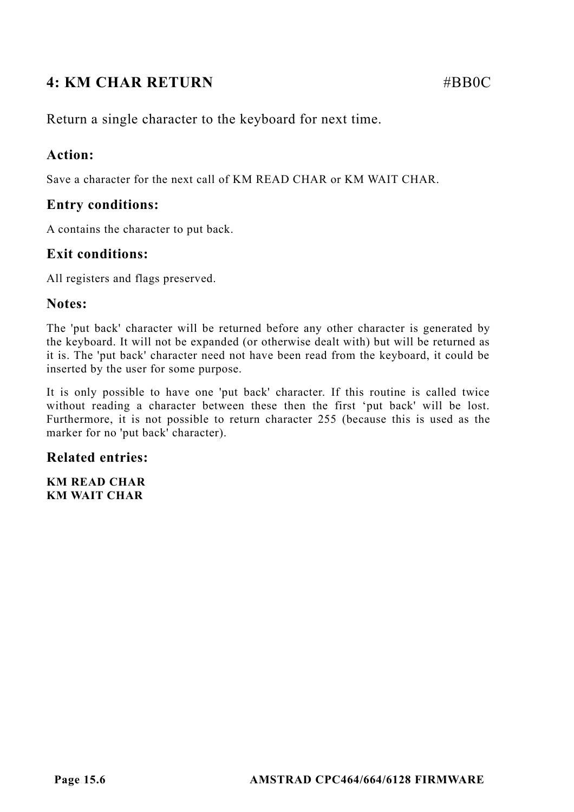# **4: KM CHAR RETURN** #BB0C

Return a single character to the keyboard for next time.

# **Action:**

Save a character for the next call of KM READ CHAR or KM WAIT CHAR.

# **Entry conditions:**

A contains the character to put back.

# **Exit conditions:**

All registers and flags preserved.

#### **Notes:**

The 'put back' character will be returned before any other character is generated by the keyboard. It will not be expanded (or otherwise dealt with) but will be returned as it is. The 'put back' character need not have been read from the keyboard, it could be inserted by the user for some purpose.

It is only possible to have one 'put back' character. If this routine is called twice without reading a character between these then the first 'put back' will be lost. Furthermore, it is not possible to return character 255 (because this is used as the marker for no 'put back' character).

# **Related entries:**

**KM READ CHAR KM WAIT CHAR**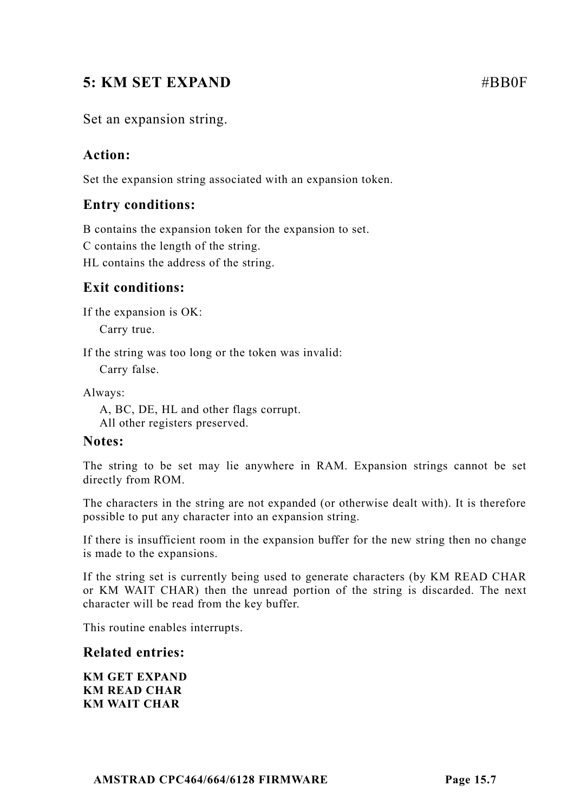# **5: KM SET EXPAND** #BB0F

# Set an expansion string.

# **Action:**

Set the expansion string associated with an expansion token.

# **Entry conditions:**

B contains the expansion token for the expansion to set.

C contains the length of the string.

HL contains the address of the string.

# **Exit conditions:**

If the expansion is OK:

Carry true.

If the string was too long or the token was invalid:

Carry false.

Always:

A, BC, DE, HL and other flags corrupt. All other registers preserved.

# **Notes:**

The string to be set may lie anywhere in RAM. Expansion strings cannot be set directly from ROM.

The characters in the string are not expanded (or otherwise dealt with). It is therefore possible to put any character into an expansion string.

If there is insufficient room in the expansion buffer for the new string then no change is made to the expansions.

If the string set is currently being used to generate characters (by KM READ CHAR or KM WAIT CHAR) then the unread portion of the string is discarded. The next character will be read from the key buffer.

This routine enables interrupts.

# **Related entries:**

**KM GET EXPAND KM READ CHAR KM WAIT CHAR**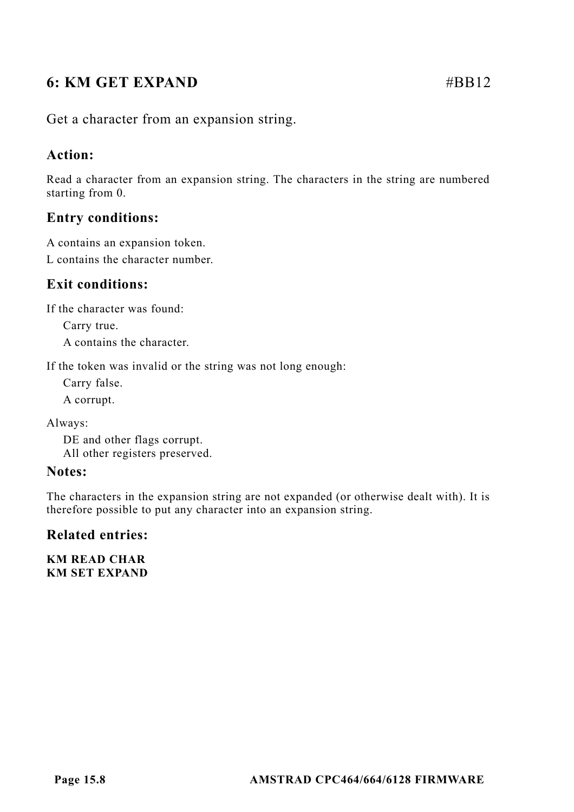# **6:** KM GET EXPAND #BB12

Get a character from an expansion string.

# **Action:**

Read a character from an expansion string. The characters in the string are numbered starting from 0.

# **Entry conditions:**

A contains an expansion token.

L contains the character number.

# **Exit conditions:**

If the character was found:

Carry true. A contains the character.

If the token was invalid or the string was not long enough:

Carry false.

A corrupt.

Always:

DE and other flags corrupt. All other registers preserved.

#### **Notes:**

The characters in the expansion string are not expanded (or otherwise dealt with). It is therefore possible to put any character into an expansion string.

# **Related entries:**

**KM READ CHAR KM SET EXPAND**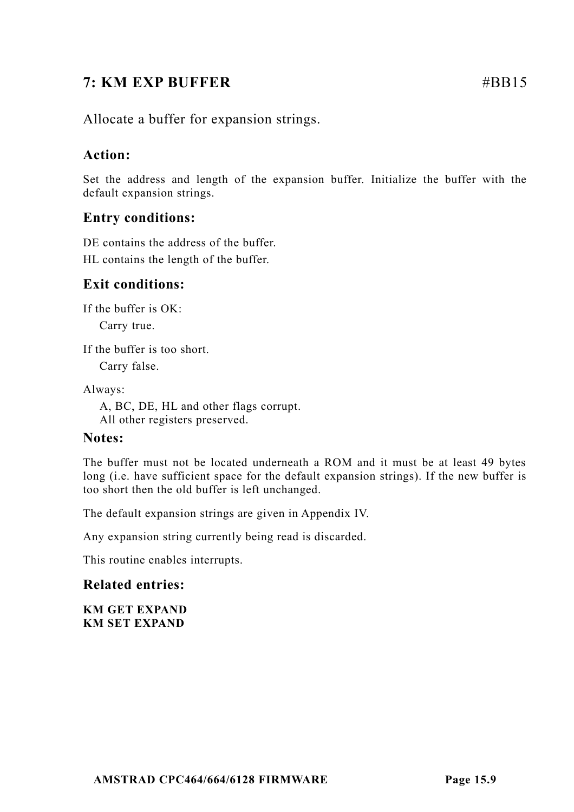# **7: KM EXP BUFFER** #BB15

Allocate a buffer for expansion strings.

# **Action:**

Set the address and length of the expansion buffer. Initialize the buffer with the default expansion strings.

# **Entry conditions:**

DE contains the address of the buffer. HL contains the length of the buffer.

# **Exit conditions:**

If the buffer is OK:

Carry true.

If the buffer is too short.

Carry false.

Always:

A, BC, DE, HL and other flags corrupt. All other registers preserved.

# **Notes:**

The buffer must not be located underneath a ROM and it must be at least 49 bytes long (i.e. have sufficient space for the default expansion strings). If the new buffer is too short then the old buffer is left unchanged.

The default expansion strings are given in Appendix IV.

Any expansion string currently being read is discarded.

This routine enables interrupts.

# **Related entries:**

**KM GET EXPAND KM SET EXPAND**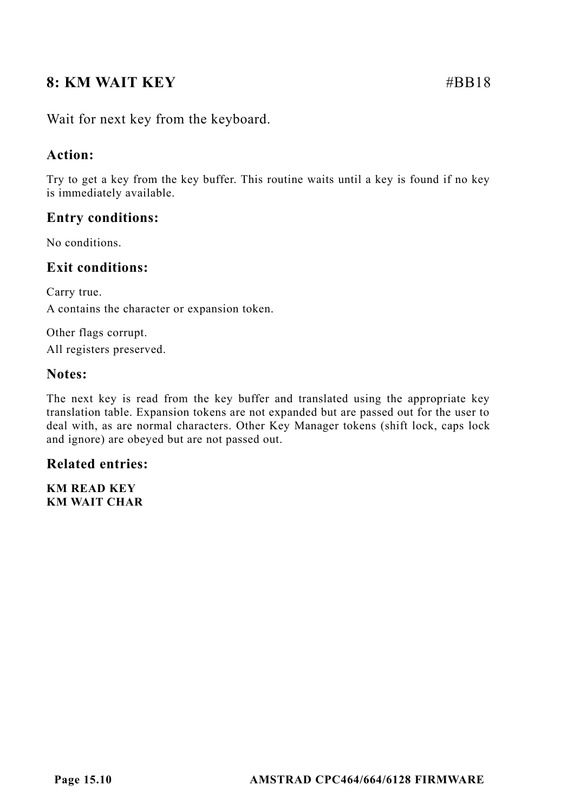# **8: KM WAIT KEY** #BB18

Wait for next key from the keyboard.

# **Action:**

Try to get a key from the key buffer. This routine waits until a key is found if no key is immediately available.

# **Entry conditions:**

No conditions.

# **Exit conditions:**

Carry true. A contains the character or expansion token.

Other flags corrupt.

All registers preserved.

#### **Notes:**

The next key is read from the key buffer and translated using the appropriate key translation table. Expansion tokens are not expanded but are passed out for the user to deal with, as are normal characters. Other Key Manager tokens (shift lock, caps lock and ignore) are obeyed but are not passed out.

# **Related entries:**

**KM READ KEY KM WAIT CHAR**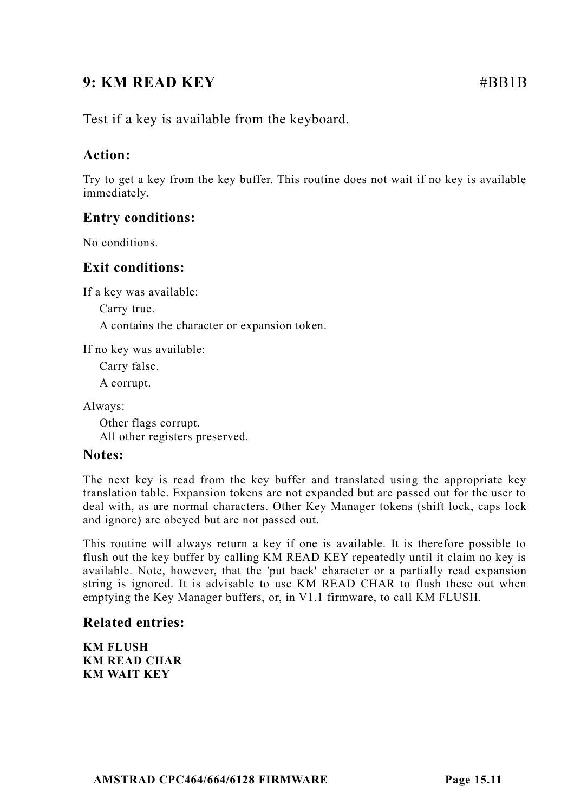# **9: KM READ KEY** #BB1B

Test if a key is available from the keyboard.

# **Action:**

Try to get a key from the key buffer. This routine does not wait if no key is available immediately.

# **Entry conditions:**

No conditions.

# **Exit conditions:**

If a key was available:

Carry true.

A contains the character or expansion token.

If no key was available:

Carry false.

A corrupt.

Always:

Other flags corrupt. All other registers preserved.

# **Notes:**

The next key is read from the key buffer and translated using the appropriate key translation table. Expansion tokens are not expanded but are passed out for the user to deal with, as are normal characters. Other Key Manager tokens (shift lock, caps lock and ignore) are obeyed but are not passed out.

This routine will always return a key if one is available. It is therefore possible to flush out the key buffer by calling KM READ KEY repeatedly until it claim no key is available. Note, however, that the 'put back' character or a partially read expansion string is ignored. It is advisable to use KM READ CHAR to flush these out when emptying the Key Manager buffers, or, in V1.1 firmware, to call KM FLUSH.

# **Related entries:**

**KM FLUSH KM READ CHAR KM WAIT KEY**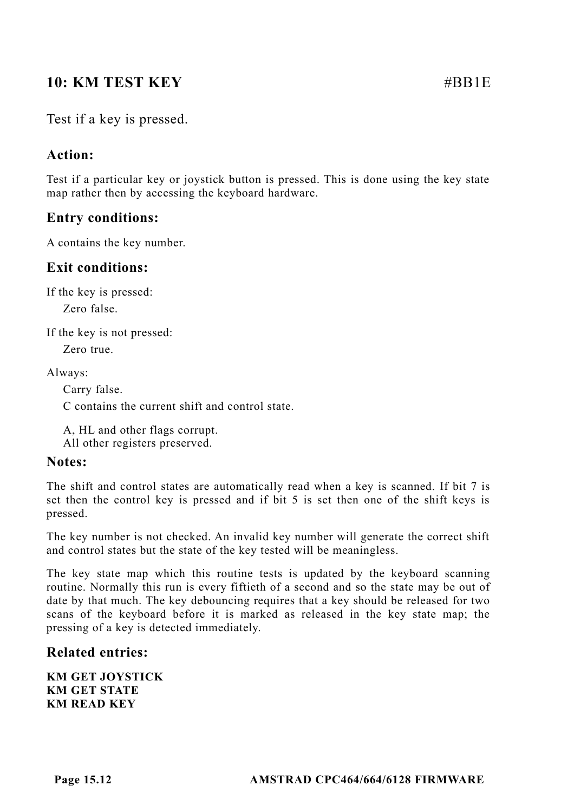# **10: KM TEST KEY** #BB1E

# **Action:**

Test if a particular key or joystick button is pressed. This is done using the key state map rather then by accessing the keyboard hardware.

# **Entry conditions:**

A contains the key number.

# **Exit conditions:**

If the key is pressed:

Zero false.

If the key is not pressed:

Zero true.

Always:

Carry false.

C contains the current shift and control state.

A, HL and other flags corrupt. All other registers preserved.

#### **Notes:**

The shift and control states are automatically read when a key is scanned. If bit 7 is set then the control key is pressed and if bit 5 is set then one of the shift keys is pressed.

The key number is not checked. An invalid key number will generate the correct shift and control states but the state of the key tested will be meaningless.

The key state map which this routine tests is updated by the keyboard scanning routine. Normally this run is every fiftieth of a second and so the state may be out of date by that much. The key debouncing requires that a key should be released for two scans of the keyboard before it is marked as released in the key state map; the pressing of a key is detected immediately.

# **Related entries:**

**KM GET JOYSTICK KM GET STATE KM READ KEY**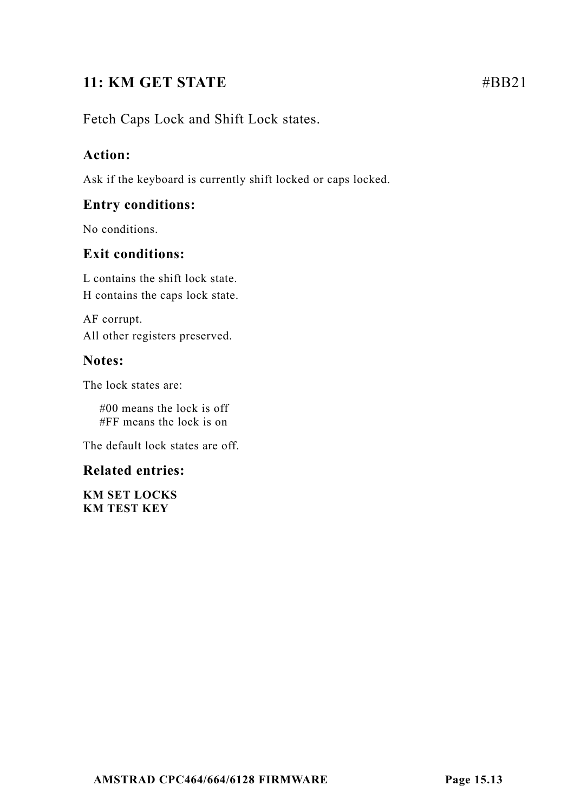# **11: KM GET STATE** #BB21

# Fetch Caps Lock and Shift Lock states.

# **Action:**

Ask if the keyboard is currently shift locked or caps locked.

# **Entry conditions:**

No conditions.

# **Exit conditions:**

L contains the shift lock state. H contains the caps lock state.

AF corrupt. All other registers preserved.

# **Notes:**

The lock states are:

#00 means the lock is off #FF means the lock is on

The default lock states are off.

# **Related entries:**

**KM SET LOCKS KM TEST KEY**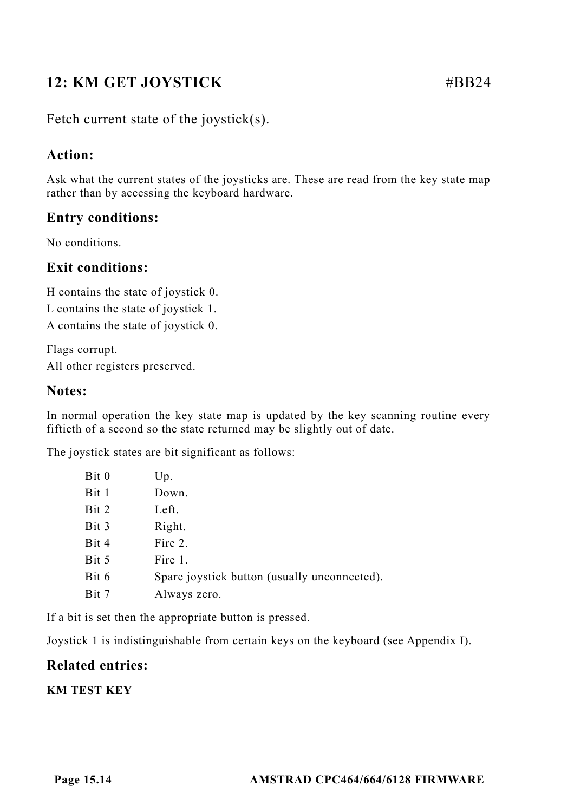# **12: KM GET JOYSTICK** #BB24

Fetch current state of the joystick(s).

# **Action:**

Ask what the current states of the joysticks are. These are read from the key state map rather than by accessing the keyboard hardware.

# **Entry conditions:**

No conditions.

# **Exit conditions:**

H contains the state of joystick 0.

L contains the state of joystick 1.

A contains the state of joystick 0.

Flags corrupt. All other registers preserved.

# **Notes:**

In normal operation the key state map is updated by the key scanning routine every fiftieth of a second so the state returned may be slightly out of date.

The joystick states are bit significant as follows:

| Bit 0 | Up.                                          |
|-------|----------------------------------------------|
| Bit 1 | Down.                                        |
| Bit 2 | Left.                                        |
| Bit 3 | Right.                                       |
| Bit 4 | Fire 2.                                      |
| Bit 5 | Fire 1.                                      |
| Bit 6 | Spare joystick button (usually unconnected). |
| Bit 7 | Always zero.                                 |

If a bit is set then the appropriate button is pressed.

Joystick 1 is indistinguishable from certain keys on the keyboard (see Appendix I).

# **Related entries:**

**KM TEST KEY**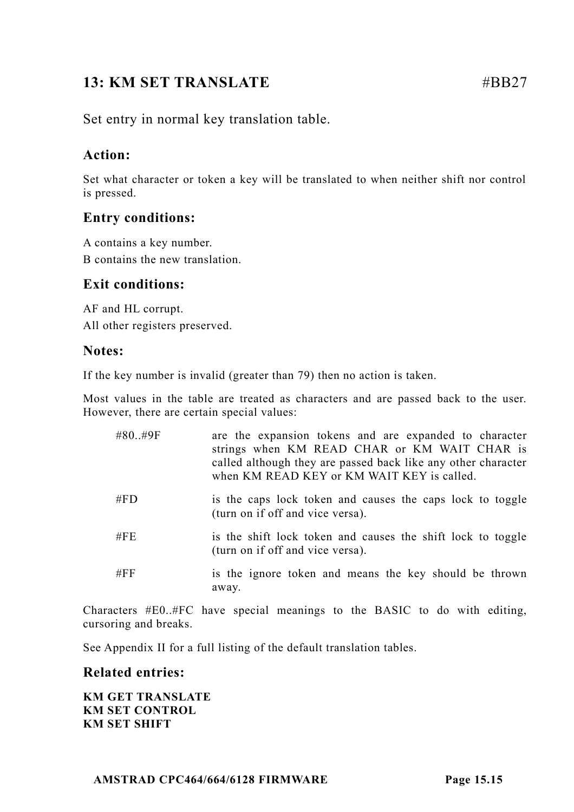# **13: KM SET TRANSLATE** #BB27

Set entry in normal key translation table.

# **Action:**

Set what character or token a key will be translated to when neither shift nor control is pressed.

# **Entry conditions:**

A contains a key number. B contains the new translation.

# **Exit conditions:**

AF and HL corrupt. All other registers preserved.

#### **Notes:**

If the key number is invalid (greater than 79) then no action is taken.

Most values in the table are treated as characters and are passed back to the user. However, there are certain special values:

| #80#9F | are the expansion tokens and are expanded to character<br>strings when KM READ CHAR or KM WAIT CHAR is<br>called although they are passed back like any other character<br>when KM READ KEY or KM WAIT KEY is called. |
|--------|-----------------------------------------------------------------------------------------------------------------------------------------------------------------------------------------------------------------------|
| # $FD$ | is the caps lock token and causes the caps lock to toggle<br>(turn on if off and vice versa).                                                                                                                         |
| $\#FE$ | is the shift lock token and causes the shift lock to toggle<br>(turn on if off and vice versa).                                                                                                                       |
| #FF    | is the ignore token and means the key should be thrown<br>away.                                                                                                                                                       |

Characters #E0..#FC have special meanings to the BASIC to do with editing, cursoring and breaks.

See Appendix II for a full listing of the default translation tables.

# **Related entries:**

**KM GET TRANSLATE KM SET CONTROL KM SET SHIFT**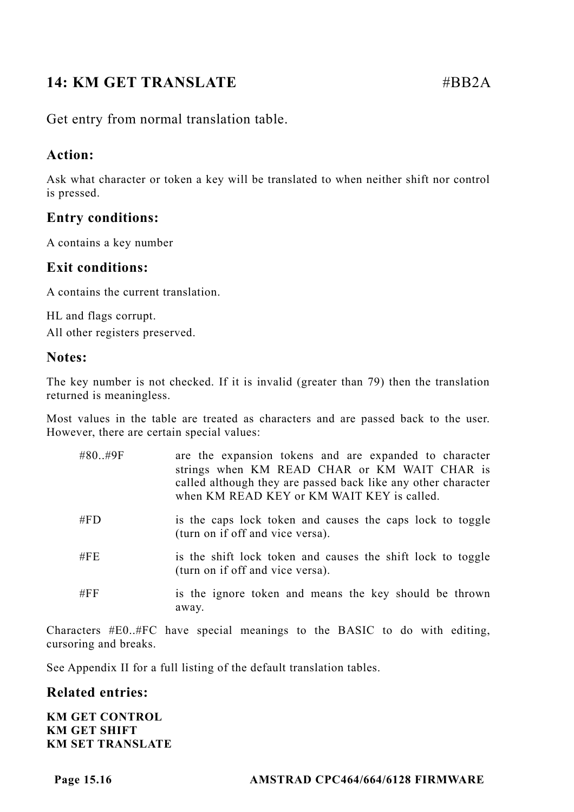# **14: KM GET TRANSLATE #BB2A**

Get entry from normal translation table.

# **Action:**

Ask what character or token a key will be translated to when neither shift nor control is pressed.

# **Entry conditions:**

A contains a key number

# **Exit conditions:**

A contains the current translation.

HL and flags corrupt. All other registers preserved.

#### **Notes:**

The key number is not checked. If it is invalid (greater than 79) then the translation returned is meaningless.

Most values in the table are treated as characters and are passed back to the user. However, there are certain special values:

| #80#9F | are the expansion tokens and are expanded to character<br>strings when KM READ CHAR or KM WAIT CHAR is<br>called although they are passed back like any other character<br>when KM READ KEY or KM WAIT KEY is called. |
|--------|-----------------------------------------------------------------------------------------------------------------------------------------------------------------------------------------------------------------------|
| # $FD$ | is the caps lock token and causes the caps lock to toggle<br>(turn on if off and vice versa).                                                                                                                         |
| $\#FE$ | is the shift lock token and causes the shift lock to toggle<br>(turn on if off and vice versa).                                                                                                                       |
| #FF    | is the ignore token and means the key should be thrown<br>away.                                                                                                                                                       |

Characters #E0..#FC have special meanings to the BASIC to do with editing, cursoring and breaks.

See Appendix II for a full listing of the default translation tables.

# **Related entries:**

**KM GET CONTROL KM GET SHIFT KM SET TRANSLATE**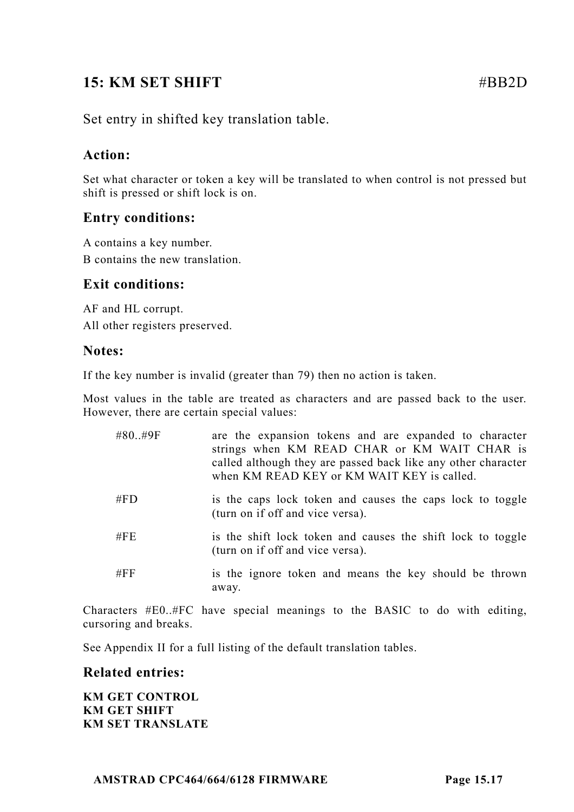# **15: KM SET SHIFT** #BB2D

Set entry in shifted key translation table.

# **Action:**

Set what character or token a key will be translated to when control is not pressed but shift is pressed or shift lock is on.

# **Entry conditions:**

A contains a key number. B contains the new translation.

# **Exit conditions:**

AF and HL corrupt. All other registers preserved.

#### **Notes:**

If the key number is invalid (greater than 79) then no action is taken.

Most values in the table are treated as characters and are passed back to the user. However, there are certain special values:

| #80#9F | are the expansion tokens and are expanded to character<br>strings when KM READ CHAR or KM WAIT CHAR is<br>called although they are passed back like any other character<br>when KM READ KEY or KM WAIT KEY is called. |
|--------|-----------------------------------------------------------------------------------------------------------------------------------------------------------------------------------------------------------------------|
| # $FD$ | is the caps lock token and causes the caps lock to toggle<br>(turn on if off and vice versa).                                                                                                                         |
| $\#FE$ | is the shift lock token and causes the shift lock to toggle<br>(turn on if off and vice versa).                                                                                                                       |
| $\#FF$ | is the ignore token and means the key should be thrown<br>away.                                                                                                                                                       |

Characters #E0..#FC have special meanings to the BASIC to do with editing, cursoring and breaks.

See Appendix II for a full listing of the default translation tables.

# **Related entries:**

**KM GET CONTROL KM GET SHIFT KM SET TRANSLATE**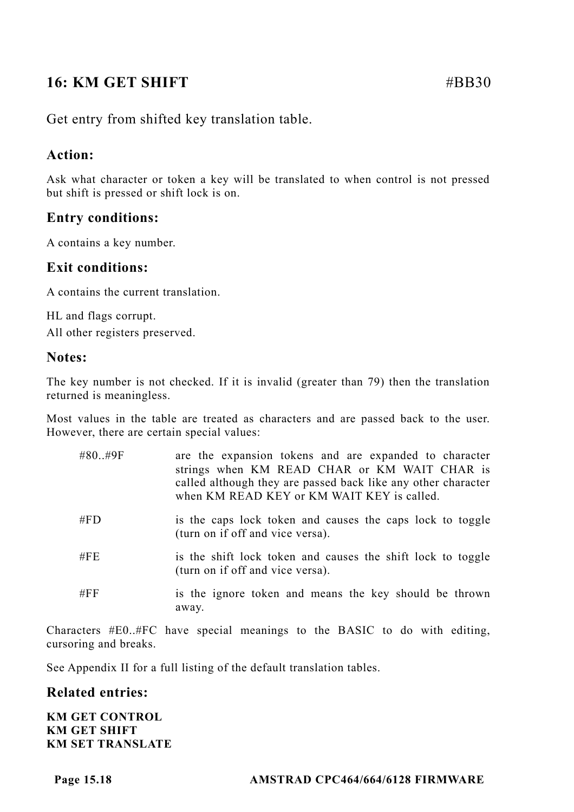# **16: KM GET SHIFT**  $\#BB30$

Get entry from shifted key translation table.

# **Action:**

Ask what character or token a key will be translated to when control is not pressed but shift is pressed or shift lock is on.

# **Entry conditions:**

A contains a key number.

# **Exit conditions:**

A contains the current translation.

HL and flags corrupt. All other registers preserved.

#### **Notes:**

The key number is not checked. If it is invalid (greater than 79) then the translation returned is meaningless.

Most values in the table are treated as characters and are passed back to the user. However, there are certain special values:

| #80#9F | are the expansion tokens and are expanded to character<br>strings when KM READ CHAR or KM WAIT CHAR is<br>called although they are passed back like any other character<br>when KM READ KEY or KM WAIT KEY is called. |
|--------|-----------------------------------------------------------------------------------------------------------------------------------------------------------------------------------------------------------------------|
| # $FD$ | is the caps lock token and causes the caps lock to toggle<br>(turn on if off and vice versa).                                                                                                                         |
| # $FE$ | is the shift lock token and causes the shift lock to toggle<br>(turn on if off and vice versa).                                                                                                                       |
| # $FF$ | is the ignore token and means the key should be thrown<br>away.                                                                                                                                                       |

Characters #E0..#FC have special meanings to the BASIC to do with editing, cursoring and breaks.

See Appendix II for a full listing of the default translation tables.

#### **Related entries:**

**KM GET CONTROL KM GET SHIFT KM SET TRANSLATE**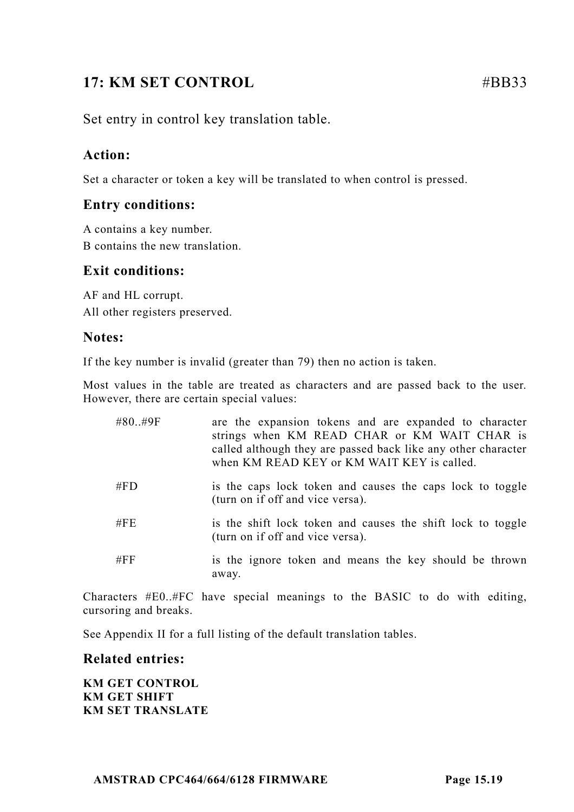# **17: KM SET CONTROL** #BB33

Set entry in control key translation table.

# **Action:**

Set a character or token a key will be translated to when control is pressed.

# **Entry conditions:**

A contains a key number. B contains the new translation.

# **Exit conditions:**

AF and HL corrupt. All other registers preserved.

#### **Notes:**

If the key number is invalid (greater than 79) then no action is taken.

Most values in the table are treated as characters and are passed back to the user. However, there are certain special values:

| #80#9F | are the expansion tokens and are expanded to character<br>strings when KM READ CHAR or KM WAIT CHAR is<br>called although they are passed back like any other character<br>when KM READ KEY or KM WAIT KEY is called. |
|--------|-----------------------------------------------------------------------------------------------------------------------------------------------------------------------------------------------------------------------|
| # $FD$ | is the caps lock token and causes the caps lock to toggle<br>(turn on if off and vice versa).                                                                                                                         |
| $\#FE$ | is the shift lock token and causes the shift lock to toggle<br>(turn on if off and vice versa).                                                                                                                       |
| #FF    | is the ignore token and means the key should be thrown<br>away.                                                                                                                                                       |

Characters #E0..#FC have special meanings to the BASIC to do with editing, cursoring and breaks.

See Appendix II for a full listing of the default translation tables.

#### **Related entries:**

**KM GET CONTROL KM GET SHIFT KM SET TRANSLATE**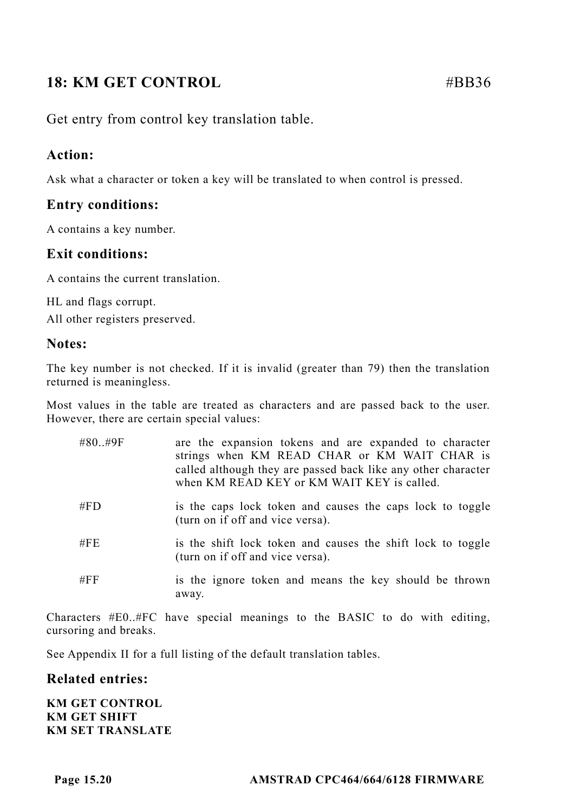# **18: KM GET CONTROL** #BB36

Get entry from control key translation table.

# **Action:**

Ask what a character or token a key will be translated to when control is pressed.

# **Entry conditions:**

A contains a key number.

# **Exit conditions:**

A contains the current translation.

HL and flags corrupt. All other registers preserved.

# **Notes:**

The key number is not checked. If it is invalid (greater than 79) then the translation returned is meaningless.

Most values in the table are treated as characters and are passed back to the user. However, there are certain special values:

| #80#9F | are the expansion tokens and are expanded to character<br>strings when KM READ CHAR or KM WAIT CHAR is<br>called although they are passed back like any other character<br>when KM READ KEY or KM WAIT KEY is called. |
|--------|-----------------------------------------------------------------------------------------------------------------------------------------------------------------------------------------------------------------------|
| # $FD$ | is the caps lock token and causes the caps lock to toggle<br>(turn on if off and vice versa).                                                                                                                         |
| #FE    | is the shift lock token and causes the shift lock to toggle<br>(turn on if off and vice versa).                                                                                                                       |
| #FF    | is the ignore token and means the key should be thrown<br>away.                                                                                                                                                       |

Characters #E0..#FC have special meanings to the BASIC to do with editing, cursoring and breaks.

See Appendix II for a full listing of the default translation tables.

# **Related entries:**

**KM GET CONTROL KM GET SHIFT KM SET TRANSLATE**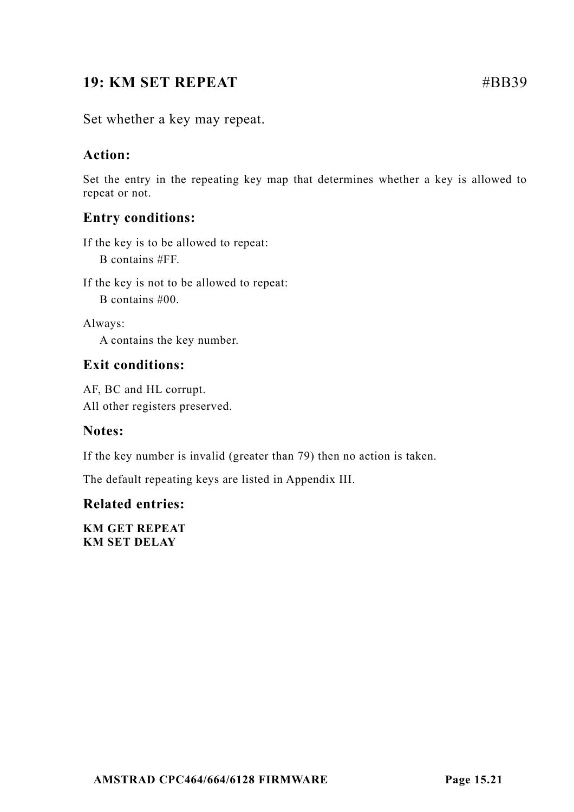# **19: KM SET REPEAT**  $\#BB39$

Set whether a key may repeat.

# **Action:**

Set the entry in the repeating key map that determines whether a key is allowed to repeat or not.

# **Entry conditions:**

If the key is to be allowed to repeat: B contains #FF.

If the key is not to be allowed to repeat: B contains #00.

Always:

A contains the key number.

# **Exit conditions:**

AF, BC and HL corrupt. All other registers preserved.

# **Notes:**

If the key number is invalid (greater than 79) then no action is taken.

The default repeating keys are listed in Appendix III.

# **Related entries:**

**KM GET REPEAT KM SET DELAY**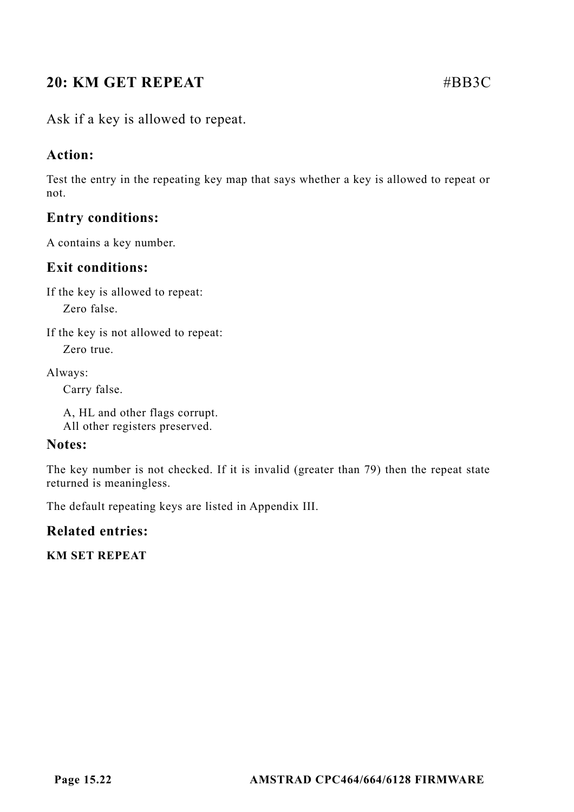# **20: KM GET REPEAT** #BB3C

Ask if a key is allowed to repeat.

# **Action:**

Test the entry in the repeating key map that says whether a key is allowed to repeat or not.

# **Entry conditions:**

A contains a key number.

# **Exit conditions:**

If the key is allowed to repeat:

Zero false.

If the key is not allowed to repeat:

Zero true.

Always:

Carry false.

A, HL and other flags corrupt. All other registers preserved.

#### **Notes:**

The key number is not checked. If it is invalid (greater than 79) then the repeat state returned is meaningless.

The default repeating keys are listed in Appendix III.

# **Related entries:**

**KM SET REPEAT**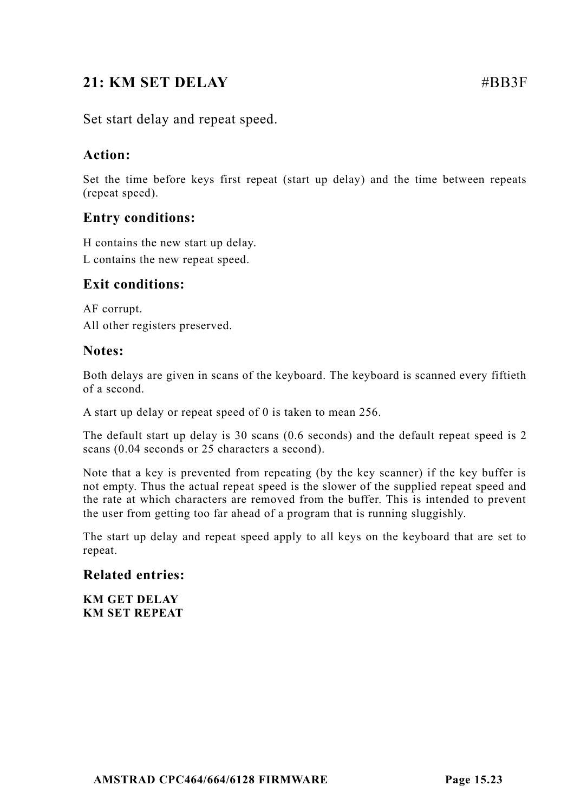# **21: KM SET DELAY** #BB3F

Set start delay and repeat speed.

# **Action:**

Set the time before keys first repeat (start up delay) and the time between repeats (repeat speed).

# **Entry conditions:**

H contains the new start up delay.

L contains the new repeat speed.

# **Exit conditions:**

AF corrupt. All other registers preserved.

#### **Notes:**

Both delays are given in scans of the keyboard. The keyboard is scanned every fiftieth of a second.

A start up delay or repeat speed of 0 is taken to mean 256.

The default start up delay is 30 scans (0.6 seconds) and the default repeat speed is 2 scans (0.04 seconds or 25 characters a second).

Note that a key is prevented from repeating (by the key scanner) if the key buffer is not empty. Thus the actual repeat speed is the slower of the supplied repeat speed and the rate at which characters are removed from the buffer. This is intended to prevent the user from getting too far ahead of a program that is running sluggishly.

The start up delay and repeat speed apply to all keys on the keyboard that are set to repeat.

# **Related entries:**

**KM GET DELAY KM SET REPEAT**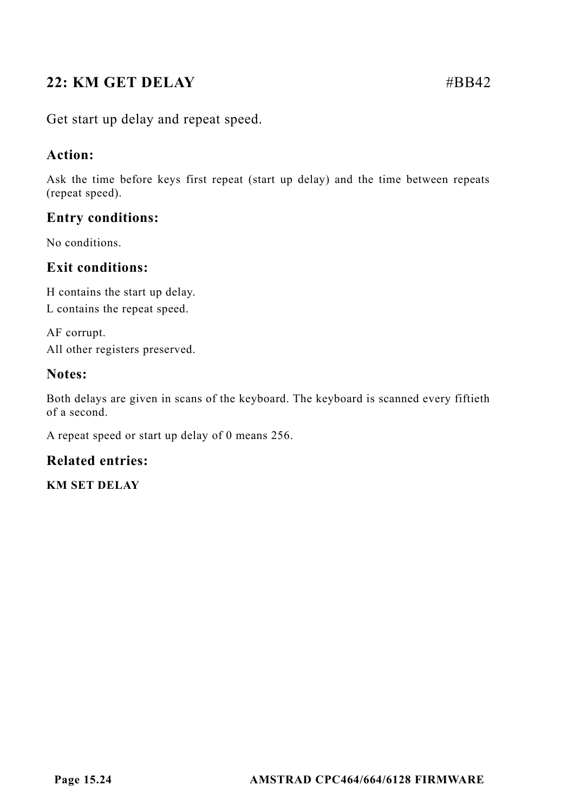# **22: KM GET DELAY** #BB42

Get start up delay and repeat speed.

# **Action:**

Ask the time before keys first repeat (start up delay) and the time between repeats (repeat speed).

# **Entry conditions:**

No conditions.

# **Exit conditions:**

H contains the start up delay. L contains the repeat speed.

AF corrupt. All other registers preserved.

# **Notes:**

Both delays are given in scans of the keyboard. The keyboard is scanned every fiftieth of a second.

A repeat speed or start up delay of 0 means 256.

# **Related entries:**

**KM SET DELAY**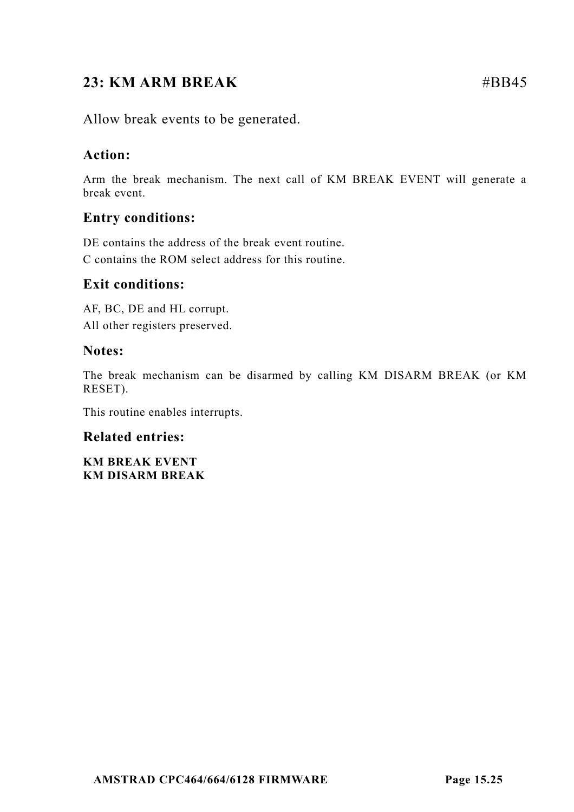# **23: KM ARM BREAK** #BB45

Allow break events to be generated.

# **Action:**

Arm the break mechanism. The next call of KM BREAK EVENT will generate a break event.

# **Entry conditions:**

DE contains the address of the break event routine. C contains the ROM select address for this routine.

# **Exit conditions:**

AF, BC, DE and HL corrupt. All other registers preserved.

#### **Notes:**

The break mechanism can be disarmed by calling KM DISARM BREAK (or KM RESET).

This routine enables interrupts.

# **Related entries:**

**KM BREAK EVENT KM DISARM BREAK**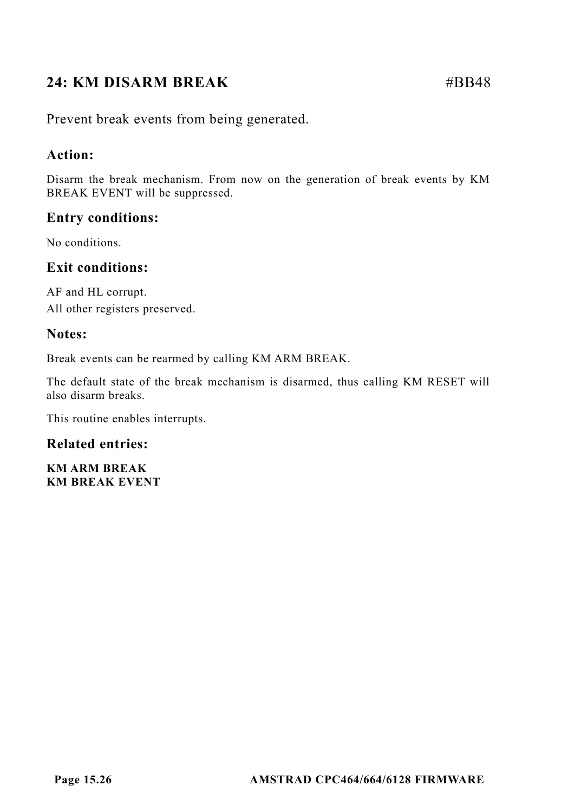# **24: KM DISARM BREAK** #BB48

Prevent break events from being generated.

# **Action:**

Disarm the break mechanism. From now on the generation of break events by KM BREAK EVENT will be suppressed.

# **Entry conditions:**

No conditions.

# **Exit conditions:**

AF and HL corrupt. All other registers preserved.

# **Notes:**

Break events can be rearmed by calling KM ARM BREAK.

The default state of the break mechanism is disarmed, thus calling KM RESET will also disarm breaks.

This routine enables interrupts.

# **Related entries:**

**KM ARM BREAK KM BREAK EVENT**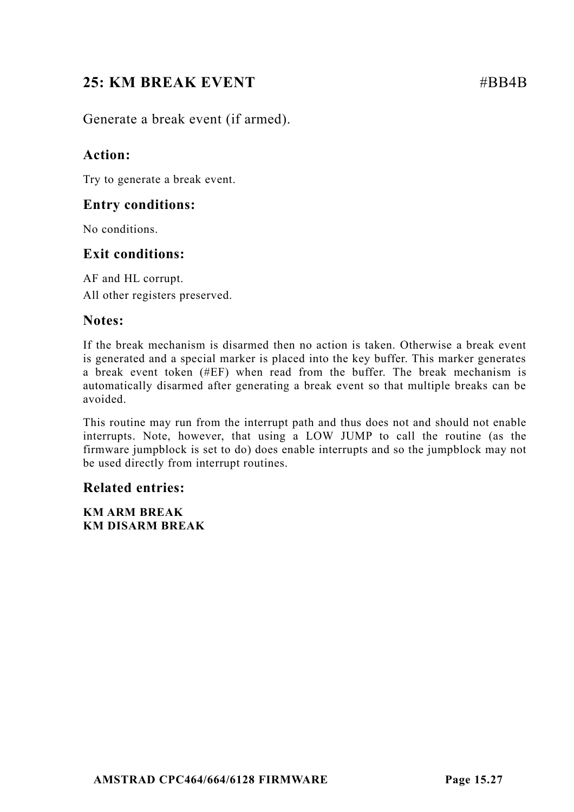# **25: KM BREAK EVENT** #BB4B

Generate a break event (if armed).

# **Action:**

Try to generate a break event.

# **Entry conditions:**

No conditions.

# **Exit conditions:**

AF and HL corrupt. All other registers preserved.

# **Notes:**

If the break mechanism is disarmed then no action is taken. Otherwise a break event is generated and a special marker is placed into the key buffer. This marker generates a break event token (#EF) when read from the buffer. The break mechanism is automatically disarmed after generating a break event so that multiple breaks can be avoided.

This routine may run from the interrupt path and thus does not and should not enable interrupts. Note, however, that using a LOW JUMP to call the routine (as the firmware jumpblock is set to do) does enable interrupts and so the jumpblock may not be used directly from interrupt routines.

# **Related entries:**

**KM ARM BREAK KM DISARM BREAK**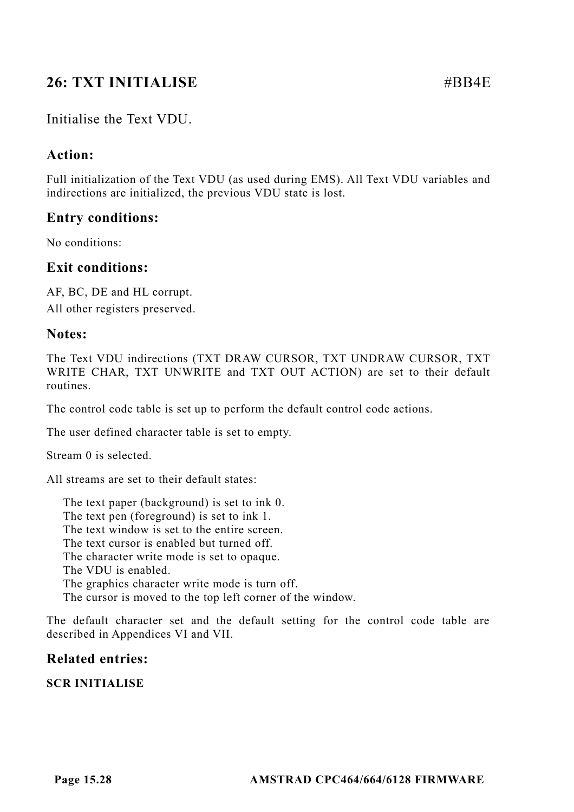# **26: TXT INITIALISE** #BB4E

# Initialise the Text VDU.

# **Action:**

Full initialization of the Text VDU (as used during EMS). All Text VDU variables and indirections are initialized, the previous VDU state is lost.

# **Entry conditions:**

No conditions:

#### **Exit conditions:**

AF, BC, DE and HL corrupt. All other registers preserved.

#### **Notes:**

The Text VDU indirections (TXT DRAW CURSOR, TXT UNDRAW CURSOR, TXT WRITE CHAR, TXT UNWRITE and TXT OUT ACTION) are set to their default routines.

The control code table is set up to perform the default control code actions.

The user defined character table is set to empty.

Stream 0 is selected.

All streams are set to their default states:

The text paper (background) is set to ink 0. The text pen (foreground) is set to ink 1. The text window is set to the entire screen. The text cursor is enabled but turned off. The character write mode is set to opaque. The VDU is enabled. The graphics character write mode is turn off. The cursor is moved to the top left corner of the window.

The default character set and the default setting for the control code table are described in Appendices VI and VII.

# **Related entries:**

**SCR INITIALISE**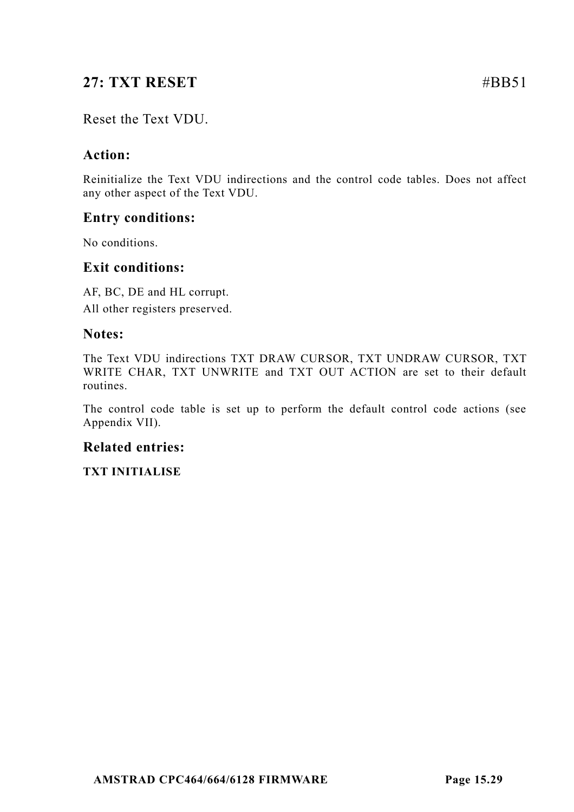# **27: TXT RESET** #BB51

# Reset the Text VDU.

# **Action:**

Reinitialize the Text VDU indirections and the control code tables. Does not affect any other aspect of the Text VDU.

# **Entry conditions:**

No conditions.

# **Exit conditions:**

AF, BC, DE and HL corrupt. All other registers preserved.

#### **Notes:**

The Text VDU indirections TXT DRAW CURSOR, TXT UNDRAW CURSOR, TXT WRITE CHAR, TXT UNWRITE and TXT OUT ACTION are set to their default routines.

The control code table is set up to perform the default control code actions (see Appendix VII).

# **Related entries:**

**TXT INITIALISE**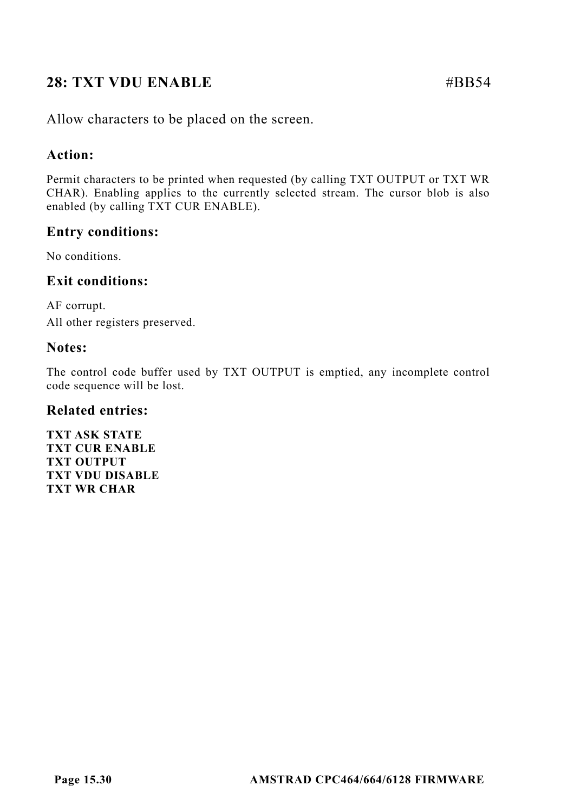# **28: TXT VDU ENABLE** #BB54

Allow characters to be placed on the screen.

# **Action:**

Permit characters to be printed when requested (by calling TXT OUTPUT or TXT WR CHAR). Enabling applies to the currently selected stream. The cursor blob is also enabled (by calling TXT CUR ENABLE).

# **Entry conditions:**

No conditions.

# **Exit conditions:**

AF corrupt. All other registers preserved.

# **Notes:**

The control code buffer used by TXT OUTPUT is emptied, any incomplete control code sequence will be lost.

#### **Related entries:**

**TXT ASK STATE TXT CUR ENABLE TXT OUTPUT TXT VDU DISABLE TXT WR CHAR**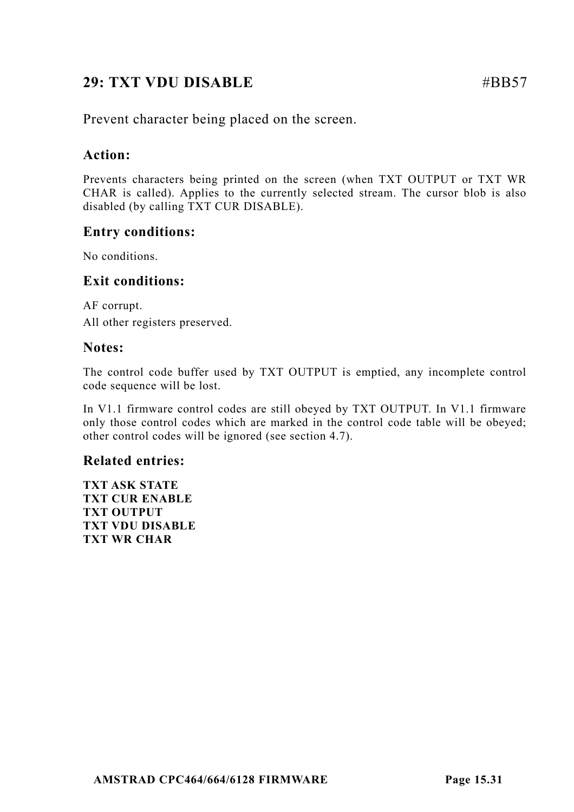# **29: TXT VDU DISABLE** #BB57

Prevent character being placed on the screen.

# **Action:**

Prevents characters being printed on the screen (when TXT OUTPUT or TXT WR CHAR is called). Applies to the currently selected stream. The cursor blob is also disabled (by calling TXT CUR DISABLE).

# **Entry conditions:**

No conditions.

# **Exit conditions:**

AF corrupt. All other registers preserved.

# **Notes:**

The control code buffer used by TXT OUTPUT is emptied, any incomplete control code sequence will be lost.

In V1.1 firmware control codes are still obeyed by TXT OUTPUT. In V1.1 firmware only those control codes which are marked in the control code table will be obeyed; other control codes will be ignored (see section 4.7).

# **Related entries:**

**TXT ASK STATE TXT CUR ENABLE TXT OUTPUT TXT VDU DISABLE TXT WR CHAR**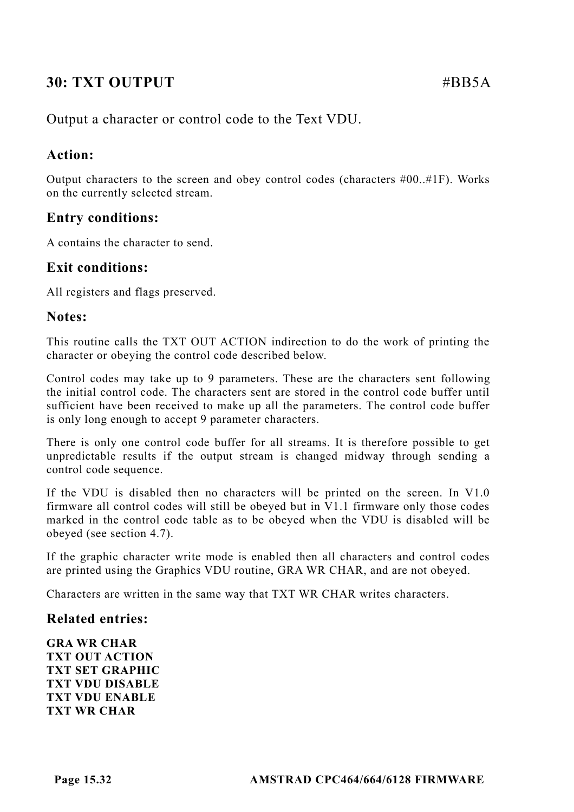# **30: TXT OUTPUT** #BB5A

Output a character or control code to the Text VDU.

# **Action:**

Output characters to the screen and obey control codes (characters  $#00..#1F$ ). Works on the currently selected stream.

# **Entry conditions:**

A contains the character to send.

#### **Exit conditions:**

All registers and flags preserved.

#### **Notes:**

This routine calls the TXT OUT ACTION indirection to do the work of printing the character or obeying the control code described below.

Control codes may take up to 9 parameters. These are the characters sent following the initial control code. The characters sent are stored in the control code buffer until sufficient have been received to make up all the parameters. The control code buffer is only long enough to accept 9 parameter characters.

There is only one control code buffer for all streams. It is therefore possible to get unpredictable results if the output stream is changed midway through sending a control code sequence.

If the VDU is disabled then no characters will be printed on the screen. In V1.0 firmware all control codes will still be obeyed but in V1.1 firmware only those codes marked in the control code table as to be obeyed when the VDU is disabled will be obeyed (see section 4.7).

If the graphic character write mode is enabled then all characters and control codes are printed using the Graphics VDU routine, GRA WR CHAR, and are not obeyed.

Characters are written in the same way that TXT WR CHAR writes characters.

#### **Related entries:**

**GRA WR CHAR TXT OUT ACTION TXT SET GRAPHIC TXT VDU DISABLE TXT VDU ENABLE TXT WR CHAR**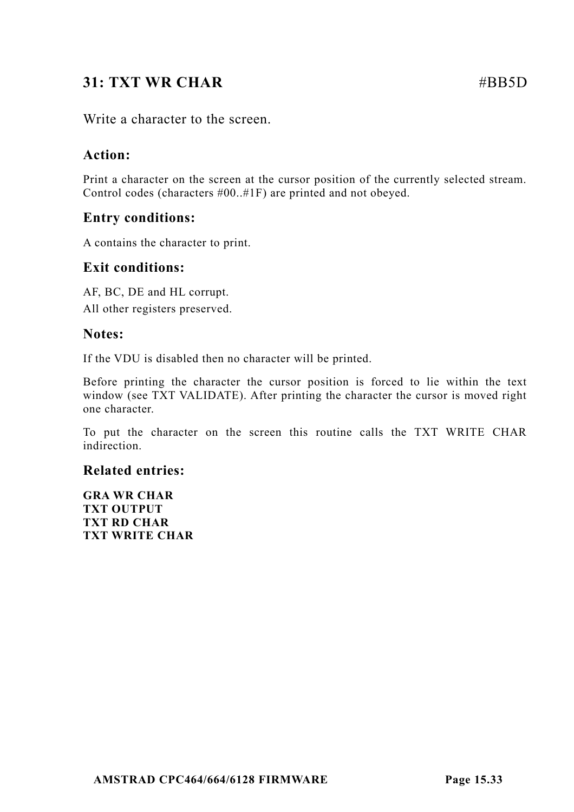# **31: TXT WR CHAR #BB5D #BB5D**

Write a character to the screen.

# **Action:**

Print a character on the screen at the cursor position of the currently selected stream. Control codes (characters #00..#1F) are printed and not obeyed.

# **Entry conditions:**

A contains the character to print.

# **Exit conditions:**

AF, BC, DE and HL corrupt. All other registers preserved.

# **Notes:**

If the VDU is disabled then no character will be printed.

Before printing the character the cursor position is forced to lie within the text window (see TXT VALIDATE). After printing the character the cursor is moved right one character.

To put the character on the screen this routine calls the TXT WRITE CHAR indirection.

# **Related entries:**

**GRA WR CHAR TXT OUTPUT TXT RD CHAR TXT WRITE CHAR**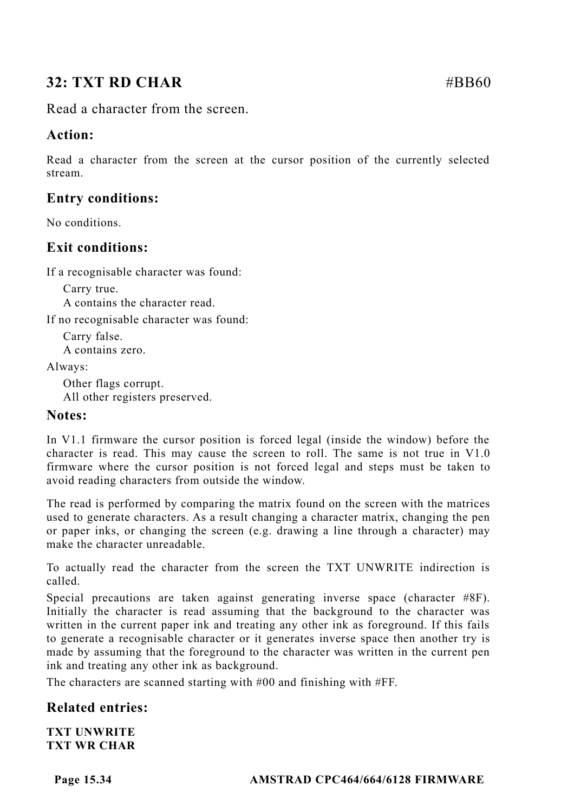# **32: TXT RD CHAR** #BB60

Read a character from the screen.

# **Action:**

Read a character from the screen at the cursor position of the currently selected stream.

# **Entry conditions:**

No conditions.

# **Exit conditions:**

If a recognisable character was found:

Carry true. A contains the character read.

If no recognisable character was found:

Carry false. A contains zero.

Always:

Other flags corrupt. All other registers preserved.

# **Notes:**

In V1.1 firmware the cursor position is forced legal (inside the window) before the character is read. This may cause the screen to roll. The same is not true in V1.0 firmware where the cursor position is not forced legal and steps must be taken to avoid reading characters from outside the window.

The read is performed by comparing the matrix found on the screen with the matrices used to generate characters. As a result changing a character matrix, changing the pen or paper inks, or changing the screen (e.g. drawing a line through a character) may make the character unreadable.

To actually read the character from the screen the TXT UNWRITE indirection is called.

Special precautions are taken against generating inverse space (character #8F). Initially the character is read assuming that the background to the character was written in the current paper ink and treating any other ink as foreground. If this fails to generate a recognisable character or it generates inverse space then another try is made by assuming that the foreground to the character was written in the current pen ink and treating any other ink as background.

The characters are scanned starting with #00 and finishing with #FF.

# **Related entries:**

**TXT UNWRITE TXT WR CHAR**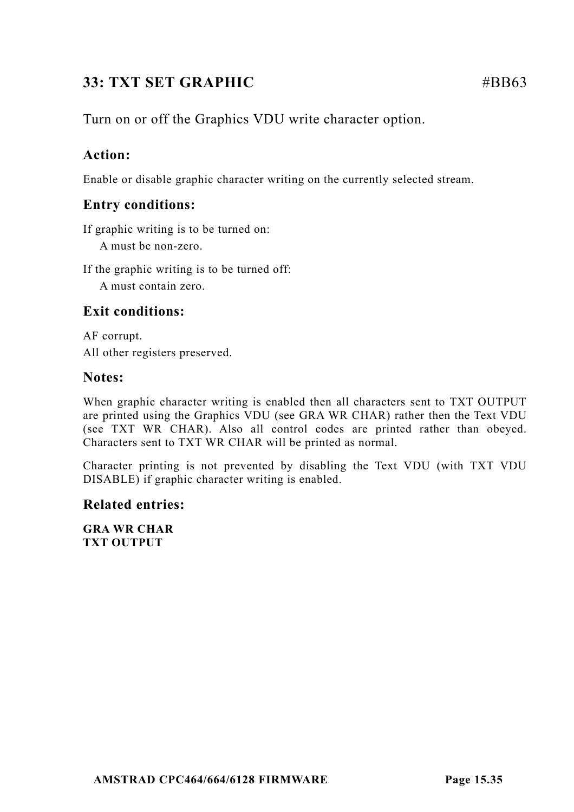# **33: TXT SET GRAPHIC** #BB63

# **Action:**

Enable or disable graphic character writing on the currently selected stream.

# **Entry conditions:**

If graphic writing is to be turned on:

A must be non-zero.

If the graphic writing is to be turned off:

A must contain zero.

# **Exit conditions:**

AF corrupt. All other registers preserved.

# **Notes:**

When graphic character writing is enabled then all characters sent to TXT OUTPUT are printed using the Graphics VDU (see GRA WR CHAR) rather then the Text VDU (see TXT WR CHAR). Also all control codes are printed rather than obeyed. Characters sent to TXT WR CHAR will be printed as normal.

Character printing is not prevented by disabling the Text VDU (with TXT VDU DISABLE) if graphic character writing is enabled.

# **Related entries:**

**GRA WR CHAR TXT OUTPUT**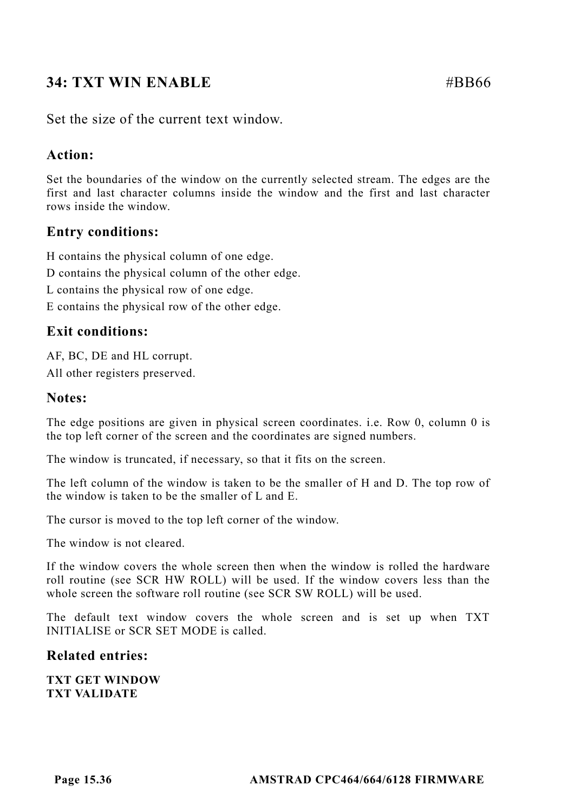# **34: TXT WIN ENABLE**  $\#BB66$

Set the size of the current text window.

# **Action:**

Set the boundaries of the window on the currently selected stream. The edges are the first and last character columns inside the window and the first and last character rows inside the window.

# **Entry conditions:**

H contains the physical column of one edge.

D contains the physical column of the other edge.

L contains the physical row of one edge.

E contains the physical row of the other edge.

# **Exit conditions:**

AF, BC, DE and HL corrupt. All other registers preserved.

#### **Notes:**

The edge positions are given in physical screen coordinates. i.e. Row 0, column 0 is the top left corner of the screen and the coordinates are signed numbers.

The window is truncated, if necessary, so that it fits on the screen.

The left column of the window is taken to be the smaller of H and D. The top row of the window is taken to be the smaller of L and E.

The cursor is moved to the top left corner of the window.

The window is not cleared.

If the window covers the whole screen then when the window is rolled the hardware roll routine (see SCR HW ROLL) will be used. If the window covers less than the whole screen the software roll routine (see SCR SW ROLL) will be used.

The default text window covers the whole screen and is set up when TXT INITIALISE or SCR SET MODE is called.

# **Related entries:**

**TXT GET WINDOW TXT VALIDATE**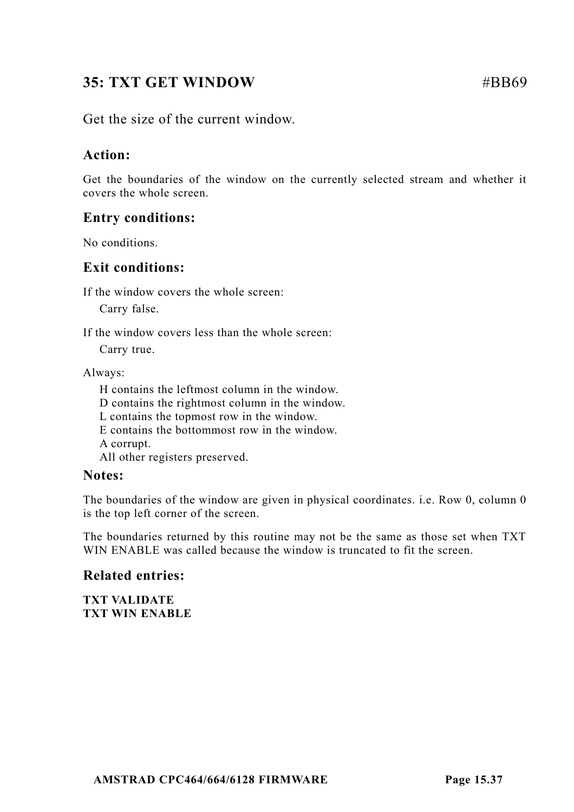# **35: TXT GET WINDOW #BB69**

Get the size of the current window.

## **Action:**

Get the boundaries of the window on the currently selected stream and whether it covers the whole screen.

## **Entry conditions:**

No conditions.

## **Exit conditions:**

If the window covers the whole screen:

Carry false.

If the window covers less than the whole screen:

Carry true.

Always:

H contains the leftmost column in the window. D contains the rightmost column in the window. L contains the topmost row in the window. E contains the bottommost row in the window. A corrupt. All other registers preserved.

### **Notes:**

The boundaries of the window are given in physical coordinates. i.e. Row 0, column 0 is the top left corner of the screen.

The boundaries returned by this routine may not be the same as those set when TXT WIN ENABLE was called because the window is truncated to fit the screen.

## **Related entries:**

**TXT VALIDATE TXT WIN ENABLE**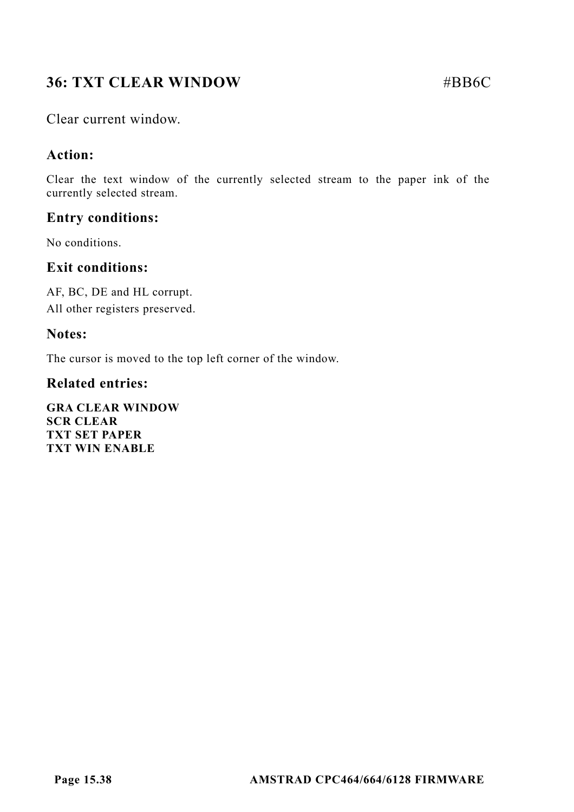# **36: TXT CLEAR WINDOW #BB6C**

Clear current window.

## **Action:**

Clear the text window of the currently selected stream to the paper ink of the currently selected stream.

## **Entry conditions:**

No conditions.

## **Exit conditions:**

AF, BC, DE and HL corrupt. All other registers preserved.

## **Notes:**

The cursor is moved to the top left corner of the window.

## **Related entries:**

**GRA CLEAR WINDOW SCR CLEAR TXT SET PAPER TXT WIN ENABLE**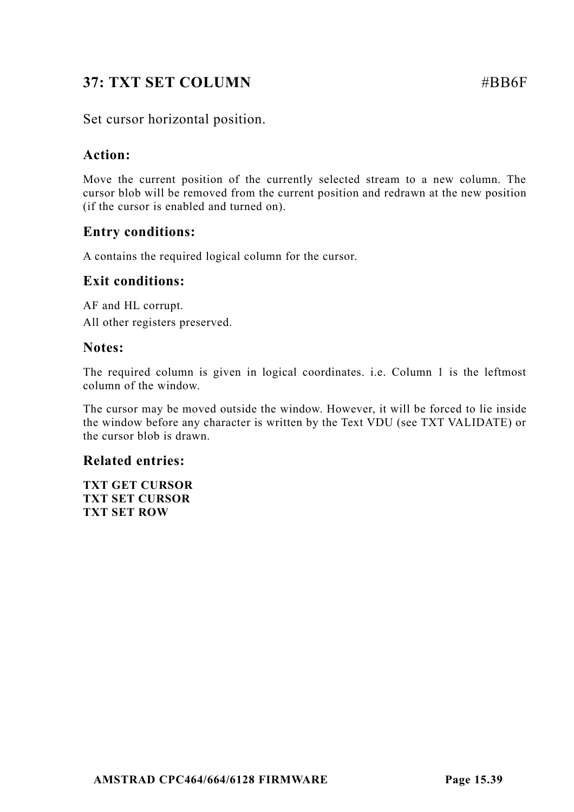# **37: TXT SET COLUMN** #BB6F

## Set cursor horizontal position.

## **Action:**

Move the current position of the currently selected stream to a new column. The cursor blob will be removed from the current position and redrawn at the new position (if the cursor is enabled and turned on).

## **Entry conditions:**

A contains the required logical column for the cursor.

### **Exit conditions:**

AF and HL corrupt. All other registers preserved.

### **Notes:**

The required column is given in logical coordinates. i.e. Column 1 is the leftmost column of the window.

The cursor may be moved outside the window. However, it will be forced to lie inside the window before any character is written by the Text VDU (see TXT VALIDATE) or the cursor blob is drawn.

## **Related entries:**

**TXT GET CURSOR TXT SET CURSOR TXT SET ROW**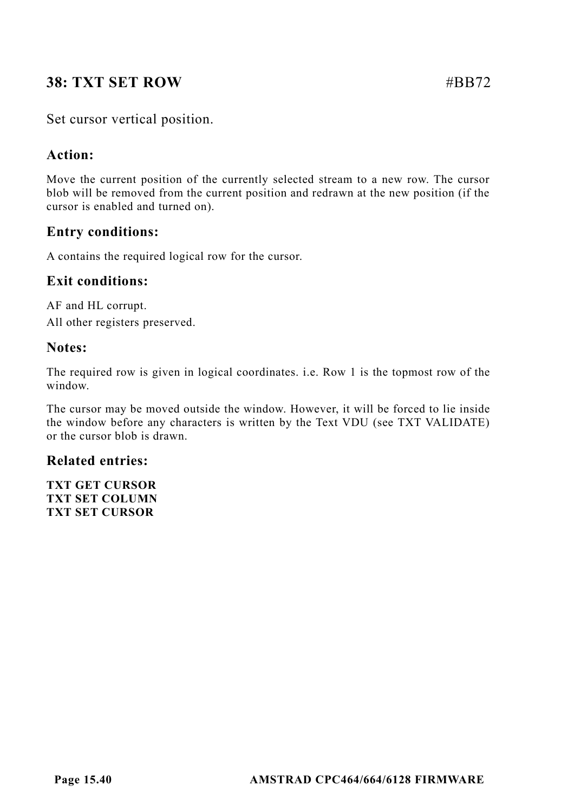# **38: TXT SET ROW #BB72.**

## Set cursor vertical position.

## **Action:**

Move the current position of the currently selected stream to a new row. The cursor blob will be removed from the current position and redrawn at the new position (if the cursor is enabled and turned on).

## **Entry conditions:**

A contains the required logical row for the cursor.

## **Exit conditions:**

AF and HL corrupt. All other registers preserved.

## **Notes:**

The required row is given in logical coordinates. i.e. Row 1 is the topmost row of the window.

The cursor may be moved outside the window. However, it will be forced to lie inside the window before any characters is written by the Text VDU (see TXT VALIDATE) or the cursor blob is drawn.

## **Related entries:**

**TXT GET CURSOR TXT SET COLUMN TXT SET CURSOR**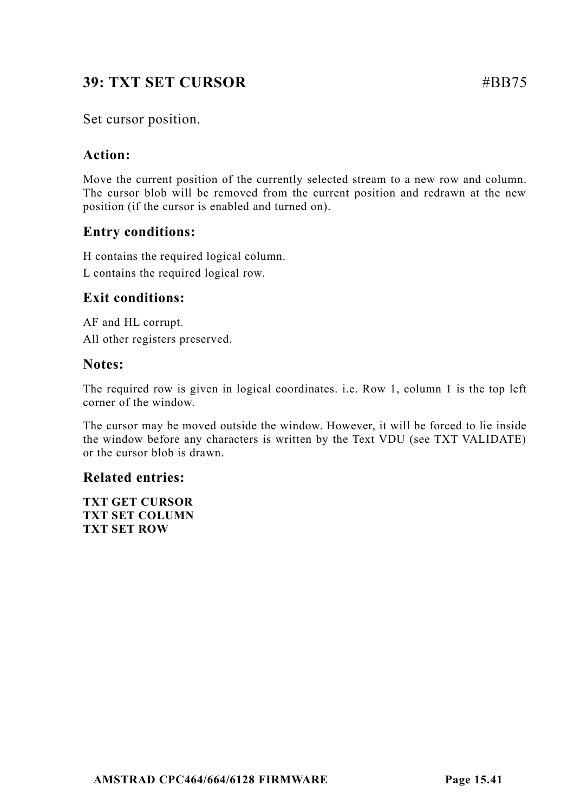# **39: TXT SET CURSOR** #BB75

## Set cursor position.

## **Action:**

Move the current position of the currently selected stream to a new row and column. The cursor blob will be removed from the current position and redrawn at the new position (if the cursor is enabled and turned on).

## **Entry conditions:**

H contains the required logical column.

L contains the required logical row.

## **Exit conditions:**

AF and HL corrupt. All other registers preserved.

## **Notes:**

The required row is given in logical coordinates. i.e. Row 1, column 1 is the top left corner of the window.

The cursor may be moved outside the window. However, it will be forced to lie inside the window before any characters is written by the Text VDU (see TXT VALIDATE) or the cursor blob is drawn.

## **Related entries:**

**TXT GET CURSOR TXT SET COLUMN TXT SET ROW**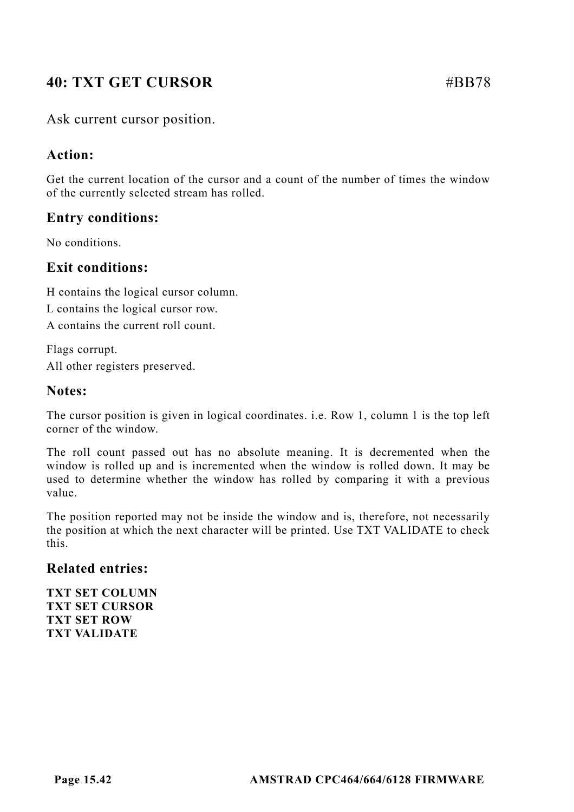# **40: TXT GET CURSOR** #BB78

## Ask current cursor position.

### **Action:**

Get the current location of the cursor and a count of the number of times the window of the currently selected stream has rolled.

## **Entry conditions:**

No conditions.

## **Exit conditions:**

H contains the logical cursor column.

L contains the logical cursor row.

A contains the current roll count.

Flags corrupt. All other registers preserved.

### **Notes:**

The cursor position is given in logical coordinates. i.e. Row 1, column 1 is the top left corner of the window.

The roll count passed out has no absolute meaning. It is decremented when the window is rolled up and is incremented when the window is rolled down. It may be used to determine whether the window has rolled by comparing it with a previous value.

The position reported may not be inside the window and is, therefore, not necessarily the position at which the next character will be printed. Use TXT VALIDATE to check this.

### **Related entries:**

**TXT SET COLUMN TXT SET CURSOR TXT SET ROW TXT VALIDATE**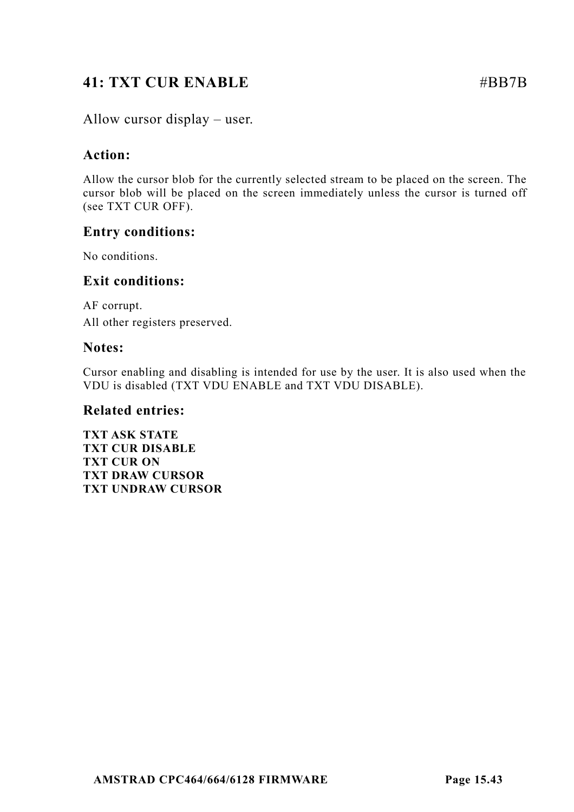# **41: TXT CUR ENABLE** #BB7B

Allow cursor display – user.

## **Action:**

Allow the cursor blob for the currently selected stream to be placed on the screen. The cursor blob will be placed on the screen immediately unless the cursor is turned off (see TXT CUR OFF).

## **Entry conditions:**

No conditions.

## **Exit conditions:**

AF corrupt. All other registers preserved.

## **Notes:**

Cursor enabling and disabling is intended for use by the user. It is also used when the VDU is disabled (TXT VDU ENABLE and TXT VDU DISABLE).

### **Related entries:**

**TXT ASK STATE TXT CUR DISABLE TXT CUR ON TXT DRAW CURSOR TXT UNDRAW CURSOR**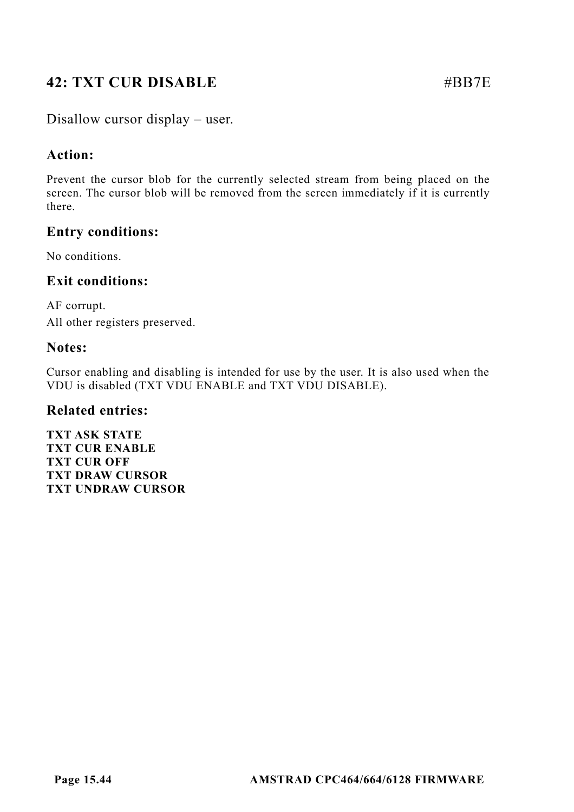# **42: TXT CUR DISABLE** #BB7E

Disallow cursor display – user.

## **Action:**

Prevent the cursor blob for the currently selected stream from being placed on the screen. The cursor blob will be removed from the screen immediately if it is currently there.

## **Entry conditions:**

No conditions.

## **Exit conditions:**

AF corrupt. All other registers preserved.

## **Notes:**

Cursor enabling and disabling is intended for use by the user. It is also used when the VDU is disabled (TXT VDU ENABLE and TXT VDU DISABLE).

### **Related entries:**

**TXT ASK STATE TXT CUR ENABLE TXT CUR OFF TXT DRAW CURSOR TXT UNDRAW CURSOR**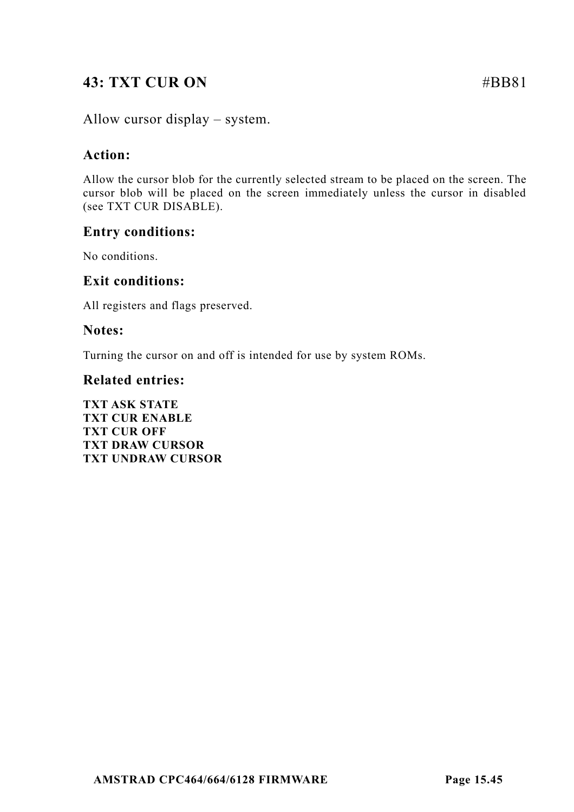# **43: TXT CUR ON** #BB81

Allow cursor display – system.

## **Action:**

Allow the cursor blob for the currently selected stream to be placed on the screen. The cursor blob will be placed on the screen immediately unless the cursor in disabled (see TXT CUR DISABLE).

## **Entry conditions:**

No conditions.

### **Exit conditions:**

All registers and flags preserved.

### **Notes:**

Turning the cursor on and off is intended for use by system ROMs.

### **Related entries:**

**TXT ASK STATE TXT CUR ENABLE TXT CUR OFF TXT DRAW CURSOR TXT UNDRAW CURSOR**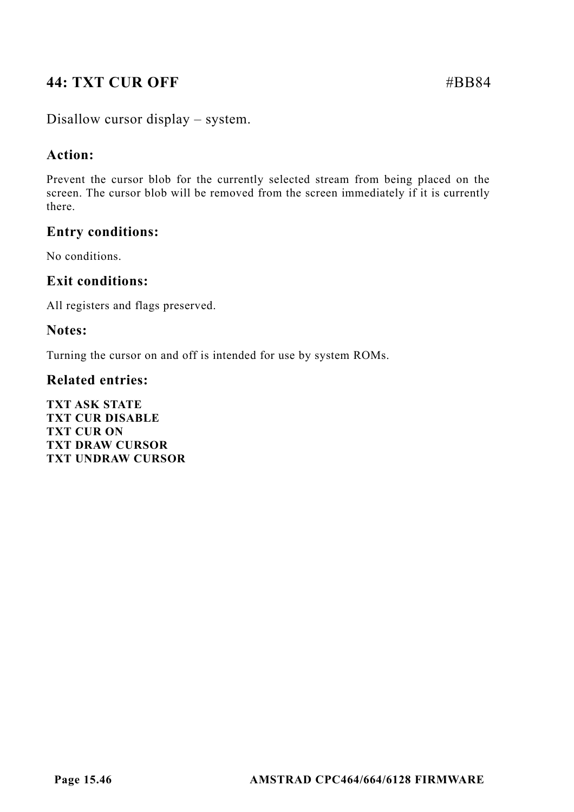# **44: TXT CUR OFF #BB84**

Disallow cursor display – system.

## **Action:**

Prevent the cursor blob for the currently selected stream from being placed on the screen. The cursor blob will be removed from the screen immediately if it is currently there.

## **Entry conditions:**

No conditions.

## **Exit conditions:**

All registers and flags preserved.

## **Notes:**

Turning the cursor on and off is intended for use by system ROMs.

### **Related entries:**

**TXT ASK STATE TXT CUR DISABLE TXT CUR ON TXT DRAW CURSOR TXT UNDRAW CURSOR**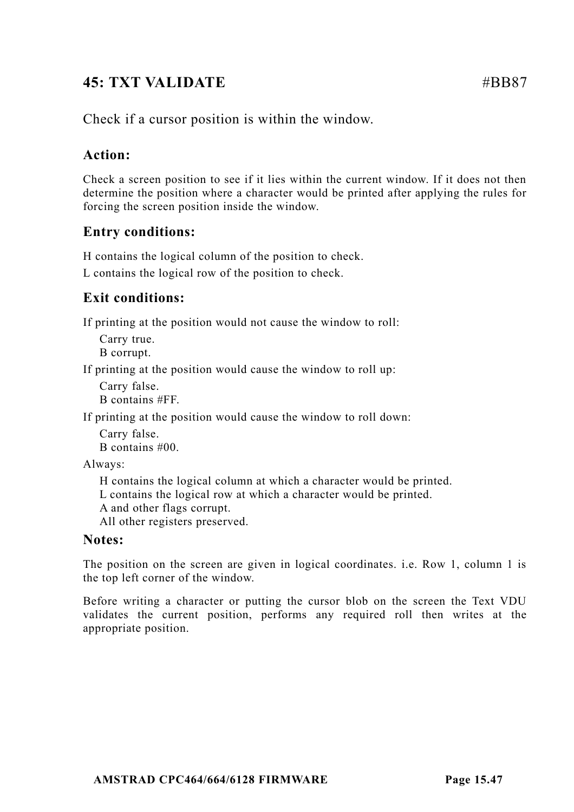# **45: TXT VALIDATE**  $\#BB87$

Check if a cursor position is within the window.

# **Action:**

Check a screen position to see if it lies within the current window. If it does not then determine the position where a character would be printed after applying the rules for forcing the screen position inside the window.

# **Entry conditions:**

H contains the logical column of the position to check.

L contains the logical row of the position to check.

# **Exit conditions:**

If printing at the position would not cause the window to roll:

Carry true.

B corrupt.

If printing at the position would cause the window to roll up:

Carry false. B contains #FF.

If printing at the position would cause the window to roll down:

Carry false. B contains #00.

Always:

H contains the logical column at which a character would be printed.

L contains the logical row at which a character would be printed.

A and other flags corrupt.

All other registers preserved.

## **Notes:**

The position on the screen are given in logical coordinates. i.e. Row 1, column 1 is the top left corner of the window.

Before writing a character or putting the cursor blob on the screen the Text VDU validates the current position, performs any required roll then writes at the appropriate position.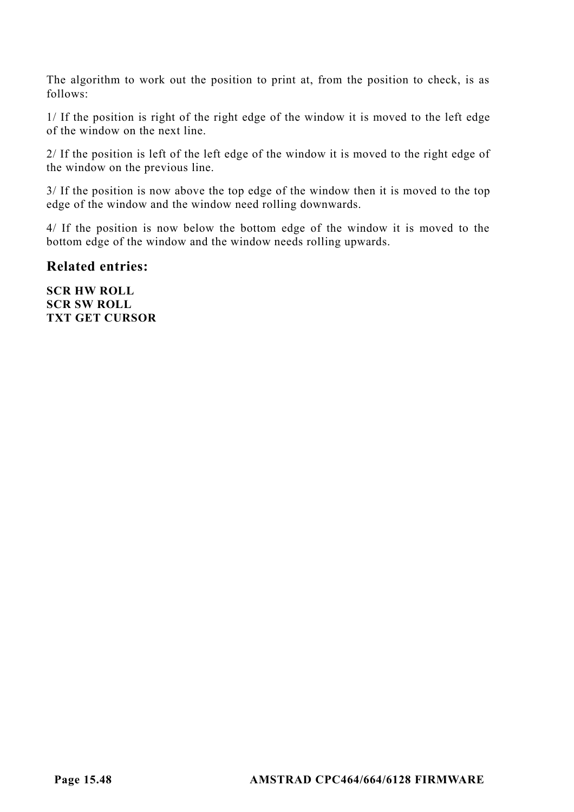The algorithm to work out the position to print at, from the position to check, is as follows:

1/ If the position is right of the right edge of the window it is moved to the left edge of the window on the next line.

2/ If the position is left of the left edge of the window it is moved to the right edge of the window on the previous line.

3/ If the position is now above the top edge of the window then it is moved to the top edge of the window and the window need rolling downwards.

4/ If the position is now below the bottom edge of the window it is moved to the bottom edge of the window and the window needs rolling upwards.

**Related entries:**

**SCR HW ROLL SCR SW ROLL TXT GET CURSOR**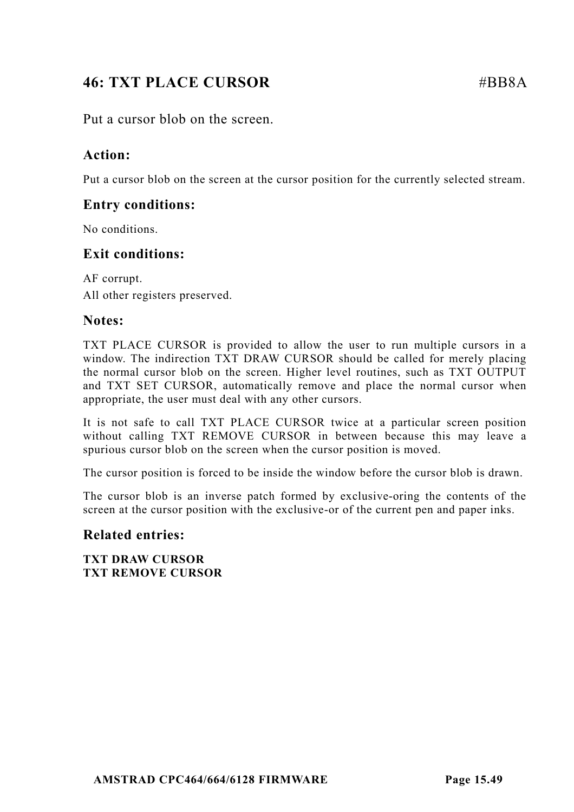# **46: TXT PLACE CURSOR** #BB8A

Put a cursor blob on the screen.

## **Action:**

Put a cursor blob on the screen at the cursor position for the currently selected stream.

## **Entry conditions:**

No conditions.

## **Exit conditions:**

AF corrupt. All other registers preserved.

## **Notes:**

TXT PLACE CURSOR is provided to allow the user to run multiple cursors in a window. The indirection TXT DRAW CURSOR should be called for merely placing the normal cursor blob on the screen. Higher level routines, such as TXT OUTPUT and TXT SET CURSOR, automatically remove and place the normal cursor when appropriate, the user must deal with any other cursors.

It is not safe to call TXT PLACE CURSOR twice at a particular screen position without calling TXT REMOVE CURSOR in between because this may leave a spurious cursor blob on the screen when the cursor position is moved.

The cursor position is forced to be inside the window before the cursor blob is drawn.

The cursor blob is an inverse patch formed by exclusive-oring the contents of the screen at the cursor position with the exclusive-or of the current pen and paper inks.

## **Related entries:**

**TXT DRAW CURSOR TXT REMOVE CURSOR**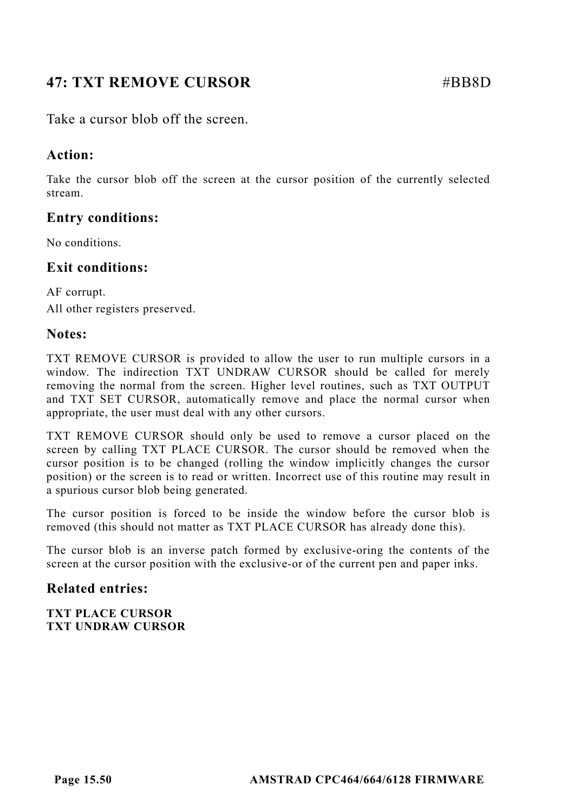# **47: TXT REMOVE CURSOR 47: 48BB8D**

Take a cursor blob off the screen.

## **Action:**

Take the cursor blob off the screen at the cursor position of the currently selected stream.

## **Entry conditions:**

No conditions.

## **Exit conditions:**

AF corrupt. All other registers preserved.

### **Notes:**

TXT REMOVE CURSOR is provided to allow the user to run multiple cursors in a window. The indirection TXT UNDRAW CURSOR should be called for merely removing the normal from the screen. Higher level routines, such as TXT OUTPUT and TXT SET CURSOR, automatically remove and place the normal cursor when appropriate, the user must deal with any other cursors.

TXT REMOVE CURSOR should only be used to remove a cursor placed on the screen by calling TXT PLACE CURSOR. The cursor should be removed when the cursor position is to be changed (rolling the window implicitly changes the cursor position) or the screen is to read or written. Incorrect use of this routine may result in a spurious cursor blob being generated.

The cursor position is forced to be inside the window before the cursor blob is removed (this should not matter as TXT PLACE CURSOR has already done this).

The cursor blob is an inverse patch formed by exclusive-oring the contents of the screen at the cursor position with the exclusive-or of the current pen and paper inks.

### **Related entries:**

**TXT PLACE CURSOR TXT UNDRAW CURSOR**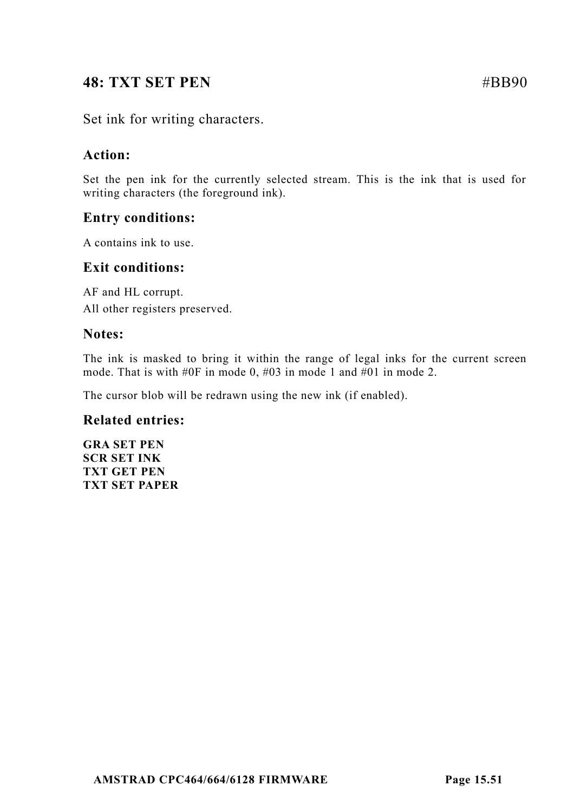# **48: TXT SET PEN** #BB90

Set ink for writing characters.

## **Action:**

Set the pen ink for the currently selected stream. This is the ink that is used for writing characters (the foreground ink).

## **Entry conditions:**

A contains ink to use.

## **Exit conditions:**

AF and HL corrupt. All other registers preserved.

### **Notes:**

The ink is masked to bring it within the range of legal inks for the current screen mode. That is with #0F in mode 0, #03 in mode 1 and #01 in mode 2.

The cursor blob will be redrawn using the new ink (if enabled).

### **Related entries:**

**GRA SET PEN SCR SET INK TXT GET PEN TXT SET PAPER**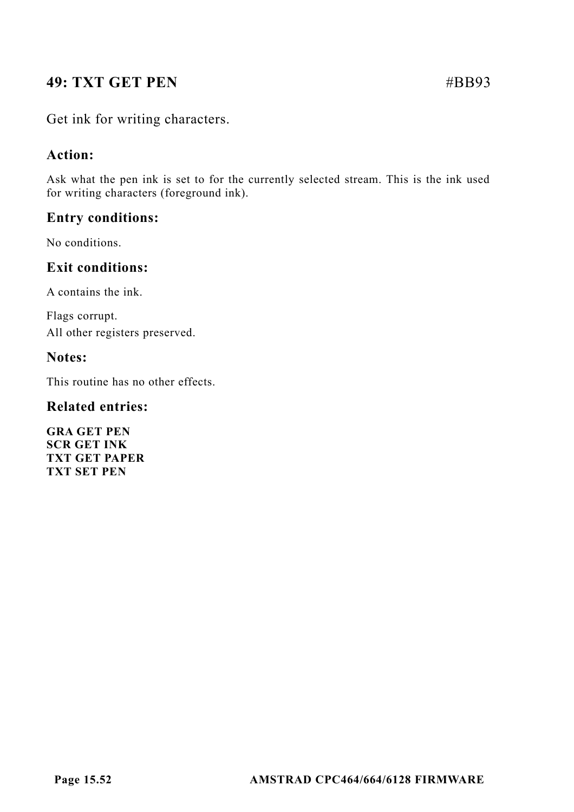# **49: TXT GET PEN** #BB93

Get ink for writing characters.

## **Action:**

Ask what the pen ink is set to for the currently selected stream. This is the ink used for writing characters (foreground ink).

## **Entry conditions:**

No conditions.

## **Exit conditions:**

A contains the ink.

Flags corrupt. All other registers preserved.

### **Notes:**

This routine has no other effects.

## **Related entries:**

**GRA GET PEN SCR GET INK TXT GET PAPER TXT SET PEN**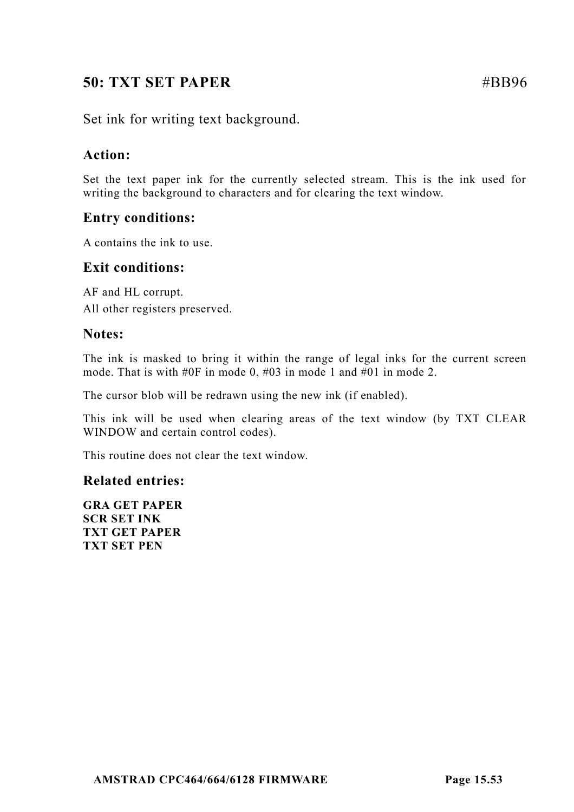# **50: TXT SET PAPER** #BB96

Set ink for writing text background.

## **Action:**

Set the text paper ink for the currently selected stream. This is the ink used for writing the background to characters and for clearing the text window.

## **Entry conditions:**

A contains the ink to use.

## **Exit conditions:**

AF and HL corrupt. All other registers preserved.

### **Notes:**

The ink is masked to bring it within the range of legal inks for the current screen mode. That is with #0F in mode 0, #03 in mode 1 and #01 in mode 2.

The cursor blob will be redrawn using the new ink (if enabled).

This ink will be used when clearing areas of the text window (by TXT CLEAR WINDOW and certain control codes).

This routine does not clear the text window.

## **Related entries:**

**GRA GET PAPER SCR SET INK TXT GET PAPER TXT SET PEN**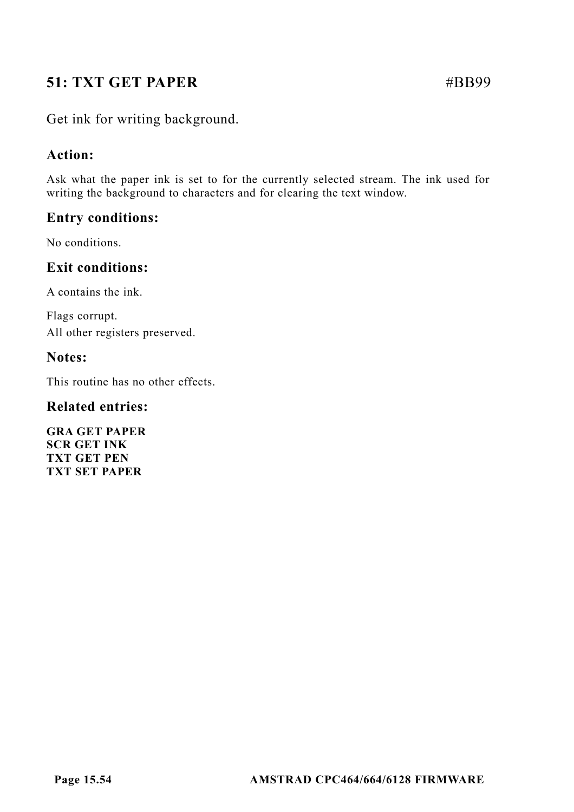# **51: TXT GET PAPER** #BB99

Get ink for writing background.

## **Action:**

Ask what the paper ink is set to for the currently selected stream. The ink used for writing the background to characters and for clearing the text window.

## **Entry conditions:**

No conditions.

## **Exit conditions:**

A contains the ink.

Flags corrupt. All other registers preserved.

### **Notes:**

This routine has no other effects.

## **Related entries:**

**GRA GET PAPER SCR GET INK TXT GET PEN TXT SET PAPER**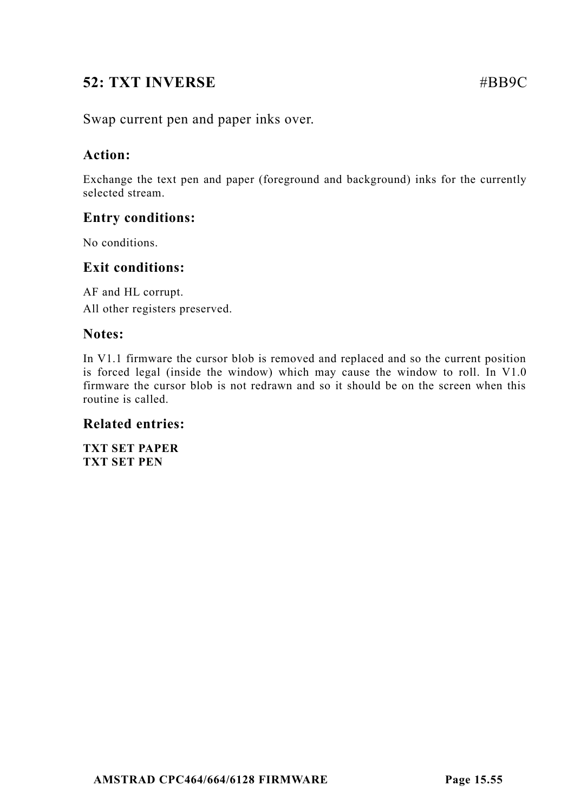# **52: TXT INVERSE** #BB9C

Swap current pen and paper inks over.

## **Action:**

Exchange the text pen and paper (foreground and background) inks for the currently selected stream.

## **Entry conditions:**

No conditions.

## **Exit conditions:**

AF and HL corrupt. All other registers preserved.

## **Notes:**

In V1.1 firmware the cursor blob is removed and replaced and so the current position is forced legal (inside the window) which may cause the window to roll. In V1.0 firmware the cursor blob is not redrawn and so it should be on the screen when this routine is called.

## **Related entries:**

**TXT SET PAPER TXT SET PEN**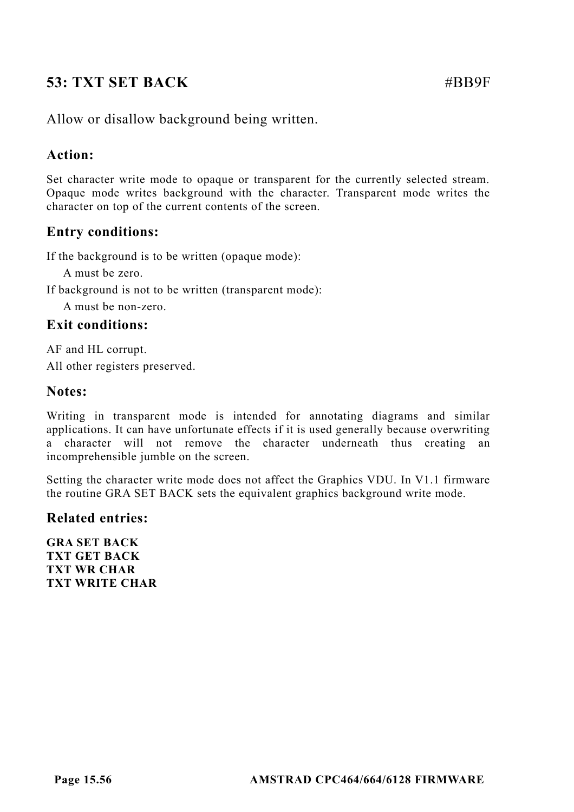# **53: TXT SET BACK** #BB9F

Allow or disallow background being written.

## **Action:**

Set character write mode to opaque or transparent for the currently selected stream. Opaque mode writes background with the character. Transparent mode writes the character on top of the current contents of the screen.

## **Entry conditions:**

If the background is to be written (opaque mode):

A must be zero.

If background is not to be written (transparent mode):

A must be non-zero.

## **Exit conditions:**

AF and HL corrupt. All other registers preserved.

### **Notes:**

Writing in transparent mode is intended for annotating diagrams and similar applications. It can have unfortunate effects if it is used generally because overwriting a character will not remove the character underneath thus creating an incomprehensible jumble on the screen.

Setting the character write mode does not affect the Graphics VDU. In V1.1 firmware the routine GRA SET BACK sets the equivalent graphics background write mode.

### **Related entries:**

**GRA SET BACK TXT GET BACK TXT WR CHAR TXT WRITE CHAR**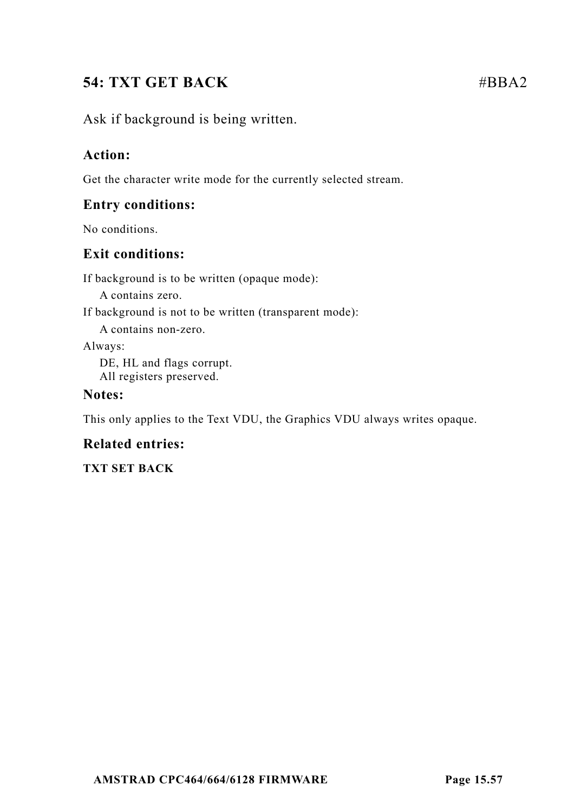# **54: TXT GET BACK** #BBA2

Ask if background is being written.

## **Action:**

Get the character write mode for the currently selected stream.

## **Entry conditions:**

No conditions.

## **Exit conditions:**

If background is to be written (opaque mode):

A contains zero.

If background is not to be written (transparent mode):

A contains non-zero.

Always:

DE, HL and flags corrupt. All registers preserved.

## **Notes:**

This only applies to the Text VDU, the Graphics VDU always writes opaque.

## **Related entries:**

**TXT SET BACK**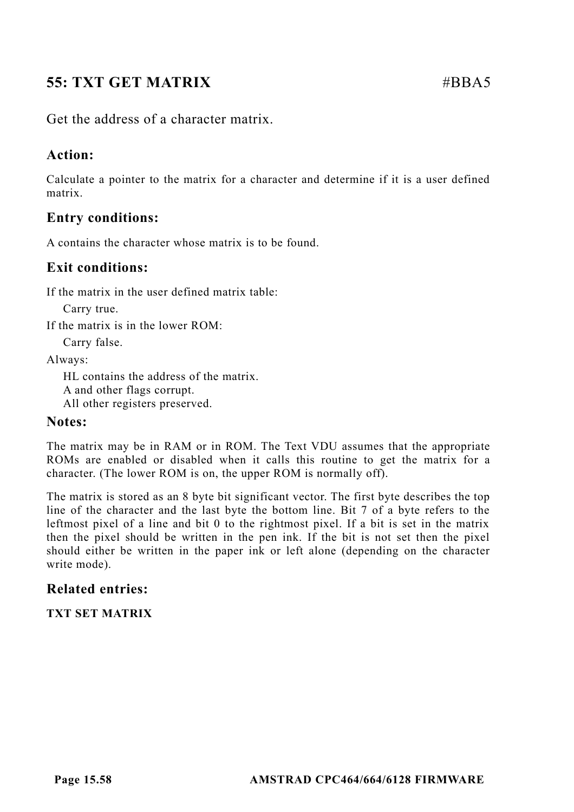# **55: TXT GET MATRIX** #BBA5

Get the address of a character matrix.

## **Action:**

Calculate a pointer to the matrix for a character and determine if it is a user defined matrix.

## **Entry conditions:**

A contains the character whose matrix is to be found.

## **Exit conditions:**

If the matrix in the user defined matrix table:

Carry true.

If the matrix is in the lower ROM:

Carry false.

Always:

HL contains the address of the matrix. A and other flags corrupt. All other registers preserved.

### **Notes:**

The matrix may be in RAM or in ROM. The Text VDU assumes that the appropriate ROMs are enabled or disabled when it calls this routine to get the matrix for a character. (The lower ROM is on, the upper ROM is normally off).

The matrix is stored as an 8 byte bit significant vector. The first byte describes the top line of the character and the last byte the bottom line. Bit 7 of a byte refers to the leftmost pixel of a line and bit 0 to the rightmost pixel. If a bit is set in the matrix then the pixel should be written in the pen ink. If the bit is not set then the pixel should either be written in the paper ink or left alone (depending on the character write mode).

## **Related entries:**

**TXT SET MATRIX**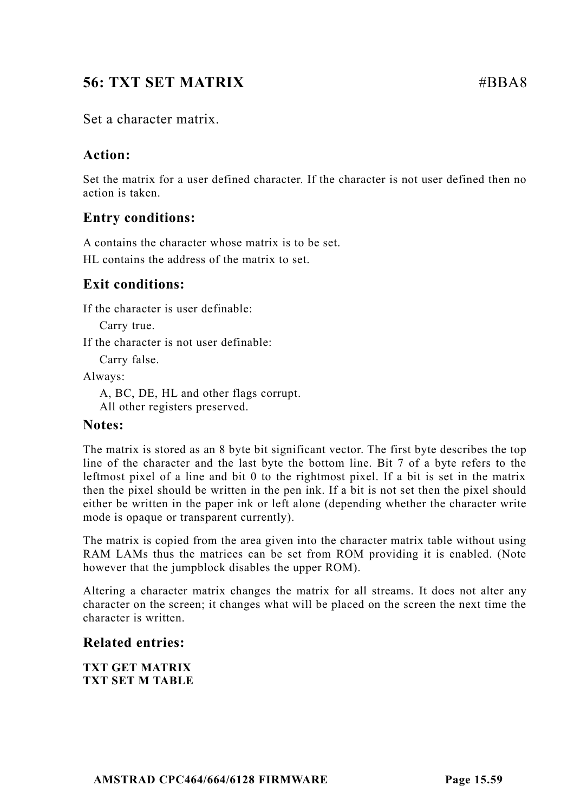# **56: TXT SET MATRIX** #BBA8

Set a character matrix.

## **Action:**

Set the matrix for a user defined character. If the character is not user defined then no action is taken.

## **Entry conditions:**

A contains the character whose matrix is to be set. HL contains the address of the matrix to set.

## **Exit conditions:**

If the character is user definable:

Carry true.

If the character is not user definable:

Carry false.

Always:

A, BC, DE, HL and other flags corrupt. All other registers preserved.

## **Notes:**

The matrix is stored as an 8 byte bit significant vector. The first byte describes the top line of the character and the last byte the bottom line. Bit 7 of a byte refers to the leftmost pixel of a line and bit 0 to the rightmost pixel. If a bit is set in the matrix then the pixel should be written in the pen ink. If a bit is not set then the pixel should either be written in the paper ink or left alone (depending whether the character write mode is opaque or transparent currently).

The matrix is copied from the area given into the character matrix table without using RAM LAMs thus the matrices can be set from ROM providing it is enabled. (Note however that the jumpblock disables the upper ROM).

Altering a character matrix changes the matrix for all streams. It does not alter any character on the screen; it changes what will be placed on the screen the next time the character is written.

## **Related entries:**

**TXT GET MATRIX TXT SET M TABLE**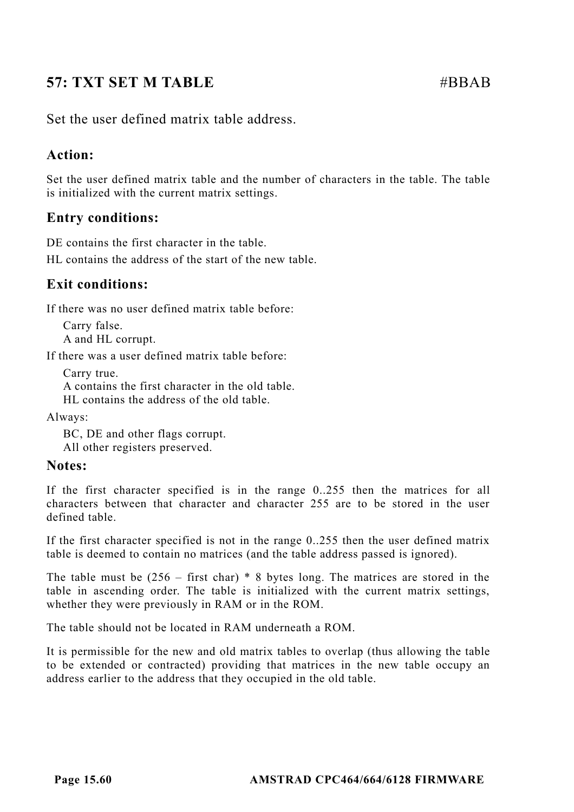# **57: TXT SET M TABLE**  $\#BBAB$

Set the user defined matrix table address.

## **Action:**

Set the user defined matrix table and the number of characters in the table. The table is initialized with the current matrix settings.

## **Entry conditions:**

DE contains the first character in the table.

HL contains the address of the start of the new table.

## **Exit conditions:**

If there was no user defined matrix table before:

Carry false. A and HL corrupt.

If there was a user defined matrix table before:

Carry true. A contains the first character in the old table. HL contains the address of the old table.

Always:

BC, DE and other flags corrupt. All other registers preserved.

## **Notes:**

If the first character specified is in the range 0..255 then the matrices for all characters between that character and character 255 are to be stored in the user defined table.

If the first character specified is not in the range 0..255 then the user defined matrix table is deemed to contain no matrices (and the table address passed is ignored).

The table must be  $(256 - \text{first char})$  \* 8 bytes long. The matrices are stored in the table in ascending order. The table is initialized with the current matrix settings, whether they were previously in RAM or in the ROM.

The table should not be located in RAM underneath a ROM.

It is permissible for the new and old matrix tables to overlap (thus allowing the table to be extended or contracted) providing that matrices in the new table occupy an address earlier to the address that they occupied in the old table.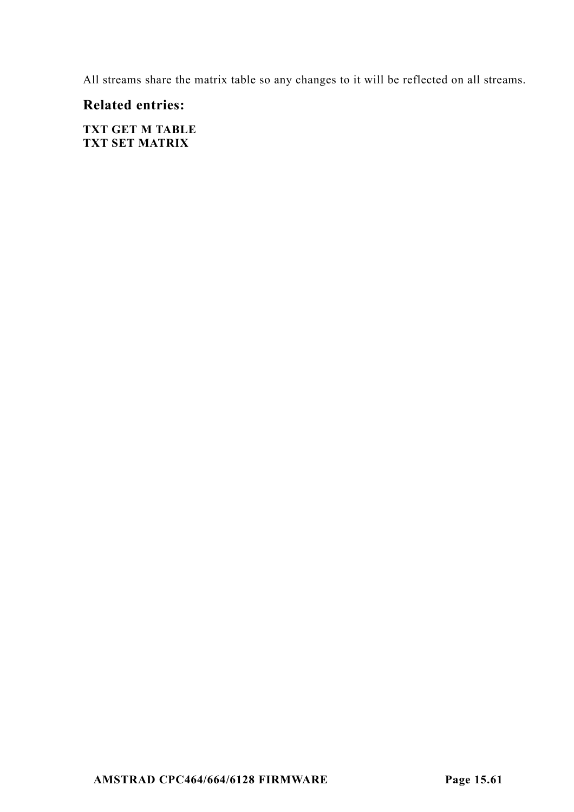All streams share the matrix table so any changes to it will be reflected on all streams.

## **Related entries:**

**TXT GET M TABLE TXT SET MATRIX**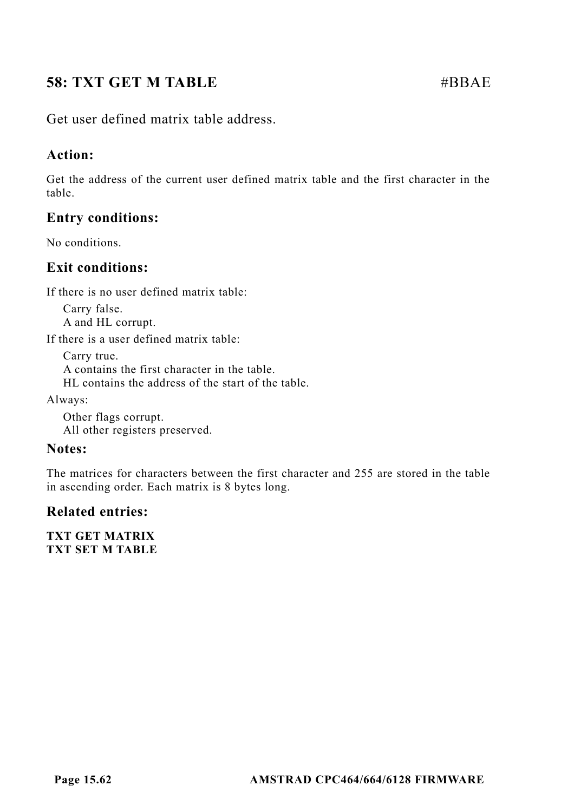# **58: TXT GET M TABLE**  $\#BBAE$

Get user defined matrix table address.

## **Action:**

Get the address of the current user defined matrix table and the first character in the table.

## **Entry conditions:**

No conditions.

## **Exit conditions:**

If there is no user defined matrix table:

Carry false. A and HL corrupt.

If there is a user defined matrix table:

Carry true. A contains the first character in the table. HL contains the address of the start of the table.

Always:

Other flags corrupt. All other registers preserved.

## **Notes:**

The matrices for characters between the first character and 255 are stored in the table in ascending order. Each matrix is 8 bytes long.

## **Related entries:**

**TXT GET MATRIX TXT SET M TABLE**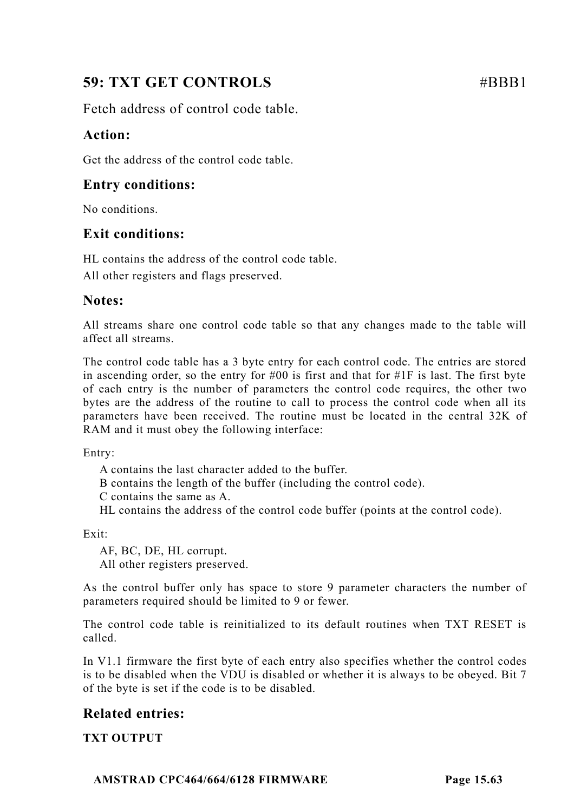# **59: TXT GET CONTROLS** #BBB1

Fetch address of control code table.

## **Action:**

Get the address of the control code table.

## **Entry conditions:**

No conditions.

## **Exit conditions:**

HL contains the address of the control code table.

All other registers and flags preserved.

## **Notes:**

All streams share one control code table so that any changes made to the table will affect all streams.

The control code table has a 3 byte entry for each control code. The entries are stored in ascending order, so the entry for  $#00$  is first and that for  $#1F$  is last. The first byte of each entry is the number of parameters the control code requires, the other two bytes are the address of the routine to call to process the control code when all its parameters have been received. The routine must be located in the central 32K of RAM and it must obey the following interface:

Entry:

A contains the last character added to the buffer.

B contains the length of the buffer (including the control code).

C contains the same as A.

HL contains the address of the control code buffer (points at the control code).

Exit:

AF, BC, DE, HL corrupt. All other registers preserved.

As the control buffer only has space to store 9 parameter characters the number of parameters required should be limited to 9 or fewer.

The control code table is reinitialized to its default routines when TXT RESET is called.

In V1.1 firmware the first byte of each entry also specifies whether the control codes is to be disabled when the VDU is disabled or whether it is always to be obeyed. Bit 7 of the byte is set if the code is to be disabled.

## **Related entries:**

**TXT OUTPUT**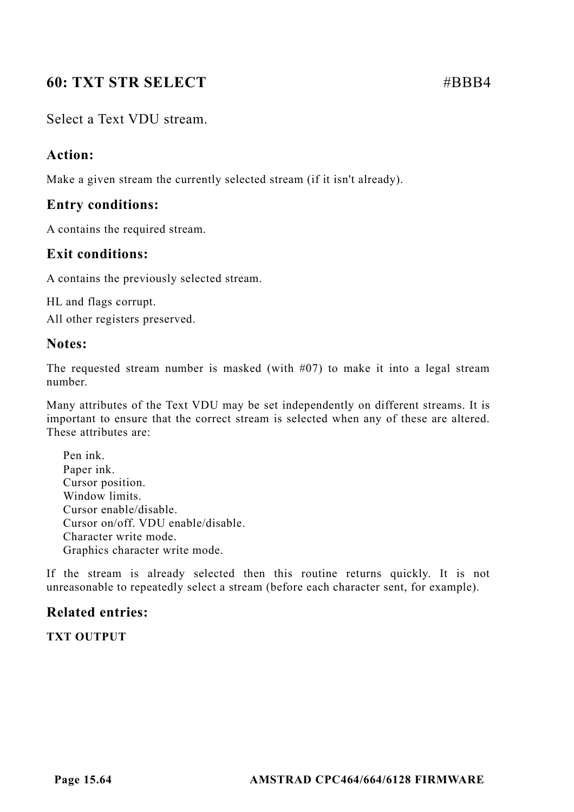# **60: TXT STR SELECT** #BBB4

## Select a Text VDU stream.

## **Action:**

Make a given stream the currently selected stream (if it isn't already).

## **Entry conditions:**

A contains the required stream.

## **Exit conditions:**

A contains the previously selected stream.

HL and flags corrupt.

All other registers preserved.

## **Notes:**

The requested stream number is masked (with  $\#07$ ) to make it into a legal stream number.

Many attributes of the Text VDU may be set independently on different streams. It is important to ensure that the correct stream is selected when any of these are altered. These attributes are:

Pen ink. Paper ink. Cursor position. Window limits. Cursor enable/disable. Cursor on/off. VDU enable/disable. Character write mode. Graphics character write mode.

If the stream is already selected then this routine returns quickly. It is not unreasonable to repeatedly select a stream (before each character sent, for example).

## **Related entries:**

**TXT OUTPUT**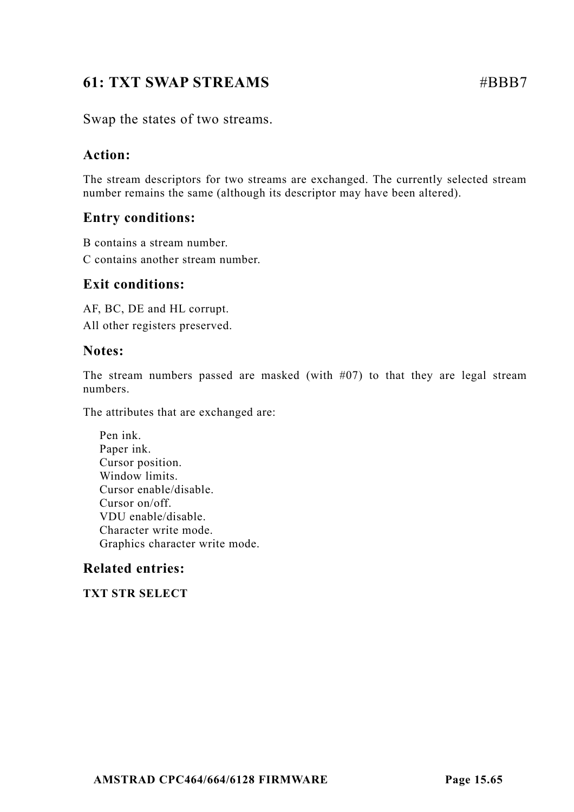# **61: TXT SWAP STREAMS** #BBB7

Swap the states of two streams.

## **Action:**

The stream descriptors for two streams are exchanged. The currently selected stream number remains the same (although its descriptor may have been altered).

## **Entry conditions:**

B contains a stream number.

C contains another stream number.

### **Exit conditions:**

AF, BC, DE and HL corrupt. All other registers preserved.

### **Notes:**

The stream numbers passed are masked (with  $#07$ ) to that they are legal stream numbers.

The attributes that are exchanged are:

Pen ink. Paper ink. Cursor position. Window limits. Cursor enable/disable. Cursor on/off. VDU enable/disable. Character write mode. Graphics character write mode.

## **Related entries:**

**TXT STR SELECT**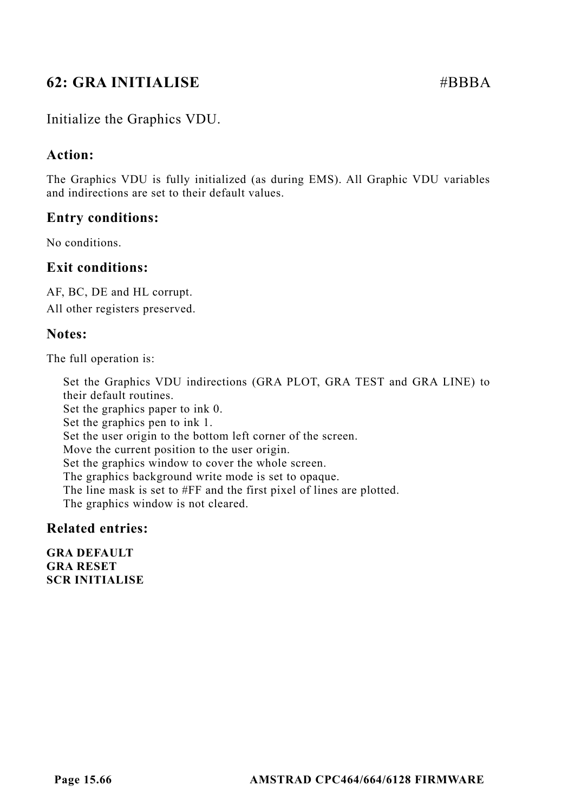# **62: GRA INITIALISE**  $\#BBBA$

## Initialize the Graphics VDU.

### **Action:**

The Graphics VDU is fully initialized (as during EMS). All Graphic VDU variables and indirections are set to their default values.

### **Entry conditions:**

No conditions.

## **Exit conditions:**

AF, BC, DE and HL corrupt. All other registers preserved.

### **Notes:**

The full operation is:

Set the Graphics VDU indirections (GRA PLOT, GRA TEST and GRA LINE) to their default routines. Set the graphics paper to ink 0. Set the graphics pen to ink 1. Set the user origin to the bottom left corner of the screen. Move the current position to the user origin. Set the graphics window to cover the whole screen. The graphics background write mode is set to opaque. The line mask is set to #FF and the first pixel of lines are plotted. The graphics window is not cleared.

### **Related entries:**

**GRA DEFAULT GRA RESET SCR INITIALISE**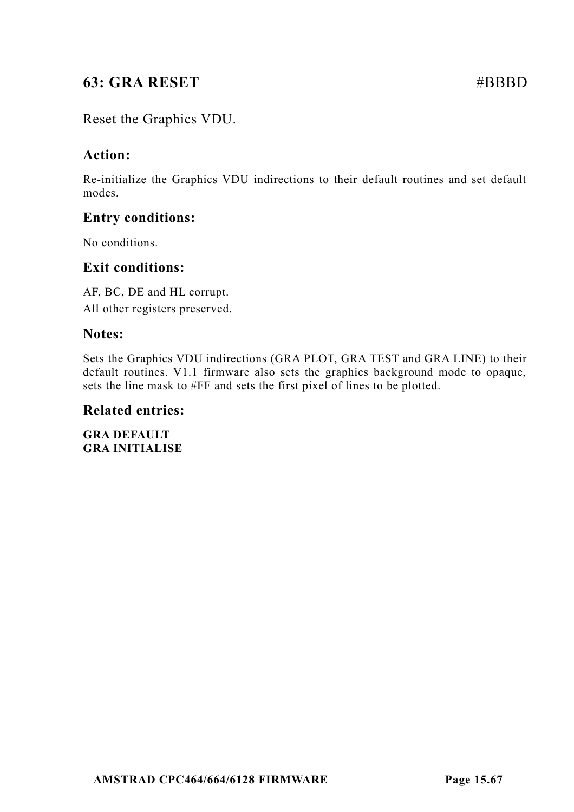# **63: GRA RESET #BBBD**

## Reset the Graphics VDU.

## **Action:**

Re-initialize the Graphics VDU indirections to their default routines and set default modes.

## **Entry conditions:**

No conditions.

## **Exit conditions:**

AF, BC, DE and HL corrupt. All other registers preserved.

### **Notes:**

Sets the Graphics VDU indirections (GRA PLOT, GRA TEST and GRA LINE) to their default routines. V1.1 firmware also sets the graphics background mode to opaque, sets the line mask to #FF and sets the first pixel of lines to be plotted.

### **Related entries:**

**GRA DEFAULT GRA INITIALISE**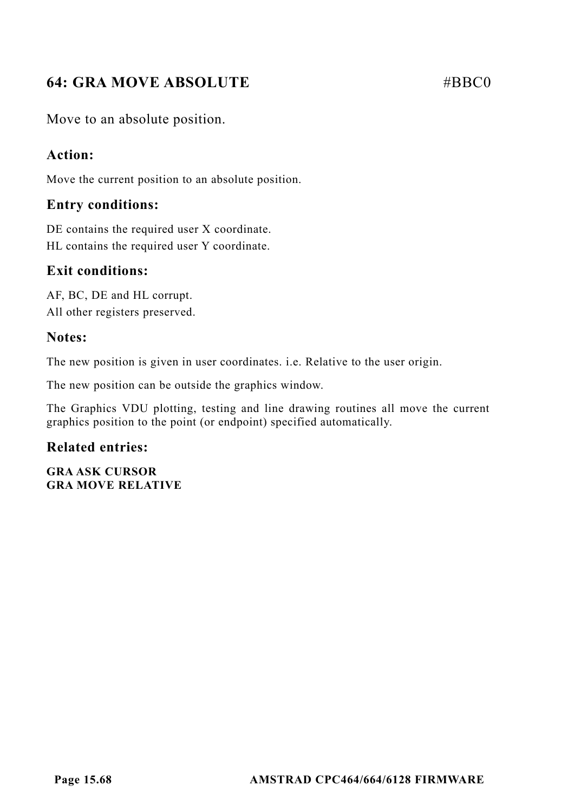# **64: GRA MOVE ABSOLUTE** #BBC0

Move to an absolute position.

## **Action:**

Move the current position to an absolute position.

## **Entry conditions:**

DE contains the required user X coordinate. HL contains the required user Y coordinate.

## **Exit conditions:**

AF, BC, DE and HL corrupt. All other registers preserved.

## **Notes:**

The new position is given in user coordinates. i.e. Relative to the user origin.

The new position can be outside the graphics window.

The Graphics VDU plotting, testing and line drawing routines all move the current graphics position to the point (or endpoint) specified automatically.

## **Related entries:**

**GRA ASK CURSOR GRA MOVE RELATIVE**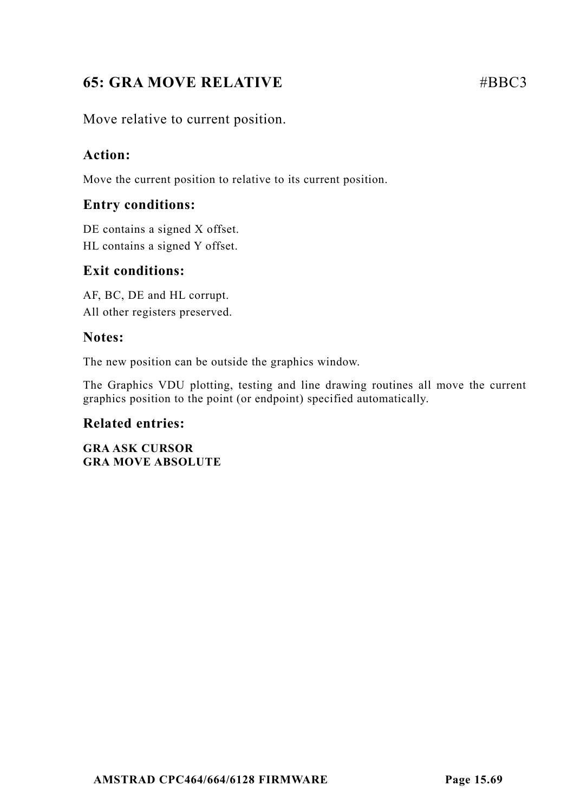# **65: GRA MOVE RELATIVE** #BBC3

Move relative to current position.

## **Action:**

Move the current position to relative to its current position.

## **Entry conditions:**

DE contains a signed X offset. HL contains a signed Y offset.

## **Exit conditions:**

AF, BC, DE and HL corrupt. All other registers preserved.

## **Notes:**

The new position can be outside the graphics window.

The Graphics VDU plotting, testing and line drawing routines all move the current graphics position to the point (or endpoint) specified automatically.

## **Related entries:**

**GRA ASK CURSOR GRA MOVE ABSOLUTE**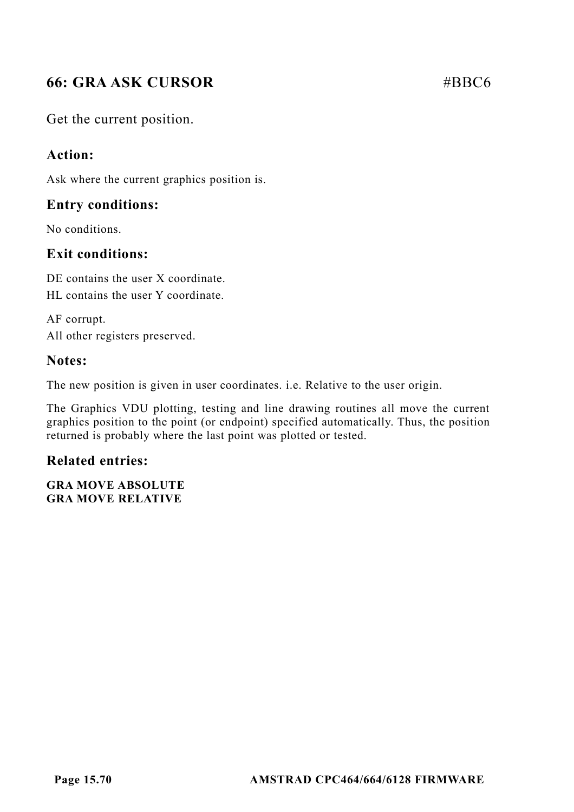# **66: GRA ASK CURSOR** #BBC6

Get the current position.

## **Action:**

Ask where the current graphics position is.

## **Entry conditions:**

No conditions.

## **Exit conditions:**

DE contains the user X coordinate. HL contains the user Y coordinate.

AF corrupt. All other registers preserved.

## **Notes:**

The new position is given in user coordinates. i.e. Relative to the user origin.

The Graphics VDU plotting, testing and line drawing routines all move the current graphics position to the point (or endpoint) specified automatically. Thus, the position returned is probably where the last point was plotted or tested.

## **Related entries:**

**GRA MOVE ABSOLUTE GRA MOVE RELATIVE**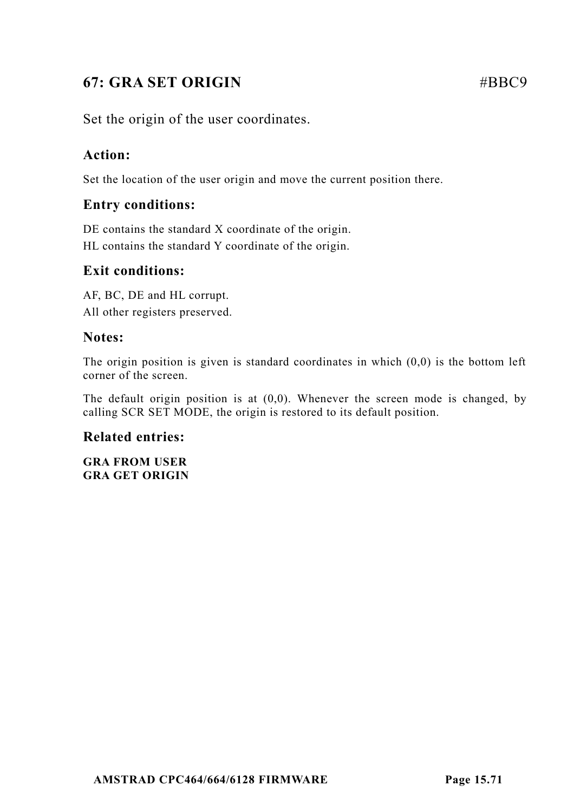# **67: GRA SET ORIGIN** #BBC9

Set the origin of the user coordinates.

## **Action:**

Set the location of the user origin and move the current position there.

## **Entry conditions:**

DE contains the standard X coordinate of the origin. HL contains the standard Y coordinate of the origin.

## **Exit conditions:**

AF, BC, DE and HL corrupt. All other registers preserved.

## **Notes:**

The origin position is given is standard coordinates in which  $(0,0)$  is the bottom left corner of the screen.

The default origin position is at  $(0,0)$ . Whenever the screen mode is changed, by calling SCR SET MODE, the origin is restored to its default position.

## **Related entries:**

**GRA FROM USER GRA GET ORIGIN**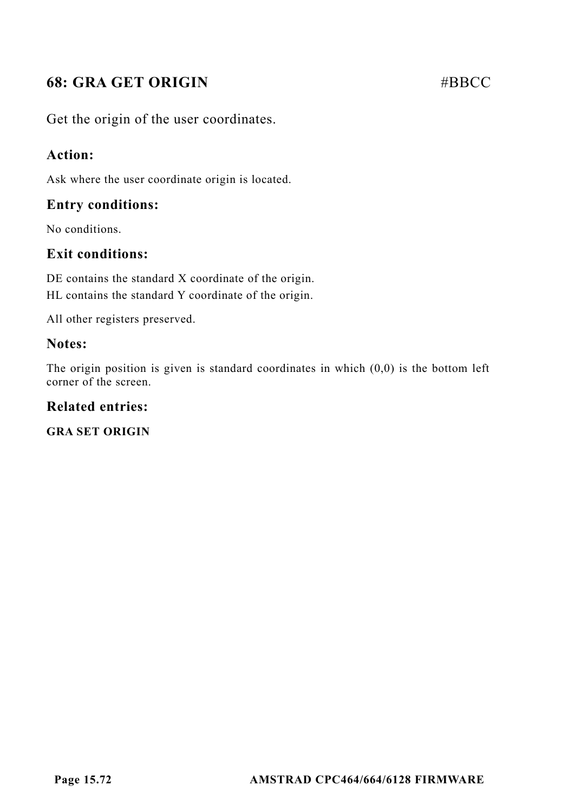# **68: GRA GET ORIGIN** #BBCC

Get the origin of the user coordinates.

## **Action:**

Ask where the user coordinate origin is located.

## **Entry conditions:**

No conditions.

## **Exit conditions:**

DE contains the standard X coordinate of the origin. HL contains the standard Y coordinate of the origin.

All other registers preserved.

## **Notes:**

The origin position is given is standard coordinates in which  $(0,0)$  is the bottom left corner of the screen.

## **Related entries:**

**GRA SET ORIGIN**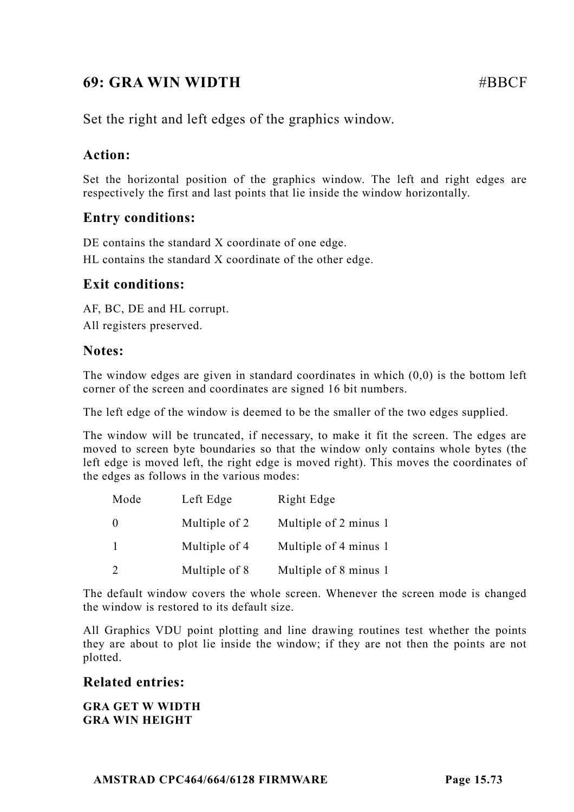# **69: GRA WIN WIDTH #BBCF**

Set the right and left edges of the graphics window.

# **Action:**

Set the horizontal position of the graphics window. The left and right edges are respectively the first and last points that lie inside the window horizontally.

# **Entry conditions:**

DE contains the standard X coordinate of one edge. HL contains the standard X coordinate of the other edge.

# **Exit conditions:**

AF, BC, DE and HL corrupt. All registers preserved.

#### **Notes:**

The window edges are given in standard coordinates in which  $(0,0)$  is the bottom left corner of the screen and coordinates are signed 16 bit numbers.

The left edge of the window is deemed to be the smaller of the two edges supplied.

The window will be truncated, if necessary, to make it fit the screen. The edges are moved to screen byte boundaries so that the window only contains whole bytes (the left edge is moved left, the right edge is moved right). This moves the coordinates of the edges as follows in the various modes:

| Mode | Left Edge     | Right Edge            |
|------|---------------|-----------------------|
|      | Multiple of 2 | Multiple of 2 minus 1 |
|      | Multiple of 4 | Multiple of 4 minus 1 |
|      | Multiple of 8 | Multiple of 8 minus 1 |

The default window covers the whole screen. Whenever the screen mode is changed the window is restored to its default size.

All Graphics VDU point plotting and line drawing routines test whether the points they are about to plot lie inside the window; if they are not then the points are not plotted.

## **Related entries:**

**GRA GET W WIDTH GRA WIN HEIGHT**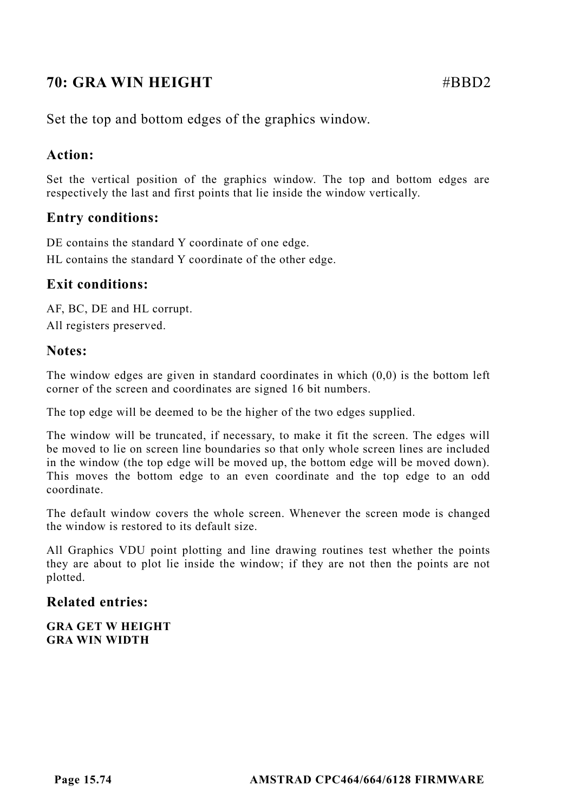# **70: GRA WIN HEIGHT** #BBD2

Set the top and bottom edges of the graphics window.

## **Action:**

Set the vertical position of the graphics window. The top and bottom edges are respectively the last and first points that lie inside the window vertically.

# **Entry conditions:**

DE contains the standard Y coordinate of one edge. HL contains the standard Y coordinate of the other edge.

# **Exit conditions:**

AF, BC, DE and HL corrupt. All registers preserved.

#### **Notes:**

The window edges are given in standard coordinates in which  $(0,0)$  is the bottom left corner of the screen and coordinates are signed 16 bit numbers.

The top edge will be deemed to be the higher of the two edges supplied.

The window will be truncated, if necessary, to make it fit the screen. The edges will be moved to lie on screen line boundaries so that only whole screen lines are included in the window (the top edge will be moved up, the bottom edge will be moved down). This moves the bottom edge to an even coordinate and the top edge to an odd coordinate.

The default window covers the whole screen. Whenever the screen mode is changed the window is restored to its default size.

All Graphics VDU point plotting and line drawing routines test whether the points they are about to plot lie inside the window; if they are not then the points are not plotted.

#### **Related entries:**

**GRA GET W HEIGHT GRA WIN WIDTH**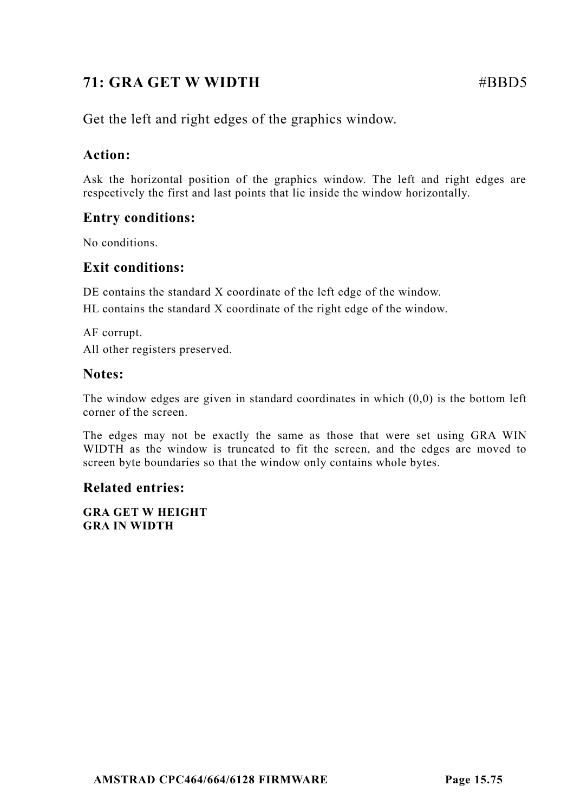# **71: GRA GET W WIDTH #BBD5**

Get the left and right edges of the graphics window.

# **Action:**

Ask the horizontal position of the graphics window. The left and right edges are respectively the first and last points that lie inside the window horizontally.

# **Entry conditions:**

No conditions.

# **Exit conditions:**

DE contains the standard X coordinate of the left edge of the window.

HL contains the standard X coordinate of the right edge of the window.

AF corrupt. All other registers preserved.

# **Notes:**

The window edges are given in standard coordinates in which  $(0,0)$  is the bottom left corner of the screen.

The edges may not be exactly the same as those that were set using GRA WIN WIDTH as the window is truncated to fit the screen, and the edges are moved to screen byte boundaries so that the window only contains whole bytes.

# **Related entries:**

**GRA GET W HEIGHT GRA IN WIDTH**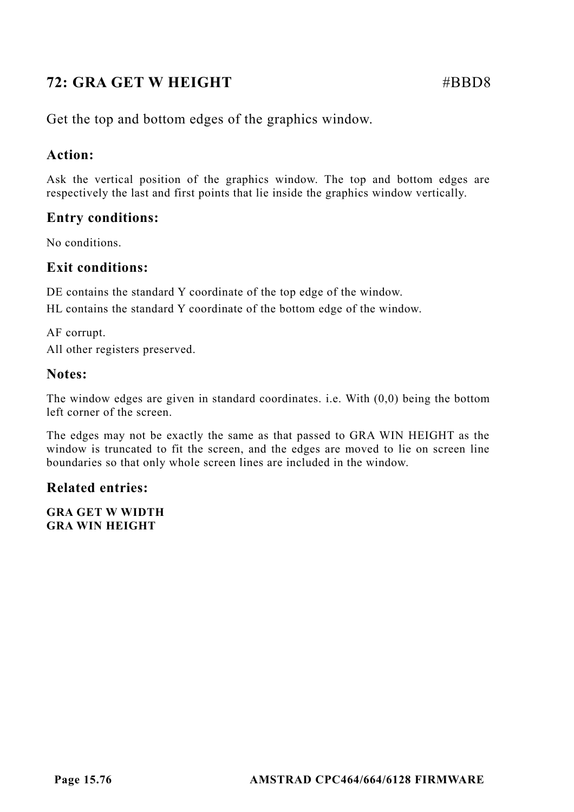# **72: GRA GET W HEIGHT** #BBD8

Get the top and bottom edges of the graphics window.

# **Action:**

Ask the vertical position of the graphics window. The top and bottom edges are respectively the last and first points that lie inside the graphics window vertically.

# **Entry conditions:**

No conditions.

## **Exit conditions:**

DE contains the standard Y coordinate of the top edge of the window.

HL contains the standard Y coordinate of the bottom edge of the window.

AF corrupt. All other registers preserved.

## **Notes:**

The window edges are given in standard coordinates. i.e. With (0,0) being the bottom left corner of the screen.

The edges may not be exactly the same as that passed to GRA WIN HEIGHT as the window is truncated to fit the screen, and the edges are moved to lie on screen line boundaries so that only whole screen lines are included in the window.

# **Related entries:**

**GRA GET W WIDTH GRA WIN HEIGHT**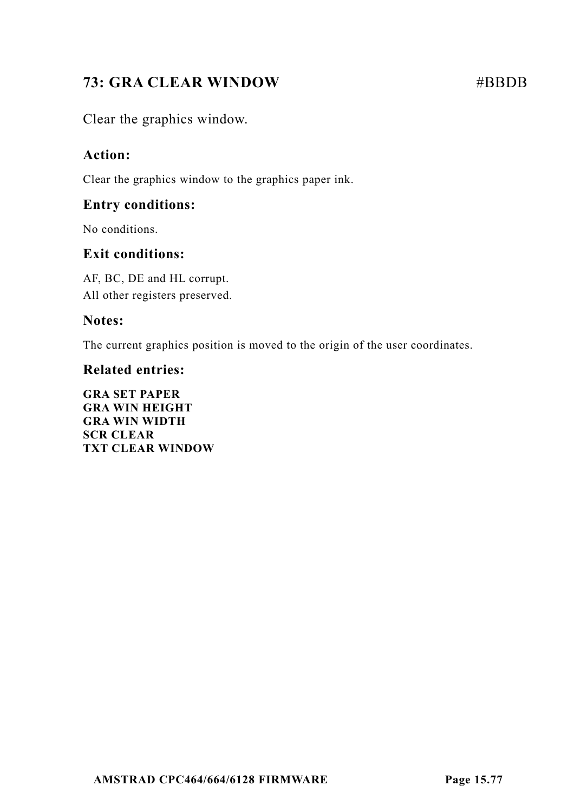# **73: GRA CLEAR WINDOW #BBDB**

Clear the graphics window.

# **Action:**

Clear the graphics window to the graphics paper ink.

# **Entry conditions:**

No conditions.

# **Exit conditions:**

AF, BC, DE and HL corrupt. All other registers preserved.

# **Notes:**

The current graphics position is moved to the origin of the user coordinates.

## **Related entries:**

**GRA SET PAPER GRA WIN HEIGHT GRA WIN WIDTH SCR CLEAR TXT CLEAR WINDOW**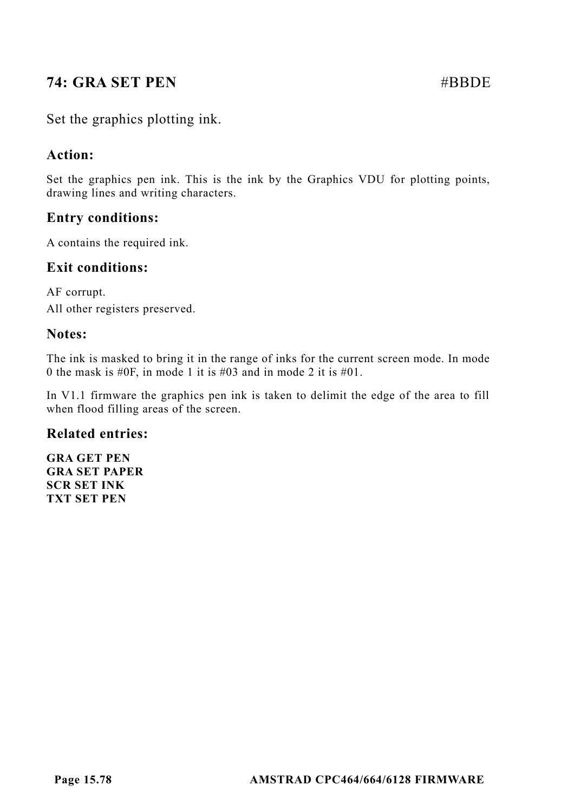# **74: GRA SET PEN** #BBDE

# Set the graphics plotting ink.

# **Action:**

Set the graphics pen ink. This is the ink by the Graphics VDU for plotting points, drawing lines and writing characters.

# **Entry conditions:**

A contains the required ink.

## **Exit conditions:**

AF corrupt. All other registers preserved.

#### **Notes:**

The ink is masked to bring it in the range of inks for the current screen mode. In mode 0 the mask is #0F, in mode 1 it is #03 and in mode 2 it is #01.

In V1.1 firmware the graphics pen ink is taken to delimit the edge of the area to fill when flood filling areas of the screen.

## **Related entries:**

**GRA GET PEN GRA SET PAPER SCR SET INK TXT SET PEN**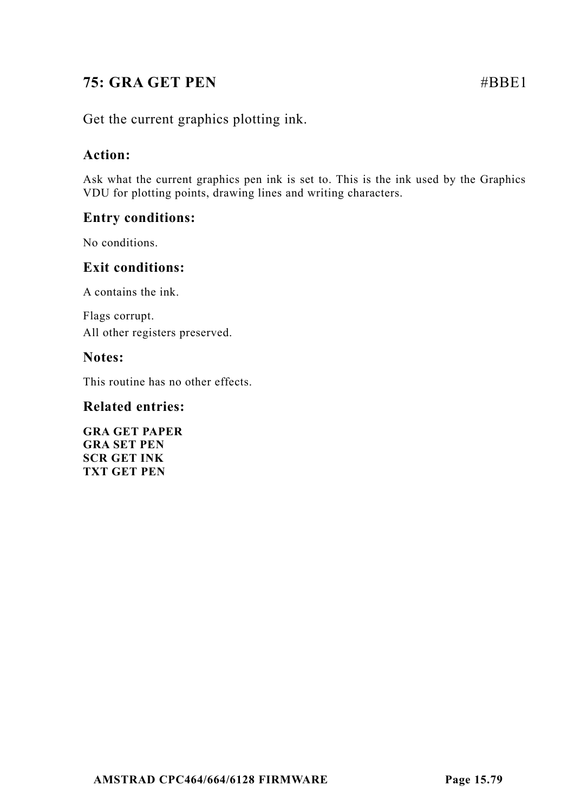# **75: GRA GET PEN** #BBE1

Get the current graphics plotting ink.

# **Action:**

Ask what the current graphics pen ink is set to. This is the ink used by the Graphics VDU for plotting points, drawing lines and writing characters.

# **Entry conditions:**

No conditions.

# **Exit conditions:**

A contains the ink.

Flags corrupt. All other registers preserved.

# **Notes:**

This routine has no other effects.

## **Related entries:**

**GRA GET PAPER GRA SET PEN SCR GET INK TXT GET PEN**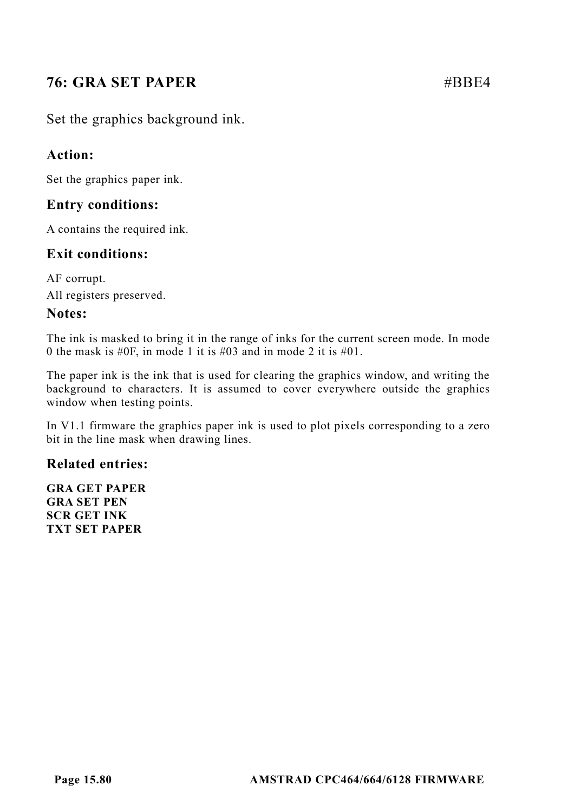# **76: GRA SET PAPER** #BBE4

Set the graphics background ink.

# **Action:**

Set the graphics paper ink.

# **Entry conditions:**

A contains the required ink.

# **Exit conditions:**

AF corrupt. All registers preserved.

## **Notes:**

The ink is masked to bring it in the range of inks for the current screen mode. In mode 0 the mask is #0F, in mode 1 it is #03 and in mode 2 it is #01.

The paper ink is the ink that is used for clearing the graphics window, and writing the background to characters. It is assumed to cover everywhere outside the graphics window when testing points.

In V1.1 firmware the graphics paper ink is used to plot pixels corresponding to a zero bit in the line mask when drawing lines.

## **Related entries:**

**GRA GET PAPER GRA SET PEN SCR GET INK TXT SET PAPER**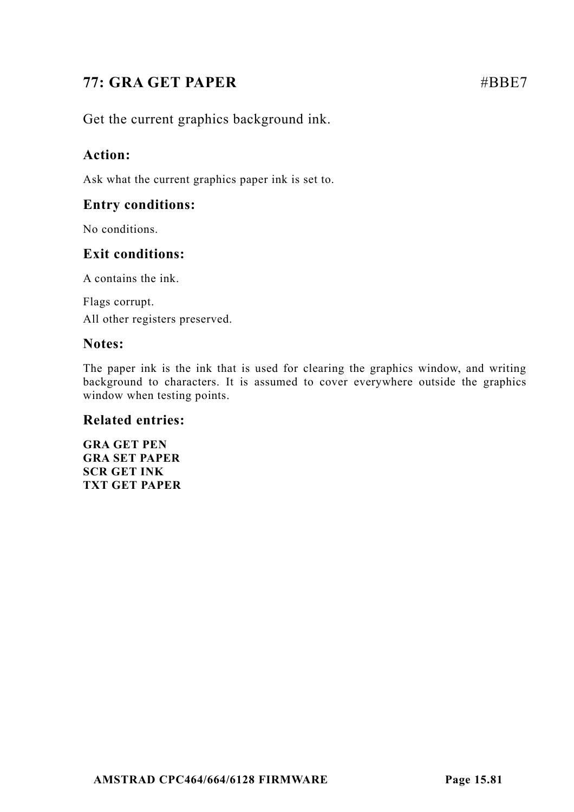# **77: GRA GET PAPER** #BBE7

Get the current graphics background ink.

# **Action:**

Ask what the current graphics paper ink is set to.

# **Entry conditions:**

No conditions.

# **Exit conditions:**

A contains the ink.

Flags corrupt. All other registers preserved.

## **Notes:**

The paper ink is the ink that is used for clearing the graphics window, and writing background to characters. It is assumed to cover everywhere outside the graphics window when testing points.

## **Related entries:**

**GRA GET PEN GRA SET PAPER SCR GET INK TXT GET PAPER**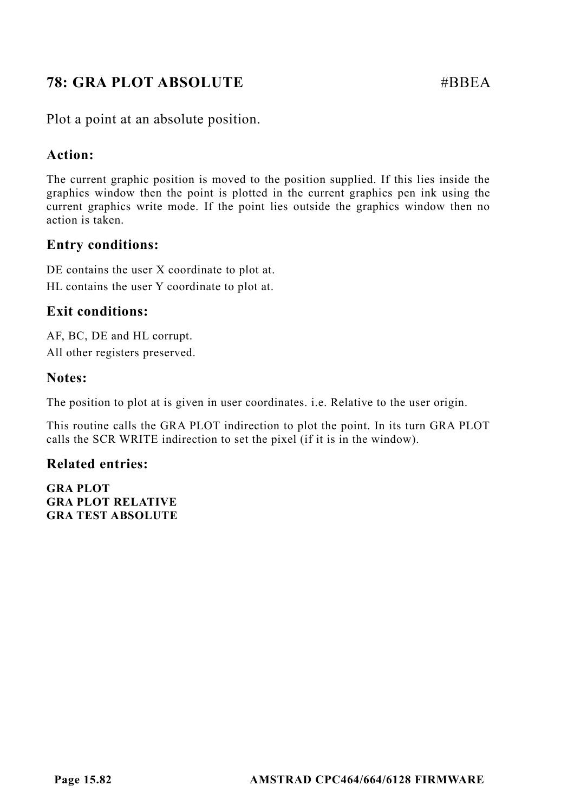# **78: GRA PLOT ABSOLUTE** #BBEA

Plot a point at an absolute position.

# **Action:**

The current graphic position is moved to the position supplied. If this lies inside the graphics window then the point is plotted in the current graphics pen ink using the current graphics write mode. If the point lies outside the graphics window then no action is taken.

# **Entry conditions:**

DE contains the user X coordinate to plot at. HL contains the user Y coordinate to plot at.

# **Exit conditions:**

AF, BC, DE and HL corrupt. All other registers preserved.

# **Notes:**

The position to plot at is given in user coordinates. i.e. Relative to the user origin.

This routine calls the GRA PLOT indirection to plot the point. In its turn GRA PLOT calls the SCR WRITE indirection to set the pixel (if it is in the window).

# **Related entries:**

**GRA PLOT GRA PLOT RELATIVE GRA TEST ABSOLUTE**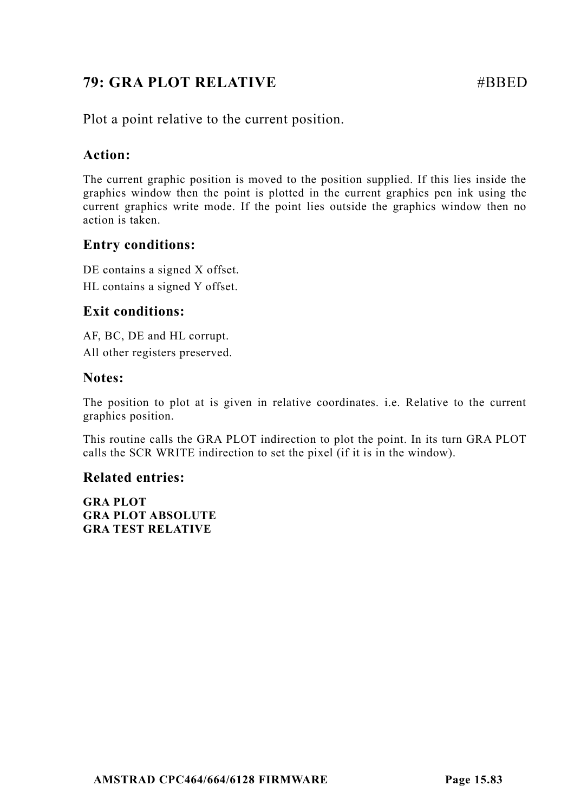# **79: GRA PLOT RELATIVE**   $\qquad \qquad \qquad \text{ABBED}$

Plot a point relative to the current position.

## **Action:**

The current graphic position is moved to the position supplied. If this lies inside the graphics window then the point is plotted in the current graphics pen ink using the current graphics write mode. If the point lies outside the graphics window then no action is taken.

# **Entry conditions:**

DE contains a signed X offset. HL contains a signed Y offset.

# **Exit conditions:**

AF, BC, DE and HL corrupt. All other registers preserved.

## **Notes:**

The position to plot at is given in relative coordinates. i.e. Relative to the current graphics position.

This routine calls the GRA PLOT indirection to plot the point. In its turn GRA PLOT calls the SCR WRITE indirection to set the pixel (if it is in the window).

## **Related entries:**

**GRA PLOT GRA PLOT ABSOLUTE GRA TEST RELATIVE**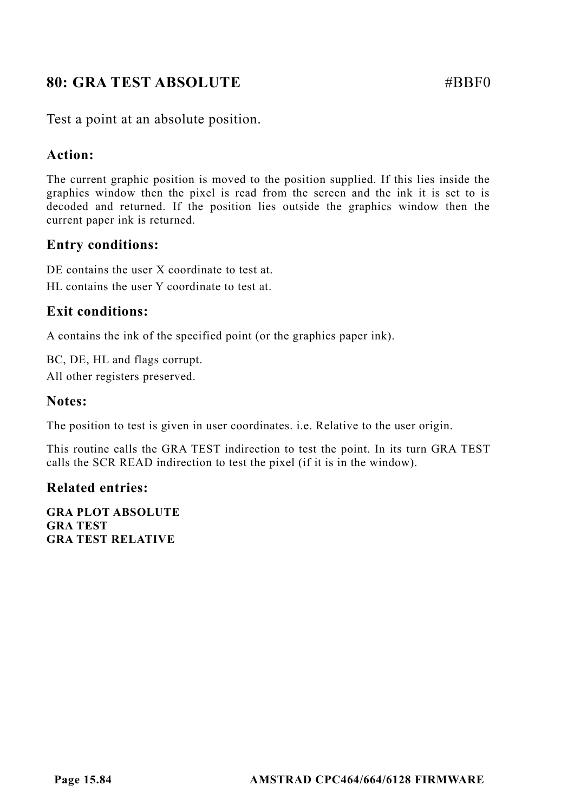# **80: GRA TEST ABSOLUTE** #BBF0

Test a point at an absolute position.

# **Action:**

The current graphic position is moved to the position supplied. If this lies inside the graphics window then the pixel is read from the screen and the ink it is set to is decoded and returned. If the position lies outside the graphics window then the current paper ink is returned.

# **Entry conditions:**

DE contains the user X coordinate to test at. HL contains the user Y coordinate to test at.

# **Exit conditions:**

A contains the ink of the specified point (or the graphics paper ink).

BC, DE, HL and flags corrupt. All other registers preserved.

## **Notes:**

The position to test is given in user coordinates. i.e. Relative to the user origin.

This routine calls the GRA TEST indirection to test the point. In its turn GRA TEST calls the SCR READ indirection to test the pixel (if it is in the window).

#### **Related entries:**

**GRA PLOT ABSOLUTE GRA TEST GRA TEST RELATIVE**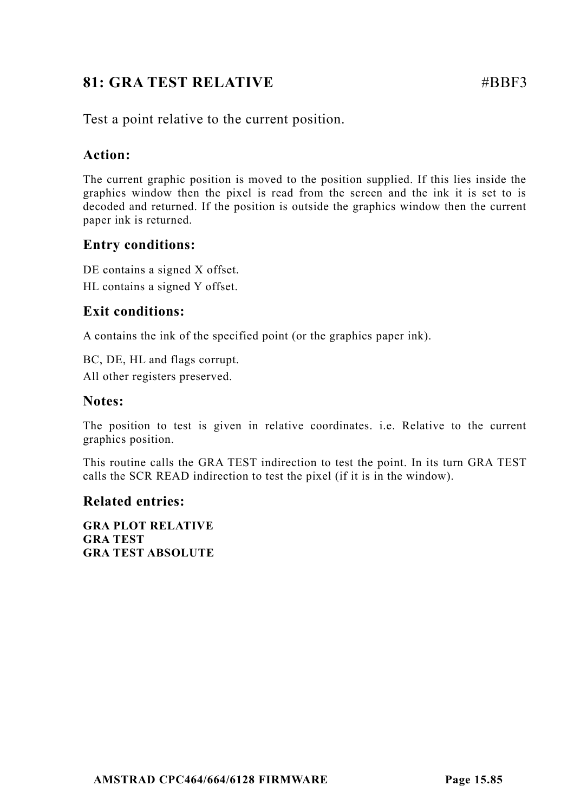# **81: GRA TEST RELATIVE # #BBF3**

Test a point relative to the current position.

# **Action:**

The current graphic position is moved to the position supplied. If this lies inside the graphics window then the pixel is read from the screen and the ink it is set to is decoded and returned. If the position is outside the graphics window then the current paper ink is returned.

# **Entry conditions:**

DE contains a signed X offset. HL contains a signed Y offset.

# **Exit conditions:**

A contains the ink of the specified point (or the graphics paper ink).

BC, DE, HL and flags corrupt. All other registers preserved.

# **Notes:**

The position to test is given in relative coordinates. i.e. Relative to the current graphics position.

This routine calls the GRA TEST indirection to test the point. In its turn GRA TEST calls the SCR READ indirection to test the pixel (if it is in the window).

# **Related entries:**

**GRA PLOT RELATIVE GRA TEST GRA TEST ABSOLUTE**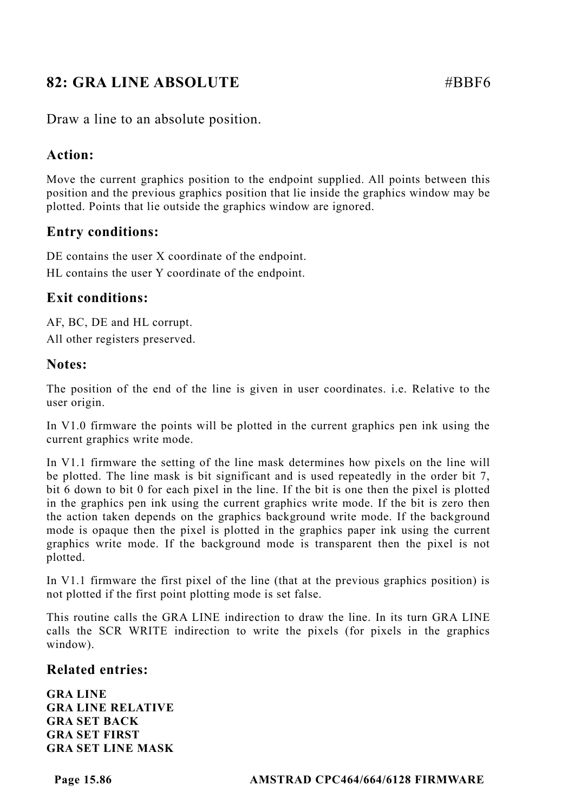# **82: GRA LINE ABSOLUTE** #BBF6

Draw a line to an absolute position.

## **Action:**

Move the current graphics position to the endpoint supplied. All points between this position and the previous graphics position that lie inside the graphics window may be plotted. Points that lie outside the graphics window are ignored.

# **Entry conditions:**

DE contains the user X coordinate of the endpoint.

HL contains the user Y coordinate of the endpoint.

## **Exit conditions:**

AF, BC, DE and HL corrupt. All other registers preserved.

#### **Notes:**

The position of the end of the line is given in user coordinates. i.e. Relative to the user origin.

In V1.0 firmware the points will be plotted in the current graphics pen ink using the current graphics write mode.

In V1.1 firmware the setting of the line mask determines how pixels on the line will be plotted. The line mask is bit significant and is used repeatedly in the order bit 7, bit 6 down to bit 0 for each pixel in the line. If the bit is one then the pixel is plotted in the graphics pen ink using the current graphics write mode. If the bit is zero then the action taken depends on the graphics background write mode. If the background mode is opaque then the pixel is plotted in the graphics paper ink using the current graphics write mode. If the background mode is transparent then the pixel is not plotted.

In V1.1 firmware the first pixel of the line (that at the previous graphics position) is not plotted if the first point plotting mode is set false.

This routine calls the GRA LINE indirection to draw the line. In its turn GRA LINE calls the SCR WRITE indirection to write the pixels (for pixels in the graphics window).

#### **Related entries:**

**GRA LINE GRA LINE RELATIVE GRA SET BACK GRA SET FIRST GRA SET LINE MASK**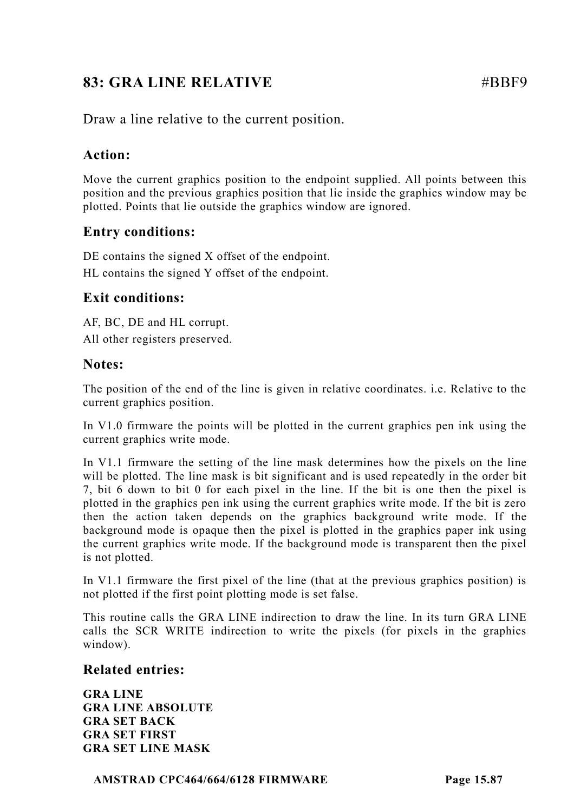# **83: GRA LINE RELATIVE 48 AU 48 AU 48 AU 48 AU 48 AU 48 AU 48 AU 48 AU 48 AU 48 AU 48 AU 48 AU 48 AU 48 AU 48 AU**

Draw a line relative to the current position.

# **Action:**

Move the current graphics position to the endpoint supplied. All points between this position and the previous graphics position that lie inside the graphics window may be plotted. Points that lie outside the graphics window are ignored.

# **Entry conditions:**

DE contains the signed X offset of the endpoint. HL contains the signed Y offset of the endpoint.

# **Exit conditions:**

AF, BC, DE and HL corrupt. All other registers preserved.

# **Notes:**

The position of the end of the line is given in relative coordinates. i.e. Relative to the current graphics position.

In V1.0 firmware the points will be plotted in the current graphics pen ink using the current graphics write mode.

In V1.1 firmware the setting of the line mask determines how the pixels on the line will be plotted. The line mask is bit significant and is used repeatedly in the order bit 7, bit 6 down to bit 0 for each pixel in the line. If the bit is one then the pixel is plotted in the graphics pen ink using the current graphics write mode. If the bit is zero then the action taken depends on the graphics background write mode. If the background mode is opaque then the pixel is plotted in the graphics paper ink using the current graphics write mode. If the background mode is transparent then the pixel is not plotted.

In V1.1 firmware the first pixel of the line (that at the previous graphics position) is not plotted if the first point plotting mode is set false.

This routine calls the GRA LINE indirection to draw the line. In its turn GRA LINE calls the SCR WRITE indirection to write the pixels (for pixels in the graphics window).

## **Related entries:**

**GRA LINE GRA LINE ABSOLUTE GRA SET BACK GRA SET FIRST GRA SET LINE MASK**

**AMSTRAD CPC464/664/6128 FIRMWARE Page 15.87**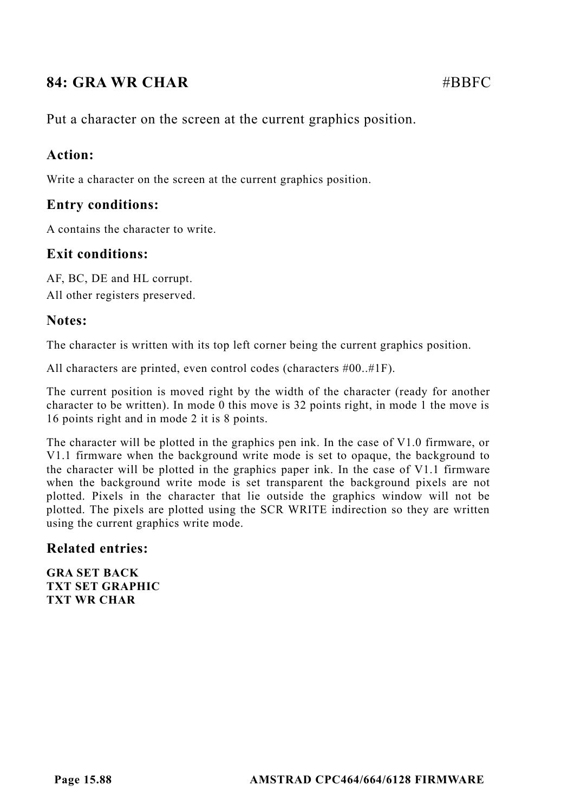# **84: GRA WR CHAR #BBFC**

Put a character on the screen at the current graphics position.

#### **Action:**

Write a character on the screen at the current graphics position.

#### **Entry conditions:**

A contains the character to write.

## **Exit conditions:**

AF, BC, DE and HL corrupt. All other registers preserved.

#### **Notes:**

The character is written with its top left corner being the current graphics position.

All characters are printed, even control codes (characters #00..#1F).

The current position is moved right by the width of the character (ready for another character to be written). In mode 0 this move is 32 points right, in mode 1 the move is 16 points right and in mode 2 it is 8 points.

The character will be plotted in the graphics pen ink. In the case of V1.0 firmware, or V1.1 firmware when the background write mode is set to opaque, the background to the character will be plotted in the graphics paper ink. In the case of V1.1 firmware when the background write mode is set transparent the background pixels are not plotted. Pixels in the character that lie outside the graphics window will not be plotted. The pixels are plotted using the SCR WRITE indirection so they are written using the current graphics write mode.

#### **Related entries:**

**GRA SET BACK TXT SET GRAPHIC TXT WR CHAR**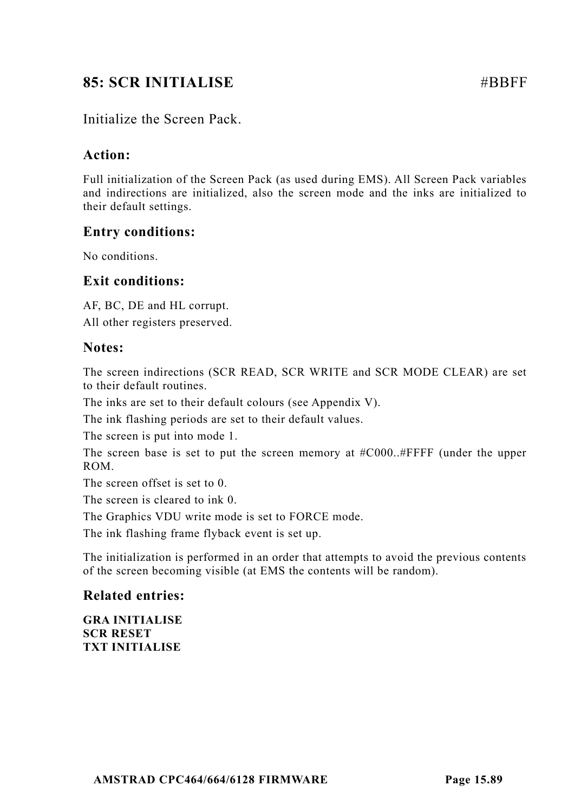# **85: SCR INITIALISE** #BBFF

# Initialize the Screen Pack.

## **Action:**

Full initialization of the Screen Pack (as used during EMS). All Screen Pack variables and indirections are initialized, also the screen mode and the inks are initialized to their default settings.

## **Entry conditions:**

No conditions.

## **Exit conditions:**

AF, BC, DE and HL corrupt. All other registers preserved.

#### **Notes:**

The screen indirections (SCR READ, SCR WRITE and SCR MODE CLEAR) are set to their default routines.

The inks are set to their default colours (see Appendix V).

The ink flashing periods are set to their default values.

The screen is put into mode 1.

The screen base is set to put the screen memory at #C000..#FFFF (under the upper ROM.

The screen offset is set to 0.

The screen is cleared to ink 0.

The Graphics VDU write mode is set to FORCE mode.

The ink flashing frame flyback event is set up.

The initialization is performed in an order that attempts to avoid the previous contents of the screen becoming visible (at EMS the contents will be random).

#### **Related entries:**

**GRA INITIALISE SCR RESET TXT INITIALISE**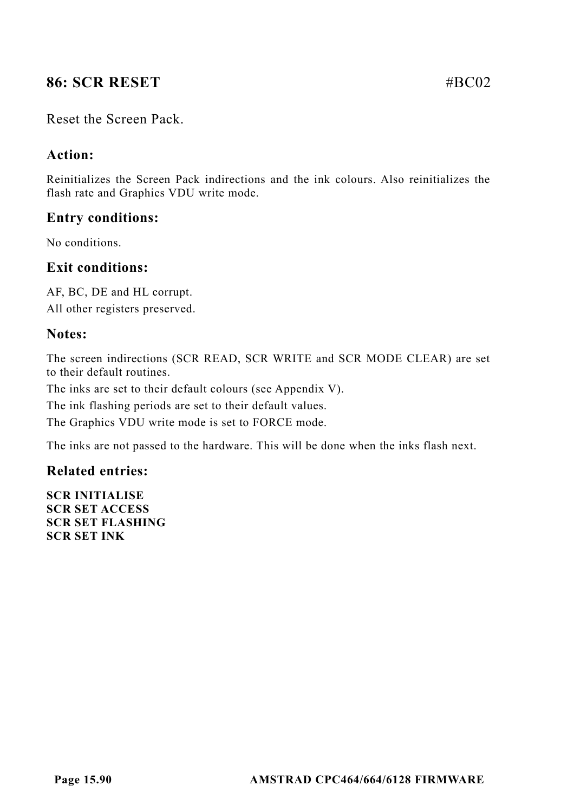# **86: SCR RESET #BC02**

#### Reset the Screen Pack.

#### **Action:**

Reinitializes the Screen Pack indirections and the ink colours. Also reinitializes the flash rate and Graphics VDU write mode.

## **Entry conditions:**

No conditions.

## **Exit conditions:**

AF, BC, DE and HL corrupt. All other registers preserved.

#### **Notes:**

The screen indirections (SCR READ, SCR WRITE and SCR MODE CLEAR) are set to their default routines.

The inks are set to their default colours (see Appendix V).

The ink flashing periods are set to their default values.

The Graphics VDU write mode is set to FORCE mode.

The inks are not passed to the hardware. This will be done when the inks flash next.

#### **Related entries:**

**SCR INITIALISE SCR SET ACCESS SCR SET FLASHING SCR SET INK**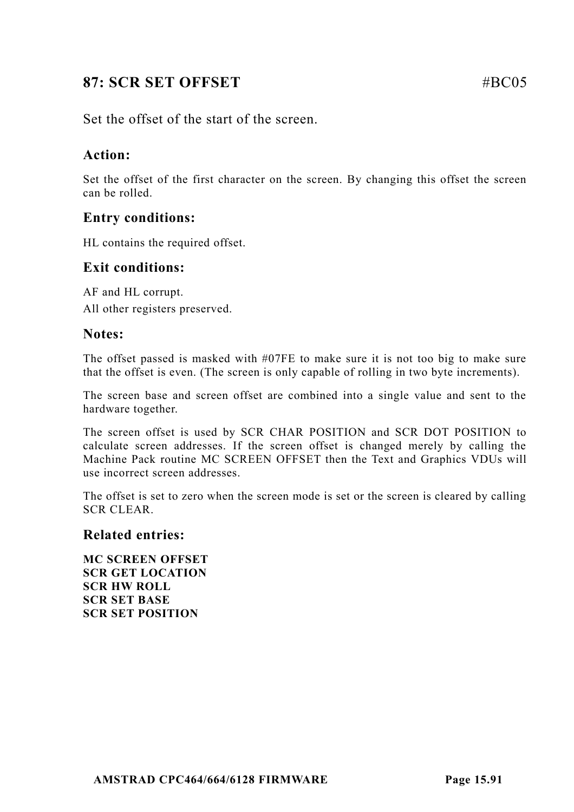# **87: SCR SET OFFSET**   $\# \text{BC05}$

Set the offset of the start of the screen.

# **Action:**

Set the offset of the first character on the screen. By changing this offset the screen can be rolled.

# **Entry conditions:**

HL contains the required offset.

#### **Exit conditions:**

AF and HL corrupt. All other registers preserved.

#### **Notes:**

The offset passed is masked with #07FE to make sure it is not too big to make sure that the offset is even. (The screen is only capable of rolling in two byte increments).

The screen base and screen offset are combined into a single value and sent to the hardware together.

The screen offset is used by SCR CHAR POSITION and SCR DOT POSITION to calculate screen addresses. If the screen offset is changed merely by calling the Machine Pack routine MC SCREEN OFFSET then the Text and Graphics VDUs will use incorrect screen addresses.

The offset is set to zero when the screen mode is set or the screen is cleared by calling SCR CLEAR.

#### **Related entries:**

**MC SCREEN OFFSET SCR GET LOCATION SCR HW ROLL SCR SET BASE SCR SET POSITION**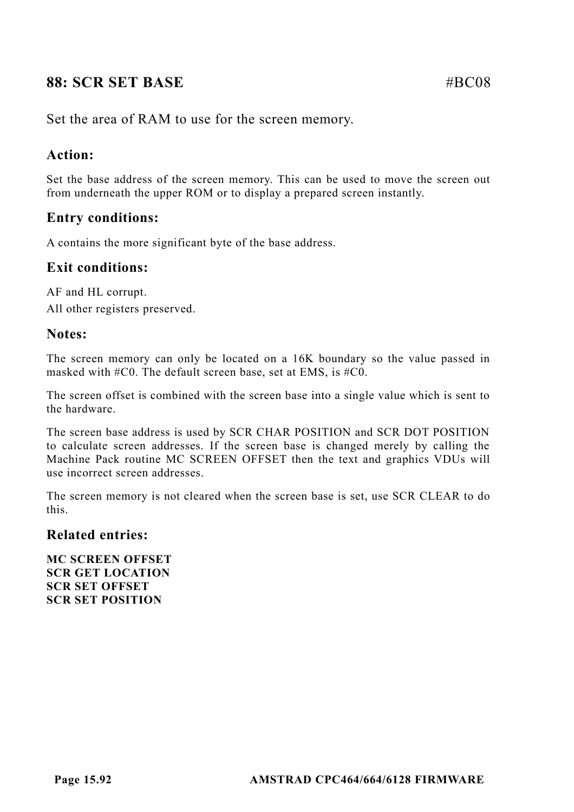# **88: SCR SET BASE #BC08**

Set the area of RAM to use for the screen memory.

# **Action:**

Set the base address of the screen memory. This can be used to move the screen out from underneath the upper ROM or to display a prepared screen instantly.

# **Entry conditions:**

A contains the more significant byte of the base address.

# **Exit conditions:**

AF and HL corrupt. All other registers preserved.

## **Notes:**

The screen memory can only be located on a 16K boundary so the value passed in masked with #C0. The default screen base, set at EMS, is #C0.

The screen offset is combined with the screen base into a single value which is sent to the hardware.

The screen base address is used by SCR CHAR POSITION and SCR DOT POSITION to calculate screen addresses. If the screen base is changed merely by calling the Machine Pack routine MC SCREEN OFFSET then the text and graphics VDUs will use incorrect screen addresses.

The screen memory is not cleared when the screen base is set, use SCR CLEAR to do this.

#### **Related entries:**

**MC SCREEN OFFSET SCR GET LOCATION SCR SET OFFSET SCR SET POSITION**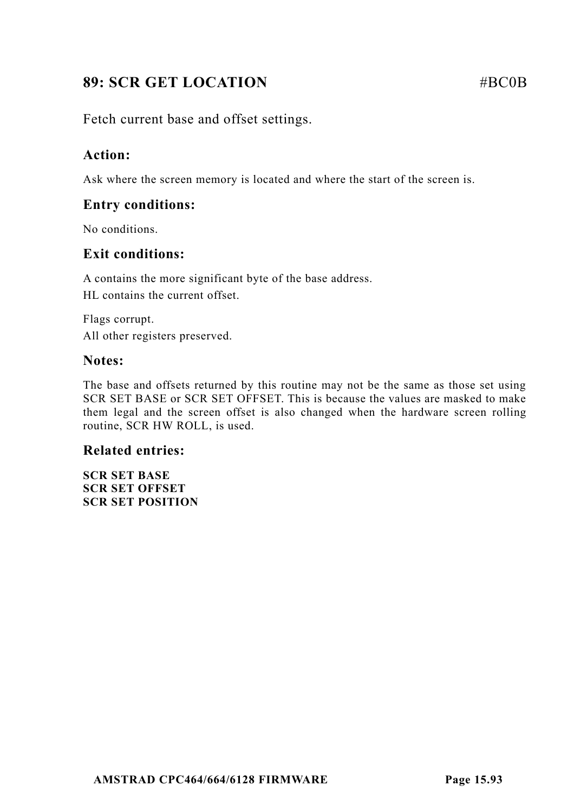# **89: SCR GET LOCATION** #BC0B

Fetch current base and offset settings.

# **Action:**

Ask where the screen memory is located and where the start of the screen is.

# **Entry conditions:**

No conditions.

# **Exit conditions:**

A contains the more significant byte of the base address. HL contains the current offset.

Flags corrupt. All other registers preserved.

# **Notes:**

The base and offsets returned by this routine may not be the same as those set using SCR SET BASE or SCR SET OFFSET. This is because the values are masked to make them legal and the screen offset is also changed when the hardware screen rolling routine, SCR HW ROLL, is used.

# **Related entries:**

**SCR SET BASE SCR SET OFFSET SCR SET POSITION**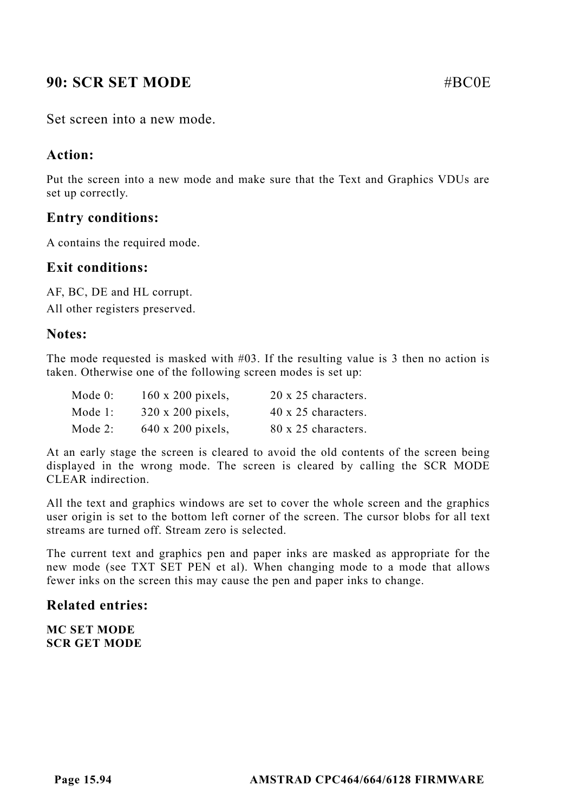# **90: SCR SET MODE #BC0E** #BC0E

Set screen into a new mode.

## **Action:**

Put the screen into a new mode and make sure that the Text and Graphics VDUs are set up correctly.

# **Entry conditions:**

A contains the required mode.

#### **Exit conditions:**

AF, BC, DE and HL corrupt. All other registers preserved.

#### **Notes:**

The mode requested is masked with #03. If the resulting value is 3 then no action is taken. Otherwise one of the following screen modes is set up:

| Mode 0: | 160 x 200 pixels, | 20 x 25 characters. |
|---------|-------------------|---------------------|
| Mode 1: | 320 x 200 pixels, | 40 x 25 characters. |
| Mode 2: | 640 x 200 pixels, | 80 x 25 characters. |

At an early stage the screen is cleared to avoid the old contents of the screen being displayed in the wrong mode. The screen is cleared by calling the SCR MODE CLEAR indirection.

All the text and graphics windows are set to cover the whole screen and the graphics user origin is set to the bottom left corner of the screen. The cursor blobs for all text streams are turned off. Stream zero is selected.

The current text and graphics pen and paper inks are masked as appropriate for the new mode (see TXT SET PEN et al). When changing mode to a mode that allows fewer inks on the screen this may cause the pen and paper inks to change.

## **Related entries:**

**MC SET MODE SCR GET MODE**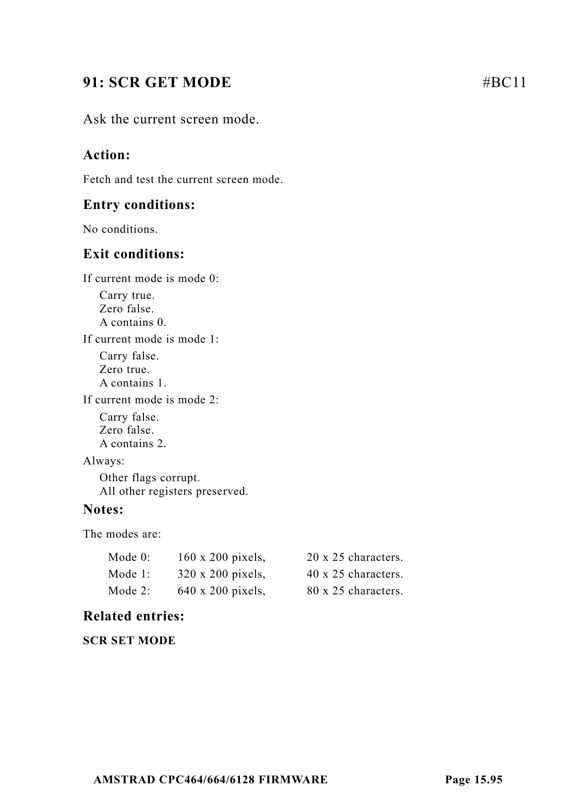# **91: SCR GET MODE** #BC11

Ask the current screen mode.

# **Action:**

Fetch and test the current screen mode.

#### **Entry conditions:**

No conditions.

## **Exit conditions:**

If current mode is mode 0:

Carry true. Zero false. A contains 0.

If current mode is mode 1:

Carry false. Zero true. A contains 1.

If current mode is mode 2:

Carry false. Zero false. A contains 2.

Always:

Other flags corrupt. All other registers preserved.

## **Notes:**

The modes are:

| Mode 0: | $160 \times 200$ pixels, | 20 x 25 characters. |
|---------|--------------------------|---------------------|
| Mode 1: | $320 \times 200$ pixels, | 40 x 25 characters. |
| Mode 2: | 640 x 200 pixels,        | 80 x 25 characters. |

## **Related entries:**

**SCR SET MODE**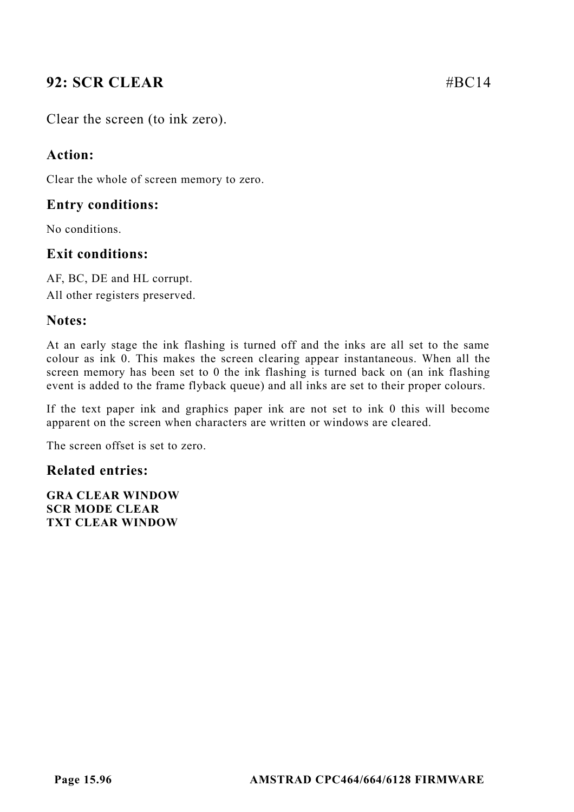# **92: SCR CLEAR #BC14**

Clear the screen (to ink zero).

# **Action:**

Clear the whole of screen memory to zero.

# **Entry conditions:**

No conditions.

# **Exit conditions:**

AF, BC, DE and HL corrupt. All other registers preserved.

# **Notes:**

At an early stage the ink flashing is turned off and the inks are all set to the same colour as ink 0. This makes the screen clearing appear instantaneous. When all the screen memory has been set to 0 the ink flashing is turned back on (an ink flashing event is added to the frame flyback queue) and all inks are set to their proper colours.

If the text paper ink and graphics paper ink are not set to ink 0 this will become apparent on the screen when characters are written or windows are cleared.

The screen offset is set to zero.

## **Related entries:**

**GRA CLEAR WINDOW SCR MODE CLEAR TXT CLEAR WINDOW**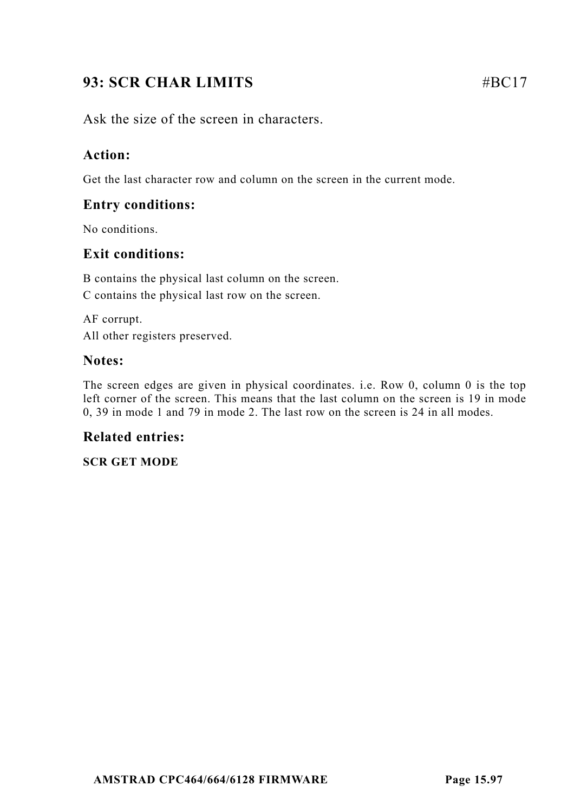# **93: SCR CHAR LIMITS** #BC17

Ask the size of the screen in characters.

# **Action:**

Get the last character row and column on the screen in the current mode.

# **Entry conditions:**

No conditions.

# **Exit conditions:**

B contains the physical last column on the screen. C contains the physical last row on the screen.

AF corrupt. All other registers preserved.

## **Notes:**

The screen edges are given in physical coordinates. i.e. Row 0, column 0 is the top left corner of the screen. This means that the last column on the screen is 19 in mode 0, 39 in mode 1 and 79 in mode 2. The last row on the screen is 24 in all modes.

## **Related entries:**

#### **SCR GET MODE**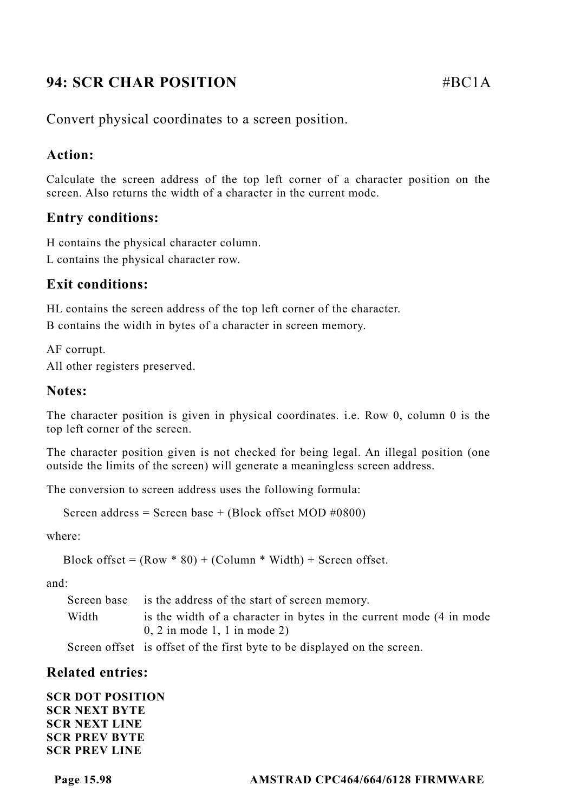# **94: SCR CHAR POSITION** #BC1A

Convert physical coordinates to a screen position.

# **Action:**

Calculate the screen address of the top left corner of a character position on the screen. Also returns the width of a character in the current mode.

# **Entry conditions:**

H contains the physical character column.

L contains the physical character row.

# **Exit conditions:**

HL contains the screen address of the top left corner of the character. B contains the width in bytes of a character in screen memory.

AF corrupt. All other registers preserved.

# **Notes:**

The character position is given in physical coordinates. i.e. Row 0, column 0 is the top left corner of the screen.

The character position given is not checked for being legal. An illegal position (one outside the limits of the screen) will generate a meaningless screen address.

The conversion to screen address uses the following formula:

```
Screen address = Screen base + (Block offset MOD \#0800)
```
where:

```
Block offset = (Row * 80) + (Column * Width) + Screen offset.
```
and:

Screen base is the address of the start of screen memory. Width is the width of a character in bytes in the current mode (4 in mode) 0, 2 in mode 1, 1 in mode 2)

Screen offset is offset of the first byte to be displayed on the screen.

## **Related entries:**

**SCR DOT POSITION SCR NEXT BYTE SCR NEXT LINE SCR PREV BYTE SCR PREV LINE**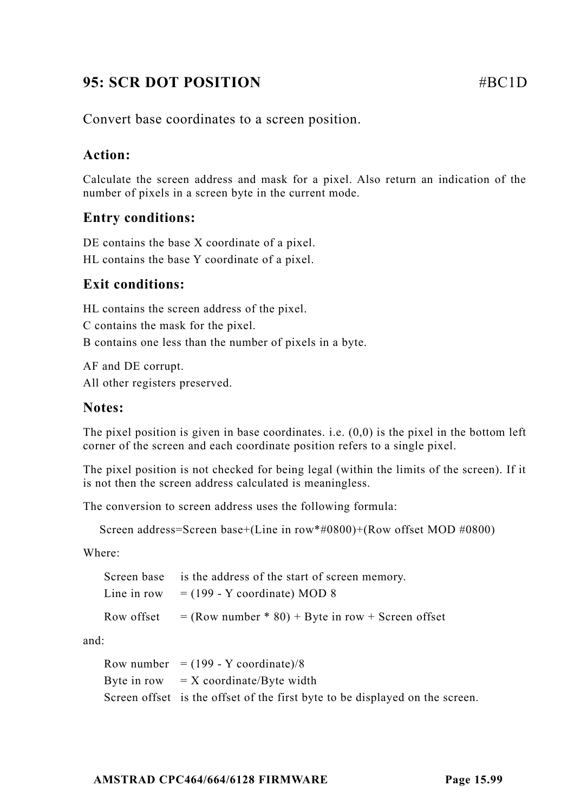# **95: SCR DOT POSITION** #BC1D

Convert base coordinates to a screen position.

# **Action:**

Calculate the screen address and mask for a pixel. Also return an indication of the number of pixels in a screen byte in the current mode.

# **Entry conditions:**

DE contains the base X coordinate of a pixel. HL contains the base Y coordinate of a pixel.

# **Exit conditions:**

HL contains the screen address of the pixel. C contains the mask for the pixel. B contains one less than the number of pixels in a byte.

AF and DE corrupt. All other registers preserved.

## **Notes:**

The pixel position is given in base coordinates. i.e.  $(0,0)$  is the pixel in the bottom left corner of the screen and each coordinate position refers to a single pixel.

The pixel position is not checked for being legal (within the limits of the screen). If it is not then the screen address calculated is meaningless.

The conversion to screen address uses the following formula:

```
Screen address=Screen base+(Line in row*#0800)+(Row offset MOD #0800)
```
Where:

| Screen base is the address of the start of screen memory.        |
|------------------------------------------------------------------|
| Line in row $= (199 - Y \text{ coordinate}) \text{ MOD } 8$      |
| Row offset $=$ (Row number $*$ 80) + Byte in row + Screen offset |

and:

| Row number = $(199 - Y$ coordinate)/8                                        |
|------------------------------------------------------------------------------|
| Byte in row $X$ coordinate/Byte width                                        |
| Screen offset is the offset of the first byte to be displayed on the screen. |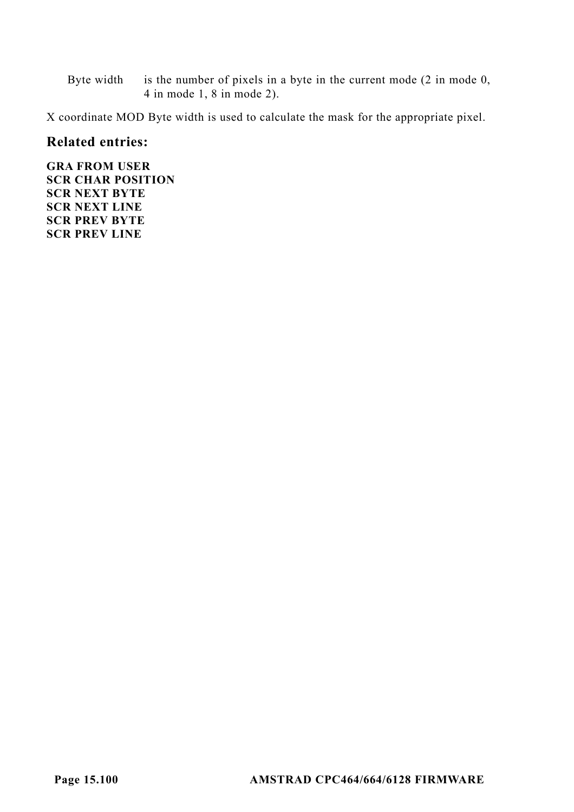Byte width is the number of pixels in a byte in the current mode (2 in mode 0, 4 in mode 1, 8 in mode 2).

X coordinate MOD Byte width is used to calculate the mask for the appropriate pixel.

#### **Related entries:**

**GRA FROM USER SCR CHAR POSITION SCR NEXT BYTE SCR NEXT LINE SCR PREV BYTE SCR PREV LINE**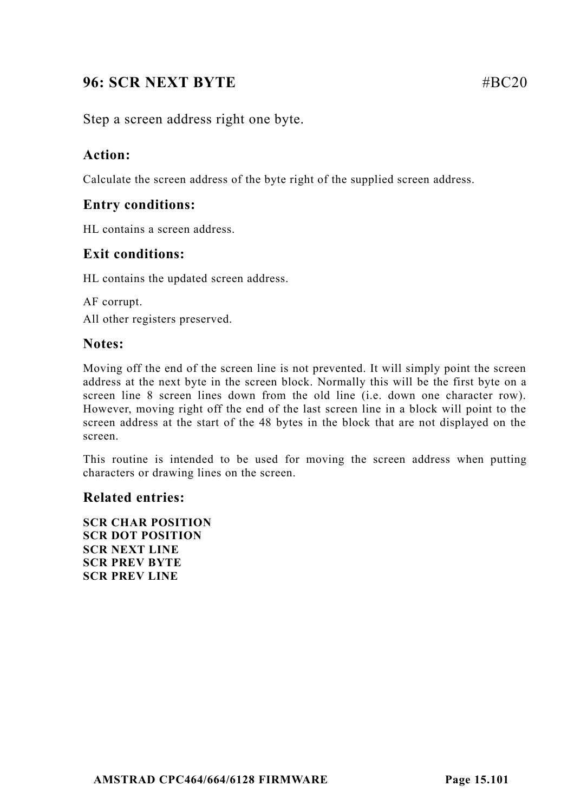# **96: SCR NEXT BYTE** #BC20

Step a screen address right one byte.

# **Action:**

Calculate the screen address of the byte right of the supplied screen address.

# **Entry conditions:**

HL contains a screen address.

# **Exit conditions:**

HL contains the updated screen address.

AF corrupt. All other registers preserved.

# **Notes:**

Moving off the end of the screen line is not prevented. It will simply point the screen address at the next byte in the screen block. Normally this will be the first byte on a screen line 8 screen lines down from the old line (i.e. down one character row). However, moving right off the end of the last screen line in a block will point to the screen address at the start of the 48 bytes in the block that are not displayed on the screen.

This routine is intended to be used for moving the screen address when putting characters or drawing lines on the screen.

## **Related entries:**

**SCR CHAR POSITION SCR DOT POSITION SCR NEXT LINE SCR PREV BYTE SCR PREV LINE**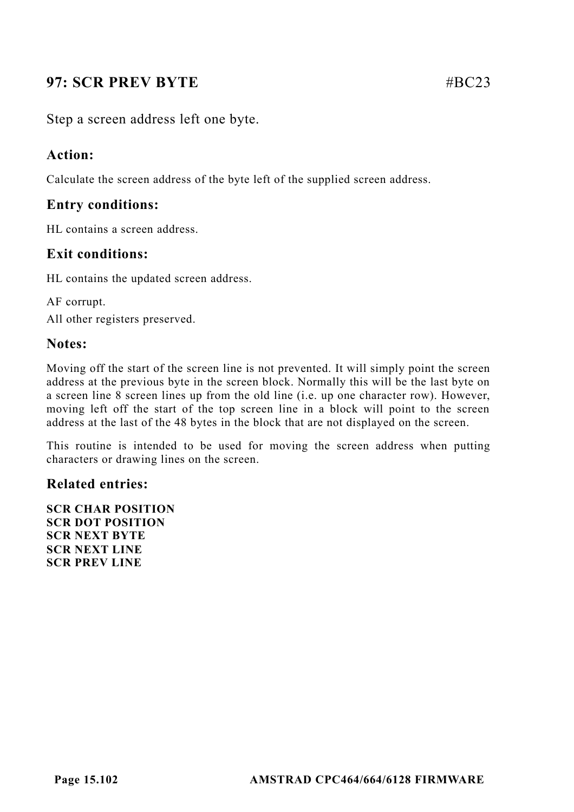# **97: SCR PREV BYTE** #BC23

Step a screen address left one byte.

## **Action:**

Calculate the screen address of the byte left of the supplied screen address.

# **Entry conditions:**

HL contains a screen address.

# **Exit conditions:**

HL contains the updated screen address.

AF corrupt. All other registers preserved.

## **Notes:**

Moving off the start of the screen line is not prevented. It will simply point the screen address at the previous byte in the screen block. Normally this will be the last byte on a screen line 8 screen lines up from the old line (i.e. up one character row). However, moving left off the start of the top screen line in a block will point to the screen address at the last of the 48 bytes in the block that are not displayed on the screen.

This routine is intended to be used for moving the screen address when putting characters or drawing lines on the screen.

#### **Related entries:**

**SCR CHAR POSITION SCR DOT POSITION SCR NEXT BYTE SCR NEXT LINE SCR PREV LINE**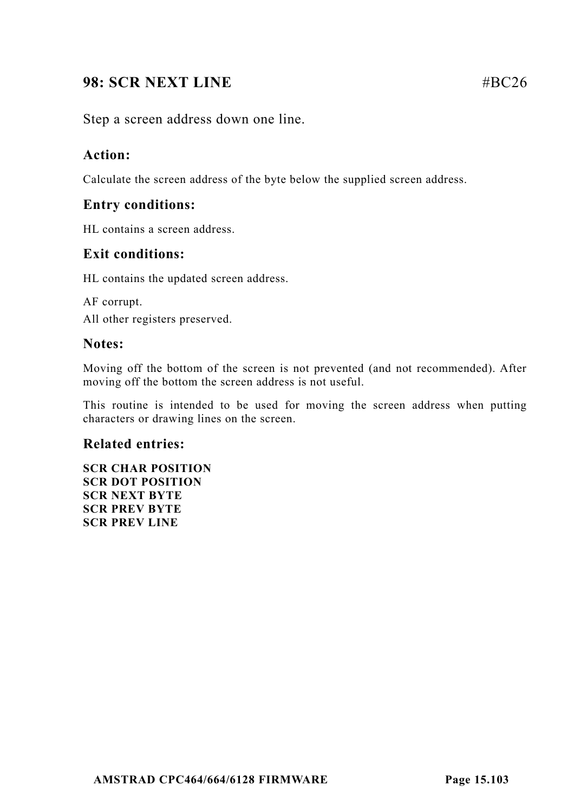# **98: SCR NEXT LINE #BC26**

Step a screen address down one line.

# **Action:**

Calculate the screen address of the byte below the supplied screen address.

# **Entry conditions:**

HL contains a screen address.

# **Exit conditions:**

HL contains the updated screen address.

AF corrupt. All other registers preserved.

# **Notes:**

Moving off the bottom of the screen is not prevented (and not recommended). After moving off the bottom the screen address is not useful.

This routine is intended to be used for moving the screen address when putting characters or drawing lines on the screen.

# **Related entries:**

**SCR CHAR POSITION SCR DOT POSITION SCR NEXT BYTE SCR PREV BYTE SCR PREV LINE**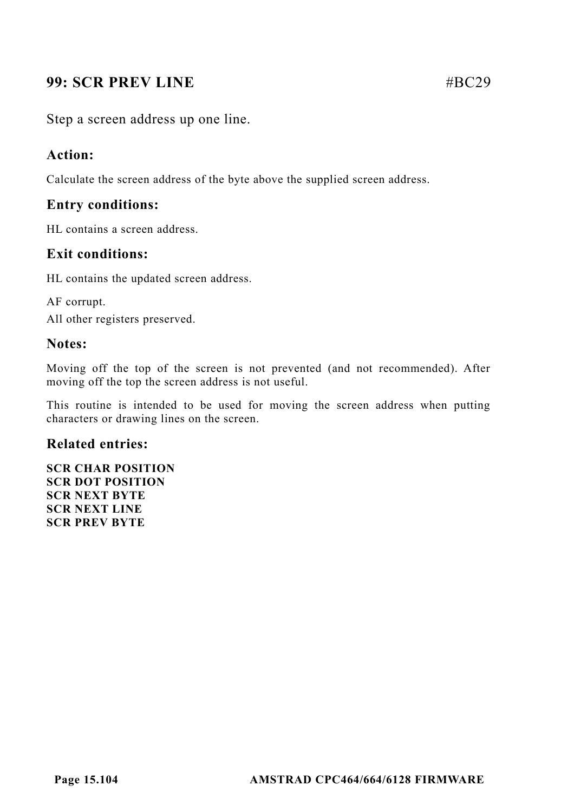# **99: SCR PREV LINE #BC29**

Step a screen address up one line.

## **Action:**

Calculate the screen address of the byte above the supplied screen address.

## **Entry conditions:**

HL contains a screen address.

# **Exit conditions:**

HL contains the updated screen address.

AF corrupt. All other registers preserved.

#### **Notes:**

Moving off the top of the screen is not prevented (and not recommended). After moving off the top the screen address is not useful.

This routine is intended to be used for moving the screen address when putting characters or drawing lines on the screen.

#### **Related entries:**

**SCR CHAR POSITION SCR DOT POSITION SCR NEXT BYTE SCR NEXT LINE SCR PREV BYTE**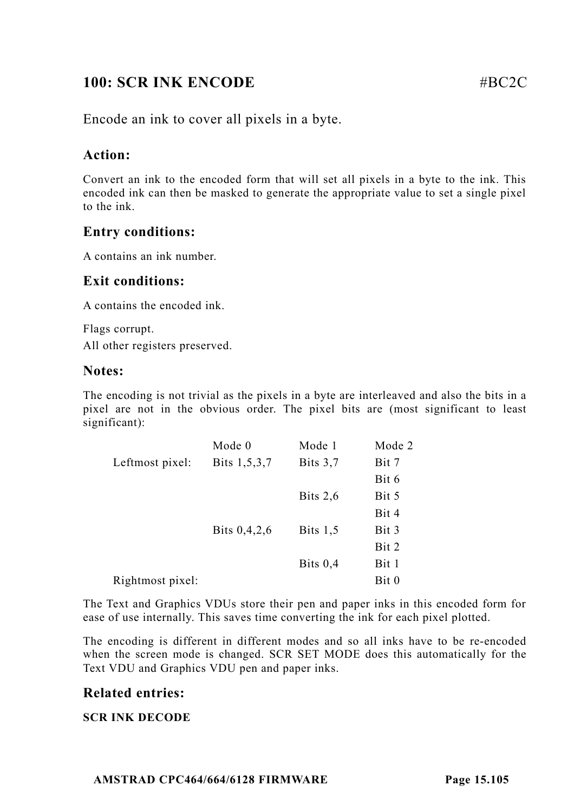# **100: SCR INK ENCODE** #BC2C

Encode an ink to cover all pixels in a byte.

# **Action:**

Convert an ink to the encoded form that will set all pixels in a byte to the ink. This encoded ink can then be masked to generate the appropriate value to set a single pixel to the ink.

# **Entry conditions:**

A contains an ink number.

# **Exit conditions:**

A contains the encoded ink.

Flags corrupt. All other registers preserved.

#### **Notes:**

The encoding is not trivial as the pixels in a byte are interleaved and also the bits in a pixel are not in the obvious order. The pixel bits are (most significant to least significant):

|                  | Mode 0       | Mode 1     | Mode 2 |
|------------------|--------------|------------|--------|
| Leftmost pixel:  | Bits 1,5,3,7 | Bits $3.7$ | Bit 7  |
|                  |              |            | Bit 6  |
|                  |              | Bits $2,6$ | Bit 5  |
|                  |              |            | Bit 4  |
|                  | Bits 0,4,2,6 | Bits $1,5$ | Bit 3  |
|                  |              |            | Bit 2  |
|                  |              | Bits $0.4$ | Bit 1  |
| Rightmost pixel: |              |            | Bit 0  |

The Text and Graphics VDUs store their pen and paper inks in this encoded form for ease of use internally. This saves time converting the ink for each pixel plotted.

The encoding is different in different modes and so all inks have to be re-encoded when the screen mode is changed. SCR SET MODE does this automatically for the Text VDU and Graphics VDU pen and paper inks.

## **Related entries:**

#### **SCR INK DECODE**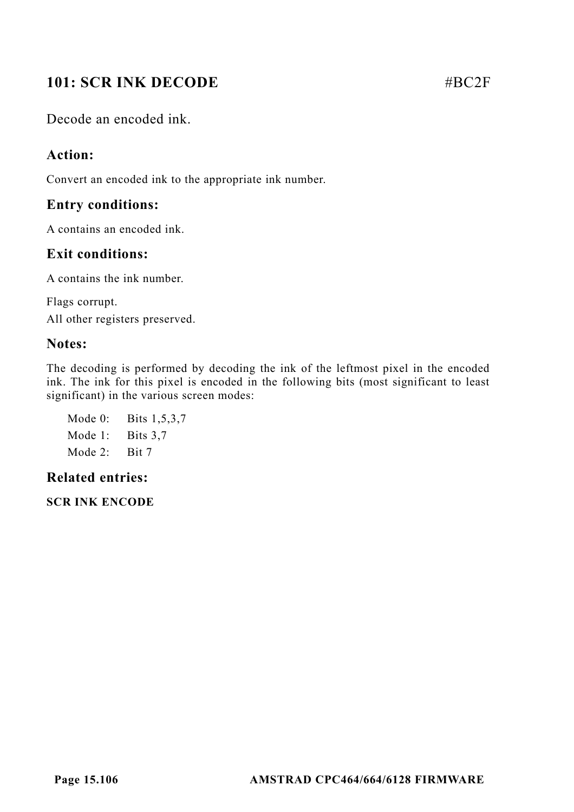# **101: SCR INK DECODE #BC2F**

Decode an encoded ink.

# **Action:**

Convert an encoded ink to the appropriate ink number.

# **Entry conditions:**

A contains an encoded ink.

# **Exit conditions:**

A contains the ink number.

Flags corrupt. All other registers preserved.

# **Notes:**

The decoding is performed by decoding the ink of the leftmost pixel in the encoded ink. The ink for this pixel is encoded in the following bits (most significant to least significant) in the various screen modes:

Mode 0: Bits 1,5,3,7 Mode 1: Bits 3.7 Mode 2: Bit 7

# **Related entries:**

**SCR INK ENCODE**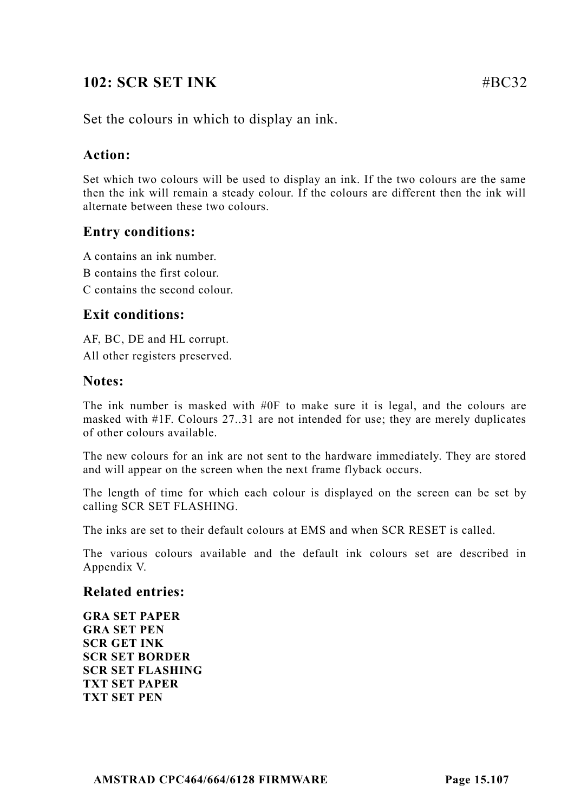# **102: SCR SET INK** #BC32

Set the colours in which to display an ink.

# **Action:**

Set which two colours will be used to display an ink. If the two colours are the same then the ink will remain a steady colour. If the colours are different then the ink will alternate between these two colours.

# **Entry conditions:**

A contains an ink number.

B contains the first colour.

C contains the second colour.

# **Exit conditions:**

AF, BC, DE and HL corrupt.

All other registers preserved.

## **Notes:**

The ink number is masked with #0F to make sure it is legal, and the colours are masked with #1F. Colours 27..31 are not intended for use; they are merely duplicates of other colours available.

The new colours for an ink are not sent to the hardware immediately. They are stored and will appear on the screen when the next frame flyback occurs.

The length of time for which each colour is displayed on the screen can be set by calling SCR SET FLASHING.

The inks are set to their default colours at EMS and when SCR RESET is called.

The various colours available and the default ink colours set are described in Appendix V.

#### **Related entries:**

**GRA SET PAPER GRA SET PEN SCR GET INK SCR SET BORDER SCR SET FLASHING TXT SET PAPER TXT SET PEN**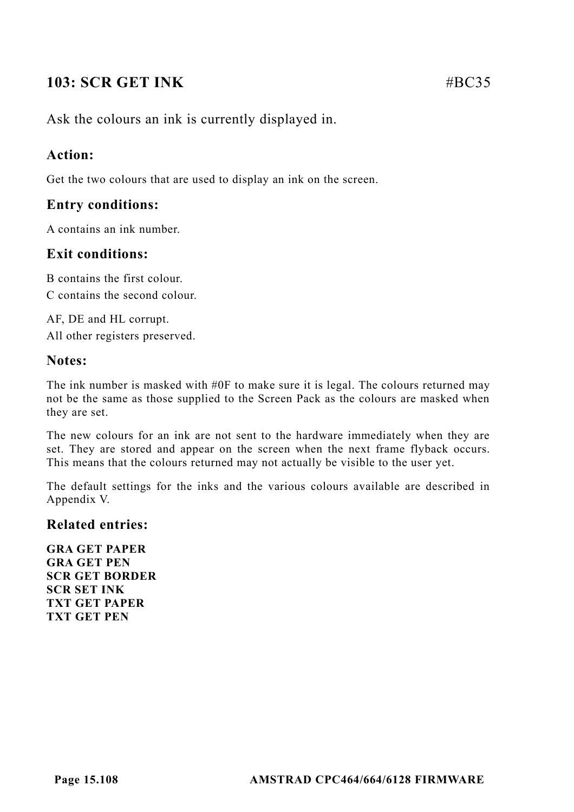# **103: SCR GET INK #BC35**

Ask the colours an ink is currently displayed in.

# **Action:**

Get the two colours that are used to display an ink on the screen.

# **Entry conditions:**

A contains an ink number.

# **Exit conditions:**

B contains the first colour. C contains the second colour.

AF, DE and HL corrupt. All other registers preserved.

## **Notes:**

The ink number is masked with #0F to make sure it is legal. The colours returned may not be the same as those supplied to the Screen Pack as the colours are masked when they are set.

The new colours for an ink are not sent to the hardware immediately when they are set. They are stored and appear on the screen when the next frame flyback occurs. This means that the colours returned may not actually be visible to the user yet.

The default settings for the inks and the various colours available are described in Appendix V.

## **Related entries:**

**GRA GET PAPER GRA GET PEN SCR GET BORDER SCR SET INK TXT GET PAPER TXT GET PEN**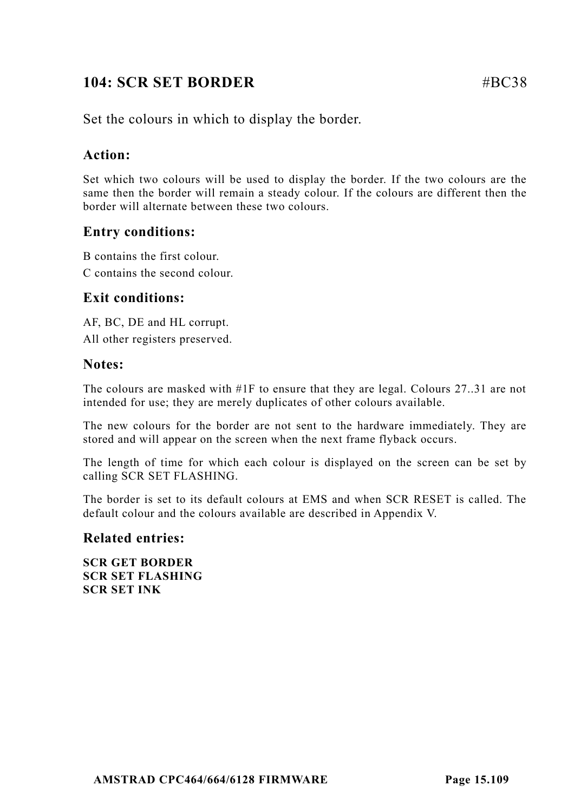# **104: SCR SET BORDER** #BC38

Set the colours in which to display the border.

## **Action:**

Set which two colours will be used to display the border. If the two colours are the same then the border will remain a steady colour. If the colours are different then the border will alternate between these two colours.

## **Entry conditions:**

B contains the first colour.

C contains the second colour.

## **Exit conditions:**

AF, BC, DE and HL corrupt. All other registers preserved.

#### **Notes:**

The colours are masked with #1F to ensure that they are legal. Colours 27..31 are not intended for use; they are merely duplicates of other colours available.

The new colours for the border are not sent to the hardware immediately. They are stored and will appear on the screen when the next frame flyback occurs.

The length of time for which each colour is displayed on the screen can be set by calling SCR SET FLASHING.

The border is set to its default colours at EMS and when SCR RESET is called. The default colour and the colours available are described in Appendix V.

#### **Related entries:**

**SCR GET BORDER SCR SET FLASHING SCR SET INK**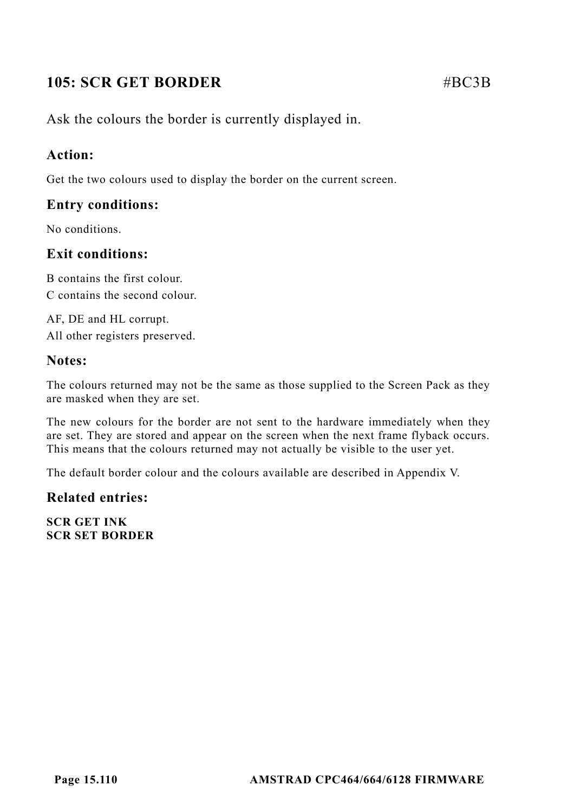# **105: SCR GET BORDER #BC3B**

Ask the colours the border is currently displayed in.

## **Action:**

Get the two colours used to display the border on the current screen.

## **Entry conditions:**

No conditions.

## **Exit conditions:**

B contains the first colour. C contains the second colour.

AF, DE and HL corrupt. All other registers preserved.

#### **Notes:**

The colours returned may not be the same as those supplied to the Screen Pack as they are masked when they are set.

The new colours for the border are not sent to the hardware immediately when they are set. They are stored and appear on the screen when the next frame flyback occurs. This means that the colours returned may not actually be visible to the user yet.

The default border colour and the colours available are described in Appendix V.

#### **Related entries:**

**SCR GET INK SCR SET BORDER**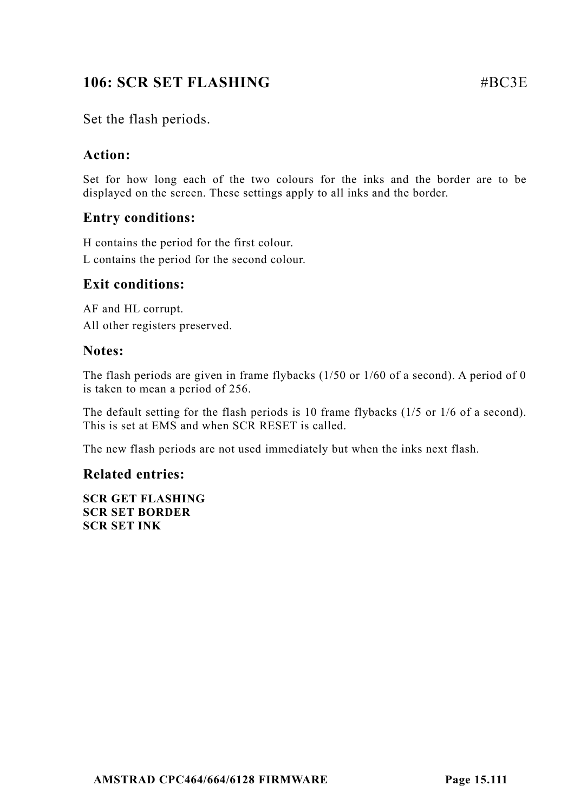# **106: SCR SET FLASHING** #BC3E

Set the flash periods.

# **Action:**

Set for how long each of the two colours for the inks and the border are to be displayed on the screen. These settings apply to all inks and the border.

## **Entry conditions:**

H contains the period for the first colour. L contains the period for the second colour.

## **Exit conditions:**

AF and HL corrupt. All other registers preserved.

#### **Notes:**

The flash periods are given in frame flybacks (1/50 or 1/60 of a second). A period of 0 is taken to mean a period of 256.

The default setting for the flash periods is 10 frame flybacks (1/5 or 1/6 of a second). This is set at EMS and when SCR RESET is called.

The new flash periods are not used immediately but when the inks next flash.

#### **Related entries:**

**SCR GET FLASHING SCR SET BORDER SCR SET INK**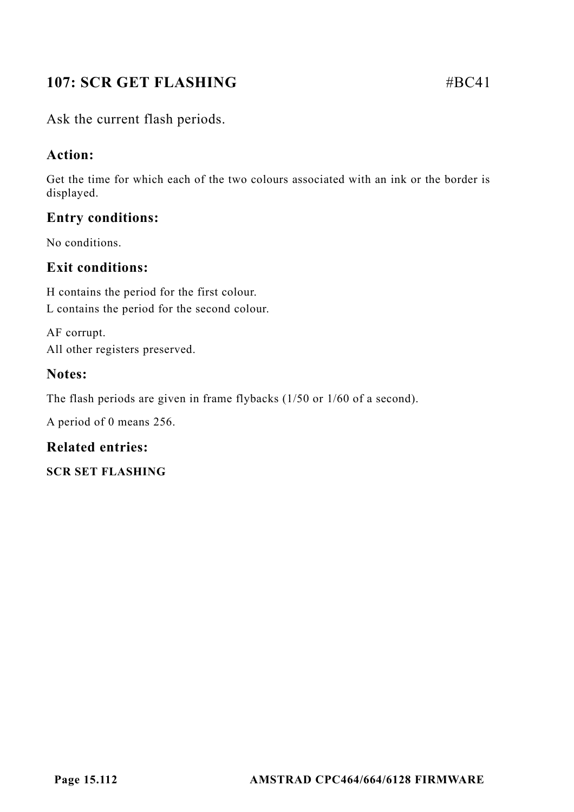# **107: SCR GET FLASHING** #BC41

# **Action:**

Get the time for which each of the two colours associated with an ink or the border is displayed.

# **Entry conditions:**

No conditions.

## **Exit conditions:**

H contains the period for the first colour. L contains the period for the second colour.

AF corrupt. All other registers preserved.

#### **Notes:**

The flash periods are given in frame flybacks (1/50 or 1/60 of a second).

A period of 0 means 256.

#### **Related entries:**

**SCR SET FLASHING**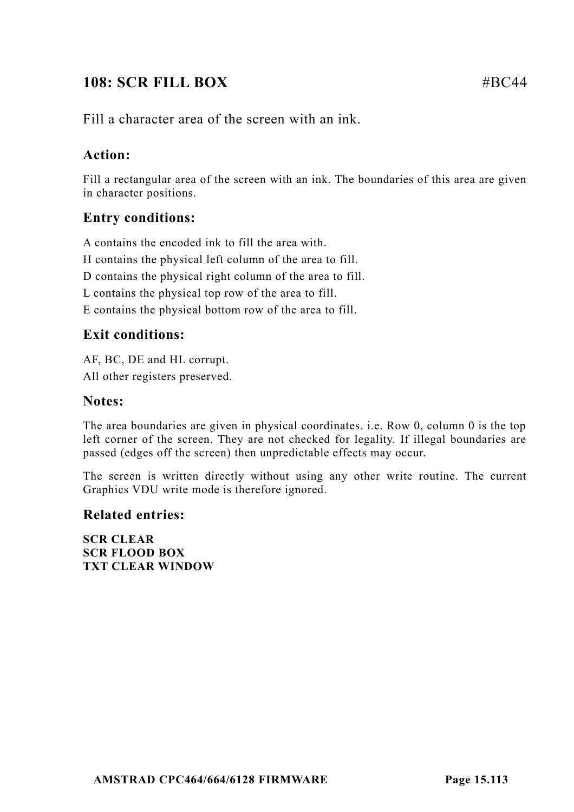# **108: SCR FILL BOX** #BC44

# **Action:**

Fill a rectangular area of the screen with an ink. The boundaries of this area are given in character positions.

# **Entry conditions:**

A contains the encoded ink to fill the area with.

- H contains the physical left column of the area to fill.
- D contains the physical right column of the area to fill.
- L contains the physical top row of the area to fill.
- E contains the physical bottom row of the area to fill.

#### **Exit conditions:**

AF, BC, DE and HL corrupt. All other registers preserved.

#### **Notes:**

The area boundaries are given in physical coordinates. i.e. Row 0, column 0 is the top left corner of the screen. They are not checked for legality. If illegal boundaries are passed (edges off the screen) then unpredictable effects may occur.

The screen is written directly without using any other write routine. The current Graphics VDU write mode is therefore ignored.

#### **Related entries:**

**SCR CLEAR SCR FLOOD BOX TXT CLEAR WINDOW**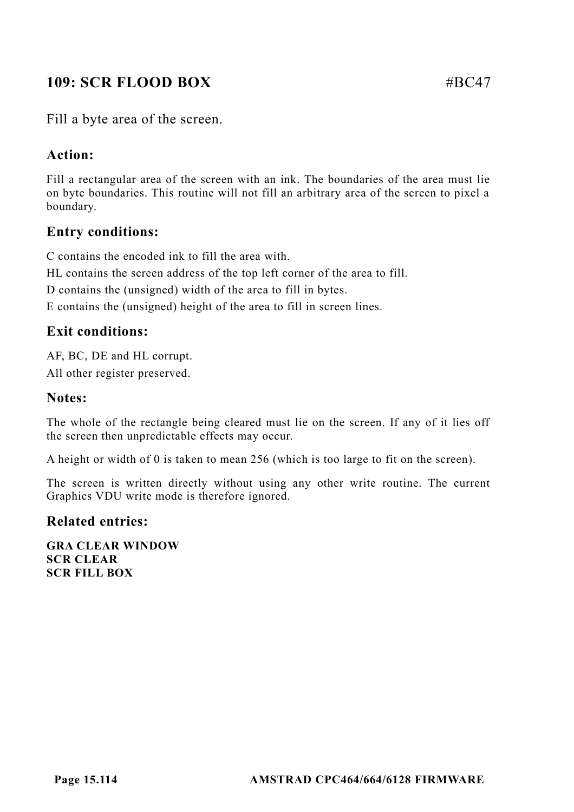# **109: SCR FLOOD BOX** #BC47

Fill a byte area of the screen.

# **Action:**

Fill a rectangular area of the screen with an ink. The boundaries of the area must lie on byte boundaries. This routine will not fill an arbitrary area of the screen to pixel a boundary.

## **Entry conditions:**

C contains the encoded ink to fill the area with.

HL contains the screen address of the top left corner of the area to fill.

D contains the (unsigned) width of the area to fill in bytes.

E contains the (unsigned) height of the area to fill in screen lines.

# **Exit conditions:**

AF, BC, DE and HL corrupt. All other register preserved.

## **Notes:**

The whole of the rectangle being cleared must lie on the screen. If any of it lies off the screen then unpredictable effects may occur.

A height or width of 0 is taken to mean 256 (which is too large to fit on the screen).

The screen is written directly without using any other write routine. The current Graphics VDU write mode is therefore ignored.

#### **Related entries:**

**GRA CLEAR WINDOW SCR CLEAR SCR FILL BOX**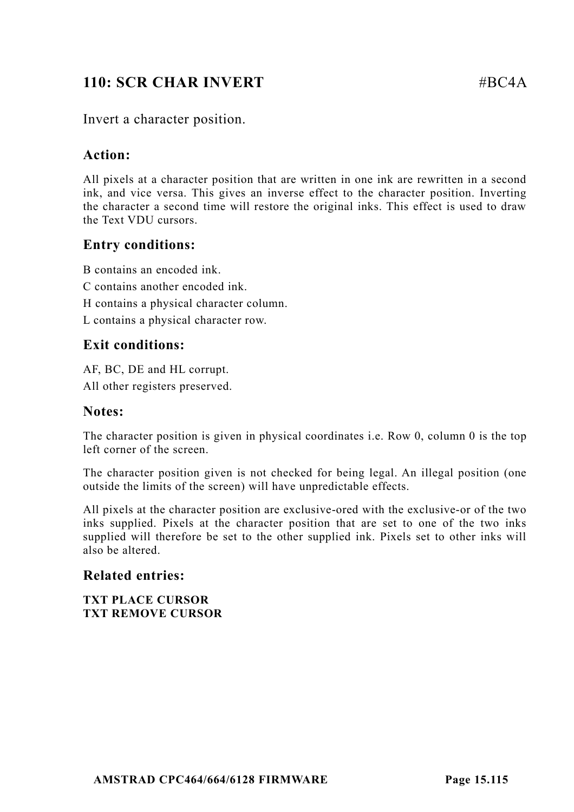# **110: SCR CHAR INVERT #BC4A**

## Invert a character position.

#### **Action:**

All pixels at a character position that are written in one ink are rewritten in a second ink, and vice versa. This gives an inverse effect to the character position. Inverting the character a second time will restore the original inks. This effect is used to draw the Text VDU cursors.

## **Entry conditions:**

B contains an encoded ink.

- C contains another encoded ink.
- H contains a physical character column.

L contains a physical character row.

## **Exit conditions:**

AF, BC, DE and HL corrupt. All other registers preserved.

#### **Notes:**

The character position is given in physical coordinates i.e. Row 0, column 0 is the top left corner of the screen.

The character position given is not checked for being legal. An illegal position (one outside the limits of the screen) will have unpredictable effects.

All pixels at the character position are exclusive-ored with the exclusive-or of the two inks supplied. Pixels at the character position that are set to one of the two inks supplied will therefore be set to the other supplied ink. Pixels set to other inks will also be altered.

#### **Related entries:**

**TXT PLACE CURSOR TXT REMOVE CURSOR**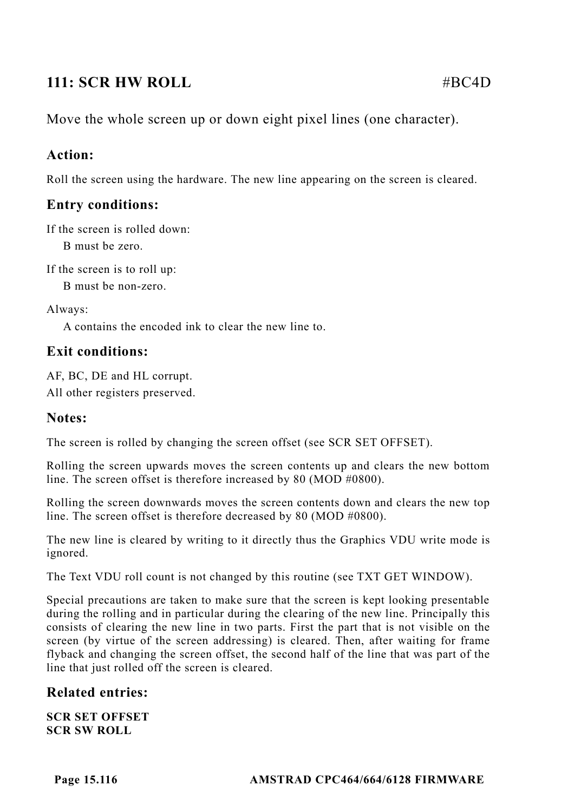# **111: SCR HW ROLL** #BC4D

Move the whole screen up or down eight pixel lines (one character).

# **Action:**

Roll the screen using the hardware. The new line appearing on the screen is cleared.

# **Entry conditions:**

If the screen is rolled down:

B must be zero.

If the screen is to roll up:

B must be non-zero.

Always:

A contains the encoded ink to clear the new line to.

# **Exit conditions:**

AF, BC, DE and HL corrupt. All other registers preserved.

# **Notes:**

The screen is rolled by changing the screen offset (see SCR SET OFFSET).

Rolling the screen upwards moves the screen contents up and clears the new bottom line. The screen offset is therefore increased by 80 (MOD #0800).

Rolling the screen downwards moves the screen contents down and clears the new top line. The screen offset is therefore decreased by 80 (MOD #0800).

The new line is cleared by writing to it directly thus the Graphics VDU write mode is ignored.

The Text VDU roll count is not changed by this routine (see TXT GET WINDOW).

Special precautions are taken to make sure that the screen is kept looking presentable during the rolling and in particular during the clearing of the new line. Principally this consists of clearing the new line in two parts. First the part that is not visible on the screen (by virtue of the screen addressing) is cleared. Then, after waiting for frame flyback and changing the screen offset, the second half of the line that was part of the line that just rolled off the screen is cleared.

# **Related entries:**

**SCR SET OFFSET SCR SW ROLL**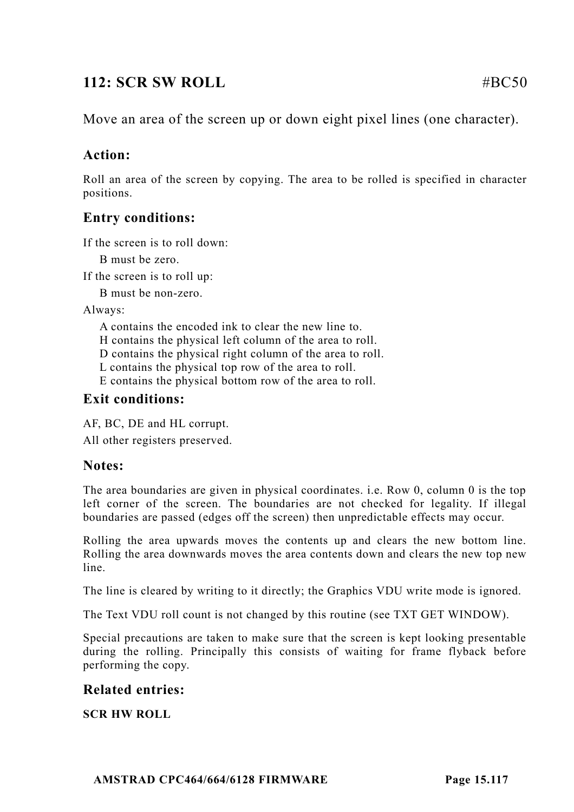# **112: SCR SW ROLL**  $\#BC50$

# **Action:**

Roll an area of the screen by copying. The area to be rolled is specified in character positions.

# **Entry conditions:**

If the screen is to roll down:

B must be zero.

If the screen is to roll up:

B must be non-zero.

Always:

A contains the encoded ink to clear the new line to.

H contains the physical left column of the area to roll.

D contains the physical right column of the area to roll.

L contains the physical top row of the area to roll.

E contains the physical bottom row of the area to roll.

# **Exit conditions:**

AF, BC, DE and HL corrupt.

All other registers preserved.

## **Notes:**

The area boundaries are given in physical coordinates. i.e. Row 0, column 0 is the top left corner of the screen. The boundaries are not checked for legality. If illegal boundaries are passed (edges off the screen) then unpredictable effects may occur.

Rolling the area upwards moves the contents up and clears the new bottom line. Rolling the area downwards moves the area contents down and clears the new top new line.

The line is cleared by writing to it directly; the Graphics VDU write mode is ignored.

The Text VDU roll count is not changed by this routine (see TXT GET WINDOW).

Special precautions are taken to make sure that the screen is kept looking presentable during the rolling. Principally this consists of waiting for frame flyback before performing the copy.

# **Related entries:**

**SCR HW ROLL**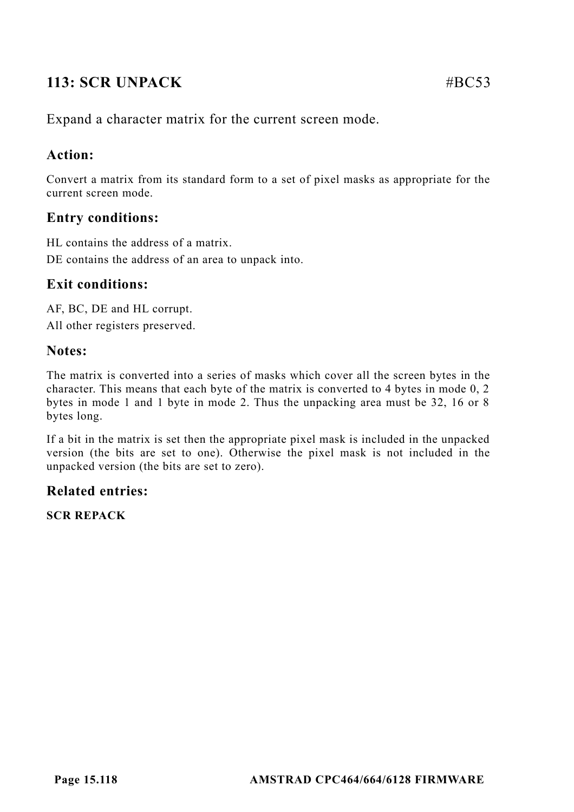# **113: SCR UNPACK** #BC53

Expand a character matrix for the current screen mode.

# **Action:**

Convert a matrix from its standard form to a set of pixel masks as appropriate for the current screen mode.

# **Entry conditions:**

HL contains the address of a matrix. DE contains the address of an area to unpack into.

# **Exit conditions:**

AF, BC, DE and HL corrupt. All other registers preserved.

## **Notes:**

The matrix is converted into a series of masks which cover all the screen bytes in the character. This means that each byte of the matrix is converted to 4 bytes in mode 0, 2 bytes in mode 1 and 1 byte in mode 2. Thus the unpacking area must be 32, 16 or 8 bytes long.

If a bit in the matrix is set then the appropriate pixel mask is included in the unpacked version (the bits are set to one). Otherwise the pixel mask is not included in the unpacked version (the bits are set to zero).

# **Related entries:**

**SCR REPACK**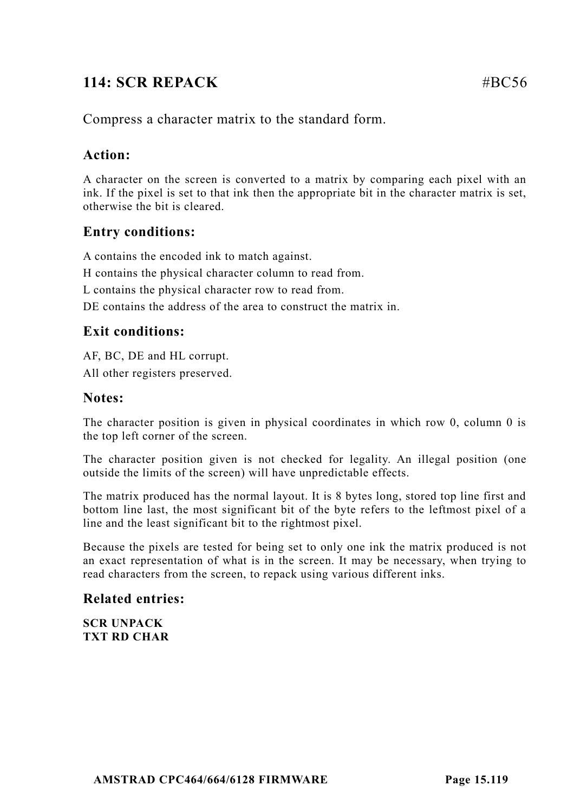# **114: SCR REPACK** #BC56

# **Action:**

A character on the screen is converted to a matrix by comparing each pixel with an ink. If the pixel is set to that ink then the appropriate bit in the character matrix is set, otherwise the bit is cleared.

## **Entry conditions:**

A contains the encoded ink to match against.

H contains the physical character column to read from.

L contains the physical character row to read from.

DE contains the address of the area to construct the matrix in.

# **Exit conditions:**

AF, BC, DE and HL corrupt. All other registers preserved.

#### **Notes:**

The character position is given in physical coordinates in which row 0, column 0 is the top left corner of the screen.

The character position given is not checked for legality. An illegal position (one outside the limits of the screen) will have unpredictable effects.

The matrix produced has the normal layout. It is 8 bytes long, stored top line first and bottom line last, the most significant bit of the byte refers to the leftmost pixel of a line and the least significant bit to the rightmost pixel.

Because the pixels are tested for being set to only one ink the matrix produced is not an exact representation of what is in the screen. It may be necessary, when trying to read characters from the screen, to repack using various different inks.

## **Related entries:**

**SCR UNPACK TXT RD CHAR**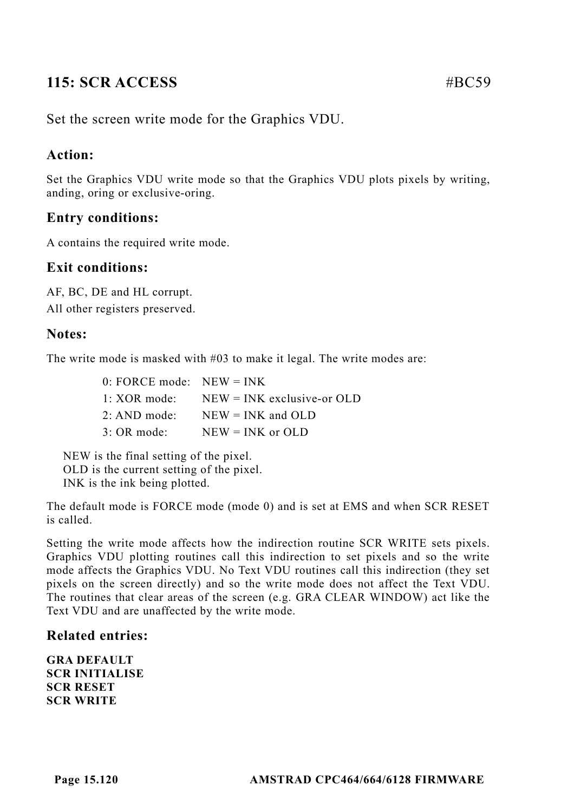# **115: SCR ACCESS** #BC59

Set the screen write mode for the Graphics VDU.

# **Action:**

Set the Graphics VDU write mode so that the Graphics VDU plots pixels by writing, anding, oring or exclusive-oring.

# **Entry conditions:**

A contains the required write mode.

## **Exit conditions:**

AF, BC, DE and HL corrupt. All other registers preserved.

## **Notes:**

The write mode is masked with #03 to make it legal. The write modes are:

| $0:$ FORCE mode: NEW = INK |                                                   |
|----------------------------|---------------------------------------------------|
|                            | $1: XOR \text{ mode}:$ NEW = INK exclusive-or OLD |
|                            | 2: AND mode: $NEW = INK$ and OLD                  |
| $3:$ OR mode:              | $NEW = INK$ or $OLD$                              |

NEW is the final setting of the pixel. OLD is the current setting of the pixel. INK is the ink being plotted.

The default mode is FORCE mode (mode 0) and is set at EMS and when SCR RESET is called.

Setting the write mode affects how the indirection routine SCR WRITE sets pixels. Graphics VDU plotting routines call this indirection to set pixels and so the write mode affects the Graphics VDU. No Text VDU routines call this indirection (they set pixels on the screen directly) and so the write mode does not affect the Text VDU. The routines that clear areas of the screen (e.g. GRA CLEAR WINDOW) act like the Text VDU and are unaffected by the write mode.

#### **Related entries:**

**GRA DEFAULT SCR INITIALISE SCR RESET SCR WRITE**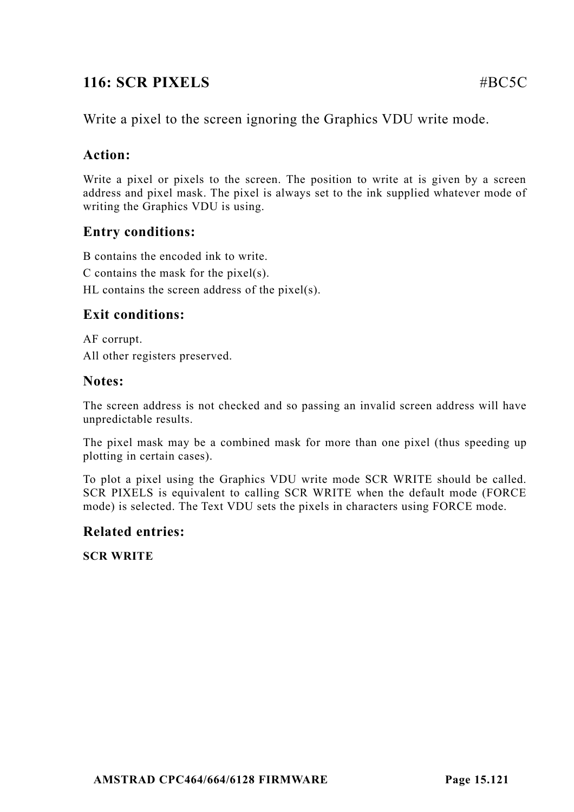# **116: SCR PIXELS** #BC5C

Write a pixel to the screen ignoring the Graphics VDU write mode.

# **Action:**

Write a pixel or pixels to the screen. The position to write at is given by a screen address and pixel mask. The pixel is always set to the ink supplied whatever mode of writing the Graphics VDU is using.

## **Entry conditions:**

B contains the encoded ink to write.

C contains the mask for the pixel(s).

HL contains the screen address of the pixel(s).

# **Exit conditions:**

AF corrupt. All other registers preserved.

## **Notes:**

The screen address is not checked and so passing an invalid screen address will have unpredictable results.

The pixel mask may be a combined mask for more than one pixel (thus speeding up plotting in certain cases).

To plot a pixel using the Graphics VDU write mode SCR WRITE should be called. SCR PIXELS is equivalent to calling SCR WRITE when the default mode (FORCE mode) is selected. The Text VDU sets the pixels in characters using FORCE mode.

## **Related entries:**

**SCR WRITE**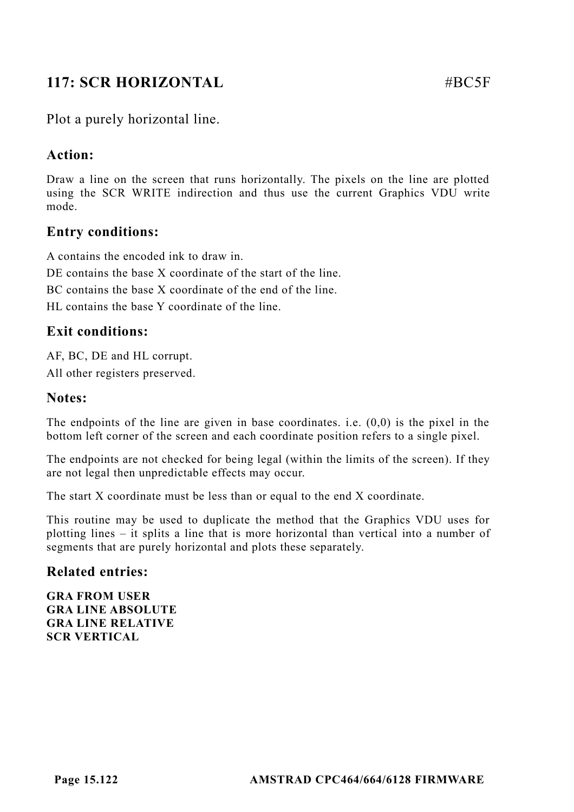# **117: SCR HORIZONTAL #BC5F**

## Plot a purely horizontal line.

## **Action:**

Draw a line on the screen that runs horizontally. The pixels on the line are plotted using the SCR WRITE indirection and thus use the current Graphics VDU write mode.

## **Entry conditions:**

A contains the encoded ink to draw in. DE contains the base X coordinate of the start of the line. BC contains the base X coordinate of the end of the line.

HL contains the base Y coordinate of the line.

## **Exit conditions:**

AF, BC, DE and HL corrupt. All other registers preserved.

#### **Notes:**

The endpoints of the line are given in base coordinates. i.e. (0,0) is the pixel in the bottom left corner of the screen and each coordinate position refers to a single pixel.

The endpoints are not checked for being legal (within the limits of the screen). If they are not legal then unpredictable effects may occur.

The start X coordinate must be less than or equal to the end X coordinate.

This routine may be used to duplicate the method that the Graphics VDU uses for plotting lines – it splits a line that is more horizontal than vertical into a number of segments that are purely horizontal and plots these separately.

#### **Related entries:**

**GRA FROM USER GRA LINE ABSOLUTE GRA LINE RELATIVE SCR VERTICAL**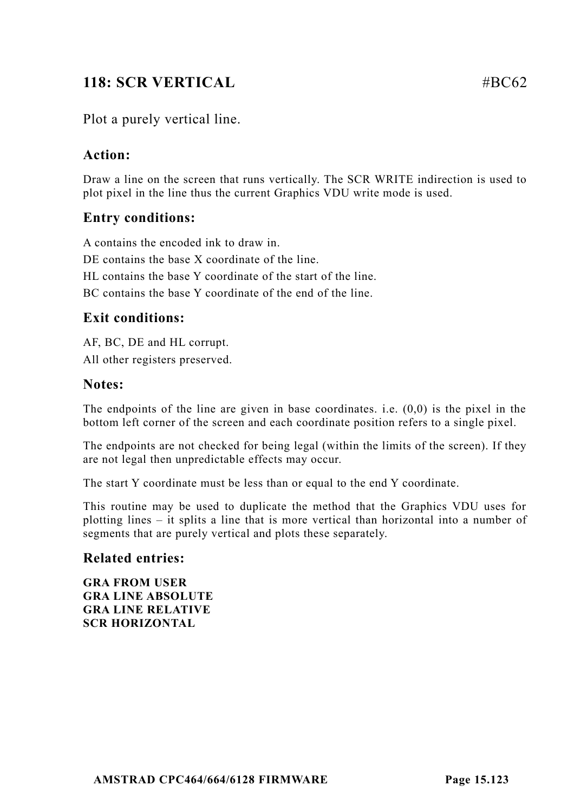# **118: SCR VERTICAL #BC62**

# Plot a purely vertical line.

## **Action:**

Draw a line on the screen that runs vertically. The SCR WRITE indirection is used to plot pixel in the line thus the current Graphics VDU write mode is used.

## **Entry conditions:**

A contains the encoded ink to draw in. DE contains the base X coordinate of the line. HL contains the base Y coordinate of the start of the line. BC contains the base Y coordinate of the end of the line.

#### **Exit conditions:**

AF, BC, DE and HL corrupt. All other registers preserved.

#### **Notes:**

The endpoints of the line are given in base coordinates. i.e.  $(0,0)$  is the pixel in the bottom left corner of the screen and each coordinate position refers to a single pixel.

The endpoints are not checked for being legal (within the limits of the screen). If they are not legal then unpredictable effects may occur.

The start Y coordinate must be less than or equal to the end Y coordinate.

This routine may be used to duplicate the method that the Graphics VDU uses for plotting lines – it splits a line that is more vertical than horizontal into a number of segments that are purely vertical and plots these separately.

#### **Related entries:**

**GRA FROM USER GRA LINE ABSOLUTE GRA LINE RELATIVE SCR HORIZONTAL**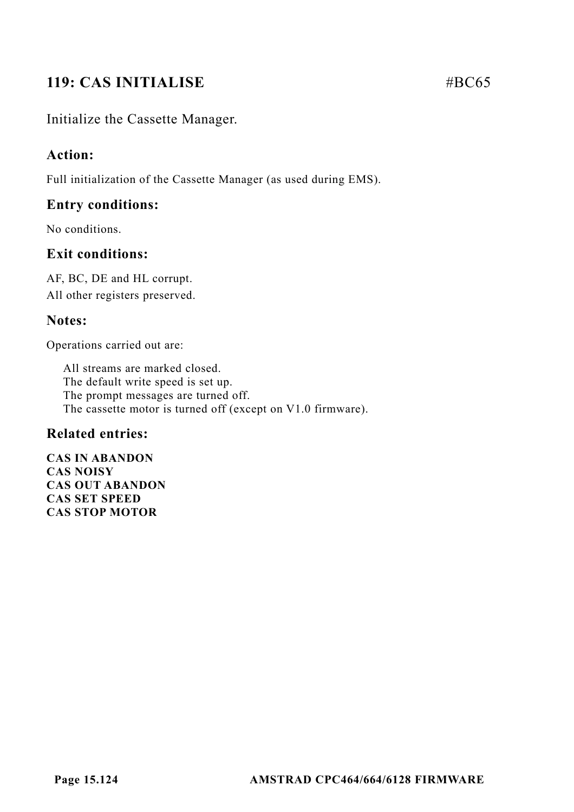# **119: CAS INITIALISE** #BC65

# Initialize the Cassette Manager.

## **Action:**

Full initialization of the Cassette Manager (as used during EMS).

### **Entry conditions:**

No conditions.

## **Exit conditions:**

AF, BC, DE and HL corrupt. All other registers preserved.

## **Notes:**

Operations carried out are:

All streams are marked closed. The default write speed is set up. The prompt messages are turned off. The cassette motor is turned off (except on V1.0 firmware).

#### **Related entries:**

**CAS IN ABANDON CAS NOISY CAS OUT ABANDON CAS SET SPEED CAS STOP MOTOR**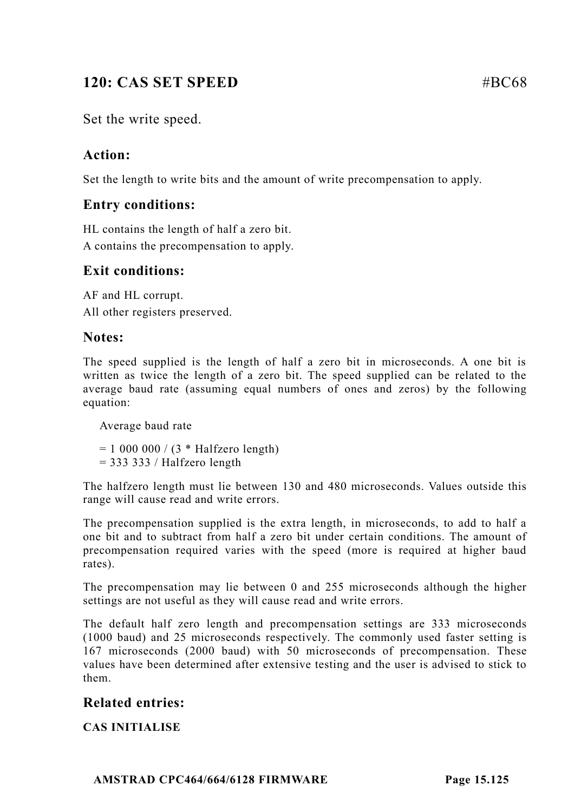# **120: CAS SET SPEED** #BC68

Set the write speed.

# **Action:**

Set the length to write bits and the amount of write precompensation to apply.

## **Entry conditions:**

HL contains the length of half a zero bit. A contains the precompensation to apply.

# **Exit conditions:**

AF and HL corrupt. All other registers preserved.

## **Notes:**

The speed supplied is the length of half a zero bit in microseconds. A one bit is written as twice the length of a zero bit. The speed supplied can be related to the average baud rate (assuming equal numbers of ones and zeros) by the following equation:

Average baud rate

 $= 10000000 / (3 * Halfzero length)$ 

 $= 333333/$  Halfzero length

The halfzero length must lie between 130 and 480 microseconds. Values outside this range will cause read and write errors.

The precompensation supplied is the extra length, in microseconds, to add to half a one bit and to subtract from half a zero bit under certain conditions. The amount of precompensation required varies with the speed (more is required at higher baud rates).

The precompensation may lie between 0 and 255 microseconds although the higher settings are not useful as they will cause read and write errors.

The default half zero length and precompensation settings are 333 microseconds (1000 baud) and 25 microseconds respectively. The commonly used faster setting is 167 microseconds (2000 baud) with 50 microseconds of precompensation. These values have been determined after extensive testing and the user is advised to stick to them.

# **Related entries:**

**CAS INITIALISE**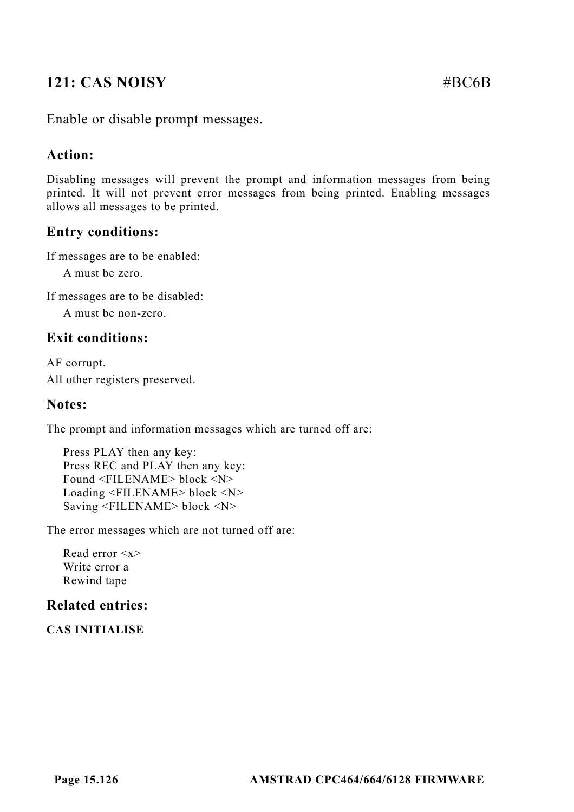# **121: CAS NOISY** #BC6B

Enable or disable prompt messages.

## **Action:**

Disabling messages will prevent the prompt and information messages from being printed. It will not prevent error messages from being printed. Enabling messages allows all messages to be printed.

## **Entry conditions:**

If messages are to be enabled:

A must be zero.

If messages are to be disabled:

A must be non-zero.

## **Exit conditions:**

AF corrupt. All other registers preserved.

#### **Notes:**

The prompt and information messages which are turned off are:

Press PLAY then any key: Press REC and PLAY then any key: Found <FILENAME> block <N> Loading <FILENAME> block <N> Saving <FILENAME> block <N>

The error messages which are not turned off are:

Read error <x> Write error a Rewind tape

### **Related entries:**

**CAS INITIALISE**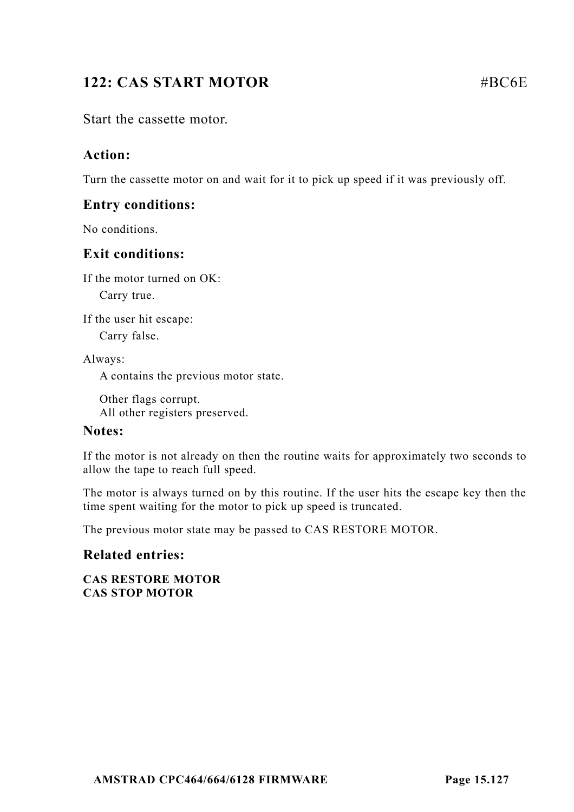# **122: CAS START MOTOR** #BC6E

Start the cassette motor.

## **Action:**

Turn the cassette motor on and wait for it to pick up speed if it was previously off.

#### **Entry conditions:**

No conditions.

#### **Exit conditions:**

If the motor turned on OK:

Carry true.

If the user hit escape:

Carry false.

Always:

A contains the previous motor state.

Other flags corrupt. All other registers preserved.

#### **Notes:**

If the motor is not already on then the routine waits for approximately two seconds to allow the tape to reach full speed.

The motor is always turned on by this routine. If the user hits the escape key then the time spent waiting for the motor to pick up speed is truncated.

The previous motor state may be passed to CAS RESTORE MOTOR.

#### **Related entries:**

**CAS RESTORE MOTOR CAS STOP MOTOR**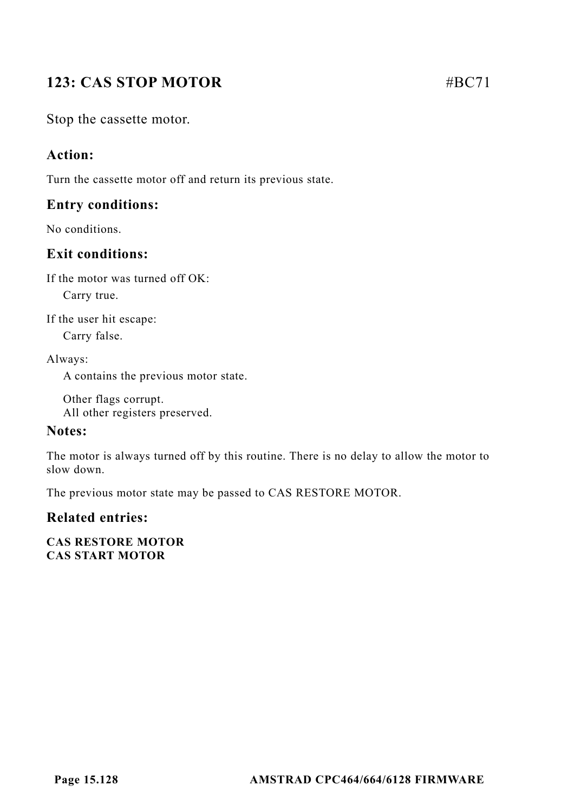# **123: CAS STOP MOTOR #BC71**

Stop the cassette motor.

# **Action:**

Turn the cassette motor off and return its previous state.

## **Entry conditions:**

No conditions.

# **Exit conditions:**

If the motor was turned off OK:

Carry true.

If the user hit escape:

Carry false.

Always:

A contains the previous motor state.

Other flags corrupt. All other registers preserved.

## **Notes:**

The motor is always turned off by this routine. There is no delay to allow the motor to slow down.

The previous motor state may be passed to CAS RESTORE MOTOR.

## **Related entries:**

**CAS RESTORE MOTOR CAS START MOTOR**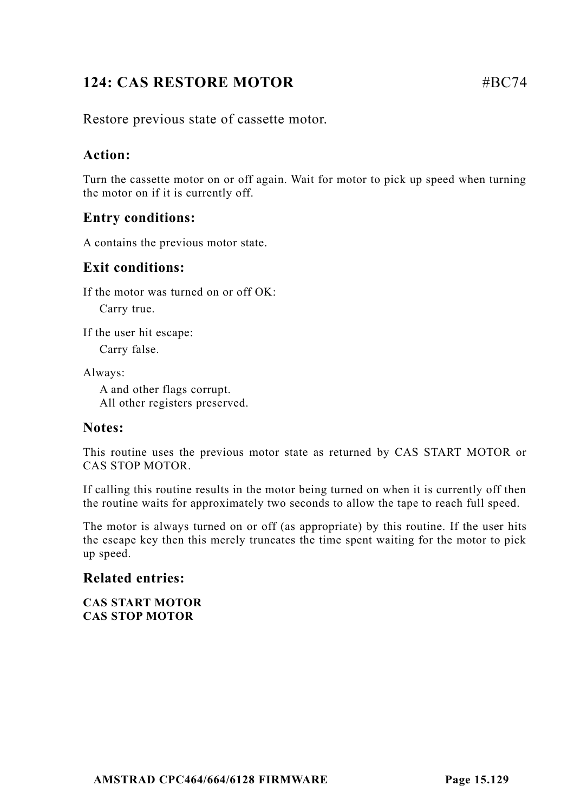# **124: CAS RESTORE MOTOR 4BC74**

Restore previous state of cassette motor.

## **Action:**

Turn the cassette motor on or off again. Wait for motor to pick up speed when turning the motor on if it is currently off.

## **Entry conditions:**

A contains the previous motor state.

## **Exit conditions:**

If the motor was turned on or off OK:

Carry true.

If the user hit escape:

Carry false.

Always:

A and other flags corrupt. All other registers preserved.

#### **Notes:**

This routine uses the previous motor state as returned by CAS START MOTOR or CAS STOP MOTOR.

If calling this routine results in the motor being turned on when it is currently off then the routine waits for approximately two seconds to allow the tape to reach full speed.

The motor is always turned on or off (as appropriate) by this routine. If the user hits the escape key then this merely truncates the time spent waiting for the motor to pick up speed.

#### **Related entries:**

**CAS START MOTOR CAS STOP MOTOR**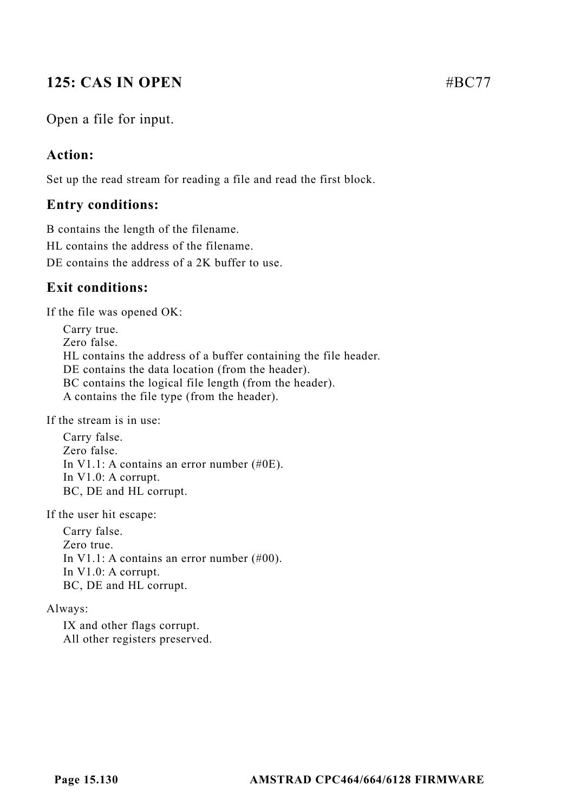# **125: CAS IN OPEN** #BC77

Open a file for input.

## **Action:**

Set up the read stream for reading a file and read the first block.

## **Entry conditions:**

B contains the length of the filename. HL contains the address of the filename. DE contains the address of a 2K buffer to use.

# **Exit conditions:**

If the file was opened OK:

Carry true. Zero false. HL contains the address of a buffer containing the file header. DE contains the data location (from the header). BC contains the logical file length (from the header). A contains the file type (from the header).

If the stream is in use:

Carry false. Zero false. In V1.1: A contains an error number (#0E). In V1.0: A corrupt. BC, DE and HL corrupt.

If the user hit escape:

Carry false. Zero true. In V1.1: A contains an error number (#00). In V1.0: A corrupt. BC, DE and HL corrupt.

#### Always:

IX and other flags corrupt. All other registers preserved.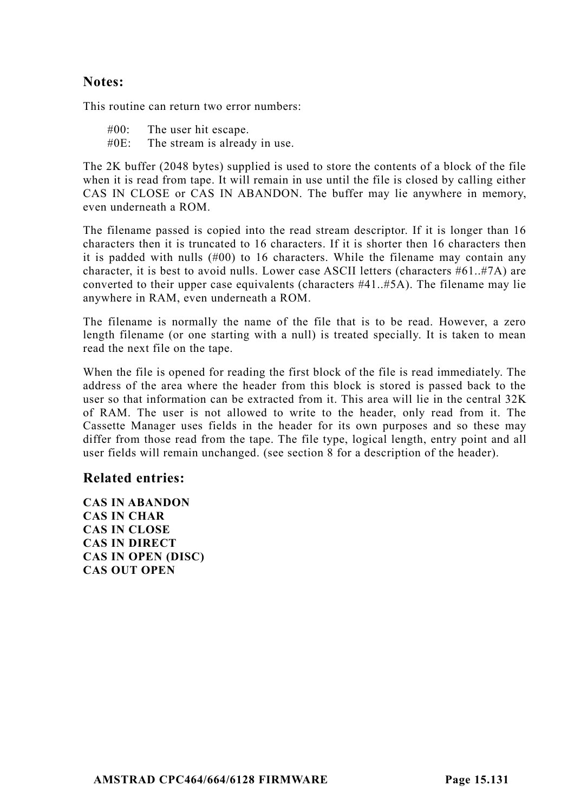#### **Notes:**

This routine can return two error numbers:

#00: The user hit escape. #0E: The stream is already in use.

The 2K buffer (2048 bytes) supplied is used to store the contents of a block of the file when it is read from tape. It will remain in use until the file is closed by calling either CAS IN CLOSE or CAS IN ABANDON. The buffer may lie anywhere in memory, even underneath a ROM.

The filename passed is copied into the read stream descriptor. If it is longer than 16 characters then it is truncated to 16 characters. If it is shorter then 16 characters then it is padded with nulls (#00) to 16 characters. While the filename may contain any character, it is best to avoid nulls. Lower case ASCII letters (characters #61..#7A) are converted to their upper case equivalents (characters #41..#5A). The filename may lie anywhere in RAM, even underneath a ROM.

The filename is normally the name of the file that is to be read. However, a zero length filename (or one starting with a null) is treated specially. It is taken to mean read the next file on the tape.

When the file is opened for reading the first block of the file is read immediately. The address of the area where the header from this block is stored is passed back to the user so that information can be extracted from it. This area will lie in the central 32K of RAM. The user is not allowed to write to the header, only read from it. The Cassette Manager uses fields in the header for its own purposes and so these may differ from those read from the tape. The file type, logical length, entry point and all user fields will remain unchanged. (see section 8 for a description of the header).

#### **Related entries:**

**CAS IN ABANDON CAS IN CHAR CAS IN CLOSE CAS IN DIRECT CAS IN OPEN (DISC) CAS OUT OPEN**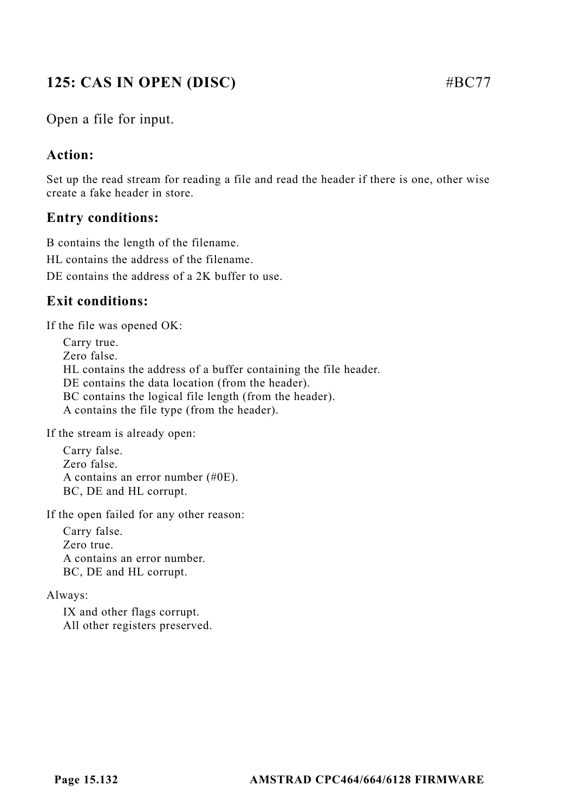# **125: CAS IN OPEN (DISC)** #BC77

Open a file for input.

# **Action:**

Set up the read stream for reading a file and read the header if there is one, other wise create a fake header in store.

# **Entry conditions:**

B contains the length of the filename. HL contains the address of the filename. DE contains the address of a 2K buffer to use.

# **Exit conditions:**

If the file was opened OK:

Carry true. Zero false. HL contains the address of a buffer containing the file header. DE contains the data location (from the header). BC contains the logical file length (from the header). A contains the file type (from the header).

If the stream is already open:

Carry false. Zero false. A contains an error number (#0E). BC, DE and HL corrupt.

If the open failed for any other reason:

Carry false. Zero true. A contains an error number. BC, DE and HL corrupt.

#### Always:

IX and other flags corrupt. All other registers preserved.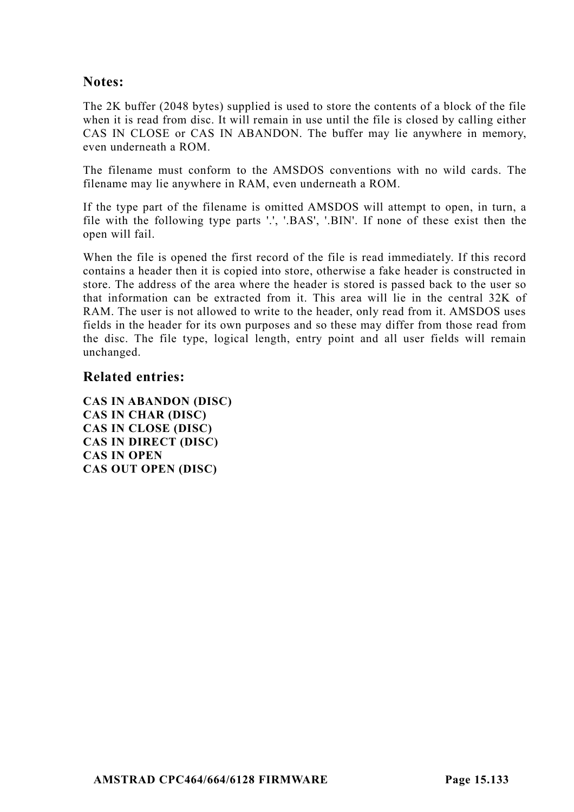## **Notes:**

The 2K buffer (2048 bytes) supplied is used to store the contents of a block of the file when it is read from disc. It will remain in use until the file is closed by calling either CAS IN CLOSE or CAS IN ABANDON. The buffer may lie anywhere in memory, even underneath a ROM.

The filename must conform to the AMSDOS conventions with no wild cards. The filename may lie anywhere in RAM, even underneath a ROM.

If the type part of the filename is omitted AMSDOS will attempt to open, in turn, a file with the following type parts '.', '.BAS', '.BIN'. If none of these exist then the open will fail.

When the file is opened the first record of the file is read immediately. If this record contains a header then it is copied into store, otherwise a fake header is constructed in store. The address of the area where the header is stored is passed back to the user so that information can be extracted from it. This area will lie in the central 32K of RAM. The user is not allowed to write to the header, only read from it. AMSDOS uses fields in the header for its own purposes and so these may differ from those read from the disc. The file type, logical length, entry point and all user fields will remain unchanged.

#### **Related entries:**

**CAS IN ABANDON (DISC) CAS IN CHAR (DISC) CAS IN CLOSE (DISC) CAS IN DIRECT (DISC) CAS IN OPEN CAS OUT OPEN (DISC)**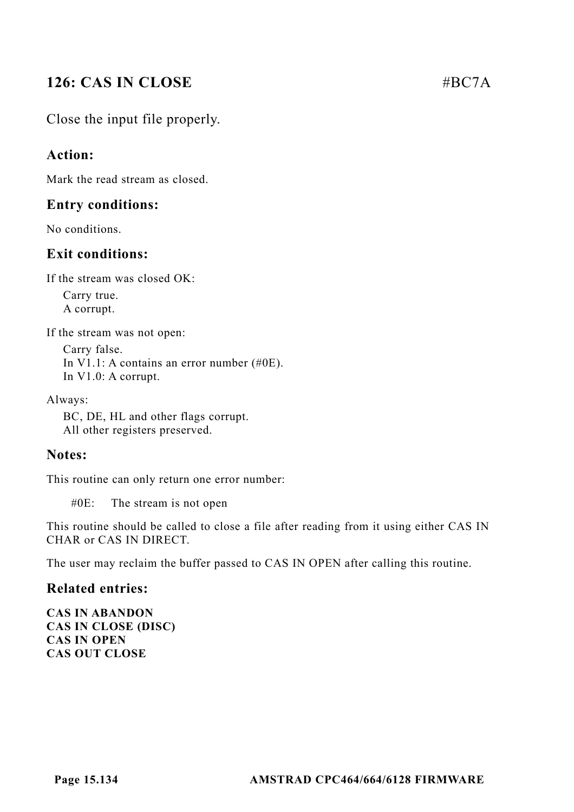# **126: CAS IN CLOSE** #BC7A

Close the input file properly.

## **Action:**

Mark the read stream as closed.

#### **Entry conditions:**

No conditions.

## **Exit conditions:**

If the stream was closed OK:

Carry true. A corrupt.

If the stream was not open:

Carry false. In V1.1: A contains an error number (#0E). In V1.0: A corrupt.

Always:

BC, DE, HL and other flags corrupt. All other registers preserved.

#### **Notes:**

This routine can only return one error number:

#0E: The stream is not open

This routine should be called to close a file after reading from it using either CAS IN CHAR or CAS IN DIRECT.

The user may reclaim the buffer passed to CAS IN OPEN after calling this routine.

#### **Related entries:**

**CAS IN ABANDON CAS IN CLOSE (DISC) CAS IN OPEN CAS OUT CLOSE**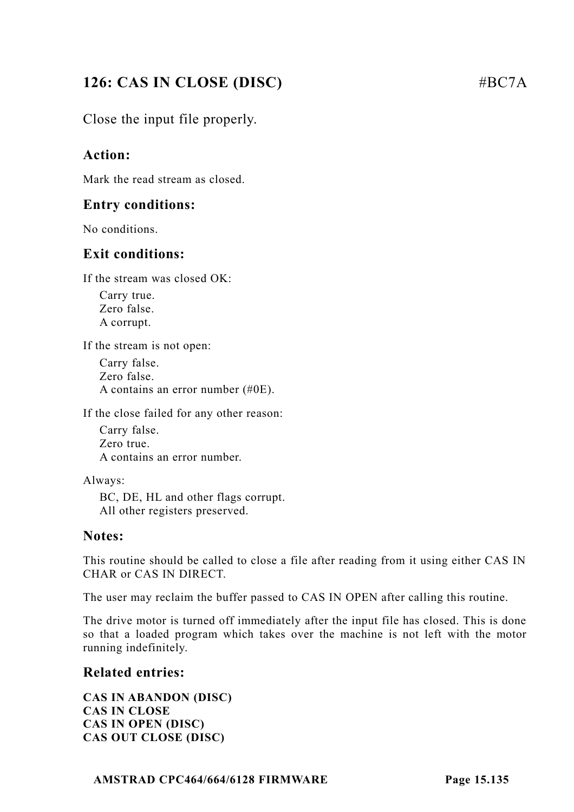# **126: CAS IN CLOSE (DISC)** #BC7A

Close the input file properly.

# **Action:**

Mark the read stream as closed.

### **Entry conditions:**

No conditions.

## **Exit conditions:**

If the stream was closed OK:

Carry true. Zero false. A corrupt.

If the stream is not open:

Carry false. Zero false. A contains an error number (#0E).

If the close failed for any other reason:

Carry false. Zero true. A contains an error number.

Always:

BC, DE, HL and other flags corrupt. All other registers preserved.

#### **Notes:**

This routine should be called to close a file after reading from it using either CAS IN CHAR or CAS IN DIRECT.

The user may reclaim the buffer passed to CAS IN OPEN after calling this routine.

The drive motor is turned off immediately after the input file has closed. This is done so that a loaded program which takes over the machine is not left with the motor running indefinitely.

#### **Related entries:**

**CAS IN ABANDON (DISC) CAS IN CLOSE CAS IN OPEN (DISC) CAS OUT CLOSE (DISC)**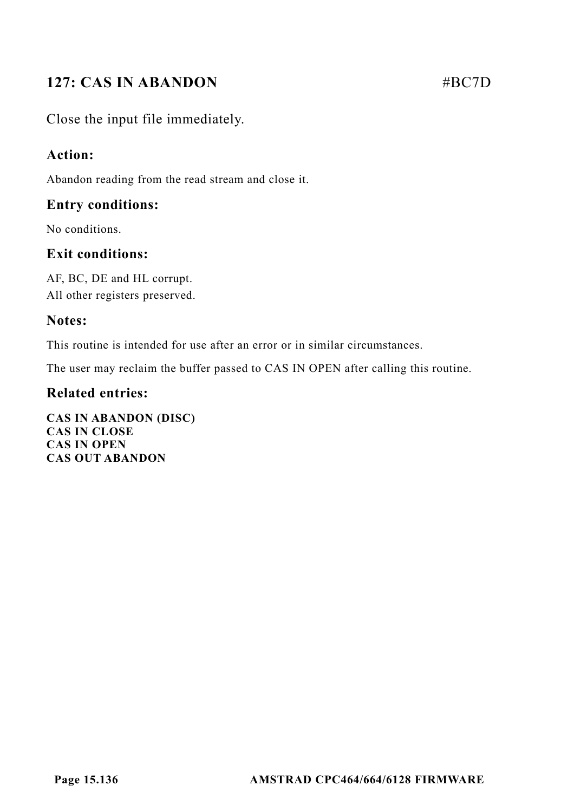# **127: CAS IN ABANDON** #BC7D

Close the input file immediately.

## **Action:**

Abandon reading from the read stream and close it.

## **Entry conditions:**

No conditions.

# **Exit conditions:**

AF, BC, DE and HL corrupt. All other registers preserved.

## **Notes:**

This routine is intended for use after an error or in similar circumstances.

The user may reclaim the buffer passed to CAS IN OPEN after calling this routine.

## **Related entries:**

**CAS IN ABANDON (DISC) CAS IN CLOSE CAS IN OPEN CAS OUT ABANDON**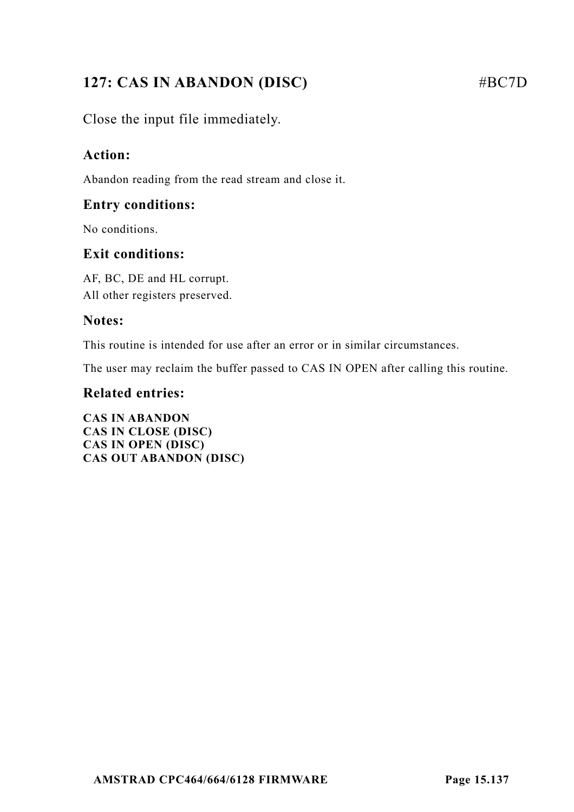# **127: CAS IN ABANDON (DISC)** #BC7D

Close the input file immediately.

# **Action:**

Abandon reading from the read stream and close it.

## **Entry conditions:**

No conditions.

# **Exit conditions:**

AF, BC, DE and HL corrupt. All other registers preserved.

## **Notes:**

This routine is intended for use after an error or in similar circumstances.

The user may reclaim the buffer passed to CAS IN OPEN after calling this routine.

# **Related entries:**

**CAS IN ABANDON CAS IN CLOSE (DISC) CAS IN OPEN (DISC) CAS OUT ABANDON (DISC)**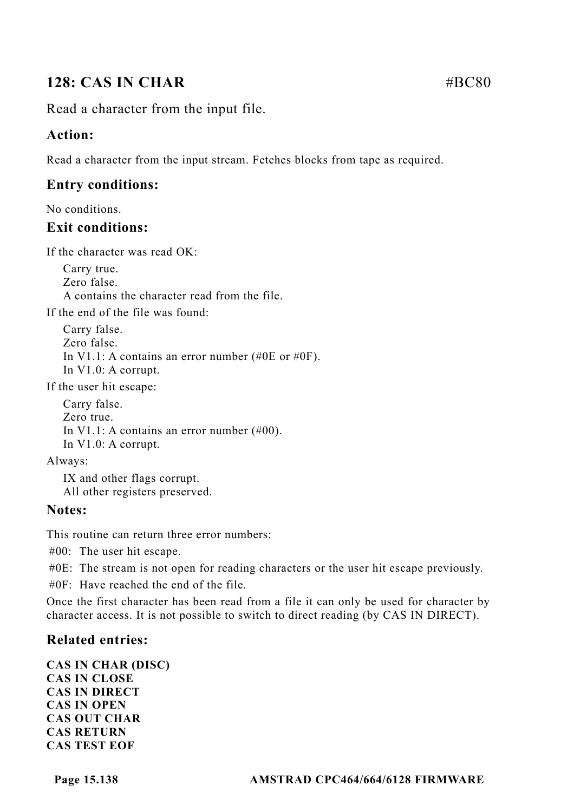# **128: CAS IN CHAR** #BC80

Read a character from the input file.

# **Action:**

Read a character from the input stream. Fetches blocks from tape as required.

# **Entry conditions:**

No conditions.

# **Exit conditions:**

If the character was read OK:

Carry true. Zero false. A contains the character read from the file.

If the end of the file was found:

Carry false. Zero false. In V1.1: A contains an error number (#0E or #0F). In V1.0: A corrupt.

If the user hit escape:

Carry false. Zero true. In V1.1: A contains an error number (#00). In V1.0: A corrupt.

Always:

IX and other flags corrupt. All other registers preserved.

## **Notes:**

This routine can return three error numbers:

#00: The user hit escape.

#0E: The stream is not open for reading characters or the user hit escape previously.

#0F: Have reached the end of the file.

Once the first character has been read from a file it can only be used for character by character access. It is not possible to switch to direct reading (by CAS IN DIRECT).

# **Related entries:**

**CAS IN CHAR (DISC) CAS IN CLOSE CAS IN DIRECT CAS IN OPEN CAS OUT CHAR CAS RETURN CAS TEST EOF**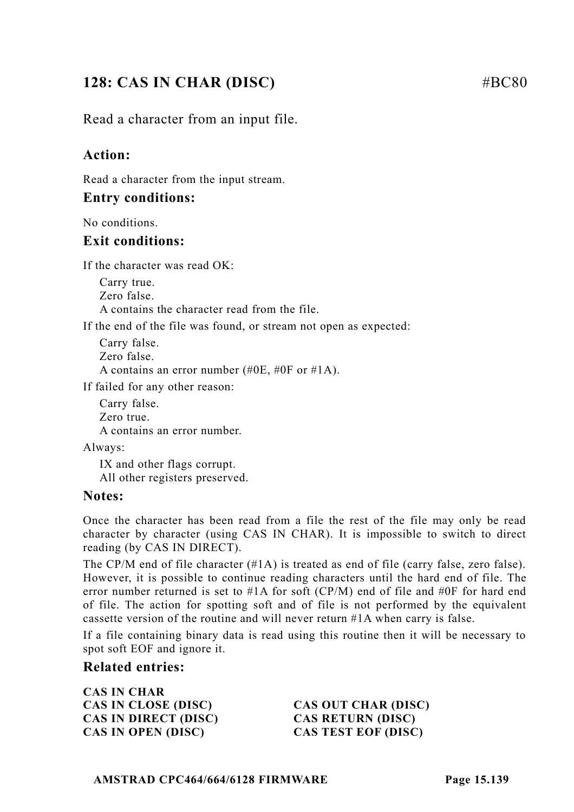# **128: CAS IN CHAR (DISC)** #BC80

Read a character from an input file.

## **Action:**

Read a character from the input stream.

#### **Entry conditions:**

No conditions.

#### **Exit conditions:**

If the character was read OK:

Carry true. Zero false. A contains the character read from the file.

If the end of the file was found, or stream not open as expected:

Carry false. Zero false. A contains an error number (#0E, #0F or #1A).

If failed for any other reason:

Carry false. Zero true. A contains an error number.

Always:

IX and other flags corrupt. All other registers preserved.

#### **Notes:**

Once the character has been read from a file the rest of the file may only be read character by character (using CAS IN CHAR). It is impossible to switch to direct reading (by CAS IN DIRECT).

The CP/M end of file character  $(\text{#1A})$  is treated as end of file (carry false, zero false). However, it is possible to continue reading characters until the hard end of file. The error number returned is set to #1A for soft (CP/M) end of file and #0F for hard end of file. The action for spotting soft and of file is not performed by the equivalent cassette version of the routine and will never return #1A when carry is false.

If a file containing binary data is read using this routine then it will be necessary to spot soft EOF and ignore it.

#### **Related entries:**

**CAS IN CHAR CAS IN CLOSE (DISC) CAS OUT CHAR (DISC) CAS IN DIRECT (DISC) CAS RETURN (DISC) CAS IN OPEN (DISC) CAS TEST EOF (DISC)**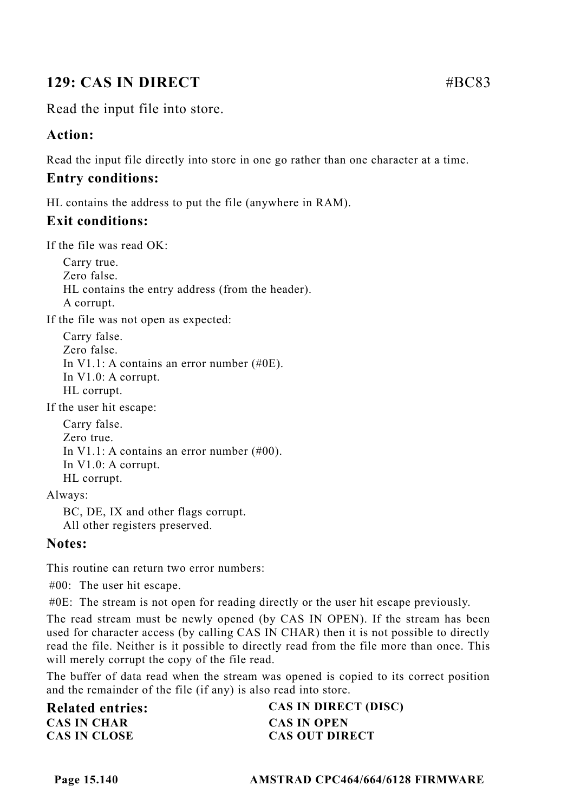# **129: CAS IN DIRECT** #BC83

Read the input file into store.

## **Action:**

Read the input file directly into store in one go rather than one character at a time.

# **Entry conditions:**

HL contains the address to put the file (anywhere in RAM).

# **Exit conditions:**

If the file was read  $\overline{\text{OK}}$ .

Carry true. Zero false. HL contains the entry address (from the header). A corrupt.

If the file was not open as expected:

Carry false. Zero false. In V1.1: A contains an error number (#0E). In V1.0: A corrupt. HL corrupt.

If the user hit escape:

Carry false. Zero true. In V1.1: A contains an error number (#00). In V1.0: A corrupt. HL corrupt.

Always:

BC, DE, IX and other flags corrupt. All other registers preserved.

## **Notes:**

This routine can return two error numbers:

#00: The user hit escape.

#0E: The stream is not open for reading directly or the user hit escape previously.

The read stream must be newly opened (by CAS IN OPEN). If the stream has been used for character access (by calling CAS IN CHAR) then it is not possible to directly read the file. Neither is it possible to directly read from the file more than once. This will merely corrupt the copy of the file read.

The buffer of data read when the stream was opened is copied to its correct position and the remainder of the file (if any) is also read into store.

| <b>Related entries:</b> | CAS IN DIRECT (DISC)  |
|-------------------------|-----------------------|
| <b>CAS IN CHAR</b>      | <b>CAS IN OPEN</b>    |
| <b>CAS IN CLOSE</b>     | <b>CAS OUT DIRECT</b> |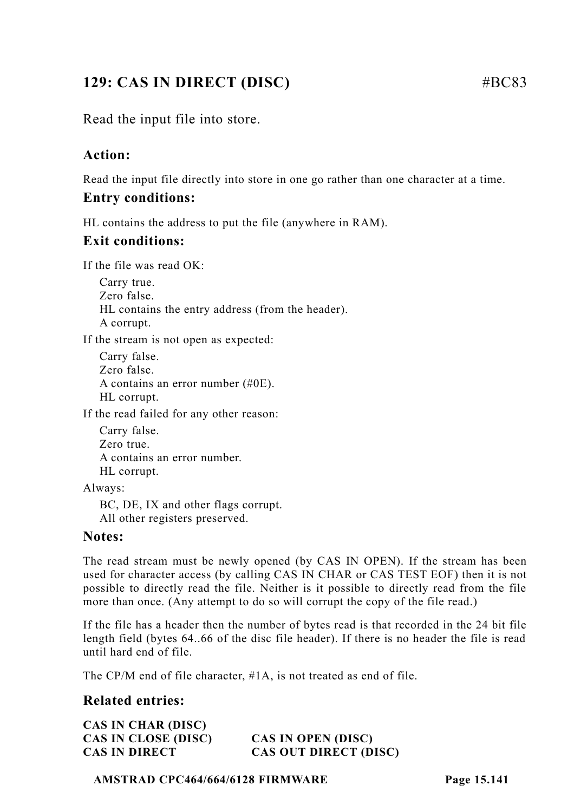# **129: CAS IN DIRECT (DISC)** #BC83

Read the input file into store.

# **Action:**

Read the input file directly into store in one go rather than one character at a time.

#### **Entry conditions:**

HL contains the address to put the file (anywhere in RAM).

#### **Exit conditions:**

If the file was read OK:

Carry true. Zero false. HL contains the entry address (from the header). A corrupt.

If the stream is not open as expected:

Carry false. Zero false. A contains an error number (#0E). HL corrupt.

If the read failed for any other reason:

Carry false. Zero true. A contains an error number. HL corrupt.

Always:

BC, DE, IX and other flags corrupt. All other registers preserved.

#### **Notes:**

The read stream must be newly opened (by CAS IN OPEN). If the stream has been used for character access (by calling CAS IN CHAR or CAS TEST EOF) then it is not possible to directly read the file. Neither is it possible to directly read from the file more than once. (Any attempt to do so will corrupt the copy of the file read.)

If the file has a header then the number of bytes read is that recorded in the 24 bit file length field (bytes 64..66 of the disc file header). If there is no header the file is read until hard end of file.

The CP/M end of file character, #1A, is not treated as end of file.

## **Related entries:**

**CAS IN CHAR (DISC) CAS IN CLOSE (DISC) CAS IN OPEN (DISC)**

**CAS IN DIRECT CAS OUT DIRECT (DISC)**

**AMSTRAD CPC464/664/6128 FIRMWARE Page 15.141**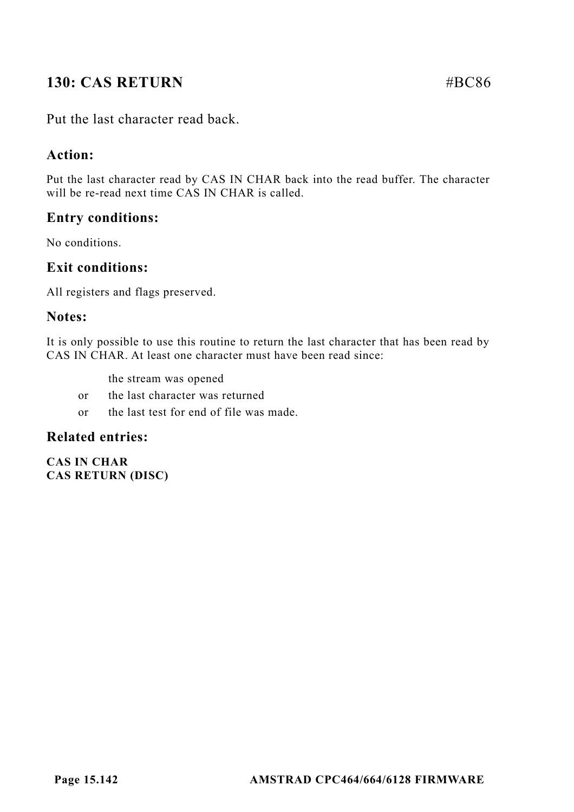# **130: CAS RETURN #BC86**

Put the last character read back.

## **Action:**

Put the last character read by CAS IN CHAR back into the read buffer. The character will be re-read next time CAS IN CHAR is called.

## **Entry conditions:**

No conditions.

#### **Exit conditions:**

All registers and flags preserved.

#### **Notes:**

It is only possible to use this routine to return the last character that has been read by CAS IN CHAR. At least one character must have been read since:

- the stream was opened
- or the last character was returned
- or the last test for end of file was made.

#### **Related entries:**

**CAS IN CHAR CAS RETURN (DISC)**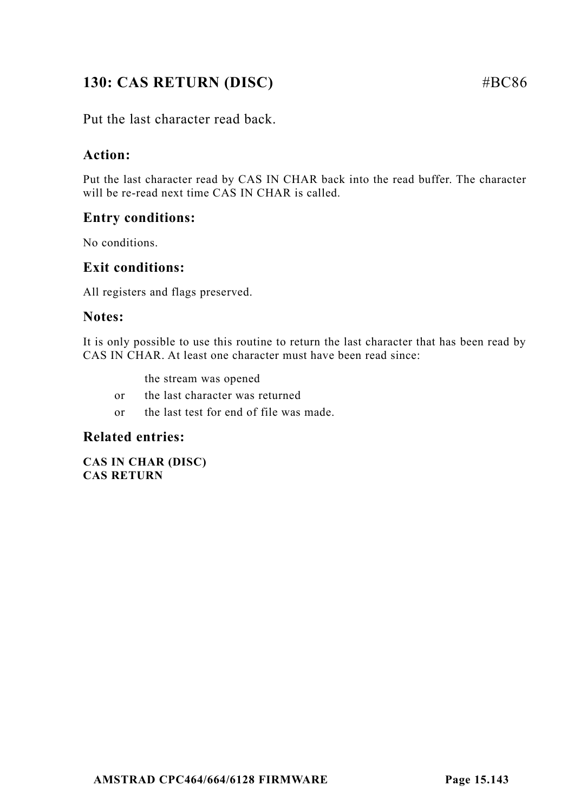# **130: CAS RETURN (DISC)** #BC86

Put the last character read back.

# **Action:**

Put the last character read by CAS IN CHAR back into the read buffer. The character will be re-read next time CAS IN CHAR is called.

# **Entry conditions:**

No conditions.

## **Exit conditions:**

All registers and flags preserved.

#### **Notes:**

It is only possible to use this routine to return the last character that has been read by CAS IN CHAR. At least one character must have been read since:

- the stream was opened
- or the last character was returned
- or the last test for end of file was made.

#### **Related entries:**

**CAS IN CHAR (DISC) CAS RETURN**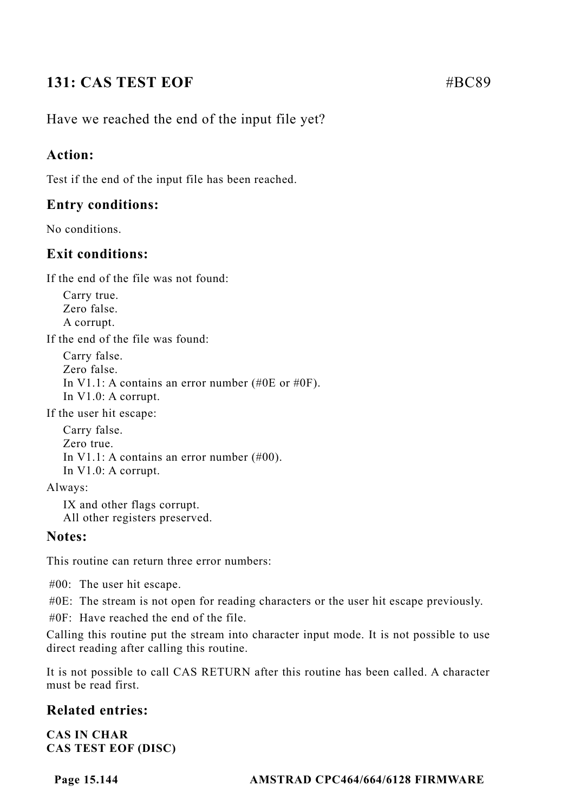# **131: CAS TEST EOF**   $\#BC89$

Have we reached the end of the input file yet?

## **Action:**

Test if the end of the input file has been reached.

## **Entry conditions:**

No conditions.

## **Exit conditions:**

If the end of the file was not found:

Carry true. Zero false. A corrupt.

If the end of the file was found:

Carry false. Zero false. In V1.1: A contains an error number (#0E or #0F). In V1.0: A corrupt.

If the user hit escape:

Carry false. Zero true. In V1.1: A contains an error number (#00). In V1.0: A corrupt.

Always:

IX and other flags corrupt. All other registers preserved.

#### **Notes:**

This routine can return three error numbers:

#00: The user hit escape.

#0E: The stream is not open for reading characters or the user hit escape previously.

#0F: Have reached the end of the file.

Calling this routine put the stream into character input mode. It is not possible to use direct reading after calling this routine.

It is not possible to call CAS RETURN after this routine has been called. A character must be read first.

## **Related entries:**

**CAS IN CHAR CAS TEST EOF (DISC)**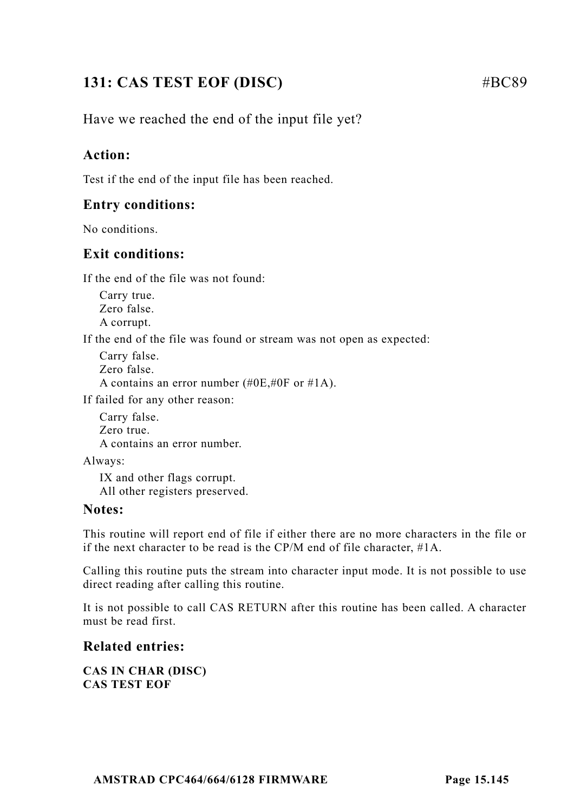# **131: CAS TEST EOF (DISC)** #BC89

Have we reached the end of the input file yet?

## **Action:**

Test if the end of the input file has been reached.

#### **Entry conditions:**

No conditions.

## **Exit conditions:**

If the end of the file was not found:

Carry true. Zero false. A corrupt.

If the end of the file was found or stream was not open as expected:

```
Carry false.
Zero false.
A contains an error number (#0E,#0F or #1A).
```
If failed for any other reason:

Carry false. Zero true. A contains an error number.

Always:

IX and other flags corrupt. All other registers preserved.

#### **Notes:**

This routine will report end of file if either there are no more characters in the file or if the next character to be read is the CP/M end of file character, #1A.

Calling this routine puts the stream into character input mode. It is not possible to use direct reading after calling this routine.

It is not possible to call CAS RETURN after this routine has been called. A character must be read first.

#### **Related entries:**

**CAS IN CHAR (DISC) CAS TEST EOF**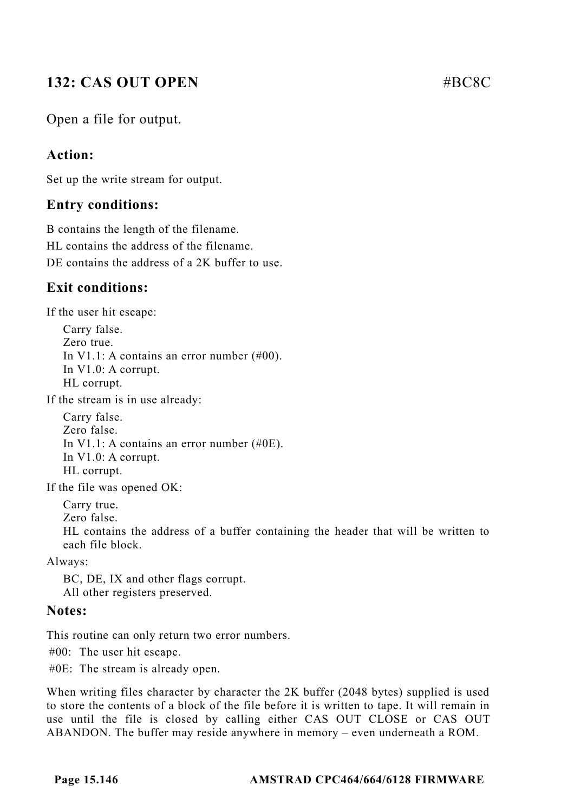# **132: CAS OUT OPEN** #BC8C

Open a file for output.

#### **Action:**

Set up the write stream for output.

#### **Entry conditions:**

B contains the length of the filename. HL contains the address of the filename. DE contains the address of a 2K buffer to use.

## **Exit conditions:**

If the user hit escape:

Carry false. Zero true. In V1.1: A contains an error number (#00). In V1.0: A corrupt. HL corrupt.

If the stream is in use already:

Carry false. Zero false. In V1.1: A contains an error number (#0E). In V1.0: A corrupt. HL corrupt.

If the file was opened OK:

Carry true.

Zero false.

HL contains the address of a buffer containing the header that will be written to each file block.

Always:

BC, DE, IX and other flags corrupt. All other registers preserved.

#### **Notes:**

This routine can only return two error numbers.

#00: The user hit escape.

#0E: The stream is already open.

When writing files character by character the 2K buffer (2048 bytes) supplied is used to store the contents of a block of the file before it is written to tape. It will remain in use until the file is closed by calling either CAS OUT CLOSE or CAS OUT ABANDON. The buffer may reside anywhere in memory – even underneath a ROM.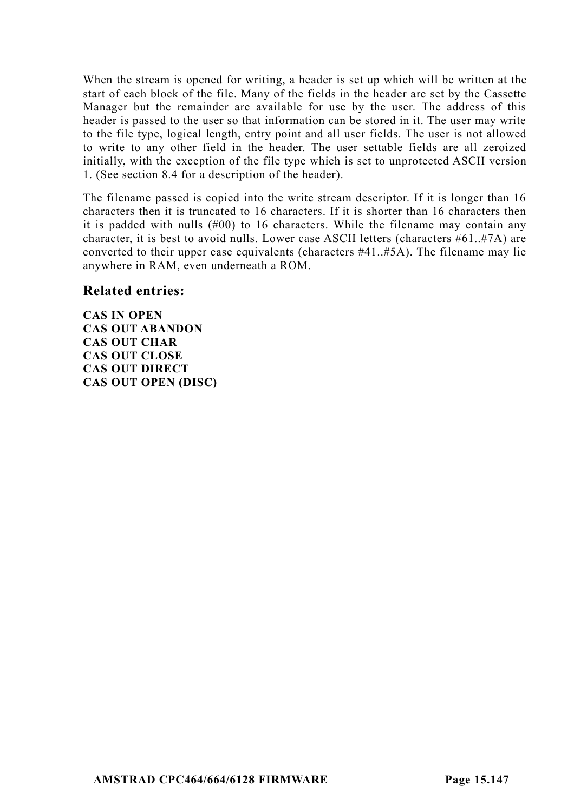When the stream is opened for writing, a header is set up which will be written at the start of each block of the file. Many of the fields in the header are set by the Cassette Manager but the remainder are available for use by the user. The address of this header is passed to the user so that information can be stored in it. The user may write to the file type, logical length, entry point and all user fields. The user is not allowed to write to any other field in the header. The user settable fields are all zeroized initially, with the exception of the file type which is set to unprotected ASCII version 1. (See section 8.4 for a description of the header).

The filename passed is copied into the write stream descriptor. If it is longer than 16 characters then it is truncated to 16 characters. If it is shorter than 16 characters then it is padded with nulls (#00) to 16 characters. While the filename may contain any character, it is best to avoid nulls. Lower case ASCII letters (characters  $#61..#7A$ ) are converted to their upper case equivalents (characters #41..#5A). The filename may lie anywhere in RAM, even underneath a ROM.

#### **Related entries:**

**CAS IN OPEN CAS OUT ABANDON CAS OUT CHAR CAS OUT CLOSE CAS OUT DIRECT CAS OUT OPEN (DISC)**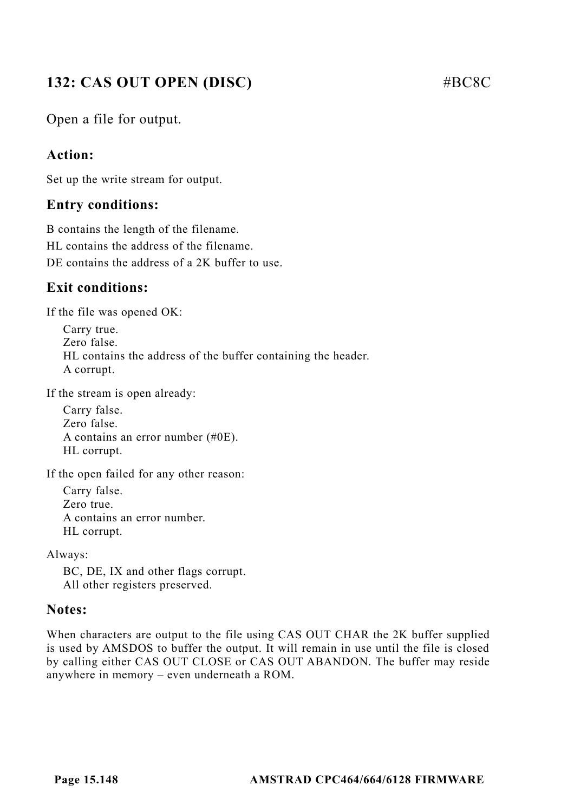# **132: CAS OUT OPEN (DISC)** #BC8C

Open a file for output.

#### **Action:**

Set up the write stream for output.

#### **Entry conditions:**

B contains the length of the filename. HL contains the address of the filename. DE contains the address of a 2K buffer to use.

## **Exit conditions:**

If the file was opened OK:

Carry true. Zero false. HL contains the address of the buffer containing the header. A corrupt.

If the stream is open already:

Carry false. Zero false. A contains an error number (#0E). HL corrupt.

If the open failed for any other reason:

Carry false. Zero true. A contains an error number. HL corrupt.

Always:

BC, DE, IX and other flags corrupt. All other registers preserved.

#### **Notes:**

When characters are output to the file using CAS OUT CHAR the 2K buffer supplied is used by AMSDOS to buffer the output. It will remain in use until the file is closed by calling either CAS OUT CLOSE or CAS OUT ABANDON. The buffer may reside anywhere in memory – even underneath a ROM.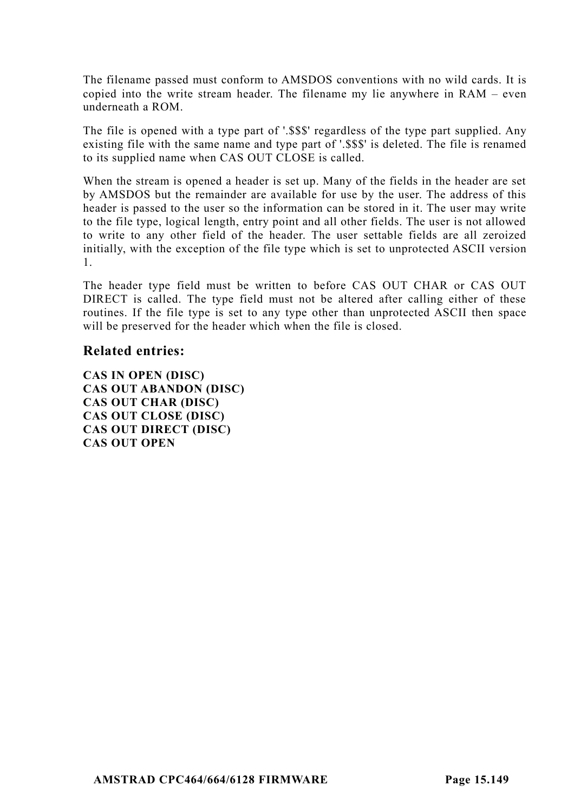The filename passed must conform to AMSDOS conventions with no wild cards. It is copied into the write stream header. The filename my lie anywhere in RAM – even underneath a ROM.

The file is opened with a type part of '.\$\$\$' regardless of the type part supplied. Any existing file with the same name and type part of '.\$\$\$' is deleted. The file is renamed to its supplied name when CAS OUT CLOSE is called.

When the stream is opened a header is set up. Many of the fields in the header are set by AMSDOS but the remainder are available for use by the user. The address of this header is passed to the user so the information can be stored in it. The user may write to the file type, logical length, entry point and all other fields. The user is not allowed to write to any other field of the header. The user settable fields are all zeroized initially, with the exception of the file type which is set to unprotected ASCII version 1.

The header type field must be written to before CAS OUT CHAR or CAS OUT DIRECT is called. The type field must not be altered after calling either of these routines. If the file type is set to any type other than unprotected ASCII then space will be preserved for the header which when the file is closed.

#### **Related entries:**

**CAS IN OPEN (DISC) CAS OUT ABANDON (DISC) CAS OUT CHAR (DISC) CAS OUT CLOSE (DISC) CAS OUT DIRECT (DISC) CAS OUT OPEN**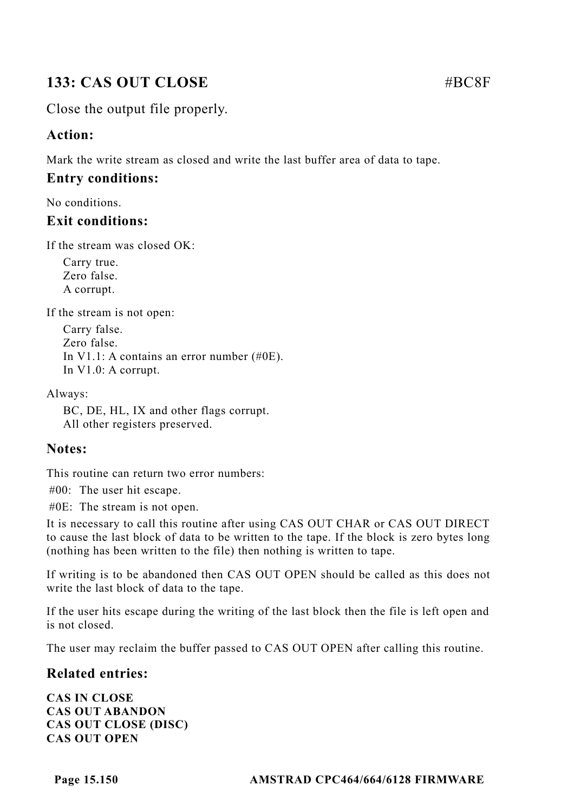# **133: CAS OUT CLOSE** #BC8F

Close the output file properly.

## **Action:**

Mark the write stream as closed and write the last buffer area of data to tape.

## **Entry conditions:**

No conditions.

#### **Exit conditions:**

If the stream was closed OK:

Carry true. Zero false. A corrupt.

If the stream is not open:

Carry false. Zero false. In V1.1: A contains an error number (#0E). In V1.0: A corrupt.

Always:

BC, DE, HL, IX and other flags corrupt. All other registers preserved.

## **Notes:**

This routine can return two error numbers:

#00: The user hit escape.

#0E: The stream is not open.

It is necessary to call this routine after using CAS OUT CHAR or CAS OUT DIRECT to cause the last block of data to be written to the tape. If the block is zero bytes long (nothing has been written to the file) then nothing is written to tape.

If writing is to be abandoned then CAS OUT OPEN should be called as this does not write the last block of data to the tape.

If the user hits escape during the writing of the last block then the file is left open and is not closed.

The user may reclaim the buffer passed to CAS OUT OPEN after calling this routine.

## **Related entries:**

**CAS IN CLOSE CAS OUT ABANDON CAS OUT CLOSE (DISC) CAS OUT OPEN**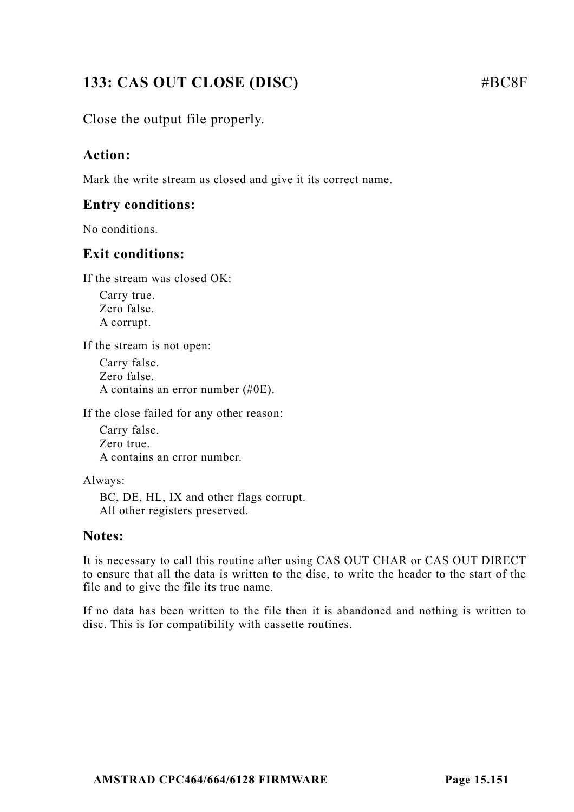# **133: CAS OUT CLOSE (DISC)** #BC8F

## Close the output file properly.

#### **Action:**

Mark the write stream as closed and give it its correct name.

#### **Entry conditions:**

No conditions.

#### **Exit conditions:**

If the stream was closed OK:

Carry true. Zero false. A corrupt.

If the stream is not open:

Carry false. Zero false. A contains an error number (#0E).

If the close failed for any other reason:

Carry false. Zero true. A contains an error number.

Always:

BC, DE, HL, IX and other flags corrupt. All other registers preserved.

#### **Notes:**

It is necessary to call this routine after using CAS OUT CHAR or CAS OUT DIRECT to ensure that all the data is written to the disc, to write the header to the start of the file and to give the file its true name.

If no data has been written to the file then it is abandoned and nothing is written to disc. This is for compatibility with cassette routines.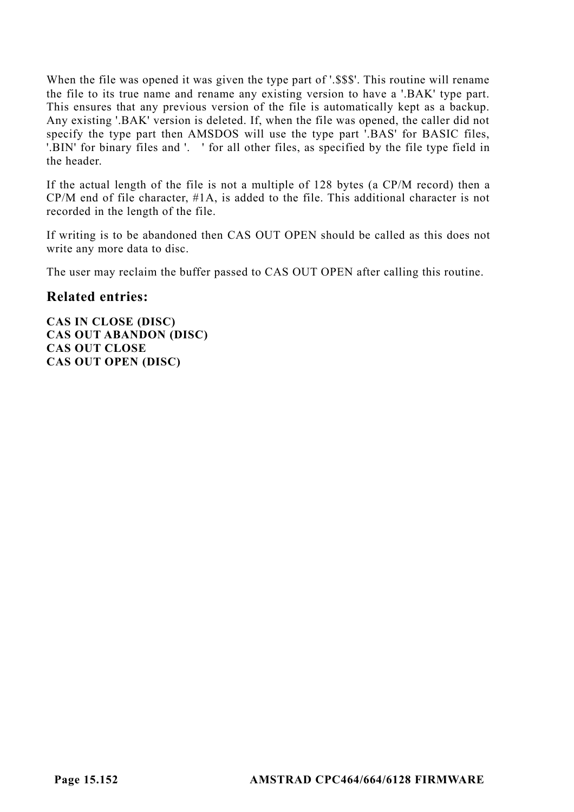When the file was opened it was given the type part of '.\$\$\$'. This routine will rename the file to its true name and rename any existing version to have a '.BAK' type part. This ensures that any previous version of the file is automatically kept as a backup. Any existing '.BAK' version is deleted. If, when the file was opened, the caller did not specify the type part then AMSDOS will use the type part '.BAS' for BASIC files, '.BIN' for binary files and '. ' for all other files, as specified by the file type field in the header.

If the actual length of the file is not a multiple of 128 bytes (a CP/M record) then a CP/M end of file character, #1A, is added to the file. This additional character is not recorded in the length of the file.

If writing is to be abandoned then CAS OUT OPEN should be called as this does not write any more data to disc.

The user may reclaim the buffer passed to CAS OUT OPEN after calling this routine.

#### **Related entries:**

**CAS IN CLOSE (DISC) CAS OUT ABANDON (DISC) CAS OUT CLOSE CAS OUT OPEN (DISC)**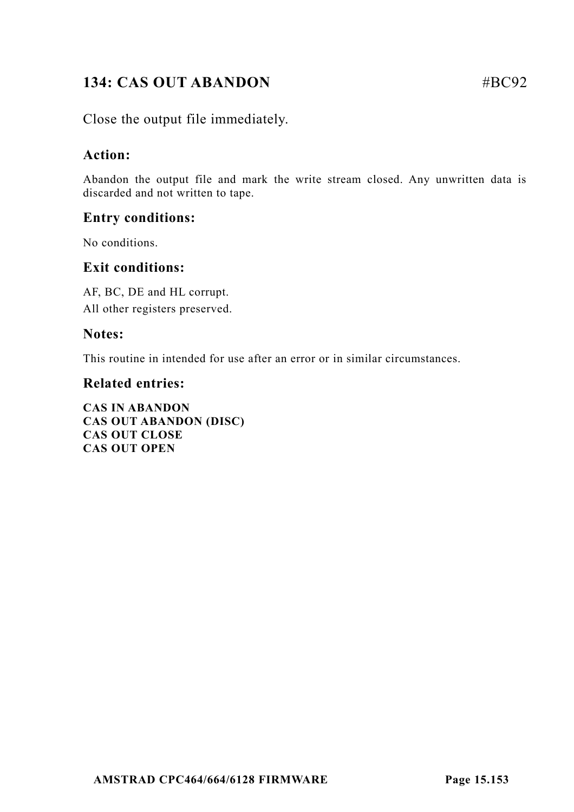# **134: CAS OUT ABANDON** #BC92

Close the output file immediately.

#### **Action:**

Abandon the output file and mark the write stream closed. Any unwritten data is discarded and not written to tape.

## **Entry conditions:**

No conditions.

#### **Exit conditions:**

AF, BC, DE and HL corrupt. All other registers preserved.

#### **Notes:**

This routine in intended for use after an error or in similar circumstances.

#### **Related entries:**

**CAS IN ABANDON CAS OUT ABANDON (DISC) CAS OUT CLOSE CAS OUT OPEN**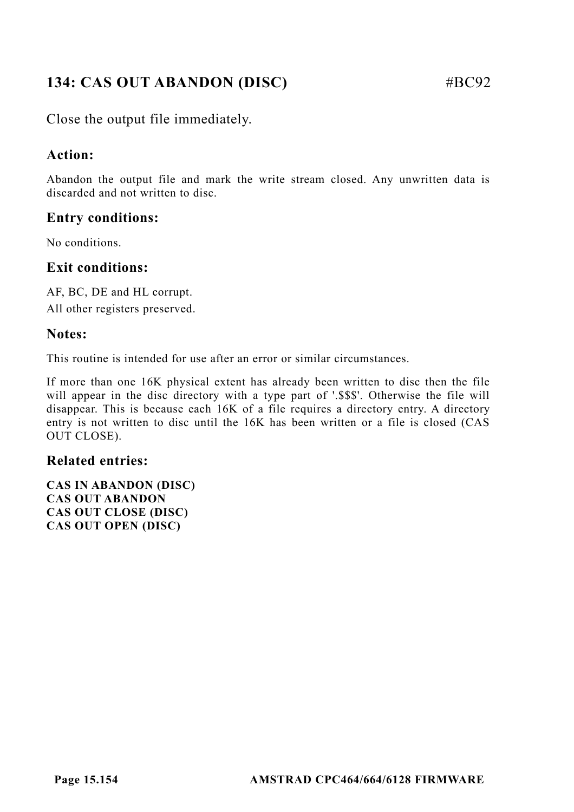# **134: CAS OUT ABANDON (DISC)** #BC92

Close the output file immediately.

#### **Action:**

Abandon the output file and mark the write stream closed. Any unwritten data is discarded and not written to disc.

## **Entry conditions:**

No conditions.

#### **Exit conditions:**

AF, BC, DE and HL corrupt. All other registers preserved.

#### **Notes:**

This routine is intended for use after an error or similar circumstances.

If more than one 16K physical extent has already been written to disc then the file will appear in the disc directory with a type part of '.\$\$\$'. Otherwise the file will disappear. This is because each 16K of a file requires a directory entry. A directory entry is not written to disc until the 16K has been written or a file is closed (CAS OUT CLOSE).

#### **Related entries:**

**CAS IN ABANDON (DISC) CAS OUT ABANDON CAS OUT CLOSE (DISC) CAS OUT OPEN (DISC)**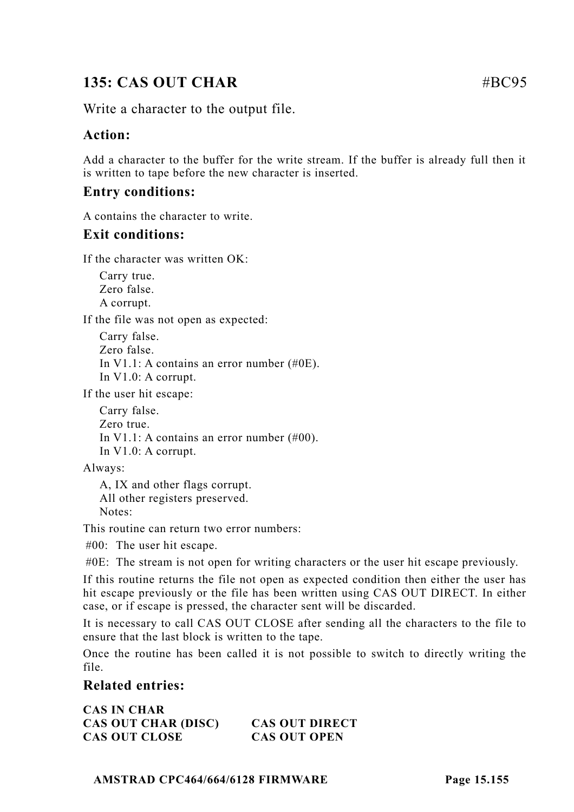# **135: CAS OUT CHAR #BC95**

Write a character to the output file.

#### **Action:**

Add a character to the buffer for the write stream. If the buffer is already full then it is written to tape before the new character is inserted.

#### **Entry conditions:**

A contains the character to write.

#### **Exit conditions:**

If the character was written OK:

Carry true. Zero false. A corrupt.

If the file was not open as expected:

Carry false. Zero false. In V1.1: A contains an error number (#0E). In V1.0: A corrupt.

If the user hit escape:

Carry false. Zero true. In V1.1: A contains an error number (#00). In V1.0: A corrupt.

Always:

A, IX and other flags corrupt. All other registers preserved. Notes:

This routine can return two error numbers:

#00: The user hit escape.

#0E: The stream is not open for writing characters or the user hit escape previously.

If this routine returns the file not open as expected condition then either the user has hit escape previously or the file has been written using CAS OUT DIRECT. In either case, or if escape is pressed, the character sent will be discarded.

It is necessary to call CAS OUT CLOSE after sending all the characters to the file to ensure that the last block is written to the tape.

Once the routine has been called it is not possible to switch to directly writing the file.

#### **Related entries:**

**CAS IN CHAR CAS OUT CHAR (DISC) CAS OUT DIRECT CAS OUT CLOSE CAS OUT OPEN**

**AMSTRAD CPC464/664/6128 FIRMWARE Page 15.155**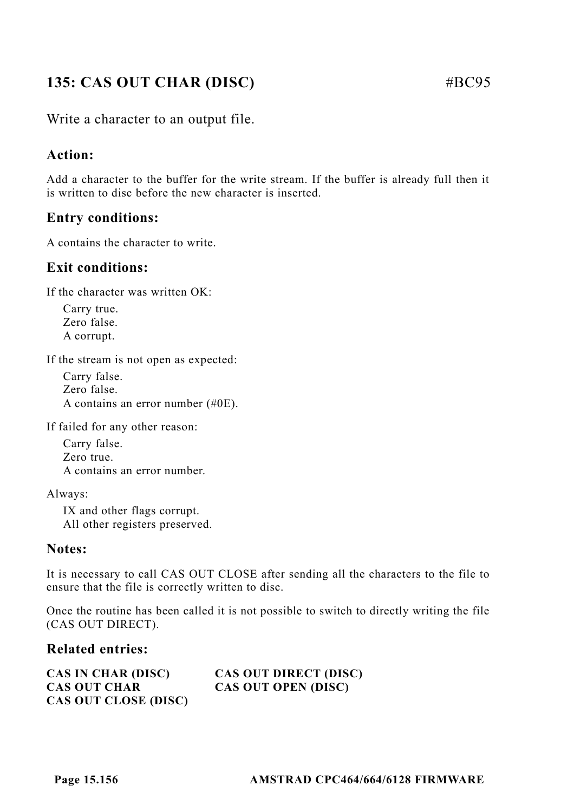# **135: CAS OUT CHAR (DISC)** #BC95

Write a character to an output file.

## **Action:**

Add a character to the buffer for the write stream. If the buffer is already full then it is written to disc before the new character is inserted.

## **Entry conditions:**

A contains the character to write.

#### **Exit conditions:**

If the character was written OK:

Carry true. Zero false. A corrupt.

If the stream is not open as expected:

Carry false. Zero false. A contains an error number (#0E).

If failed for any other reason:

Carry false. Zero true. A contains an error number.

Always:

IX and other flags corrupt. All other registers preserved.

#### **Notes:**

It is necessary to call CAS OUT CLOSE after sending all the characters to the file to ensure that the file is correctly written to disc.

Once the routine has been called it is not possible to switch to directly writing the file (CAS OUT DIRECT).

#### **Related entries:**

| <b>CAS IN CHAR (DISC)</b> | CAS OUT DIRECT (DISC) |
|---------------------------|-----------------------|
| <b>CAS OUT CHAR</b>       | CAS OUT OPEN (DISC)   |
| CAS OUT CLOSE (DISC)      |                       |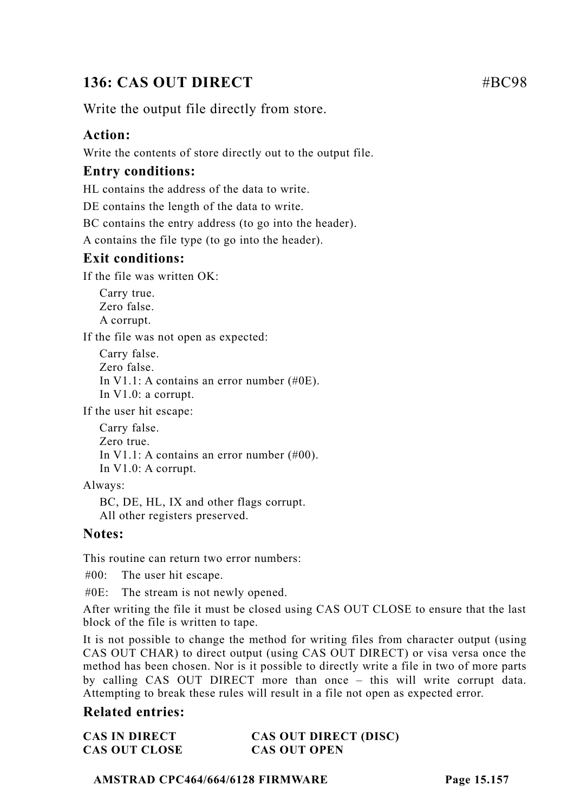# **136: CAS OUT DIRECT** #BC98

Write the output file directly from store.

#### **Action:**

Write the contents of store directly out to the output file.

#### **Entry conditions:**

HL contains the address of the data to write.

DE contains the length of the data to write.

BC contains the entry address (to go into the header).

A contains the file type (to go into the header).

#### **Exit conditions:**

If the file was written OK:

Carry true. Zero false. A corrupt.

If the file was not open as expected:

Carry false. Zero false. In V1.1: A contains an error number (#0E). In V1.0: a corrupt.

If the user hit escape:

Carry false. Zero true. In V1.1: A contains an error number (#00). In V1.0: A corrupt.

Always:

BC, DE, HL, IX and other flags corrupt. All other registers preserved.

#### **Notes:**

This routine can return two error numbers:

#00: The user hit escape.

#0E: The stream is not newly opened.

After writing the file it must be closed using CAS OUT CLOSE to ensure that the last block of the file is written to tape.

It is not possible to change the method for writing files from character output (using CAS OUT CHAR) to direct output (using CAS OUT DIRECT) or visa versa once the method has been chosen. Nor is it possible to directly write a file in two of more parts by calling CAS OUT DIRECT more than once – this will write corrupt data. Attempting to break these rules will result in a file not open as expected error.

#### **Related entries:**

| <b>CAS IN DIRECT</b> | CAS OUT DIRECT (DISC) |
|----------------------|-----------------------|
| <b>CAS OUT CLOSE</b> | <b>CAS OUT OPEN</b>   |

#### **AMSTRAD CPC464/664/6128 FIRMWARE Page 15.157**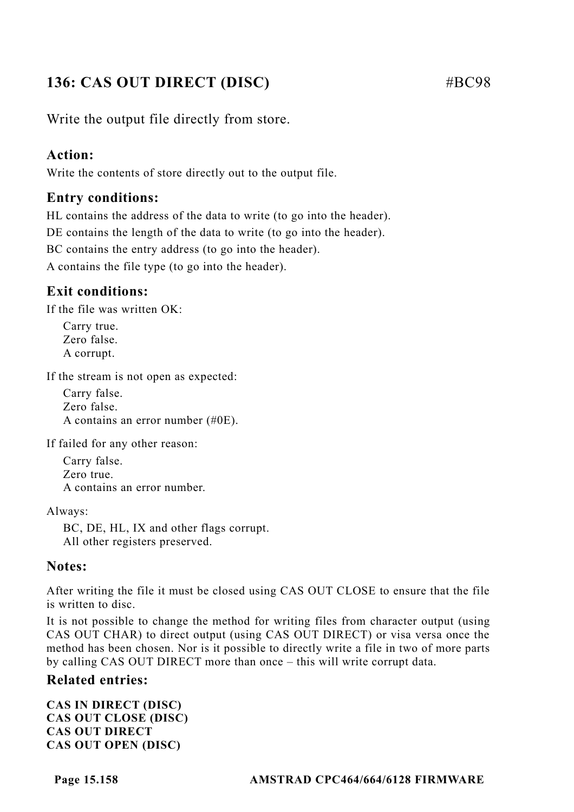# **136: CAS OUT DIRECT (DISC)** #BC98

Write the output file directly from store.

#### **Action:**

Write the contents of store directly out to the output file.

#### **Entry conditions:**

HL contains the address of the data to write (to go into the header). DE contains the length of the data to write (to go into the header). BC contains the entry address (to go into the header). A contains the file type (to go into the header).

## **Exit conditions:**

If the file was written OK:

Carry true. Zero false. A corrupt.

If the stream is not open as expected:

Carry false. Zero false. A contains an error number (#0E).

If failed for any other reason:

Carry false. Zero true. A contains an error number.

Always:

BC, DE, HL, IX and other flags corrupt. All other registers preserved.

#### **Notes:**

After writing the file it must be closed using CAS OUT CLOSE to ensure that the file is written to disc.

It is not possible to change the method for writing files from character output (using CAS OUT CHAR) to direct output (using CAS OUT DIRECT) or visa versa once the method has been chosen. Nor is it possible to directly write a file in two of more parts by calling CAS OUT DIRECT more than once – this will write corrupt data.

#### **Related entries:**

**CAS IN DIRECT (DISC) CAS OUT CLOSE (DISC) CAS OUT DIRECT CAS OUT OPEN (DISC)**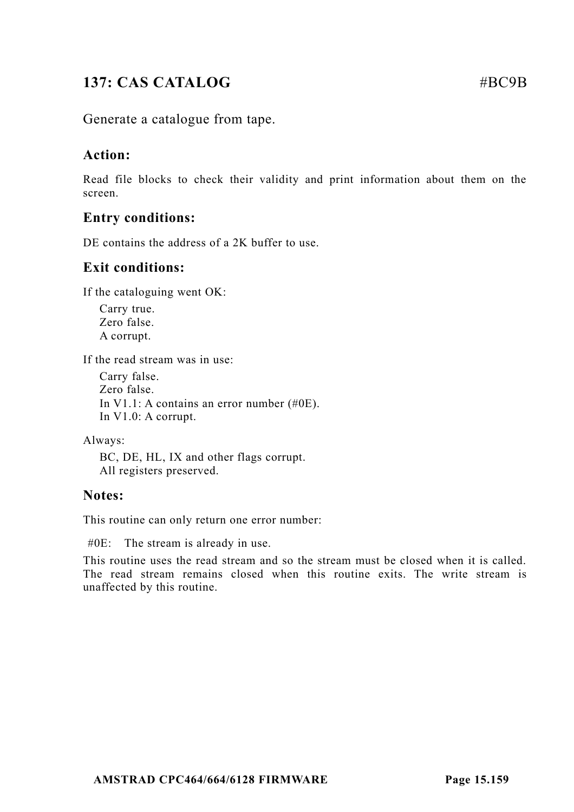# **137: CAS CATALOG** #BC9B

Generate a catalogue from tape.

#### **Action:**

Read file blocks to check their validity and print information about them on the screen.

#### **Entry conditions:**

DE contains the address of a 2K buffer to use.

#### **Exit conditions:**

If the cataloguing went OK:

Carry true. Zero false. A corrupt.

If the read stream was in use:

Carry false. Zero false. In V1.1: A contains an error number (#0E). In V1.0: A corrupt.

Always:

BC, DE, HL, IX and other flags corrupt. All registers preserved.

#### **Notes:**

This routine can only return one error number:

#0E: The stream is already in use.

This routine uses the read stream and so the stream must be closed when it is called. The read stream remains closed when this routine exits. The write stream is unaffected by this routine.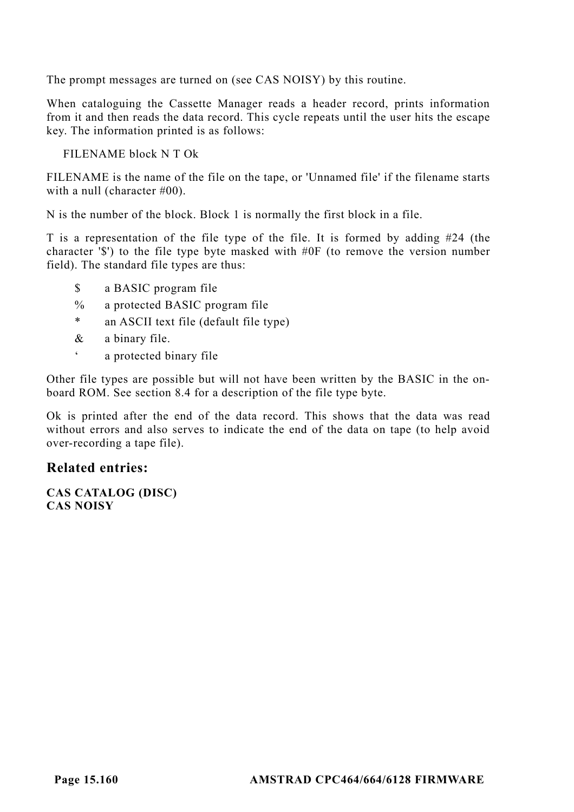The prompt messages are turned on (see CAS NOISY) by this routine.

When cataloguing the Cassette Manager reads a header record, prints information from it and then reads the data record. This cycle repeats until the user hits the escape key. The information printed is as follows:

FILENAME block N T Ok

FILENAME is the name of the file on the tape, or 'Unnamed file' if the filename starts with a null (character #00).

N is the number of the block. Block 1 is normally the first block in a file.

T is a representation of the file type of the file. It is formed by adding #24 (the character '\$') to the file type byte masked with #0F (to remove the version number field). The standard file types are thus:

- \$ a BASIC program file
- % a protected BASIC program file
- \* an ASCII text file (default file type)
- & a binary file.
- ' a protected binary file

Other file types are possible but will not have been written by the BASIC in the onboard ROM. See section 8.4 for a description of the file type byte.

Ok is printed after the end of the data record. This shows that the data was read without errors and also serves to indicate the end of the data on tape (to help avoid over-recording a tape file).

#### **Related entries:**

**CAS CATALOG (DISC) CAS NOISY**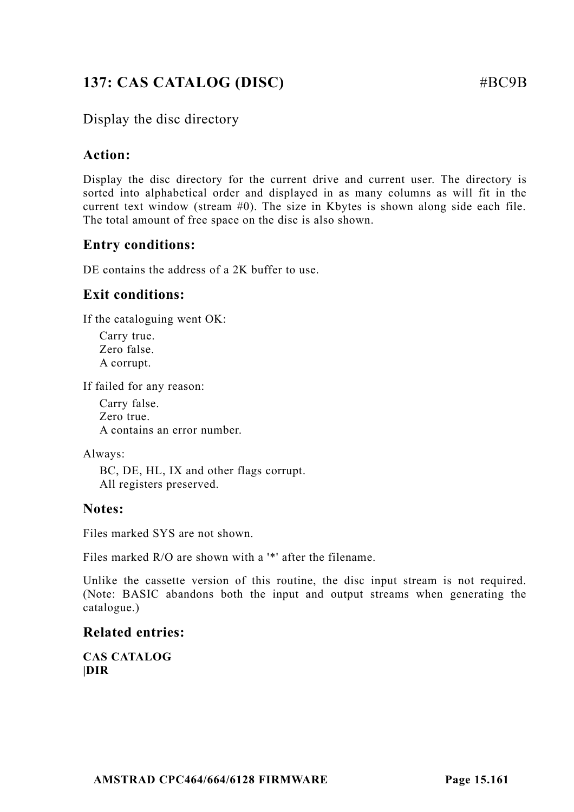# **137: CAS CATALOG (DISC)** #BC9B

## Display the disc directory

#### **Action:**

Display the disc directory for the current drive and current user. The directory is sorted into alphabetical order and displayed in as many columns as will fit in the current text window (stream  $#0$ ). The size in Kbytes is shown along side each file. The total amount of free space on the disc is also shown.

## **Entry conditions:**

DE contains the address of a 2K buffer to use.

## **Exit conditions:**

If the cataloguing went OK:

Carry true. Zero false. A corrupt.

If failed for any reason:

Carry false. Zero true. A contains an error number.

Always:

BC, DE, HL, IX and other flags corrupt. All registers preserved.

#### **Notes:**

Files marked SYS are not shown.

Files marked R/O are shown with a '\*' after the filename.

Unlike the cassette version of this routine, the disc input stream is not required. (Note: BASIC abandons both the input and output streams when generating the catalogue.)

#### **Related entries:**

**CAS CATALOG |DIR**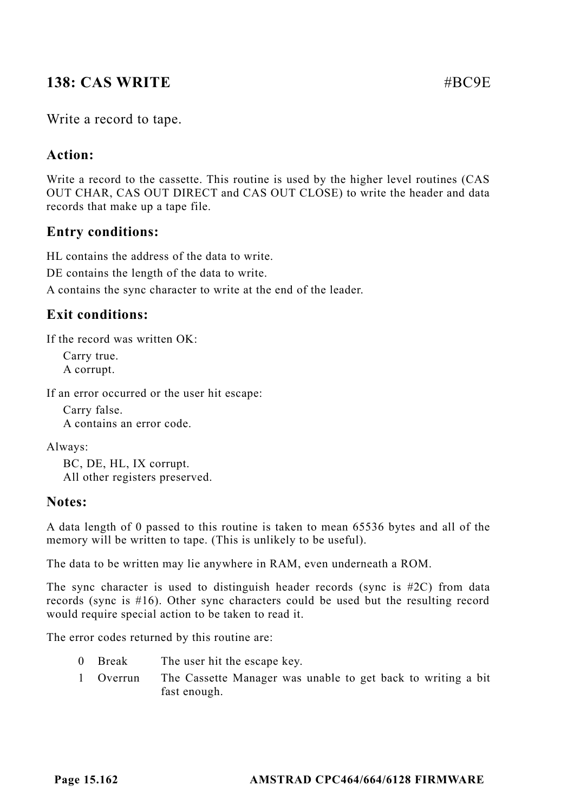## **138: CAS WRITE**  $\# \text{RC9E}$

#### Write a record to tape.

#### **Action:**

Write a record to the cassette. This routine is used by the higher level routines (CAS OUT CHAR, CAS OUT DIRECT and CAS OUT CLOSE) to write the header and data records that make up a tape file.

#### **Entry conditions:**

HL contains the address of the data to write.

DE contains the length of the data to write.

A contains the sync character to write at the end of the leader.

#### **Exit conditions:**

If the record was written OK:

Carry true. A corrupt.

If an error occurred or the user hit escape:

Carry false. A contains an error code.

Always:

BC, DE, HL, IX corrupt. All other registers preserved.

#### **Notes:**

A data length of 0 passed to this routine is taken to mean 65536 bytes and all of the memory will be written to tape. (This is unlikely to be useful).

The data to be written may lie anywhere in RAM, even underneath a ROM.

The sync character is used to distinguish header records (sync is #2C) from data records (sync is #16). Other sync characters could be used but the resulting record would require special action to be taken to read it.

The error codes returned by this routine are:

- 0 Break The user hit the escape key.
- 1 Overrun The Cassette Manager was unable to get back to writing a bit fast enough.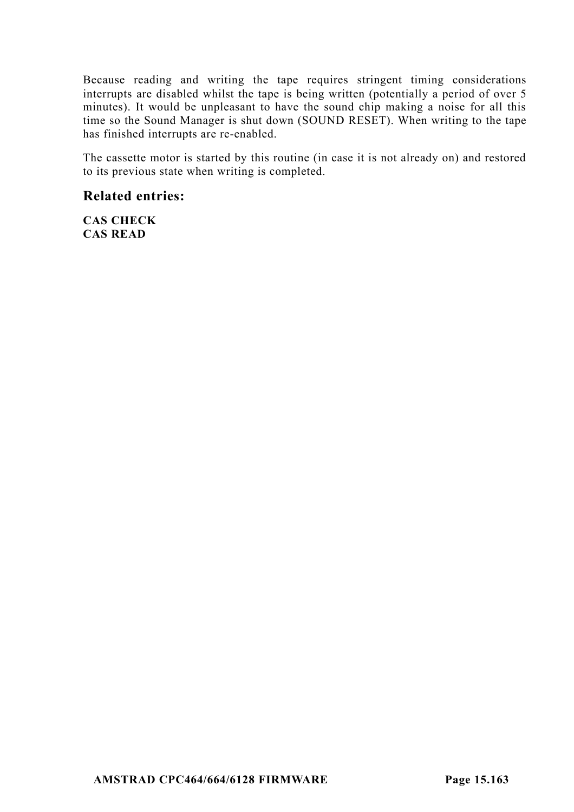Because reading and writing the tape requires stringent timing considerations interrupts are disabled whilst the tape is being written (potentially a period of over 5 minutes). It would be unpleasant to have the sound chip making a noise for all this time so the Sound Manager is shut down (SOUND RESET). When writing to the tape has finished interrupts are re-enabled.

The cassette motor is started by this routine (in case it is not already on) and restored to its previous state when writing is completed.

#### **Related entries:**

**CAS CHECK CAS READ**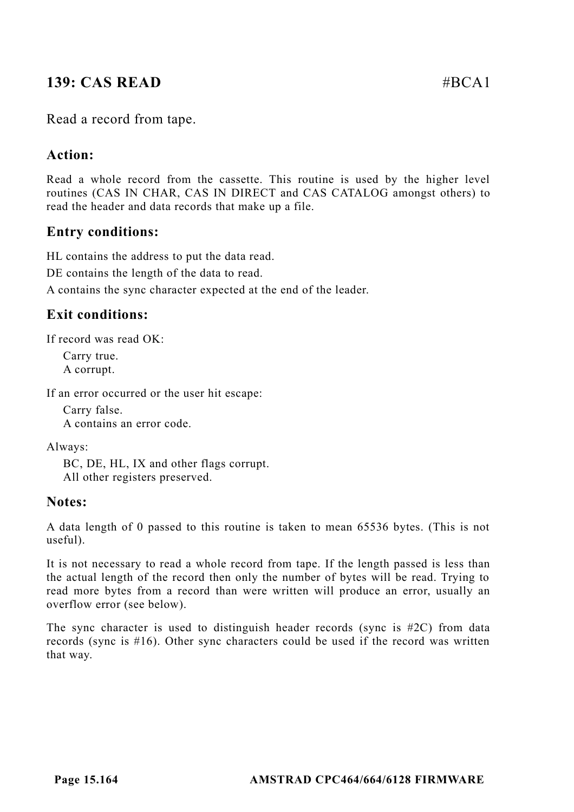## **139: CAS READ #BCA1**

#### Read a record from tape.

#### **Action:**

Read a whole record from the cassette. This routine is used by the higher level routines (CAS IN CHAR, CAS IN DIRECT and CAS CATALOG amongst others) to read the header and data records that make up a file.

#### **Entry conditions:**

HL contains the address to put the data read.

DE contains the length of the data to read.

A contains the sync character expected at the end of the leader.

#### **Exit conditions:**

If record was read OK:

Carry true. A corrupt.

If an error occurred or the user hit escape:

Carry false. A contains an error code.

Always:

BC, DE, HL, IX and other flags corrupt. All other registers preserved.

#### **Notes:**

A data length of 0 passed to this routine is taken to mean 65536 bytes. (This is not useful).

It is not necessary to read a whole record from tape. If the length passed is less than the actual length of the record then only the number of bytes will be read. Trying to read more bytes from a record than were written will produce an error, usually an overflow error (see below).

The sync character is used to distinguish header records (sync is #2C) from data records (sync is #16). Other sync characters could be used if the record was written that way.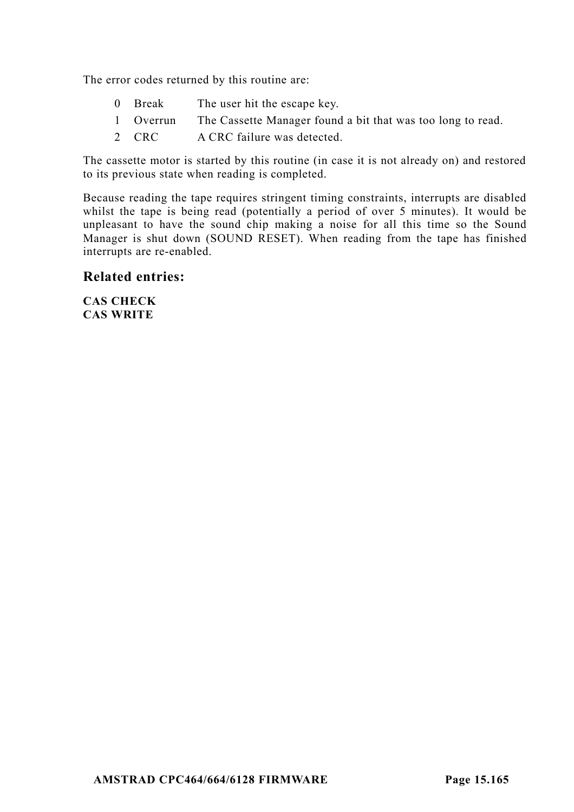The error codes returned by this routine are:

- 0 Break The user hit the escape key.
- 1 Overrun The Cassette Manager found a bit that was too long to read.
- 2 CRC A CRC failure was detected.

The cassette motor is started by this routine (in case it is not already on) and restored to its previous state when reading is completed.

Because reading the tape requires stringent timing constraints, interrupts are disabled whilst the tape is being read (potentially a period of over 5 minutes). It would be unpleasant to have the sound chip making a noise for all this time so the Sound Manager is shut down (SOUND RESET). When reading from the tape has finished interrupts are re-enabled.

#### **Related entries:**

**CAS CHECK CAS WRITE**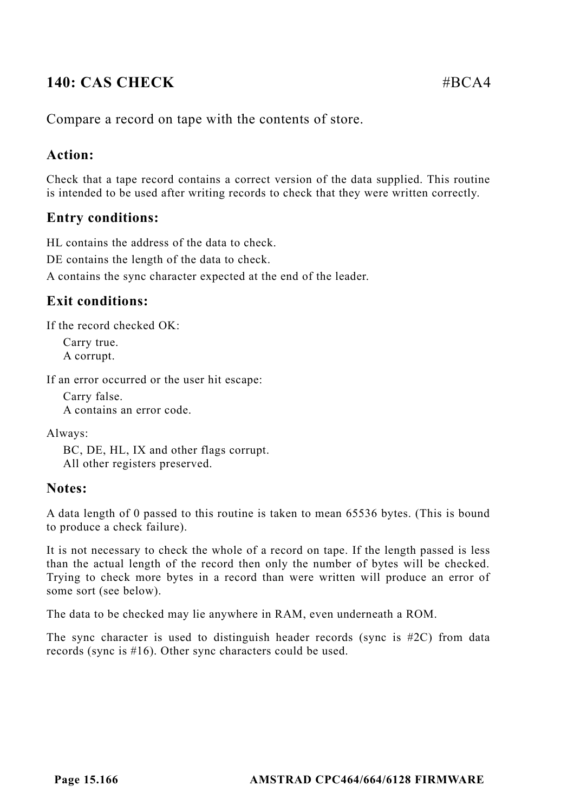# **140: CAS CHECK** #BCA4

Compare a record on tape with the contents of store.

## **Action:**

Check that a tape record contains a correct version of the data supplied. This routine is intended to be used after writing records to check that they were written correctly.

## **Entry conditions:**

HL contains the address of the data to check.

DE contains the length of the data to check.

A contains the sync character expected at the end of the leader.

## **Exit conditions:**

If the record checked OK:

Carry true. A corrupt.

If an error occurred or the user hit escape:

Carry false. A contains an error code.

Always:

BC, DE, HL, IX and other flags corrupt. All other registers preserved.

## **Notes:**

A data length of 0 passed to this routine is taken to mean 65536 bytes. (This is bound to produce a check failure).

It is not necessary to check the whole of a record on tape. If the length passed is less than the actual length of the record then only the number of bytes will be checked. Trying to check more bytes in a record than were written will produce an error of some sort (see below).

The data to be checked may lie anywhere in RAM, even underneath a ROM.

The sync character is used to distinguish header records (sync is  $#2C$ ) from data records (sync is #16). Other sync characters could be used.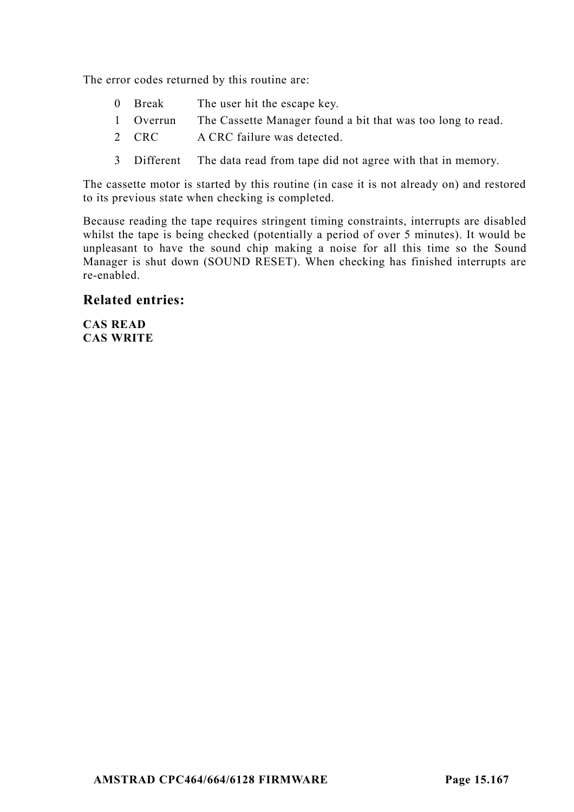The error codes returned by this routine are:

- 0 Break The user hit the escape key.
- 1 Overrun The Cassette Manager found a bit that was too long to read.
- 2 CRC A CRC failure was detected.
- 3 Different The data read from tape did not agree with that in memory.

The cassette motor is started by this routine (in case it is not already on) and restored to its previous state when checking is completed.

Because reading the tape requires stringent timing constraints, interrupts are disabled whilst the tape is being checked (potentially a period of over 5 minutes). It would be unpleasant to have the sound chip making a noise for all this time so the Sound Manager is shut down (SOUND RESET). When checking has finished interrupts are re-enabled.

#### **Related entries:**

**CAS READ CAS WRITE**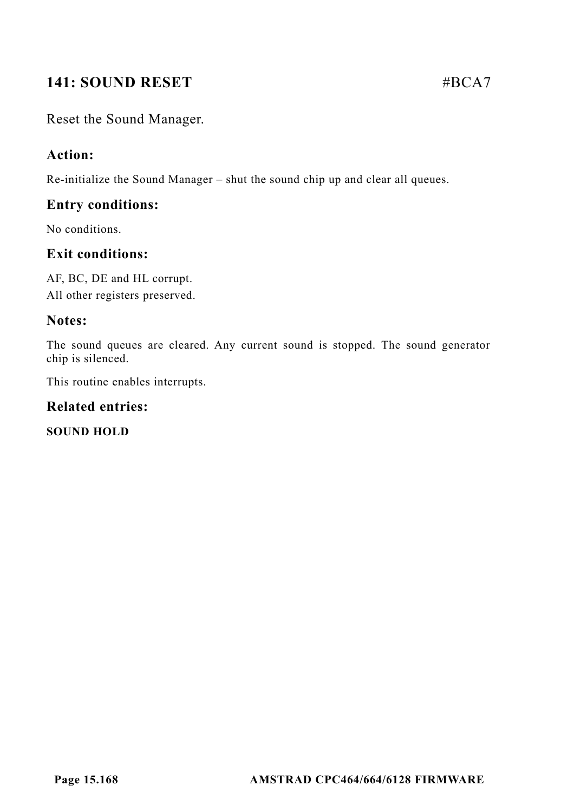# **141: SOUND RESET #BCA7**

Reset the Sound Manager.

## **Action:**

Re-initialize the Sound Manager – shut the sound chip up and clear all queues.

#### **Entry conditions:**

No conditions.

## **Exit conditions:**

AF, BC, DE and HL corrupt. All other registers preserved.

#### **Notes:**

The sound queues are cleared. Any current sound is stopped. The sound generator chip is silenced.

This routine enables interrupts.

#### **Related entries:**

**SOUND HOLD**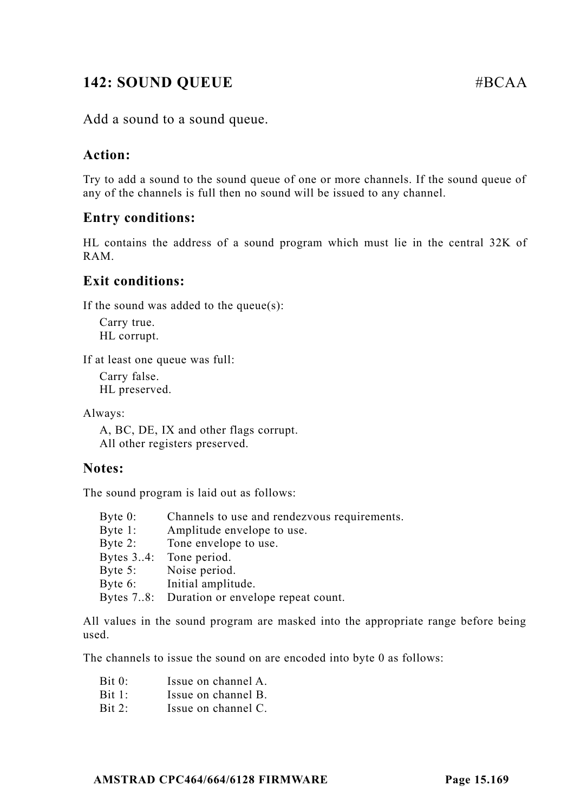## **142: SOUND QUEUE** #BCAA

Add a sound to a sound queue.

#### **Action:**

Try to add a sound to the sound queue of one or more channels. If the sound queue of any of the channels is full then no sound will be issued to any channel.

#### **Entry conditions:**

HL contains the address of a sound program which must lie in the central 32K of RAM.

#### **Exit conditions:**

If the sound was added to the queue $(s)$ :

Carry true. HL corrupt.

If at least one queue was full:

Carry false. HL preserved.

Always:

A, BC, DE, IX and other flags corrupt. All other registers preserved.

#### **Notes:**

The sound program is laid out as follows:

| Byte $0$ : | Channels to use and rendezvous requirements. |
|------------|----------------------------------------------|
| Byte $1$ : | Amplitude envelope to use.                   |
| Byte $2:$  | Tone envelope to use.                        |
|            | Bytes 34: Tone period.                       |
|            | Byte 5: Noise period.                        |
|            | Byte 6: Initial amplitude.                   |
|            | Bytes 78: Duration or envelope repeat count. |

All values in the sound program are masked into the appropriate range before being used.

The channels to issue the sound on are encoded into byte 0 as follows:

| Bit 0: |  | Issue on channel A. |  |
|--------|--|---------------------|--|
|        |  |                     |  |

- Bit 1: Issue on channel B.
- Bit 2: Issue on channel C.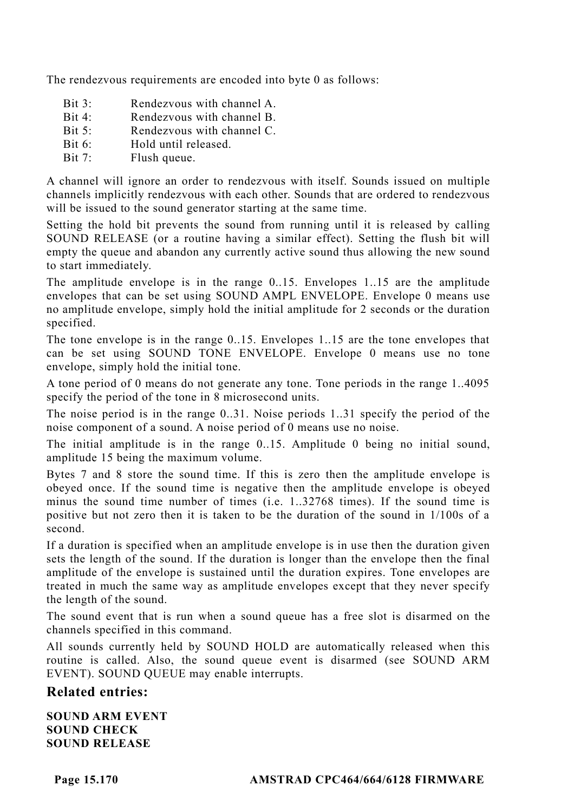The rendezvous requirements are encoded into byte 0 as follows:

- Bit 3: Rendezvous with channel A.
- Bit 4: Rendezvous with channel B.<br>Bit 5: Rendezvous with channel C
- Rendezvous with channel C.
- Bit 6: Hold until released.
- Bit 7: Flush queue.

A channel will ignore an order to rendezvous with itself. Sounds issued on multiple channels implicitly rendezvous with each other. Sounds that are ordered to rendezvous will be issued to the sound generator starting at the same time.

Setting the hold bit prevents the sound from running until it is released by calling SOUND RELEASE (or a routine having a similar effect). Setting the flush bit will empty the queue and abandon any currently active sound thus allowing the new sound to start immediately.

The amplitude envelope is in the range 0..15. Envelopes 1..15 are the amplitude envelopes that can be set using SOUND AMPL ENVELOPE. Envelope 0 means use no amplitude envelope, simply hold the initial amplitude for 2 seconds or the duration specified.

The tone envelope is in the range 0..15. Envelopes 1..15 are the tone envelopes that can be set using SOUND TONE ENVELOPE. Envelope 0 means use no tone envelope, simply hold the initial tone.

A tone period of 0 means do not generate any tone. Tone periods in the range 1..4095 specify the period of the tone in 8 microsecond units.

The noise period is in the range 0..31. Noise periods 1..31 specify the period of the noise component of a sound. A noise period of 0 means use no noise.

The initial amplitude is in the range 0..15. Amplitude 0 being no initial sound, amplitude 15 being the maximum volume.

Bytes 7 and 8 store the sound time. If this is zero then the amplitude envelope is obeyed once. If the sound time is negative then the amplitude envelope is obeyed minus the sound time number of times (i.e. 1..32768 times). If the sound time is positive but not zero then it is taken to be the duration of the sound in 1/100s of a second.

If a duration is specified when an amplitude envelope is in use then the duration given sets the length of the sound. If the duration is longer than the envelope then the final amplitude of the envelope is sustained until the duration expires. Tone envelopes are treated in much the same way as amplitude envelopes except that they never specify the length of the sound.

The sound event that is run when a sound queue has a free slot is disarmed on the channels specified in this command.

All sounds currently held by SOUND HOLD are automatically released when this routine is called. Also, the sound queue event is disarmed (see SOUND ARM EVENT). SOUND QUEUE may enable interrupts.

#### **Related entries:**

**SOUND ARM EVENT SOUND CHECK SOUND RELEASE**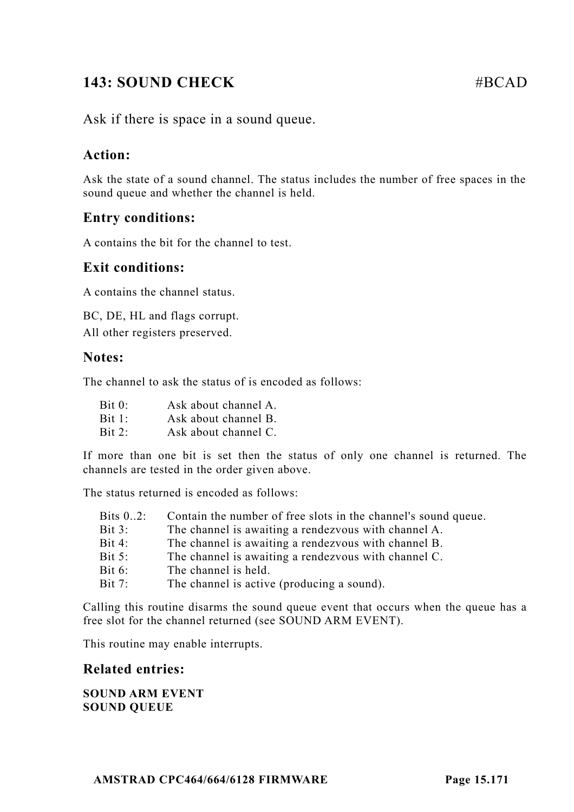# **143: SOUND CHECK #BCAD**

Ask if there is space in a sound queue.

## **Action:**

Ask the state of a sound channel. The status includes the number of free spaces in the sound queue and whether the channel is held.

## **Entry conditions:**

A contains the bit for the channel to test.

#### **Exit conditions:**

A contains the channel status.

BC, DE, HL and flags corrupt. All other registers preserved.

#### **Notes:**

The channel to ask the status of is encoded as follows:

| Bit 0: | Ask about channel A. |
|--------|----------------------|
| Bit 1: | Ask about channel B. |
| Bit 2: | Ask about channel C. |

If more than one bit is set then the status of only one channel is returned. The channels are tested in the order given above.

The status returned is encoded as follows:

| Bits $0.2$ : | Contain the number of free slots in the channel's sound queue. |
|--------------|----------------------------------------------------------------|
| Bit 3:       | The channel is awaiting a rendezvous with channel A.           |
| Bit 4:       | The channel is awaiting a rendezvous with channel B.           |
| Bit $5:$     | The channel is awaiting a rendezvous with channel C.           |
| Bit $6$ :    | The channel is held.                                           |
| Bit $7:$     | The channel is active (producing a sound).                     |

Calling this routine disarms the sound queue event that occurs when the queue has a free slot for the channel returned (see SOUND ARM EVENT).

This routine may enable interrupts.

#### **Related entries:**

#### **SOUND ARM EVENT SOUND QUEUE**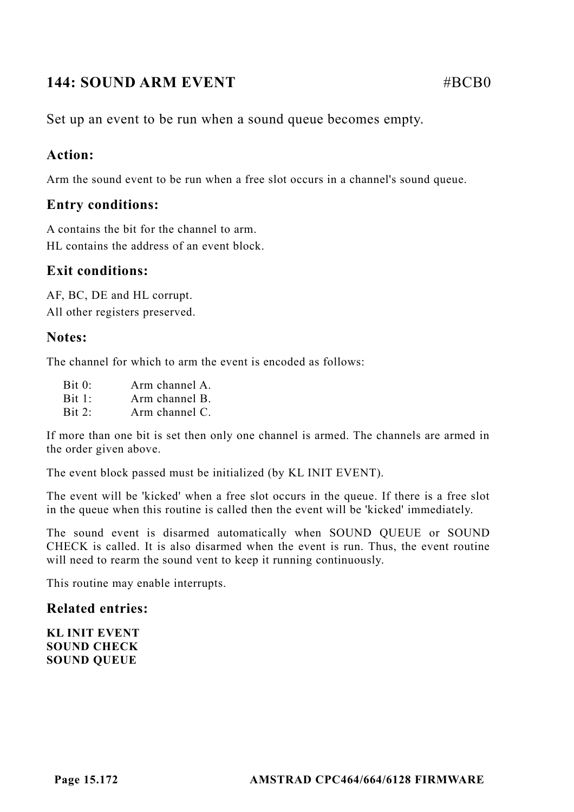# **144: SOUND ARM EVENT** #BCB0

Set up an event to be run when a sound queue becomes empty.

## **Action:**

Arm the sound event to be run when a free slot occurs in a channel's sound queue.

## **Entry conditions:**

A contains the bit for the channel to arm. HL contains the address of an event block.

## **Exit conditions:**

AF, BC, DE and HL corrupt. All other registers preserved.

## **Notes:**

The channel for which to arm the event is encoded as follows:

| Bit 0: | Arm channel A.          |
|--------|-------------------------|
| Bit 1: | Arm channel B.          |
| Bit 2: | Arm channel $C_{\cdot}$ |

If more than one bit is set then only one channel is armed. The channels are armed in the order given above.

The event block passed must be initialized (by KL INIT EVENT).

The event will be 'kicked' when a free slot occurs in the queue. If there is a free slot in the queue when this routine is called then the event will be 'kicked' immediately.

The sound event is disarmed automatically when SOUND QUEUE or SOUND CHECK is called. It is also disarmed when the event is run. Thus, the event routine will need to rearm the sound vent to keep it running continuously.

This routine may enable interrupts.

## **Related entries:**

**KL INIT EVENT SOUND CHECK SOUND QUEUE**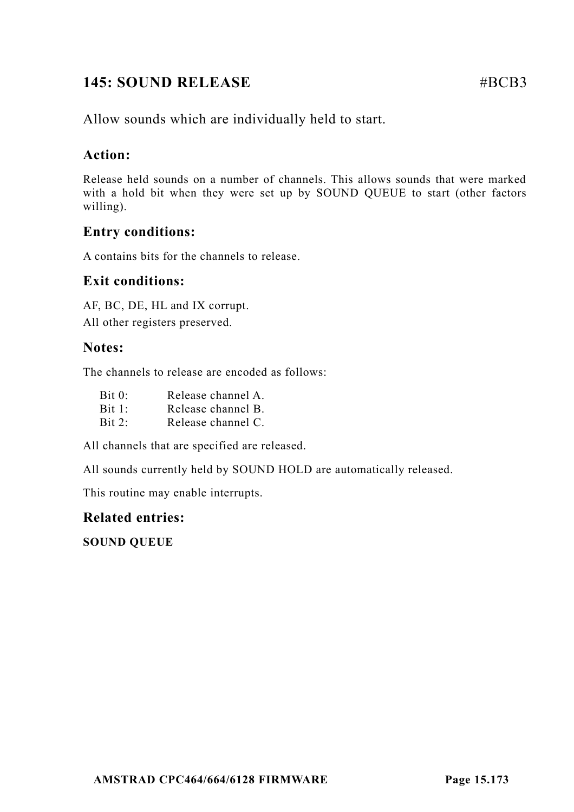# **145: SOUND RELEASE** #BCB3

Allow sounds which are individually held to start.

## **Action:**

Release held sounds on a number of channels. This allows sounds that were marked with a hold bit when they were set up by SOUND QUEUE to start (other factors willing).

## **Entry conditions:**

A contains bits for the channels to release.

## **Exit conditions:**

AF, BC, DE, HL and IX corrupt. All other registers preserved.

## **Notes:**

The channels to release are encoded as follows:

| $\operatorname{Bit} 0:$ | Release channel A. |
|-------------------------|--------------------|
| Bit 1:                  | Release channel B. |
| $\operatorname{Bit} 2:$ | Release channel C. |

All channels that are specified are released.

All sounds currently held by SOUND HOLD are automatically released.

This routine may enable interrupts.

## **Related entries:**

**SOUND QUEUE**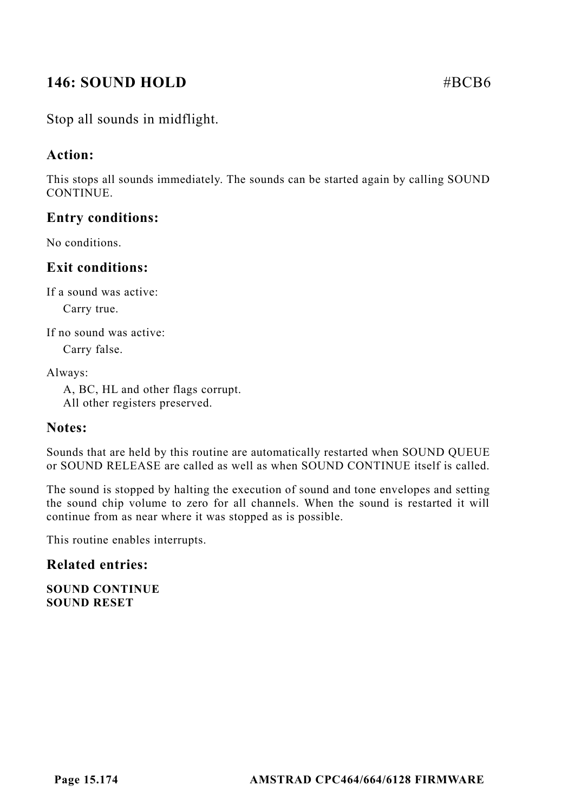# **146: SOUND HOLD #BCB6**

## Stop all sounds in midflight.

#### **Action:**

This stops all sounds immediately. The sounds can be started again by calling SOUND **CONTINUE** 

#### **Entry conditions:**

No conditions.

#### **Exit conditions:**

If a sound was active:

Carry true.

If no sound was active:

Carry false.

Always:

A, BC, HL and other flags corrupt. All other registers preserved.

#### **Notes:**

Sounds that are held by this routine are automatically restarted when SOUND QUEUE or SOUND RELEASE are called as well as when SOUND CONTINUE itself is called.

The sound is stopped by halting the execution of sound and tone envelopes and setting the sound chip volume to zero for all channels. When the sound is restarted it will continue from as near where it was stopped as is possible.

This routine enables interrupts.

#### **Related entries:**

**SOUND CONTINUE SOUND RESET**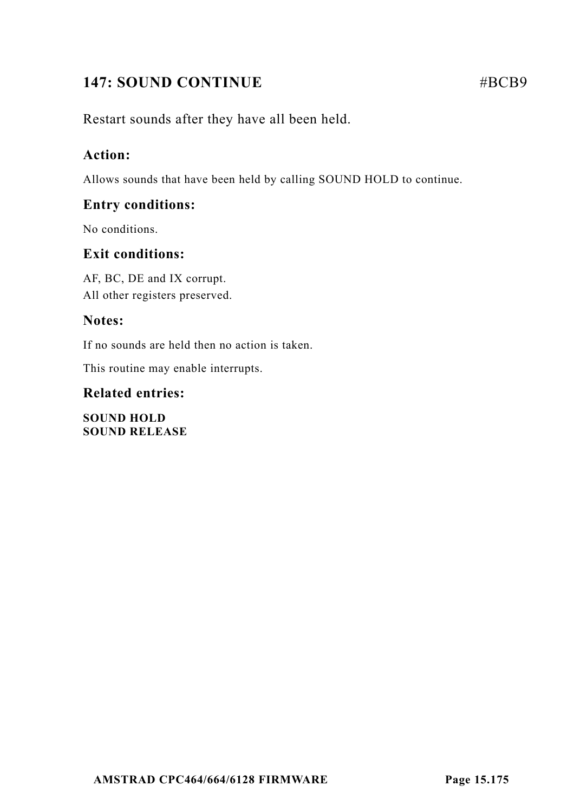# **147: SOUND CONTINUE** #BCB9

Restart sounds after they have all been held.

## **Action:**

Allows sounds that have been held by calling SOUND HOLD to continue.

## **Entry conditions:**

No conditions.

## **Exit conditions:**

AF, BC, DE and IX corrupt. All other registers preserved.

## **Notes:**

If no sounds are held then no action is taken.

This routine may enable interrupts.

## **Related entries:**

**SOUND HOLD SOUND RELEASE**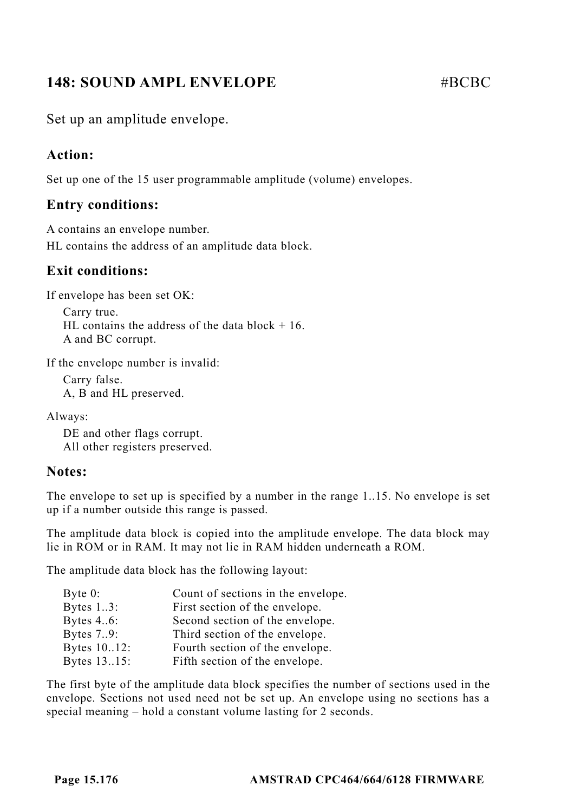# **148: SOUND AMPL ENVELOPE**  $\# \text{RCE}$

Set up an amplitude envelope.

#### **Action:**

Set up one of the 15 user programmable amplitude (volume) envelopes.

#### **Entry conditions:**

A contains an envelope number. HL contains the address of an amplitude data block.

#### **Exit conditions:**

If envelope has been set OK:

Carry true. HL contains the address of the data block  $+16$ . A and BC corrupt.

If the envelope number is invalid:

Carry false. A, B and HL preserved.

Always:

DE and other flags corrupt. All other registers preserved.

#### **Notes:**

The envelope to set up is specified by a number in the range 1..15. No envelope is set up if a number outside this range is passed.

The amplitude data block is copied into the amplitude envelope. The data block may lie in ROM or in RAM. It may not lie in RAM hidden underneath a ROM.

The amplitude data block has the following layout:

| Byte $0$ :   | Count of sections in the envelope. |
|--------------|------------------------------------|
| Bytes $13$ : | First section of the envelope.     |
| Bytes 46:    | Second section of the envelope.    |
| Bytes 79:    | Third section of the envelope.     |
| Bytes 10.12: | Fourth section of the envelope.    |
| Bytes 13.15: | Fifth section of the envelope.     |

The first byte of the amplitude data block specifies the number of sections used in the envelope. Sections not used need not be set up. An envelope using no sections has a special meaning – hold a constant volume lasting for 2 seconds.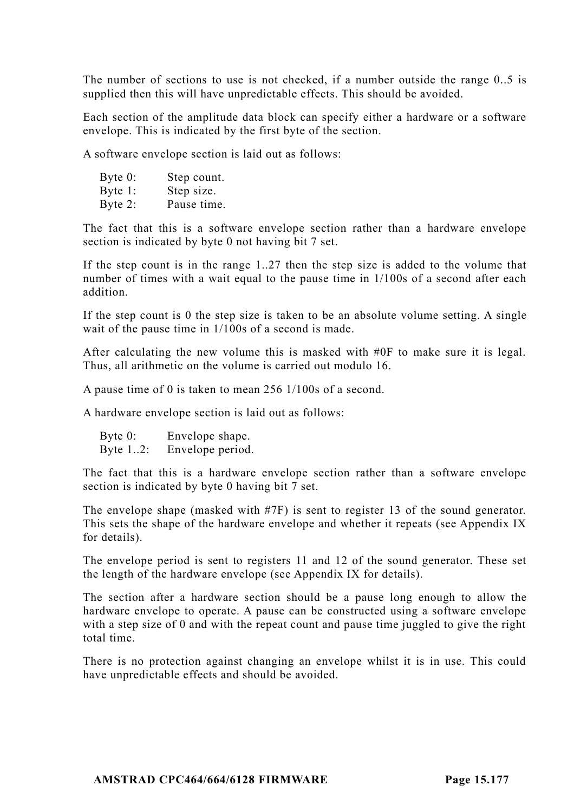The number of sections to use is not checked, if a number outside the range 0..5 is supplied then this will have unpredictable effects. This should be avoided.

Each section of the amplitude data block can specify either a hardware or a software envelope. This is indicated by the first byte of the section.

A software envelope section is laid out as follows:

| Byte $0$ : | Step count. |
|------------|-------------|
| Byte 1:    | Step size.  |
| Byte 2:    | Pause time. |

The fact that this is a software envelope section rather than a hardware envelope section is indicated by byte 0 not having bit 7 set.

If the step count is in the range 1..27 then the step size is added to the volume that number of times with a wait equal to the pause time in 1/100s of a second after each addition.

If the step count is 0 the step size is taken to be an absolute volume setting. A single wait of the pause time in 1/100s of a second is made.

After calculating the new volume this is masked with #0F to make sure it is legal. Thus, all arithmetic on the volume is carried out modulo 16.

A pause time of 0 is taken to mean 256 1/100s of a second.

A hardware envelope section is laid out as follows:

Byte 0: Envelope shape. Byte 1..2: Envelope period.

The fact that this is a hardware envelope section rather than a software envelope section is indicated by byte 0 having bit 7 set.

The envelope shape (masked with #7F) is sent to register 13 of the sound generator. This sets the shape of the hardware envelope and whether it repeats (see Appendix IX for details).

The envelope period is sent to registers 11 and 12 of the sound generator. These set the length of the hardware envelope (see Appendix IX for details).

The section after a hardware section should be a pause long enough to allow the hardware envelope to operate. A pause can be constructed using a software envelope with a step size of 0 and with the repeat count and pause time juggled to give the right total time.

There is no protection against changing an envelope whilst it is in use. This could have unpredictable effects and should be avoided.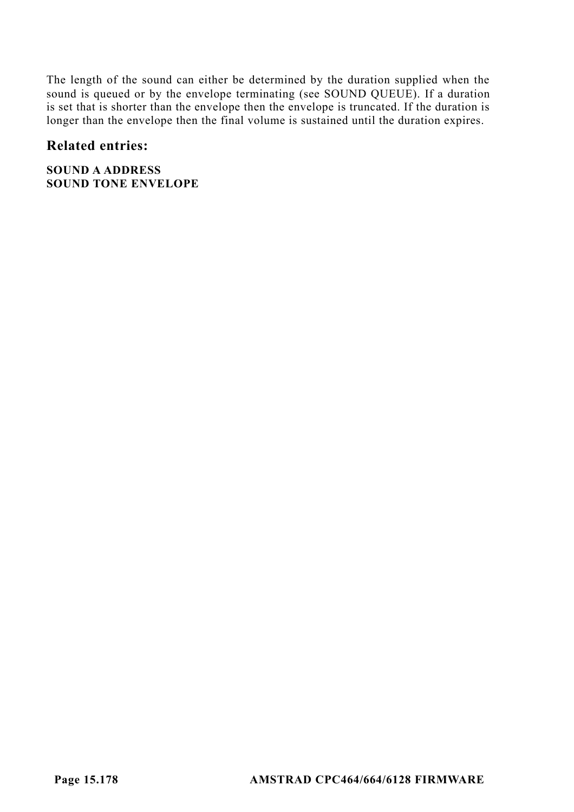The length of the sound can either be determined by the duration supplied when the sound is queued or by the envelope terminating (see SOUND QUEUE). If a duration is set that is shorter than the envelope then the envelope is truncated. If the duration is longer than the envelope then the final volume is sustained until the duration expires.

#### **Related entries:**

**SOUND A ADDRESS SOUND TONE ENVELOPE**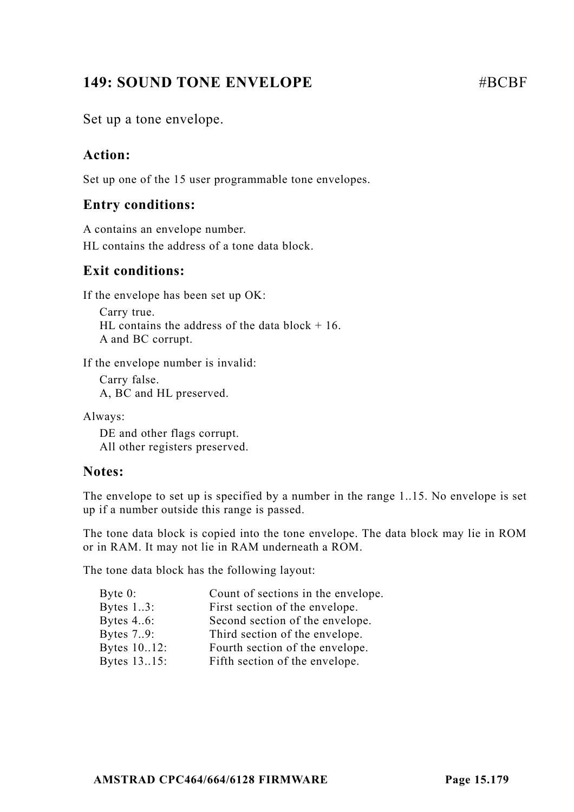# **149: SOUND TONE ENVELOPE #BCBF**

Set up a tone envelope.

## **Action:**

Set up one of the 15 user programmable tone envelopes.

## **Entry conditions:**

A contains an envelope number. HL contains the address of a tone data block.

## **Exit conditions:**

If the envelope has been set up OK:

Carry true. HL contains the address of the data block  $+16$ . A and BC corrupt.

If the envelope number is invalid:

Carry false. A, BC and HL preserved.

Always:

DE and other flags corrupt. All other registers preserved.

## **Notes:**

The envelope to set up is specified by a number in the range 1..15. No envelope is set up if a number outside this range is passed.

The tone data block is copied into the tone envelope. The data block may lie in ROM or in RAM. It may not lie in RAM underneath a ROM.

The tone data block has the following layout:

| Byte $0$ :   | Count of sections in the envelope. |
|--------------|------------------------------------|
| Bytes $13$ : | First section of the envelope.     |
| Bytes 46:    | Second section of the envelope.    |
| Bytes 79:    | Third section of the envelope.     |
| Bytes 10.12: | Fourth section of the envelope.    |
| Bytes 13.15: | Fifth section of the envelope.     |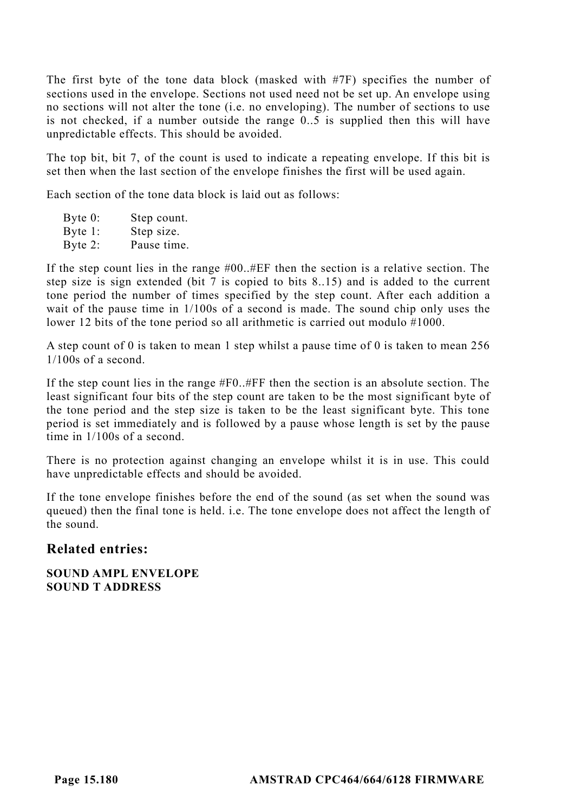The first byte of the tone data block (masked with #7F) specifies the number of sections used in the envelope. Sections not used need not be set up. An envelope using no sections will not alter the tone (i.e. no enveloping). The number of sections to use is not checked, if a number outside the range 0..5 is supplied then this will have unpredictable effects. This should be avoided.

The top bit, bit 7, of the count is used to indicate a repeating envelope. If this bit is set then when the last section of the envelope finishes the first will be used again.

Each section of the tone data block is laid out as follows:

Byte 0: Step count. Byte 1: Step size. Byte 2: Pause time.

If the step count lies in the range #00..#EF then the section is a relative section. The step size is sign extended (bit 7 is copied to bits 8..15) and is added to the current tone period the number of times specified by the step count. After each addition a wait of the pause time in 1/100s of a second is made. The sound chip only uses the lower 12 bits of the tone period so all arithmetic is carried out modulo #1000.

A step count of 0 is taken to mean 1 step whilst a pause time of 0 is taken to mean 256 1/100s of a second.

If the step count lies in the range #F0..#FF then the section is an absolute section. The least significant four bits of the step count are taken to be the most significant byte of the tone period and the step size is taken to be the least significant byte. This tone period is set immediately and is followed by a pause whose length is set by the pause time in 1/100s of a second.

There is no protection against changing an envelope whilst it is in use. This could have unpredictable effects and should be avoided.

If the tone envelope finishes before the end of the sound (as set when the sound was queued) then the final tone is held. i.e. The tone envelope does not affect the length of the sound.

#### **Related entries:**

**SOUND AMPL ENVELOPE SOUND T ADDRESS**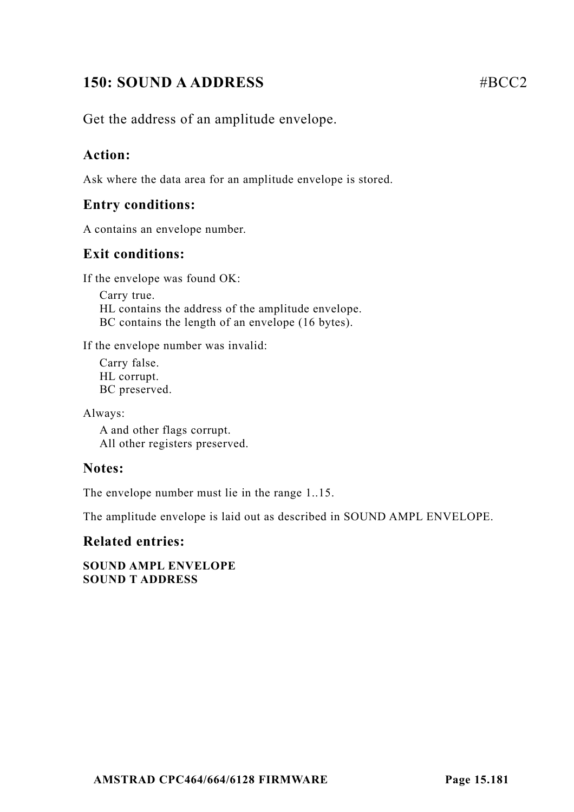# **150: SOUND A ADDRESS** #BCC2

Get the address of an amplitude envelope.

### **Action:**

Ask where the data area for an amplitude envelope is stored.

### **Entry conditions:**

A contains an envelope number.

### **Exit conditions:**

If the envelope was found OK:

Carry true. HL contains the address of the amplitude envelope. BC contains the length of an envelope (16 bytes).

If the envelope number was invalid:

Carry false. HL corrupt. BC preserved.

Always:

A and other flags corrupt. All other registers preserved.

### **Notes:**

The envelope number must lie in the range 1..15.

The amplitude envelope is laid out as described in SOUND AMPL ENVELOPE.

### **Related entries:**

**SOUND AMPL ENVELOPE SOUND T ADDRESS**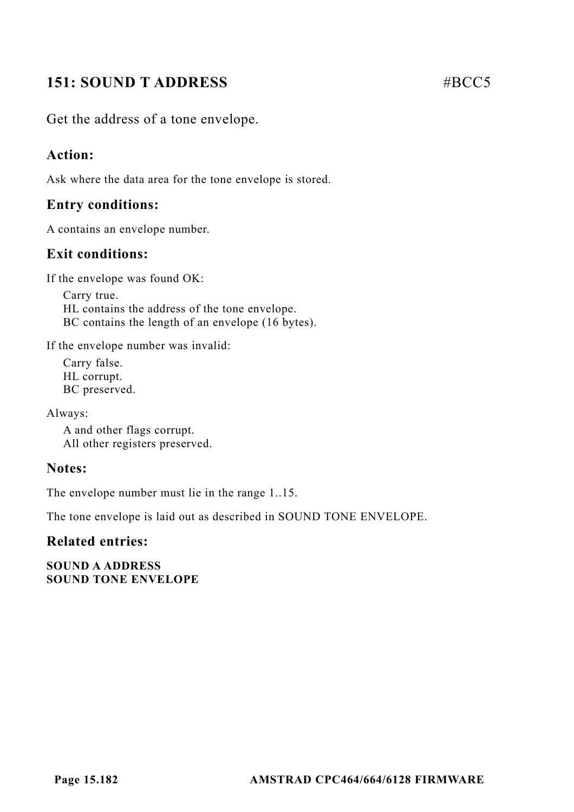# **151: SOUND T ADDRESS** #BCC5

Get the address of a tone envelope.

### **Action:**

Ask where the data area for the tone envelope is stored.

### **Entry conditions:**

A contains an envelope number.

### **Exit conditions:**

If the envelope was found OK:

Carry true. HL contains the address of the tone envelope. BC contains the length of an envelope (16 bytes).

If the envelope number was invalid:

Carry false. HL corrupt. BC preserved.

Always:

A and other flags corrupt. All other registers preserved.

#### **Notes:**

The envelope number must lie in the range 1..15.

The tone envelope is laid out as described in SOUND TONE ENVELOPE.

#### **Related entries:**

**SOUND A ADDRESS SOUND TONE ENVELOPE**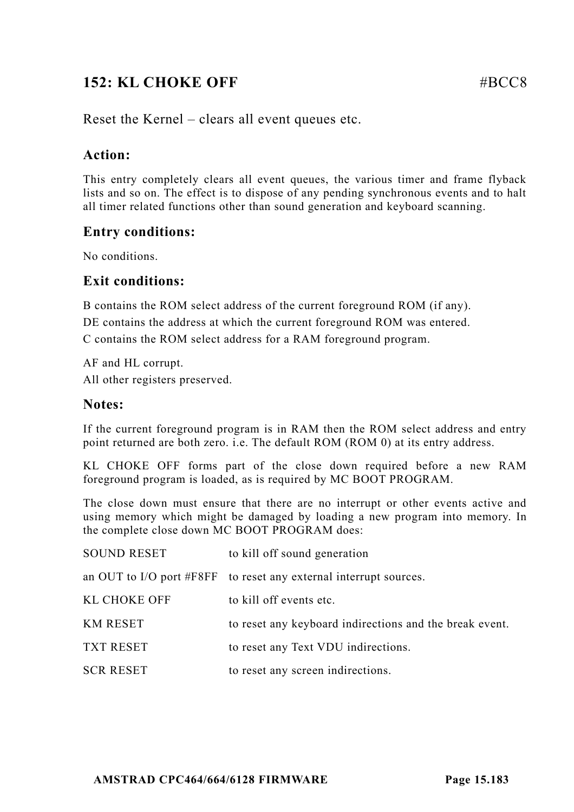# **152: KL CHOKE OFF** #BCC8

Reset the Kernel – clears all event queues etc.

### **Action:**

This entry completely clears all event queues, the various timer and frame flyback lists and so on. The effect is to dispose of any pending synchronous events and to halt all timer related functions other than sound generation and keyboard scanning.

### **Entry conditions:**

No conditions.

### **Exit conditions:**

B contains the ROM select address of the current foreground ROM (if any). DE contains the address at which the current foreground ROM was entered. C contains the ROM select address for a RAM foreground program.

AF and HL corrupt. All other registers preserved.

### **Notes:**

If the current foreground program is in RAM then the ROM select address and entry point returned are both zero. i.e. The default ROM (ROM 0) at its entry address.

KL CHOKE OFF forms part of the close down required before a new RAM foreground program is loaded, as is required by MC BOOT PROGRAM.

The close down must ensure that there are no interrupt or other events active and using memory which might be damaged by loading a new program into memory. In the complete close down MC BOOT PROGRAM does:

| <b>SOUND RESET</b>  | to kill off sound generation                                      |
|---------------------|-------------------------------------------------------------------|
|                     | an OUT to I/O port #F8FF to reset any external interrupt sources. |
| <b>KL CHOKE OFF</b> | to kill off events etc.                                           |
| <b>KM RESET</b>     | to reset any keyboard indirections and the break event.           |
| <b>TXT RESET</b>    | to reset any Text VDU indirections.                               |
| <b>SCR RESET</b>    | to reset any screen indirections.                                 |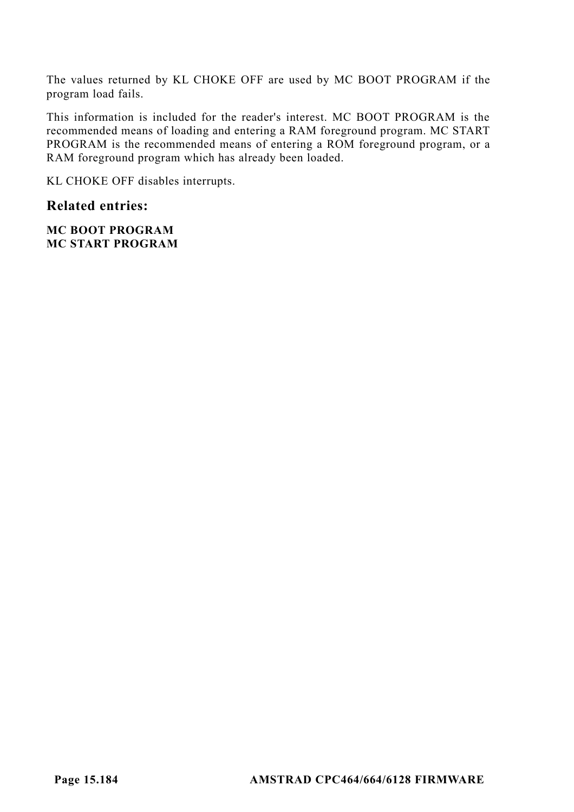The values returned by KL CHOKE OFF are used by MC BOOT PROGRAM if the program load fails.

This information is included for the reader's interest. MC BOOT PROGRAM is the recommended means of loading and entering a RAM foreground program. MC START PROGRAM is the recommended means of entering a ROM foreground program, or a RAM foreground program which has already been loaded.

KL CHOKE OFF disables interrupts.

### **Related entries:**

**MC BOOT PROGRAM MC START PROGRAM**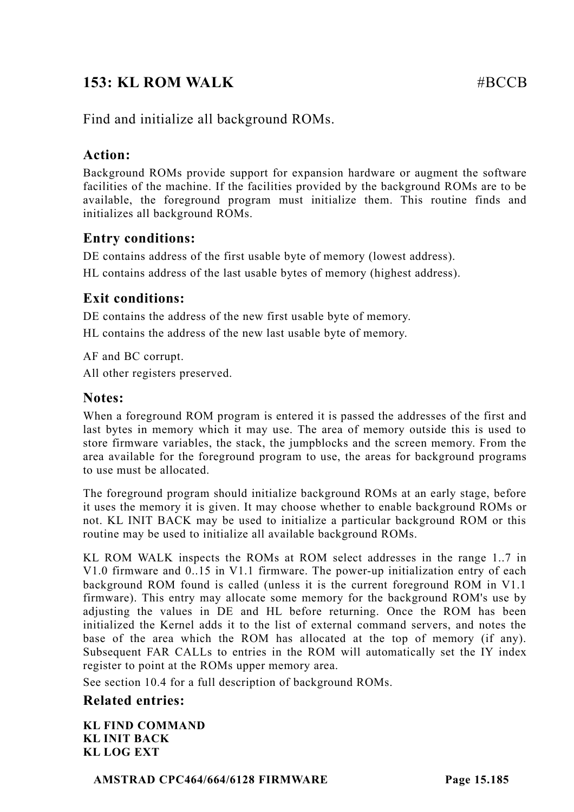# **153: KL ROM WALK** #BCCB

Find and initialize all background ROMs.

### **Action:**

Background ROMs provide support for expansion hardware or augment the software facilities of the machine. If the facilities provided by the background ROMs are to be available, the foreground program must initialize them. This routine finds and initializes all background ROMs.

### **Entry conditions:**

DE contains address of the first usable byte of memory (lowest address). HL contains address of the last usable bytes of memory (highest address).

### **Exit conditions:**

DE contains the address of the new first usable byte of memory.

HL contains the address of the new last usable byte of memory.

AF and BC corrupt. All other registers preserved.

### **Notes:**

When a foreground ROM program is entered it is passed the addresses of the first and last bytes in memory which it may use. The area of memory outside this is used to store firmware variables, the stack, the jumpblocks and the screen memory. From the area available for the foreground program to use, the areas for background programs to use must be allocated.

The foreground program should initialize background ROMs at an early stage, before it uses the memory it is given. It may choose whether to enable background ROMs or not. KL INIT BACK may be used to initialize a particular background ROM or this routine may be used to initialize all available background ROMs.

KL ROM WALK inspects the ROMs at ROM select addresses in the range 1..7 in V1.0 firmware and 0..15 in V1.1 firmware. The power-up initialization entry of each background ROM found is called (unless it is the current foreground ROM in V1.1 firmware). This entry may allocate some memory for the background ROM's use by adjusting the values in DE and HL before returning. Once the ROM has been initialized the Kernel adds it to the list of external command servers, and notes the base of the area which the ROM has allocated at the top of memory (if any). Subsequent FAR CALLs to entries in the ROM will automatically set the IY index register to point at the ROMs upper memory area.

See section 10.4 for a full description of background ROMs.

### **Related entries:**

**KL FIND COMMAND KL INIT BACK KL LOG EXT**

**AMSTRAD CPC464/664/6128 FIRMWARE Page 15.185**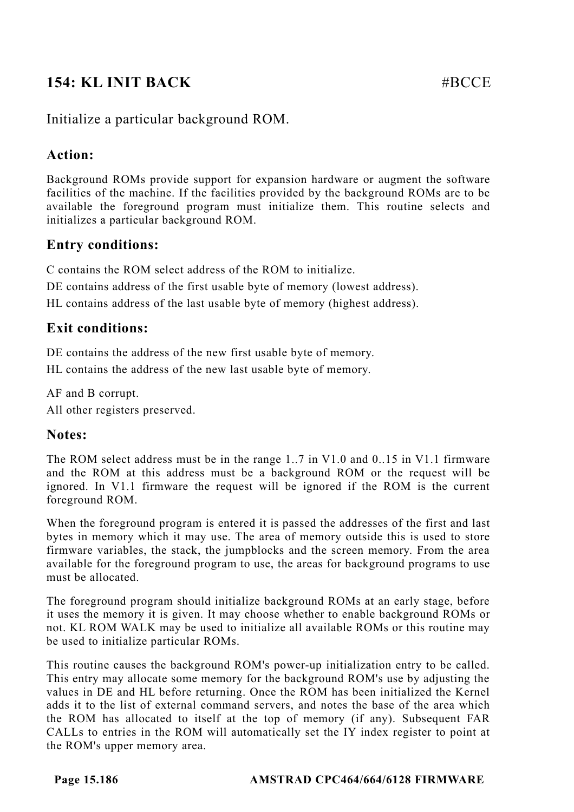# **154: KL INIT BACK** #BCCE

### Initialize a particular background ROM.

### **Action:**

Background ROMs provide support for expansion hardware or augment the software facilities of the machine. If the facilities provided by the background ROMs are to be available the foreground program must initialize them. This routine selects and initializes a particular background ROM.

## **Entry conditions:**

C contains the ROM select address of the ROM to initialize.

DE contains address of the first usable byte of memory (lowest address).

HL contains address of the last usable byte of memory (highest address).

## **Exit conditions:**

DE contains the address of the new first usable byte of memory.

HL contains the address of the new last usable byte of memory.

AF and B corrupt. All other registers preserved.

### **Notes:**

The ROM select address must be in the range 1..7 in V1.0 and 0..15 in V1.1 firmware and the ROM at this address must be a background ROM or the request will be ignored. In V1.1 firmware the request will be ignored if the ROM is the current foreground ROM.

When the foreground program is entered it is passed the addresses of the first and last bytes in memory which it may use. The area of memory outside this is used to store firmware variables, the stack, the jumpblocks and the screen memory. From the area available for the foreground program to use, the areas for background programs to use must be allocated.

The foreground program should initialize background ROMs at an early stage, before it uses the memory it is given. It may choose whether to enable background ROMs or not. KL ROM WALK may be used to initialize all available ROMs or this routine may be used to initialize particular ROMs.

This routine causes the background ROM's power-up initialization entry to be called. This entry may allocate some memory for the background ROM's use by adjusting the values in DE and HL before returning. Once the ROM has been initialized the Kernel adds it to the list of external command servers, and notes the base of the area which the ROM has allocated to itself at the top of memory (if any). Subsequent FAR CALLs to entries in the ROM will automatically set the IY index register to point at the ROM's upper memory area.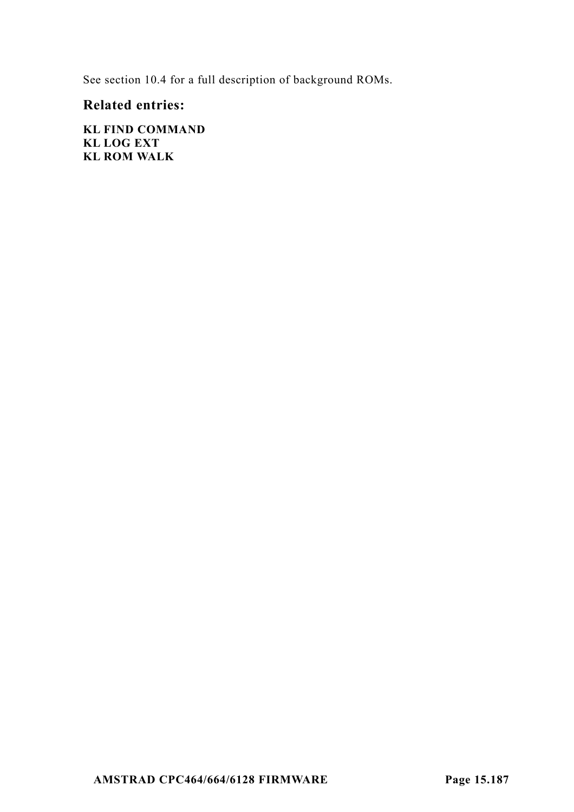See section 10.4 for a full description of background ROMs.

### **Related entries:**

**KL FIND COMMAND KL LOG EXT KL ROM WALK**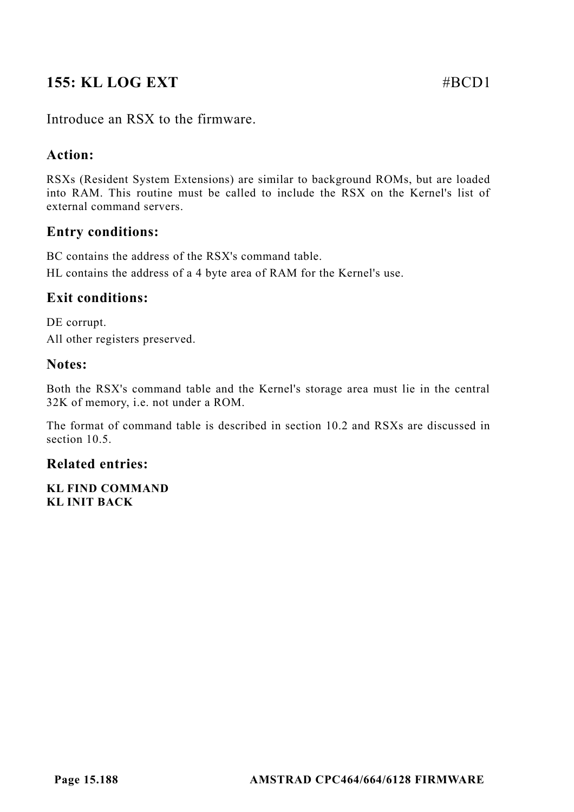# **155: KL LOG EXT** #BCD1

Introduce an RSX to the firmware.

### **Action:**

RSXs (Resident System Extensions) are similar to background ROMs, but are loaded into RAM. This routine must be called to include the RSX on the Kernel's list of external command servers.

### **Entry conditions:**

BC contains the address of the RSX's command table.

HL contains the address of a 4 byte area of RAM for the Kernel's use.

### **Exit conditions:**

DE corrupt. All other registers preserved.

### **Notes:**

Both the RSX's command table and the Kernel's storage area must lie in the central 32K of memory, i.e. not under a ROM.

The format of command table is described in section 10.2 and RSXs are discussed in section 10.5.

### **Related entries:**

**KL FIND COMMAND KL INIT BACK**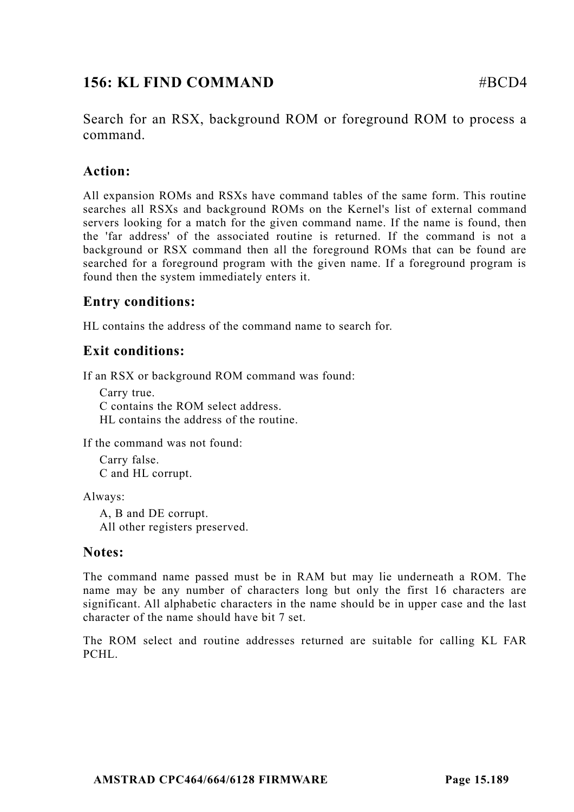# **156: KL FIND COMMAND #BCD4**

Search for an RSX, background ROM or foreground ROM to process a command.

### **Action:**

All expansion ROMs and RSXs have command tables of the same form. This routine searches all RSXs and background ROMs on the Kernel's list of external command servers looking for a match for the given command name. If the name is found, then the 'far address' of the associated routine is returned. If the command is not a background or RSX command then all the foreground ROMs that can be found are searched for a foreground program with the given name. If a foreground program is found then the system immediately enters it.

### **Entry conditions:**

HL contains the address of the command name to search for.

### **Exit conditions:**

If an RSX or background ROM command was found:

Carry true. C contains the ROM select address. HL contains the address of the routine.

If the command was not found:

Carry false. C and HL corrupt.

Always:

A, B and DE corrupt. All other registers preserved.

#### **Notes:**

The command name passed must be in RAM but may lie underneath a ROM. The name may be any number of characters long but only the first 16 characters are significant. All alphabetic characters in the name should be in upper case and the last character of the name should have bit 7 set.

The ROM select and routine addresses returned are suitable for calling KL FAR PCHL.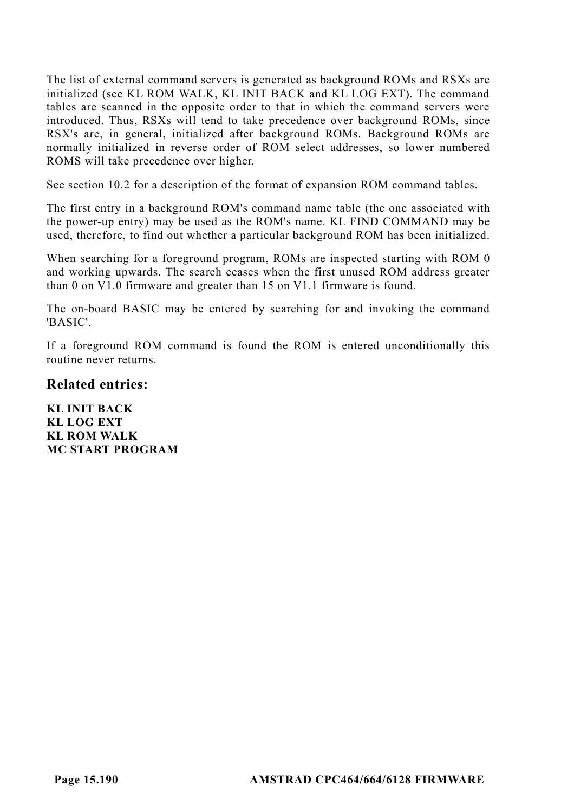The list of external command servers is generated as background ROMs and RSXs are initialized (see KL ROM WALK, KL INIT BACK and KL LOG EXT). The command tables are scanned in the opposite order to that in which the command servers were introduced. Thus, RSXs will tend to take precedence over background ROMs, since RSX's are, in general, initialized after background ROMs. Background ROMs are normally initialized in reverse order of ROM select addresses, so lower numbered ROMS will take precedence over higher.

See section 10.2 for a description of the format of expansion ROM command tables.

The first entry in a background ROM's command name table (the one associated with the power-up entry) may be used as the ROM's name. KL FIND COMMAND may be used, therefore, to find out whether a particular background ROM has been initialized.

When searching for a foreground program, ROMs are inspected starting with ROM 0 and working upwards. The search ceases when the first unused ROM address greater than 0 on V1.0 firmware and greater than 15 on V1.1 firmware is found.

The on-board BASIC may be entered by searching for and invoking the command 'BASIC'.

If a foreground ROM command is found the ROM is entered unconditionally this routine never returns.

#### **Related entries:**

**KL INIT BACK KL LOG EXT KL ROM WALK MC START PROGRAM**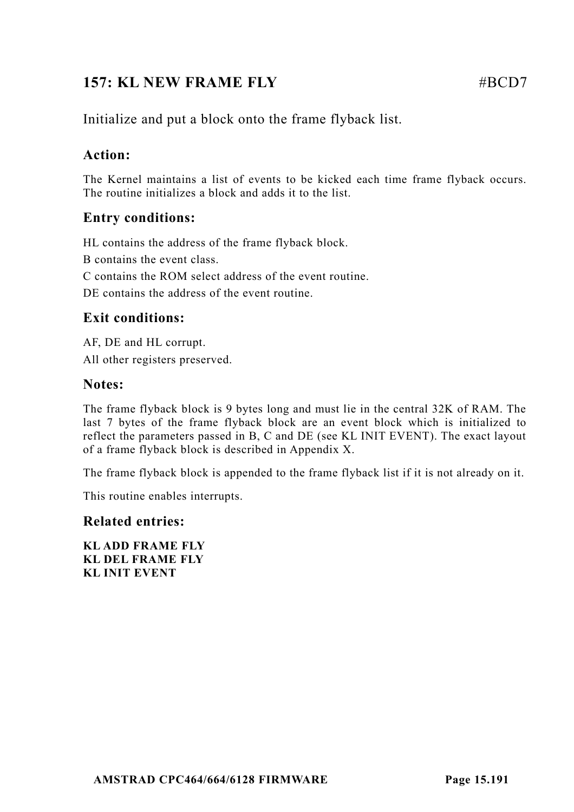# **157: KL NEW FRAME FLY EXECUTE:**  $\# \text{RCD7}$

Initialize and put a block onto the frame flyback list.

# **Action:**

The Kernel maintains a list of events to be kicked each time frame flyback occurs. The routine initializes a block and adds it to the list.

# **Entry conditions:**

HL contains the address of the frame flyback block.

B contains the event class.

C contains the ROM select address of the event routine.

DE contains the address of the event routine.

### **Exit conditions:**

AF, DE and HL corrupt. All other registers preserved.

### **Notes:**

The frame flyback block is 9 bytes long and must lie in the central 32K of RAM. The last 7 bytes of the frame flyback block are an event block which is initialized to reflect the parameters passed in B, C and DE (see KL INIT EVENT). The exact layout of a frame flyback block is described in Appendix X.

The frame flyback block is appended to the frame flyback list if it is not already on it.

This routine enables interrupts.

### **Related entries:**

**KL ADD FRAME FLY KL DEL FRAME FLY KL INIT EVENT**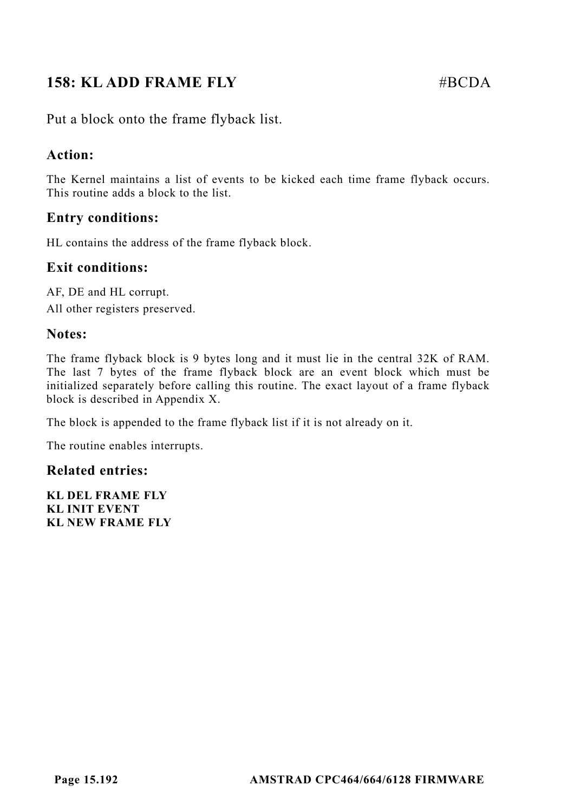# **158: KLADD FRAME FLY** #BCDA

Put a block onto the frame flyback list.

### **Action:**

The Kernel maintains a list of events to be kicked each time frame flyback occurs. This routine adds a block to the list.

### **Entry conditions:**

HL contains the address of the frame flyback block.

#### **Exit conditions:**

AF, DE and HL corrupt. All other registers preserved.

#### **Notes:**

The frame flyback block is 9 bytes long and it must lie in the central 32K of RAM. The last 7 bytes of the frame flyback block are an event block which must be initialized separately before calling this routine. The exact layout of a frame flyback block is described in Appendix X.

The block is appended to the frame flyback list if it is not already on it.

The routine enables interrupts.

#### **Related entries:**

**KL DEL FRAME FLY KL INIT EVENT KL NEW FRAME FLY**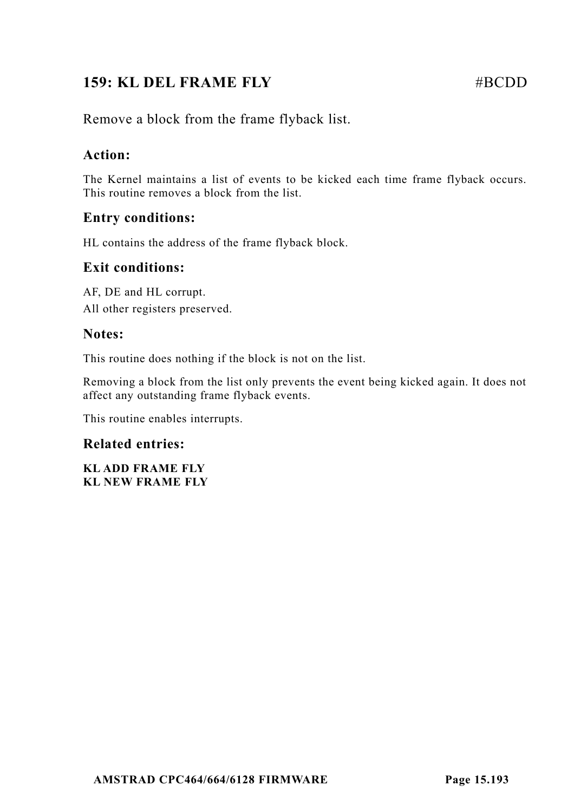# **159: KL DEL FRAME FLY** #BCDD

Remove a block from the frame flyback list.

## **Action:**

The Kernel maintains a list of events to be kicked each time frame flyback occurs. This routine removes a block from the list.

## **Entry conditions:**

HL contains the address of the frame flyback block.

### **Exit conditions:**

AF, DE and HL corrupt. All other registers preserved.

### **Notes:**

This routine does nothing if the block is not on the list.

Removing a block from the list only prevents the event being kicked again. It does not affect any outstanding frame flyback events.

This routine enables interrupts.

### **Related entries:**

**KL ADD FRAME FLY KL NEW FRAME FLY**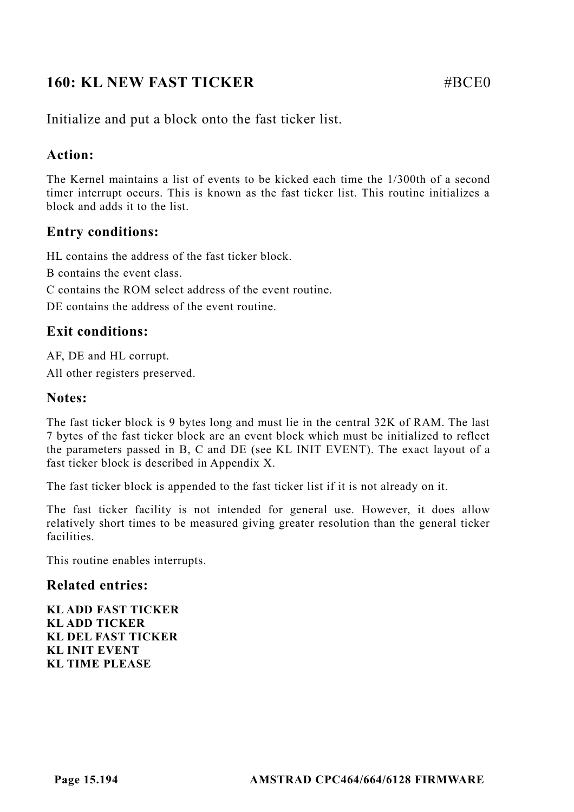# **160: KL NEW FAST TICKER** #BCE0

Initialize and put a block onto the fast ticker list.

### **Action:**

The Kernel maintains a list of events to be kicked each time the 1/300th of a second timer interrupt occurs. This is known as the fast ticker list. This routine initializes a block and adds it to the list.

### **Entry conditions:**

HL contains the address of the fast ticker block.

B contains the event class.

C contains the ROM select address of the event routine.

DE contains the address of the event routine.

### **Exit conditions:**

AF, DE and HL corrupt. All other registers preserved.

### **Notes:**

The fast ticker block is 9 bytes long and must lie in the central 32K of RAM. The last 7 bytes of the fast ticker block are an event block which must be initialized to reflect the parameters passed in B, C and DE (see KL INIT EVENT). The exact layout of a fast ticker block is described in Appendix X.

The fast ticker block is appended to the fast ticker list if it is not already on it.

The fast ticker facility is not intended for general use. However, it does allow relatively short times to be measured giving greater resolution than the general ticker facilities.

This routine enables interrupts.

#### **Related entries:**

**KL ADD FAST TICKER KL ADD TICKER KL DEL FAST TICKER KL INIT EVENT KL TIME PLEASE**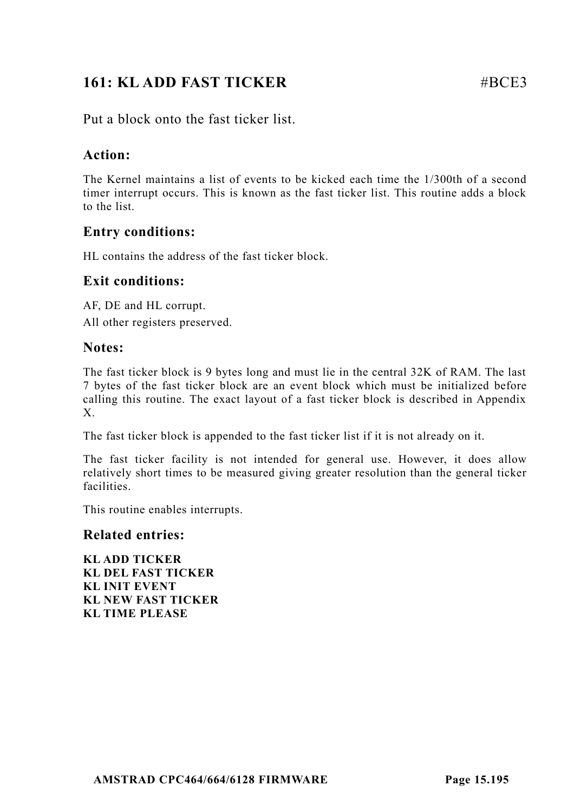# **161: KL ADD FAST TICKER** #BCE3

Put a block onto the fast ticker list.

### **Action:**

The Kernel maintains a list of events to be kicked each time the 1/300th of a second timer interrupt occurs. This is known as the fast ticker list. This routine adds a block to the list.

### **Entry conditions:**

HL contains the address of the fast ticker block.

### **Exit conditions:**

AF, DE and HL corrupt. All other registers preserved.

### **Notes:**

The fast ticker block is 9 bytes long and must lie in the central 32K of RAM. The last 7 bytes of the fast ticker block are an event block which must be initialized before calling this routine. The exact layout of a fast ticker block is described in Appendix X.

The fast ticker block is appended to the fast ticker list if it is not already on it.

The fast ticker facility is not intended for general use. However, it does allow relatively short times to be measured giving greater resolution than the general ticker facilities.

This routine enables interrupts.

#### **Related entries:**

**KL ADD TICKER KL DEL FAST TICKER KL INIT EVENT KL NEW FAST TICKER KL TIME PLEASE**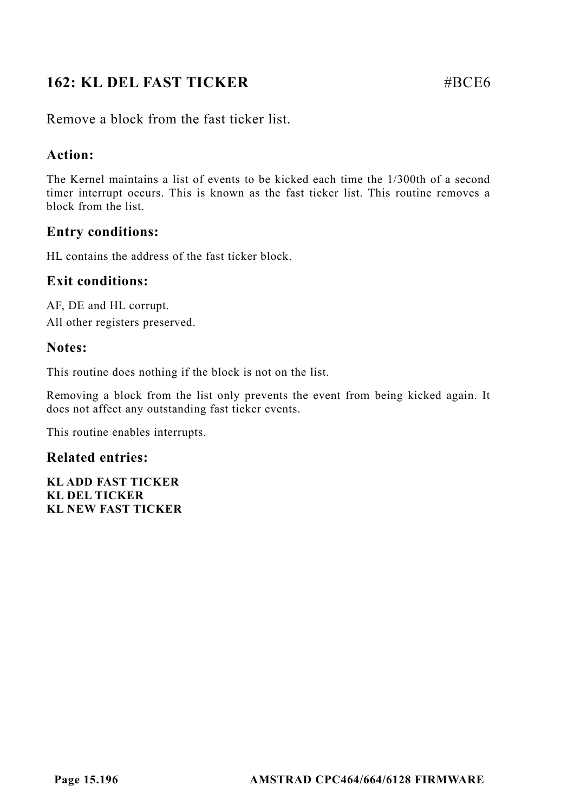# **162: KL DEL FAST TICKER** #BCE6

Remove a block from the fast ticker list.

### **Action:**

The Kernel maintains a list of events to be kicked each time the 1/300th of a second timer interrupt occurs. This is known as the fast ticker list. This routine removes a block from the list.

### **Entry conditions:**

HL contains the address of the fast ticker block.

### **Exit conditions:**

AF, DE and HL corrupt. All other registers preserved.

### **Notes:**

This routine does nothing if the block is not on the list.

Removing a block from the list only prevents the event from being kicked again. It does not affect any outstanding fast ticker events.

This routine enables interrupts.

#### **Related entries:**

**KL ADD FAST TICKER KL DEL TICKER KL NEW FAST TICKER**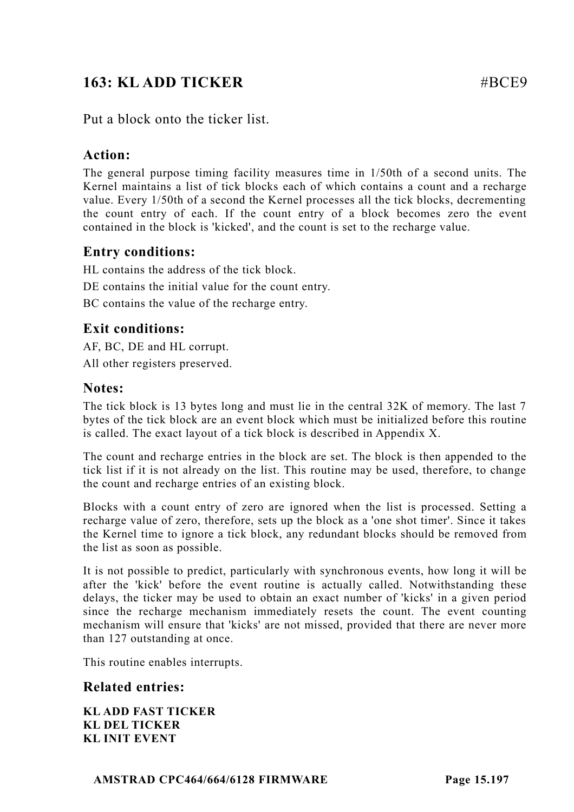# **163: KL ADD TICKER** #BCE9

Put a block onto the ticker list.

### **Action:**

The general purpose timing facility measures time in 1/50th of a second units. The Kernel maintains a list of tick blocks each of which contains a count and a recharge value. Every 1/50th of a second the Kernel processes all the tick blocks, decrementing the count entry of each. If the count entry of a block becomes zero the event contained in the block is 'kicked', and the count is set to the recharge value.

### **Entry conditions:**

HL contains the address of the tick block. DE contains the initial value for the count entry. BC contains the value of the recharge entry.

## **Exit conditions:**

AF, BC, DE and HL corrupt. All other registers preserved.

### **Notes:**

The tick block is 13 bytes long and must lie in the central 32K of memory. The last 7 bytes of the tick block are an event block which must be initialized before this routine is called. The exact layout of a tick block is described in Appendix X.

The count and recharge entries in the block are set. The block is then appended to the tick list if it is not already on the list. This routine may be used, therefore, to change the count and recharge entries of an existing block.

Blocks with a count entry of zero are ignored when the list is processed. Setting a recharge value of zero, therefore, sets up the block as a 'one shot timer'. Since it takes the Kernel time to ignore a tick block, any redundant blocks should be removed from the list as soon as possible.

It is not possible to predict, particularly with synchronous events, how long it will be after the 'kick' before the event routine is actually called. Notwithstanding these delays, the ticker may be used to obtain an exact number of 'kicks' in a given period since the recharge mechanism immediately resets the count. The event counting mechanism will ensure that 'kicks' are not missed, provided that there are never more than 127 outstanding at once.

This routine enables interrupts.

### **Related entries:**

**KL ADD FAST TICKER KL DEL TICKER KL INIT EVENT**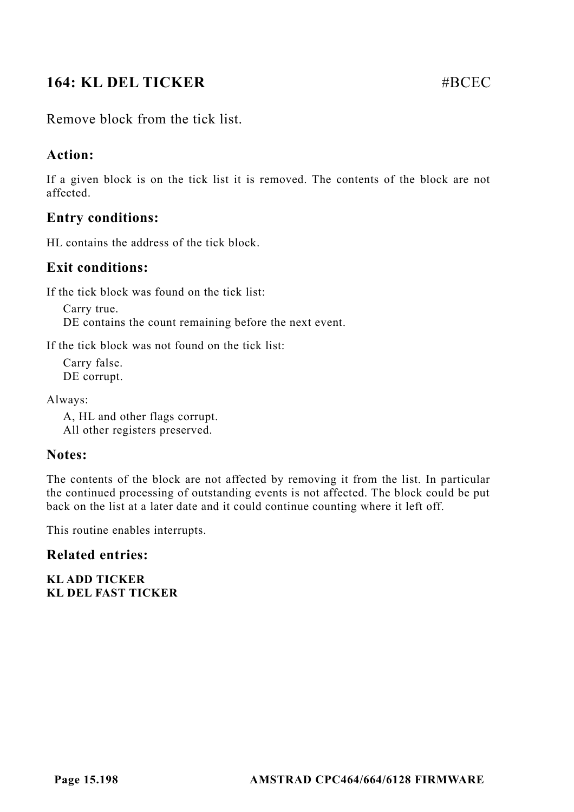# **164: KL DEL TICKER** #BCEC

Remove block from the tick list.

### **Action:**

If a given block is on the tick list it is removed. The contents of the block are not affected.

### **Entry conditions:**

HL contains the address of the tick block.

### **Exit conditions:**

If the tick block was found on the tick list:

Carry true. DE contains the count remaining before the next event.

If the tick block was not found on the tick list:

Carry false. DE corrupt.

Always:

A, HL and other flags corrupt. All other registers preserved.

#### **Notes:**

The contents of the block are not affected by removing it from the list. In particular the continued processing of outstanding events is not affected. The block could be put back on the list at a later date and it could continue counting where it left off.

This routine enables interrupts.

### **Related entries:**

**KL ADD TICKER KL DEL FAST TICKER**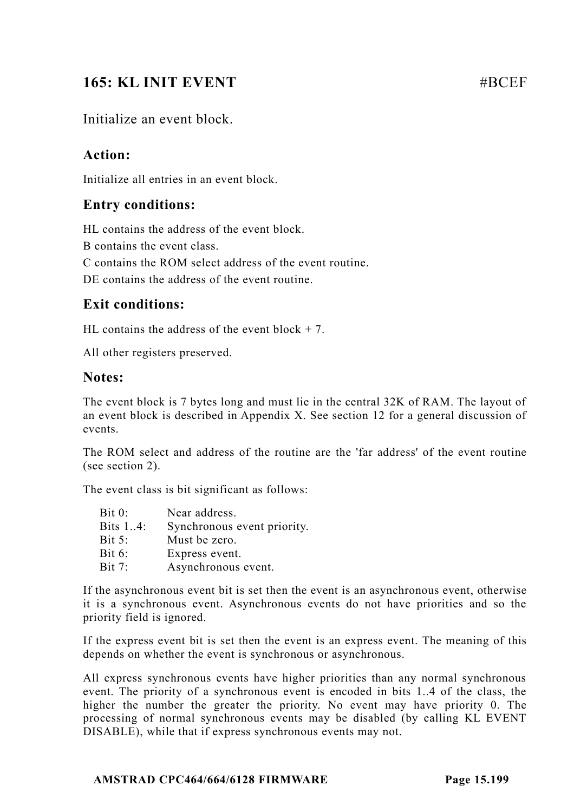# **165: KL INIT EVENT** And **HEART AND HEART AND HEART AND HEART AND HEART AND HEART AND HEART AND HEART AND HEART AND HEART AND HEART AND HEART AND HEART AND HEART AND HEART AND HEART AND HEART AND HEART AND HEART AND HEART**

### Initialize an event block.

### **Action:**

Initialize all entries in an event block.

### **Entry conditions:**

HL contains the address of the event block.

B contains the event class.

C contains the ROM select address of the event routine.

DE contains the address of the event routine.

### **Exit conditions:**

HL contains the address of the event block  $+ 7$ .

All other registers preserved.

#### **Notes:**

The event block is 7 bytes long and must lie in the central 32K of RAM. The layout of an event block is described in Appendix X. See section 12 for a general discussion of events.

The ROM select and address of the routine are the 'far address' of the event routine (see section 2).

The event class is bit significant as follows:

| Bit 0:        | Near address.               |
|---------------|-----------------------------|
| Bits 14:      | Synchronous event priority. |
| <b>Bit 5:</b> | Must be zero.               |
| Bit 6:        | Express event.              |
| Bit 7:        | Asynchronous event.         |

If the asynchronous event bit is set then the event is an asynchronous event, otherwise it is a synchronous event. Asynchronous events do not have priorities and so the priority field is ignored.

If the express event bit is set then the event is an express event. The meaning of this depends on whether the event is synchronous or asynchronous.

All express synchronous events have higher priorities than any normal synchronous event. The priority of a synchronous event is encoded in bits 1..4 of the class, the higher the number the greater the priority. No event may have priority 0. The processing of normal synchronous events may be disabled (by calling KL EVENT DISABLE), while that if express synchronous events may not.

#### **AMSTRAD CPC464/664/6128 FIRMWARE Page 15.199**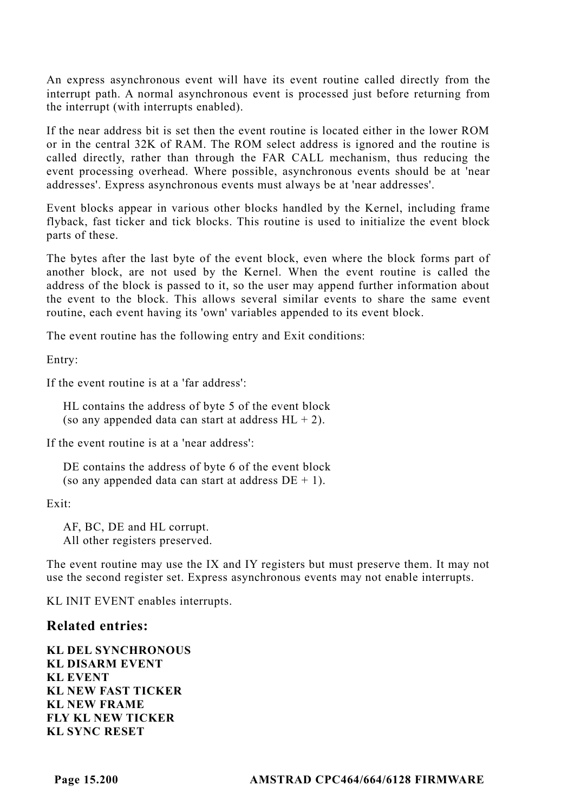An express asynchronous event will have its event routine called directly from the interrupt path. A normal asynchronous event is processed just before returning from the interrupt (with interrupts enabled).

If the near address bit is set then the event routine is located either in the lower ROM or in the central 32K of RAM. The ROM select address is ignored and the routine is called directly, rather than through the FAR CALL mechanism, thus reducing the event processing overhead. Where possible, asynchronous events should be at 'near addresses'. Express asynchronous events must always be at 'near addresses'.

Event blocks appear in various other blocks handled by the Kernel, including frame flyback, fast ticker and tick blocks. This routine is used to initialize the event block parts of these.

The bytes after the last byte of the event block, even where the block forms part of another block, are not used by the Kernel. When the event routine is called the address of the block is passed to it, so the user may append further information about the event to the block. This allows several similar events to share the same event routine, each event having its 'own' variables appended to its event block.

The event routine has the following entry and Exit conditions:

Entry:

If the event routine is at a 'far address':

HL contains the address of byte 5 of the event block (so any appended data can start at address  $HL + 2$ ).

If the event routine is at a 'near address':

DE contains the address of byte 6 of the event block (so any appended data can start at address  $DE + 1$ ).

Exit:

AF, BC, DE and HL corrupt. All other registers preserved.

The event routine may use the IX and IY registers but must preserve them. It may not use the second register set. Express asynchronous events may not enable interrupts.

KL INIT EVENT enables interrupts.

#### **Related entries:**

**KL DEL SYNCHRONOUS KL DISARM EVENT KL EVENT KL NEW FAST TICKER KL NEW FRAME FLY KL NEW TICKER KL SYNC RESET**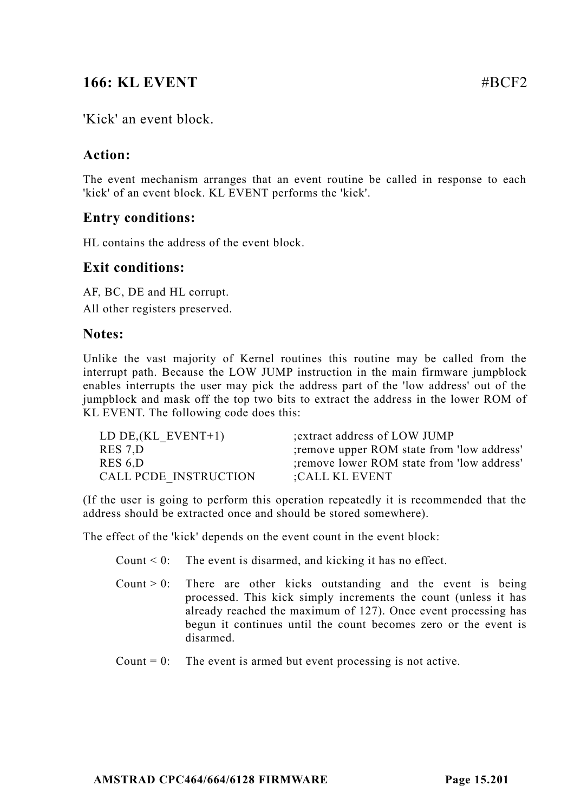# **166: KL EVENT** #BCF2

'Kick' an event block.

### **Action:**

The event mechanism arranges that an event routine be called in response to each 'kick' of an event block. KL EVENT performs the 'kick'.

### **Entry conditions:**

HL contains the address of the event block.

### **Exit conditions:**

AF, BC, DE and HL corrupt. All other registers preserved.

### **Notes:**

Unlike the vast majority of Kernel routines this routine may be called from the interrupt path. Because the LOW JUMP instruction in the main firmware jumpblock enables interrupts the user may pick the address part of the 'low address' out of the jumpblock and mask off the top two bits to extract the address in the lower ROM of KL EVENT. The following code does this:

| LD DE, $(KL$ EVENT+1) | extract address of LOW JUMP                 |
|-----------------------|---------------------------------------------|
| RES 7.D               | ; remove upper ROM state from 'low address' |
| RES 6.D               | ; remove lower ROM state from 'low address' |
| CALL PCDE INSTRUCTION | :CALL KL EVENT                              |

(If the user is going to perform this operation repeatedly it is recommended that the address should be extracted once and should be stored somewhere).

The effect of the 'kick' depends on the event count in the event block:

|  | Count $\leq 0$ : The event is disarmed, and kicking it has no effect. |  |  |  |  |
|--|-----------------------------------------------------------------------|--|--|--|--|
|--|-----------------------------------------------------------------------|--|--|--|--|

- Count  $> 0$ : There are other kicks outstanding and the event is being processed. This kick simply increments the count (unless it has already reached the maximum of 127). Once event processing has begun it continues until the count becomes zero or the event is disarmed.
- Count  $= 0$ : The event is armed but event processing is not active.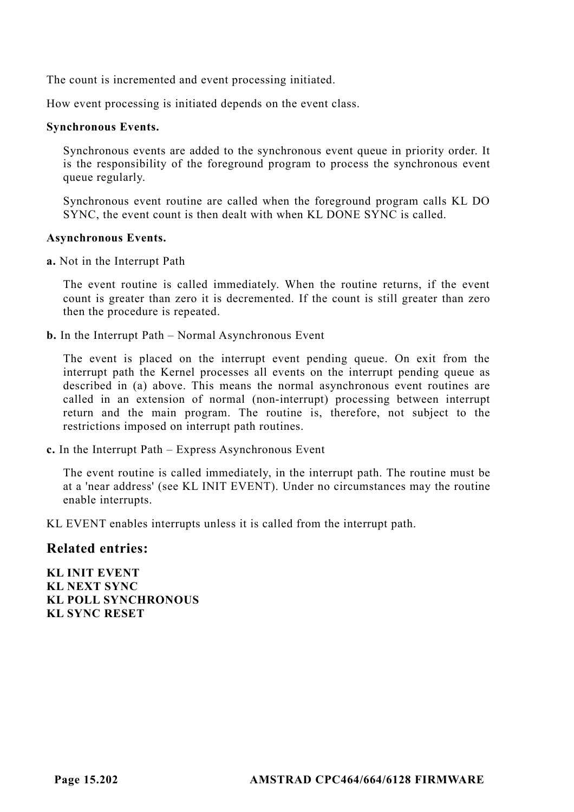The count is incremented and event processing initiated.

How event processing is initiated depends on the event class.

#### **Synchronous Events.**

Synchronous events are added to the synchronous event queue in priority order. It is the responsibility of the foreground program to process the synchronous event queue regularly.

Synchronous event routine are called when the foreground program calls KL DO SYNC, the event count is then dealt with when KL DONE SYNC is called.

#### **Asynchronous Events.**

**a.** Not in the Interrupt Path

The event routine is called immediately. When the routine returns, if the event count is greater than zero it is decremented. If the count is still greater than zero then the procedure is repeated.

**b.** In the Interrupt Path – Normal Asynchronous Event

The event is placed on the interrupt event pending queue. On exit from the interrupt path the Kernel processes all events on the interrupt pending queue as described in (a) above. This means the normal asynchronous event routines are called in an extension of normal (non-interrupt) processing between interrupt return and the main program. The routine is, therefore, not subject to the restrictions imposed on interrupt path routines.

**c.** In the Interrupt Path – Express Asynchronous Event

The event routine is called immediately, in the interrupt path. The routine must be at a 'near address' (see KL INIT EVENT). Under no circumstances may the routine enable interrupts.

KL EVENT enables interrupts unless it is called from the interrupt path.

### **Related entries:**

**KL INIT EVENT KL NEXT SYNC KL POLL SYNCHRONOUS KL SYNC RESET**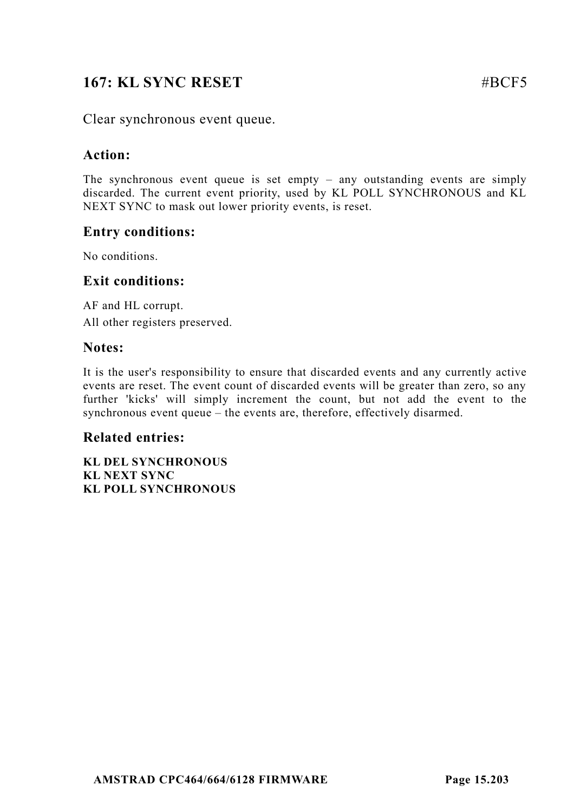# **167: KL SYNC RESET** #BCF5

Clear synchronous event queue.

### **Action:**

The synchronous event queue is set empty – any outstanding events are simply discarded. The current event priority, used by KL POLL SYNCHRONOUS and KL NEXT SYNC to mask out lower priority events, is reset.

### **Entry conditions:**

No conditions.

### **Exit conditions:**

AF and HL corrupt. All other registers preserved.

### **Notes:**

It is the user's responsibility to ensure that discarded events and any currently active events are reset. The event count of discarded events will be greater than zero, so any further 'kicks' will simply increment the count, but not add the event to the synchronous event queue – the events are, therefore, effectively disarmed.

### **Related entries:**

**KL DEL SYNCHRONOUS KL NEXT SYNC KL POLL SYNCHRONOUS**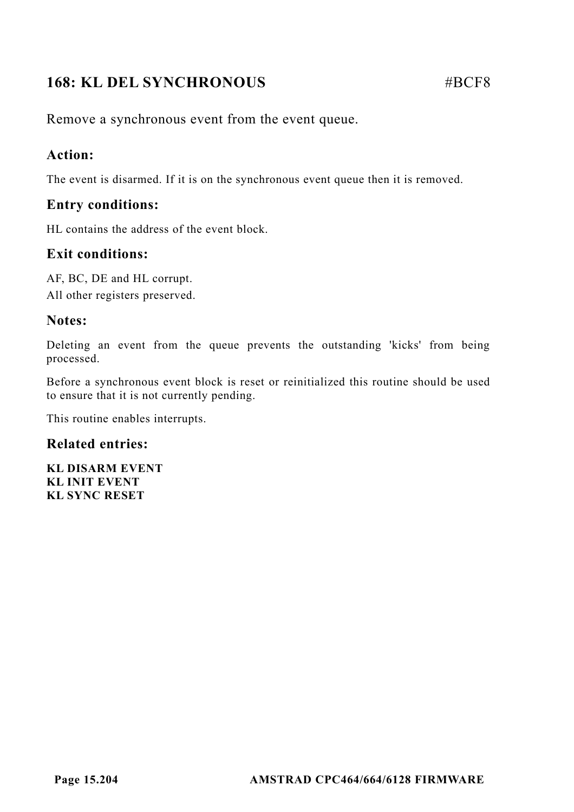# **168: KL DEL SYNCHRONOUS** #BCF8

Remove a synchronous event from the event queue.

## **Action:**

The event is disarmed. If it is on the synchronous event queue then it is removed.

### **Entry conditions:**

HL contains the address of the event block.

# **Exit conditions:**

AF, BC, DE and HL corrupt. All other registers preserved.

## **Notes:**

Deleting an event from the queue prevents the outstanding 'kicks' from being processed.

Before a synchronous event block is reset or reinitialized this routine should be used to ensure that it is not currently pending.

This routine enables interrupts.

### **Related entries:**

**KL DISARM EVENT KL INIT EVENT KL SYNC RESET**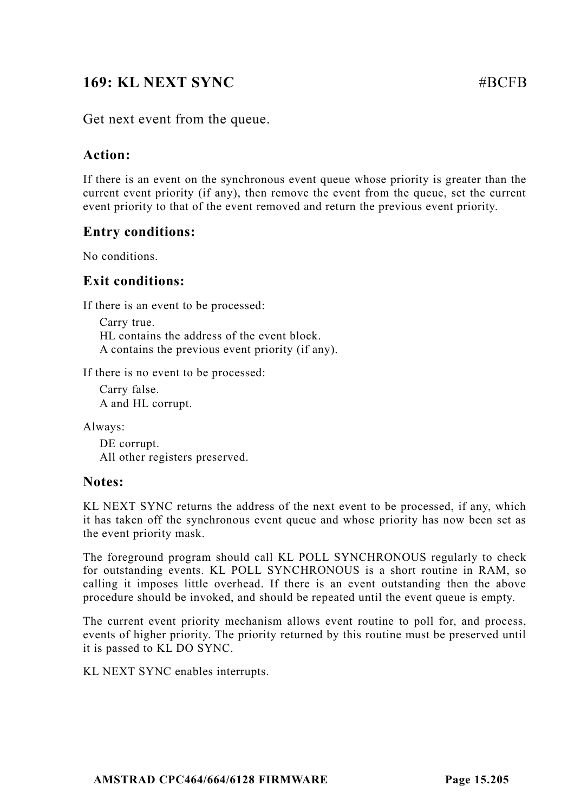# **169: KL NEXT SYNC** #BCFB

Get next event from the queue.

### **Action:**

If there is an event on the synchronous event queue whose priority is greater than the current event priority (if any), then remove the event from the queue, set the current event priority to that of the event removed and return the previous event priority.

### **Entry conditions:**

No conditions.

### **Exit conditions:**

If there is an event to be processed:

Carry true. HL contains the address of the event block. A contains the previous event priority (if any).

If there is no event to be processed:

Carry false. A and HL corrupt.

Always:

DE corrupt. All other registers preserved.

### **Notes:**

KL NEXT SYNC returns the address of the next event to be processed, if any, which it has taken off the synchronous event queue and whose priority has now been set as the event priority mask.

The foreground program should call KL POLL SYNCHRONOUS regularly to check for outstanding events. KL POLL SYNCHRONOUS is a short routine in RAM, so calling it imposes little overhead. If there is an event outstanding then the above procedure should be invoked, and should be repeated until the event queue is empty.

The current event priority mechanism allows event routine to poll for, and process, events of higher priority. The priority returned by this routine must be preserved until it is passed to KL DO SYNC.

KL NEXT SYNC enables interrupts.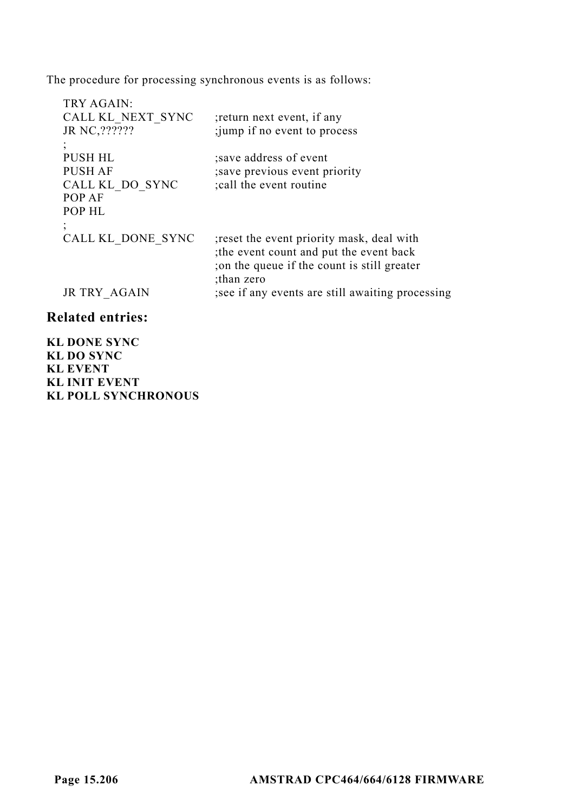The procedure for processing synchronous events is as follows:

| TRY AGAIN:                                                       |                                                                                                                                                    |
|------------------------------------------------------------------|----------------------------------------------------------------------------------------------------------------------------------------------------|
| CALL KL NEXT SYNC                                                | ; return next event, if any                                                                                                                        |
| JR NC, ???????                                                   | ; jump if no event to process                                                                                                                      |
| <b>PUSH HL</b><br>PUSH AF<br>CALL KL DO SYNC<br>POP AF<br>POP HL | save address of event<br>; save previous event priority<br>; call the event routine                                                                |
| $\cdot$<br>CALL KL DONE SYNC                                     | ; reset the event priority mask, deal with<br>the event count and put the event back<br>; on the queue if the count is still greater<br>than zero; |
| JR TRY AGAIN                                                     | ; see if any events are still awaiting processing                                                                                                  |
| <b>Related entries:</b>                                          |                                                                                                                                                    |

**KL DONE SYNC KL DO SYNC KL EVENT KL INIT EVENT KL POLL SYNCHRONOUS**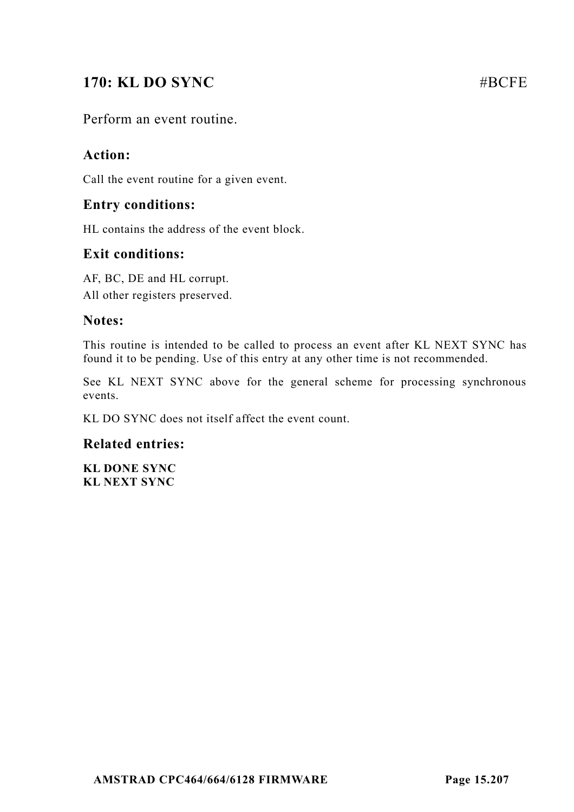# **170: KL DO SYNC** #BCFE

Perform an event routine.

### **Action:**

Call the event routine for a given event.

### **Entry conditions:**

HL contains the address of the event block.

### **Exit conditions:**

AF, BC, DE and HL corrupt. All other registers preserved.

### **Notes:**

This routine is intended to be called to process an event after KL NEXT SYNC has found it to be pending. Use of this entry at any other time is not recommended.

See KL NEXT SYNC above for the general scheme for processing synchronous events.

KL DO SYNC does not itself affect the event count.

### **Related entries:**

**KL DONE SYNC KL NEXT SYNC**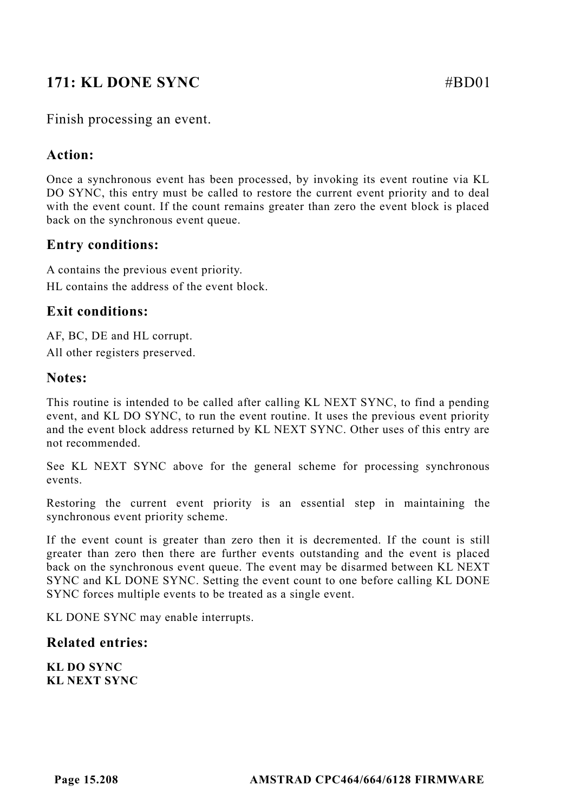# **171: KL DONE SYNC** #BD01

### **Action:**

Once a synchronous event has been processed, by invoking its event routine via KL DO SYNC, this entry must be called to restore the current event priority and to deal with the event count. If the count remains greater than zero the event block is placed back on the synchronous event queue.

### **Entry conditions:**

A contains the previous event priority. HL contains the address of the event block.

### **Exit conditions:**

AF, BC, DE and HL corrupt.

All other registers preserved.

### **Notes:**

This routine is intended to be called after calling KL NEXT SYNC, to find a pending event, and KL DO SYNC, to run the event routine. It uses the previous event priority and the event block address returned by KL NEXT SYNC. Other uses of this entry are not recommended.

See KL NEXT SYNC above for the general scheme for processing synchronous events.

Restoring the current event priority is an essential step in maintaining the synchronous event priority scheme.

If the event count is greater than zero then it is decremented. If the count is still greater than zero then there are further events outstanding and the event is placed back on the synchronous event queue. The event may be disarmed between KL NEXT SYNC and KL DONE SYNC. Setting the event count to one before calling KL DONE SYNC forces multiple events to be treated as a single event.

KL DONE SYNC may enable interrupts.

### **Related entries:**

**KL DO SYNC KL NEXT SYNC**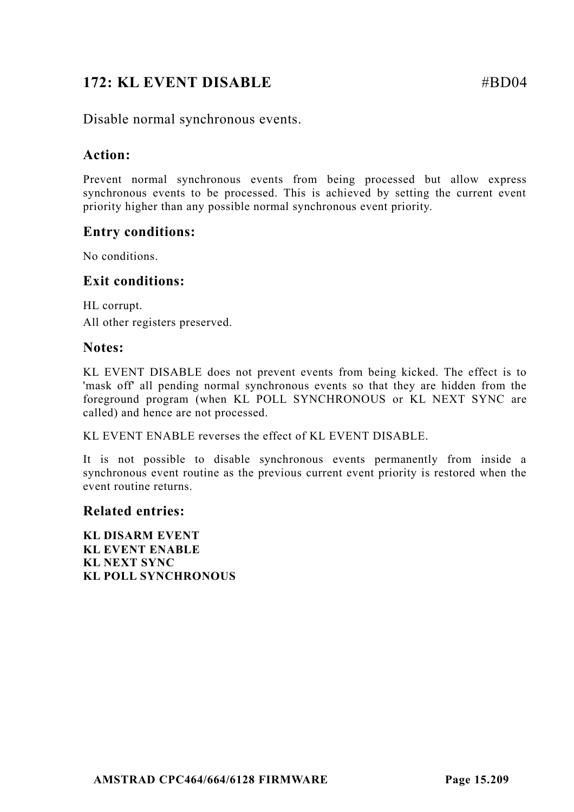# **172: KL EVENT DISABLE** #BD04

Disable normal synchronous events.

### **Action:**

Prevent normal synchronous events from being processed but allow express synchronous events to be processed. This is achieved by setting the current event priority higher than any possible normal synchronous event priority.

### **Entry conditions:**

No conditions.

### **Exit conditions:**

HL corrupt. All other registers preserved.

### **Notes:**

KL EVENT DISABLE does not prevent events from being kicked. The effect is to 'mask off' all pending normal synchronous events so that they are hidden from the foreground program (when KL POLL SYNCHRONOUS or KL NEXT SYNC are called) and hence are not processed.

KL EVENT ENABLE reverses the effect of KL EVENT DISABLE.

It is not possible to disable synchronous events permanently from inside a synchronous event routine as the previous current event priority is restored when the event routine returns.

#### **Related entries:**

**KL DISARM EVENT KL EVENT ENABLE KL NEXT SYNC KL POLL SYNCHRONOUS**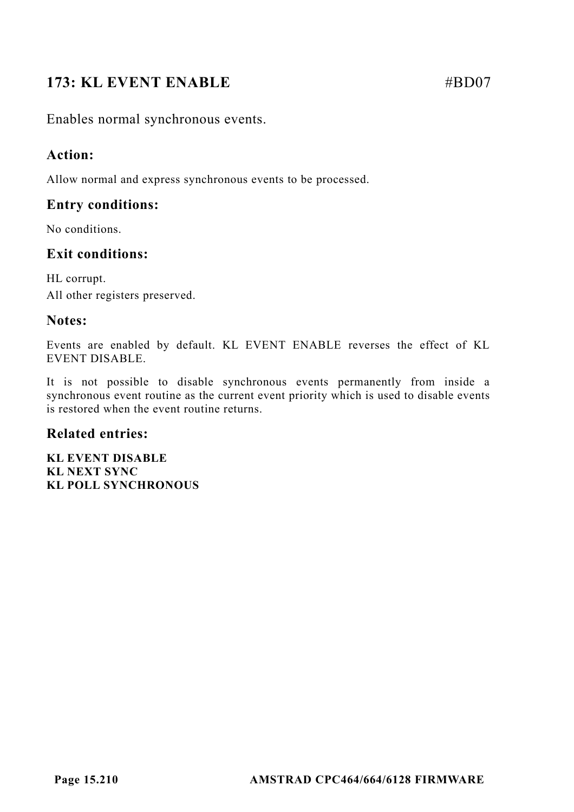# **173: KL EVENT ENABLE** #BD07

Enables normal synchronous events.

### **Action:**

Allow normal and express synchronous events to be processed.

## **Entry conditions:**

No conditions.

## **Exit conditions:**

HL corrupt. All other registers preserved.

### **Notes:**

Events are enabled by default. KL EVENT ENABLE reverses the effect of KL EVENT DISABLE.

It is not possible to disable synchronous events permanently from inside a synchronous event routine as the current event priority which is used to disable events is restored when the event routine returns.

### **Related entries:**

**KL EVENT DISABLE KL NEXT SYNC KL POLL SYNCHRONOUS**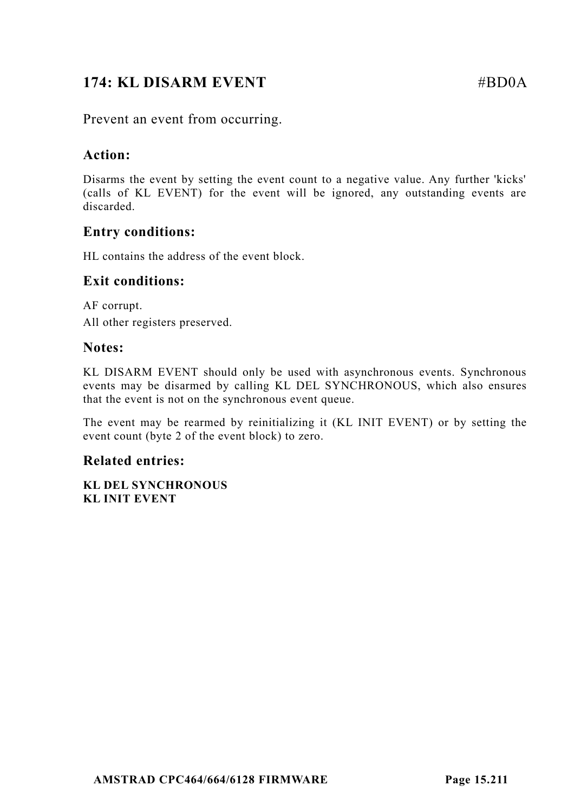# **174: KL DISARM EVENT** #BD0A

Prevent an event from occurring.

### **Action:**

Disarms the event by setting the event count to a negative value. Any further 'kicks' (calls of KL EVENT) for the event will be ignored, any outstanding events are discarded.

### **Entry conditions:**

HL contains the address of the event block.

### **Exit conditions:**

AF corrupt. All other registers preserved.

### **Notes:**

KL DISARM EVENT should only be used with asynchronous events. Synchronous events may be disarmed by calling KL DEL SYNCHRONOUS, which also ensures that the event is not on the synchronous event queue.

The event may be rearmed by reinitializing it (KL INIT EVENT) or by setting the event count (byte 2 of the event block) to zero.

### **Related entries:**

**KL DEL SYNCHRONOUS KL INIT EVENT**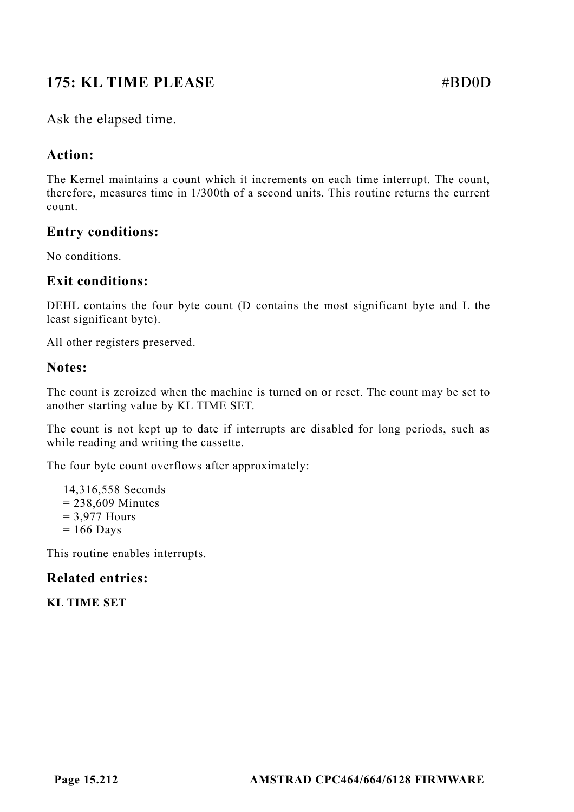# **175: KL TIME PLEASE**  $\# \text{BDO}$

Ask the elapsed time.

## **Action:**

The Kernel maintains a count which it increments on each time interrupt. The count, therefore, measures time in 1/300th of a second units. This routine returns the current count.

### **Entry conditions:**

No conditions.

### **Exit conditions:**

DEHL contains the four byte count (D contains the most significant byte and L the least significant byte).

All other registers preserved.

### **Notes:**

The count is zeroized when the machine is turned on or reset. The count may be set to another starting value by KL TIME SET.

The count is not kept up to date if interrupts are disabled for long periods, such as while reading and writing the cassette.

The four byte count overflows after approximately:

14,316,558 Seconds  $= 238,609$  Minutes = 3,977 Hours  $= 166$  Days

This routine enables interrupts.

### **Related entries:**

**KL TIME SET**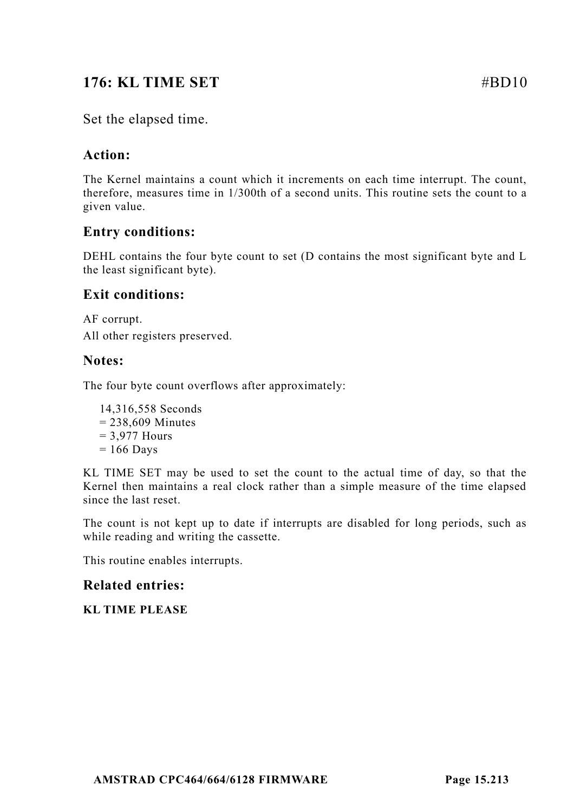# **176: KL TIME SET**  $\#BD10$

### Set the elapsed time.

### **Action:**

The Kernel maintains a count which it increments on each time interrupt. The count, therefore, measures time in 1/300th of a second units. This routine sets the count to a given value.

### **Entry conditions:**

DEHL contains the four byte count to set (D contains the most significant byte and L the least significant byte).

### **Exit conditions:**

AF corrupt. All other registers preserved.

### **Notes:**

The four byte count overflows after approximately:

14,316,558 Seconds  $= 238,609$  Minutes  $= 3.977$  Hours  $= 166$  Days

KL TIME SET may be used to set the count to the actual time of day, so that the Kernel then maintains a real clock rather than a simple measure of the time elapsed since the last reset.

The count is not kept up to date if interrupts are disabled for long periods, such as while reading and writing the cassette.

This routine enables interrupts.

### **Related entries:**

**KL TIME PLEASE**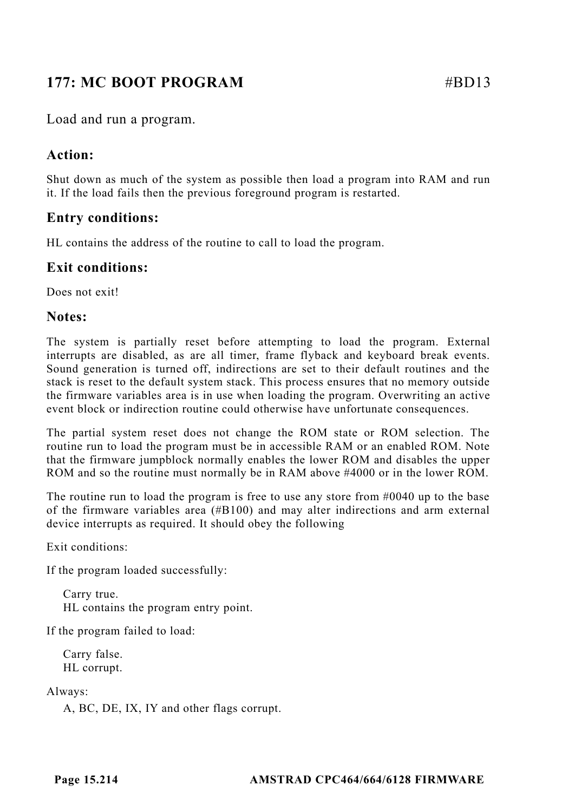# **177: MC BOOT PROGRAM** #BD13

Load and run a program.

### **Action:**

Shut down as much of the system as possible then load a program into RAM and run it. If the load fails then the previous foreground program is restarted.

## **Entry conditions:**

HL contains the address of the routine to call to load the program.

### **Exit conditions:**

Does not exit!

### **Notes:**

The system is partially reset before attempting to load the program. External interrupts are disabled, as are all timer, frame flyback and keyboard break events. Sound generation is turned off, indirections are set to their default routines and the stack is reset to the default system stack. This process ensures that no memory outside the firmware variables area is in use when loading the program. Overwriting an active event block or indirection routine could otherwise have unfortunate consequences.

The partial system reset does not change the ROM state or ROM selection. The routine run to load the program must be in accessible RAM or an enabled ROM. Note that the firmware jumpblock normally enables the lower ROM and disables the upper ROM and so the routine must normally be in RAM above #4000 or in the lower ROM.

The routine run to load the program is free to use any store from #0040 up to the base of the firmware variables area (#B100) and may alter indirections and arm external device interrupts as required. It should obey the following

Exit conditions:

If the program loaded successfully:

Carry true. HL contains the program entry point.

If the program failed to load:

Carry false. HL corrupt.

Always:

A, BC, DE, IX, IY and other flags corrupt.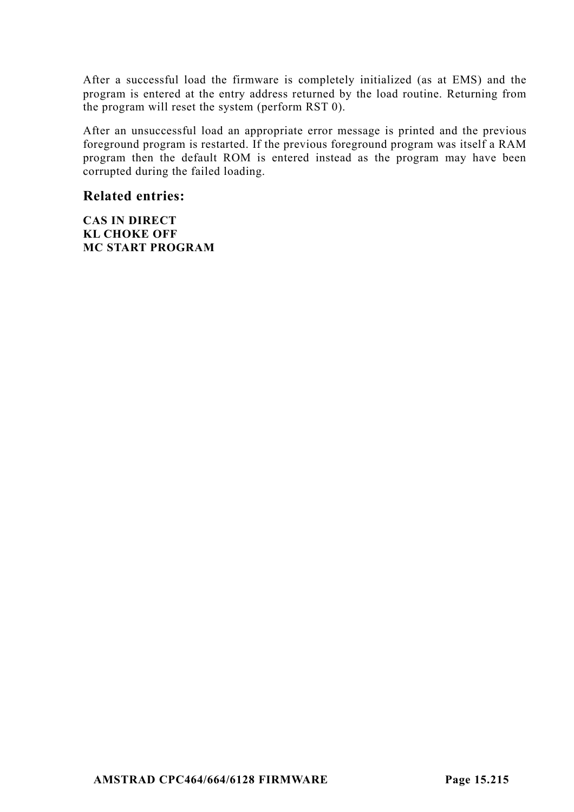After a successful load the firmware is completely initialized (as at EMS) and the program is entered at the entry address returned by the load routine. Returning from the program will reset the system (perform RST 0).

After an unsuccessful load an appropriate error message is printed and the previous foreground program is restarted. If the previous foreground program was itself a RAM program then the default ROM is entered instead as the program may have been corrupted during the failed loading.

#### **Related entries:**

**CAS IN DIRECT KL CHOKE OFF MC START PROGRAM**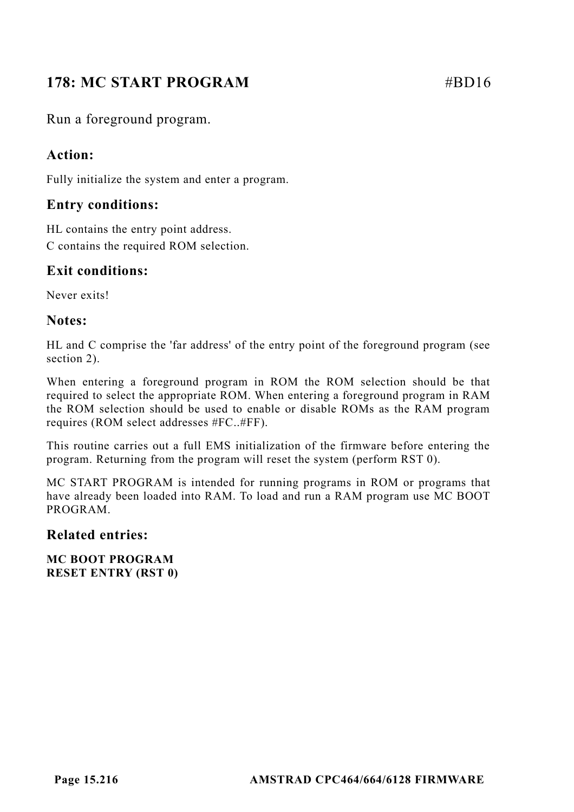# **178: MC START PROGRAM #BD16**

Run a foreground program.

### **Action:**

Fully initialize the system and enter a program.

### **Entry conditions:**

HL contains the entry point address. C contains the required ROM selection.

### **Exit conditions:**

Never exits!

### **Notes:**

HL and C comprise the 'far address' of the entry point of the foreground program (see section 2).

When entering a foreground program in ROM the ROM selection should be that required to select the appropriate ROM. When entering a foreground program in RAM the ROM selection should be used to enable or disable ROMs as the RAM program requires (ROM select addresses #FC..#FF).

This routine carries out a full EMS initialization of the firmware before entering the program. Returning from the program will reset the system (perform RST 0).

MC START PROGRAM is intended for running programs in ROM or programs that have already been loaded into RAM. To load and run a RAM program use MC BOOT PROGRAM.

#### **Related entries:**

**MC BOOT PROGRAM RESET ENTRY (RST 0)**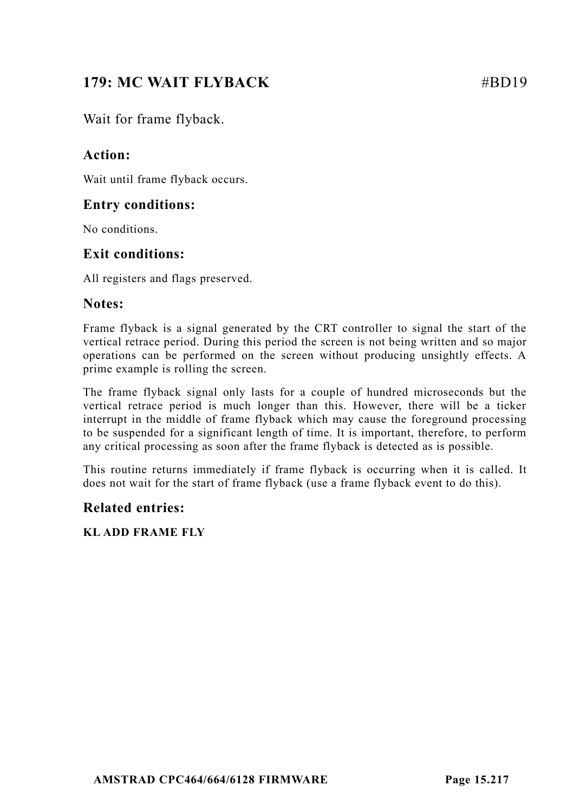# **179: MC WAIT FLYBACK** #BD19

Wait for frame flyback.

# **Action:**

Wait until frame flyback occurs.

# **Entry conditions:**

No conditions.

# **Exit conditions:**

All registers and flags preserved.

#### **Notes:**

Frame flyback is a signal generated by the CRT controller to signal the start of the vertical retrace period. During this period the screen is not being written and so major operations can be performed on the screen without producing unsightly effects. A prime example is rolling the screen.

The frame flyback signal only lasts for a couple of hundred microseconds but the vertical retrace period is much longer than this. However, there will be a ticker interrupt in the middle of frame flyback which may cause the foreground processing to be suspended for a significant length of time. It is important, therefore, to perform any critical processing as soon after the frame flyback is detected as is possible.

This routine returns immediately if frame flyback is occurring when it is called. It does not wait for the start of frame flyback (use a frame flyback event to do this).

#### **Related entries:**

**KL ADD FRAME FLY**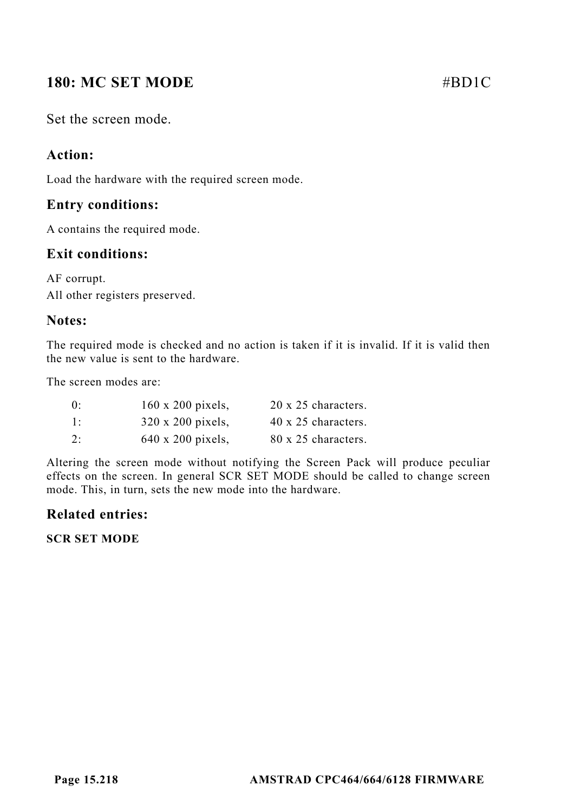# **180: MC SET MODE #BD1C**

Set the screen mode.

# **Action:**

Load the hardware with the required screen mode.

## **Entry conditions:**

A contains the required mode.

## **Exit conditions:**

AF corrupt. All other registers preserved.

## **Notes:**

The required mode is checked and no action is taken if it is invalid. If it is valid then the new value is sent to the hardware.

The screen modes are:

| 0: | 160 x 200 pixels, | 20 x 25 characters. |
|----|-------------------|---------------------|
| 1: | 320 x 200 pixels, | 40 x 25 characters. |
| 2: | 640 x 200 pixels, | 80 x 25 characters. |

Altering the screen mode without notifying the Screen Pack will produce peculiar effects on the screen. In general SCR SET MODE should be called to change screen mode. This, in turn, sets the new mode into the hardware.

# **Related entries:**

**SCR SET MODE**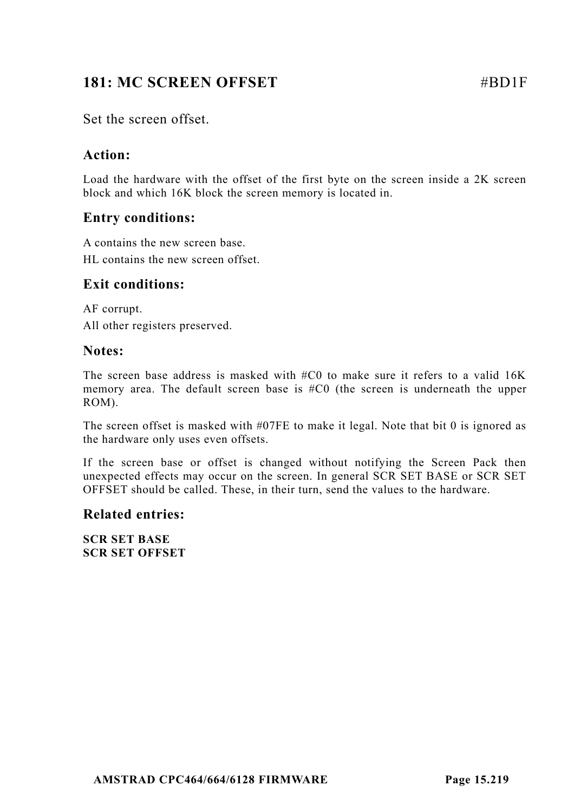# **181: MC SCREEN OFFSET**  $\qquad$  **#BD1F**

Set the screen offset.

## **Action:**

Load the hardware with the offset of the first byte on the screen inside a 2K screen block and which 16K block the screen memory is located in.

# **Entry conditions:**

A contains the new screen base. HL contains the new screen offset.

#### **Exit conditions:**

AF corrupt. All other registers preserved.

#### **Notes:**

The screen base address is masked with #C0 to make sure it refers to a valid 16K memory area. The default screen base is #C0 (the screen is underneath the upper ROM).

The screen offset is masked with #07FE to make it legal. Note that bit 0 is ignored as the hardware only uses even offsets.

If the screen base or offset is changed without notifying the Screen Pack then unexpected effects may occur on the screen. In general SCR SET BASE or SCR SET OFFSET should be called. These, in their turn, send the values to the hardware.

#### **Related entries:**

**SCR SET BASE SCR SET OFFSET**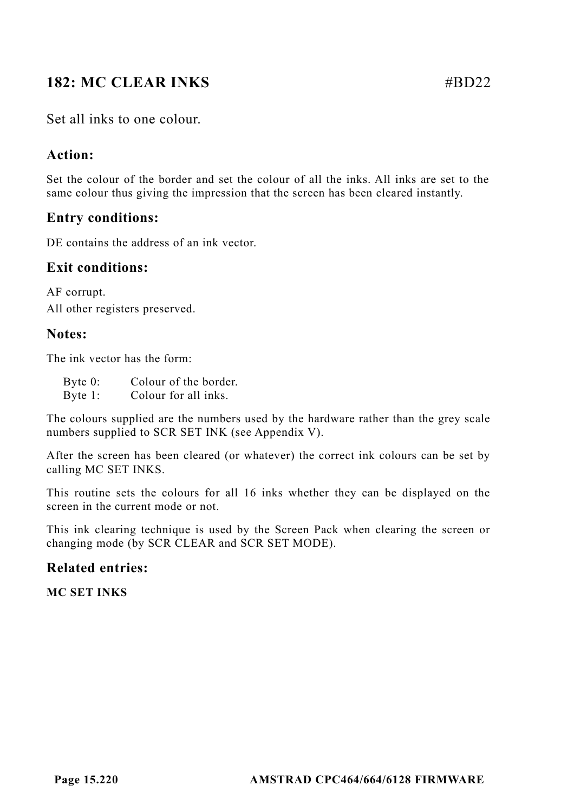# **182: MC CLEAR INKS** #BD22

# **Action:**

Set the colour of the border and set the colour of all the inks. All inks are set to the same colour thus giving the impression that the screen has been cleared instantly.

# **Entry conditions:**

DE contains the address of an ink vector.

## **Exit conditions:**

AF corrupt. All other registers preserved.

## **Notes:**

The ink vector has the form:

Byte 0: Colour of the border. Byte 1: Colour for all inks.

The colours supplied are the numbers used by the hardware rather than the grey scale numbers supplied to SCR SET INK (see Appendix V).

After the screen has been cleared (or whatever) the correct ink colours can be set by calling MC SET INKS.

This routine sets the colours for all 16 inks whether they can be displayed on the screen in the current mode or not.

This ink clearing technique is used by the Screen Pack when clearing the screen or changing mode (by SCR CLEAR and SCR SET MODE).

# **Related entries:**

**MC SET INKS**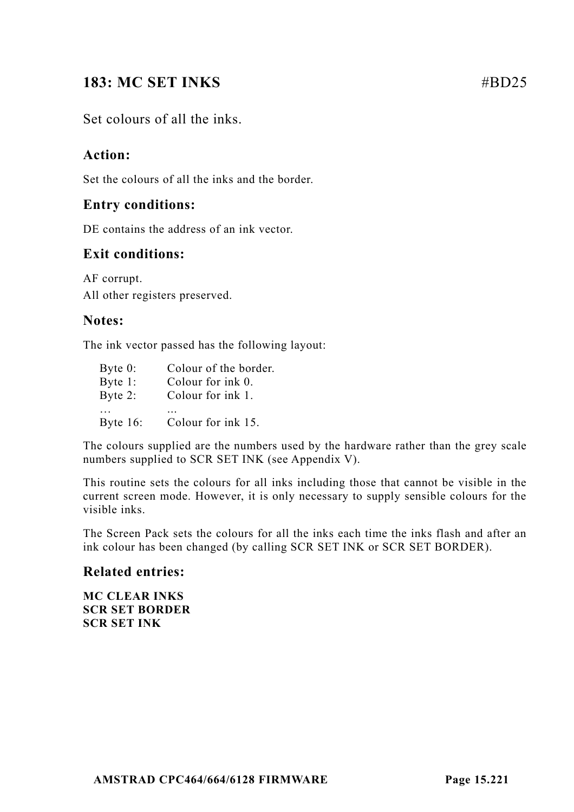# **183: MC SET INKS** #BD25

## Set colours of all the inks.

## **Action:**

Set the colours of all the inks and the border.

#### **Entry conditions:**

DE contains the address of an ink vector.

#### **Exit conditions:**

AF corrupt. All other registers preserved.

#### **Notes:**

The ink vector passed has the following layout:

| Byte $0$ :  | Colour of the border. |
|-------------|-----------------------|
| Byte $1$ :  | Colour for ink 0.     |
| Byte $2$ :  | Colour for ink 1.     |
|             |                       |
| Byte $16$ : | Colour for ink 15.    |

The colours supplied are the numbers used by the hardware rather than the grey scale numbers supplied to SCR SET INK (see Appendix V).

This routine sets the colours for all inks including those that cannot be visible in the current screen mode. However, it is only necessary to supply sensible colours for the visible inks.

The Screen Pack sets the colours for all the inks each time the inks flash and after an ink colour has been changed (by calling SCR SET INK or SCR SET BORDER).

#### **Related entries:**

**MC CLEAR INKS SCR SET BORDER SCR SET INK**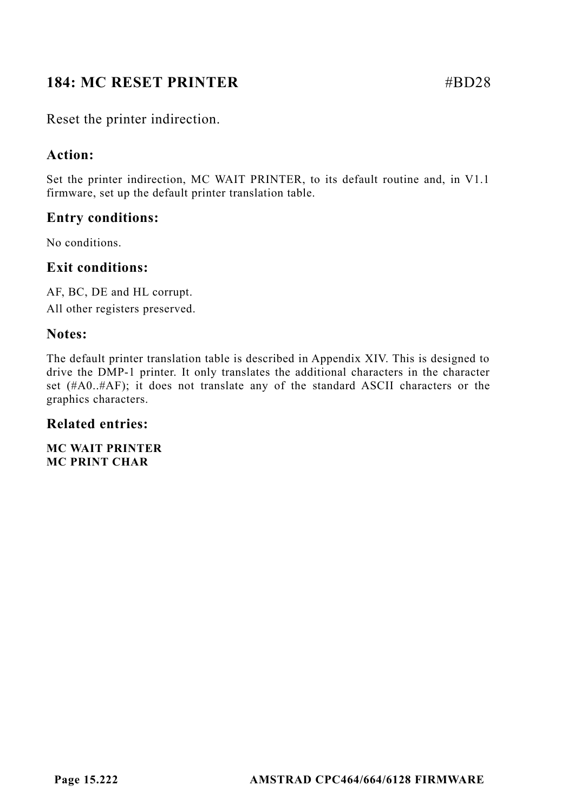# **184: MC RESET PRINTER** #BD28

Reset the printer indirection.

# **Action:**

Set the printer indirection, MC WAIT PRINTER, to its default routine and, in V1.1 firmware, set up the default printer translation table.

# **Entry conditions:**

No conditions.

## **Exit conditions:**

AF, BC, DE and HL corrupt. All other registers preserved.

# **Notes:**

The default printer translation table is described in Appendix XIV. This is designed to drive the DMP-1 printer. It only translates the additional characters in the character set (#A0..#AF); it does not translate any of the standard ASCII characters or the graphics characters.

# **Related entries:**

**MC WAIT PRINTER MC PRINT CHAR**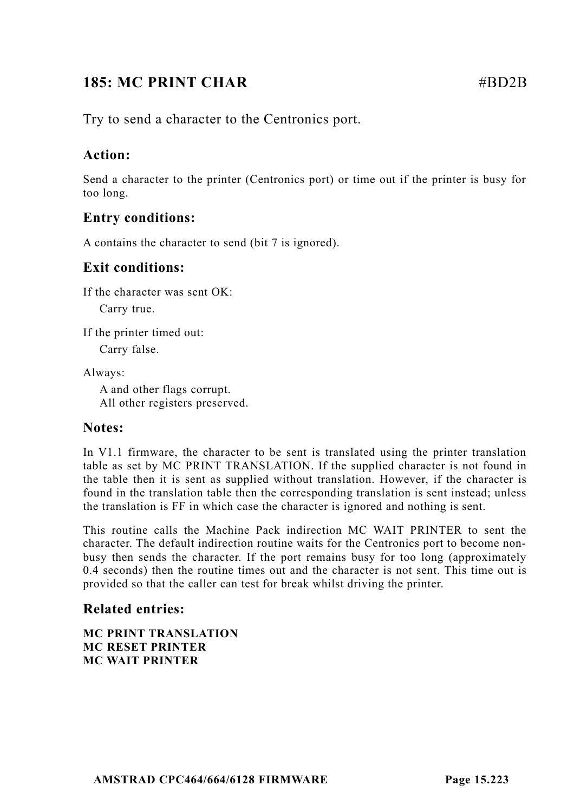# **185: MC PRINT CHAR** #BD2B

Try to send a character to the Centronics port.

# **Action:**

Send a character to the printer (Centronics port) or time out if the printer is busy for too long.

# **Entry conditions:**

A contains the character to send (bit 7 is ignored).

## **Exit conditions:**

If the character was sent OK:

Carry true.

If the printer timed out:

Carry false.

Always:

A and other flags corrupt. All other registers preserved.

#### **Notes:**

In V1.1 firmware, the character to be sent is translated using the printer translation table as set by MC PRINT TRANSLATION. If the supplied character is not found in the table then it is sent as supplied without translation. However, if the character is found in the translation table then the corresponding translation is sent instead; unless the translation is FF in which case the character is ignored and nothing is sent.

This routine calls the Machine Pack indirection MC WAIT PRINTER to sent the character. The default indirection routine waits for the Centronics port to become nonbusy then sends the character. If the port remains busy for too long (approximately 0.4 seconds) then the routine times out and the character is not sent. This time out is provided so that the caller can test for break whilst driving the printer.

# **Related entries:**

**MC PRINT TRANSLATION MC RESET PRINTER MC WAIT PRINTER**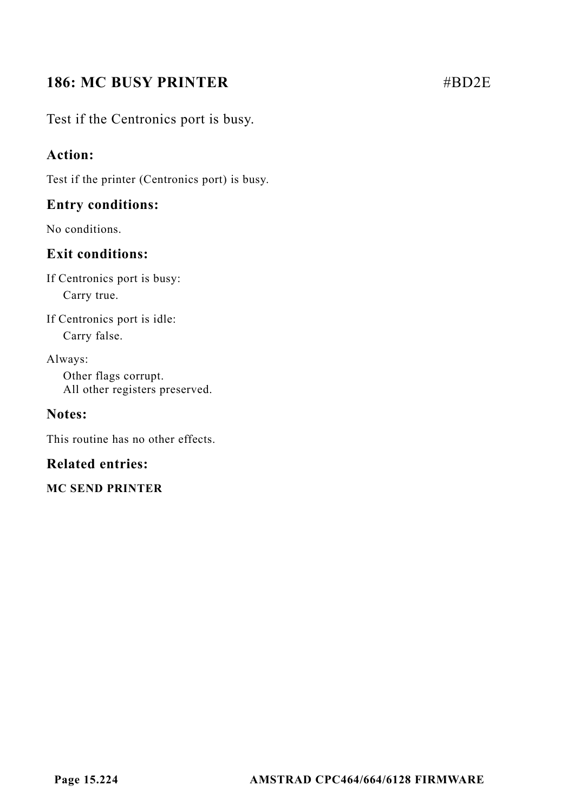# **186: MC BUSY PRINTER** #BD2E

Test if the Centronics port is busy.

## **Action:**

Test if the printer (Centronics port) is busy.

## **Entry conditions:**

No conditions.

# **Exit conditions:**

If Centronics port is busy: Carry true.

If Centronics port is idle: Carry false.

Always: Other flags corrupt. All other registers preserved.

# **Notes:**

This routine has no other effects.

# **Related entries:**

**MC SEND PRINTER**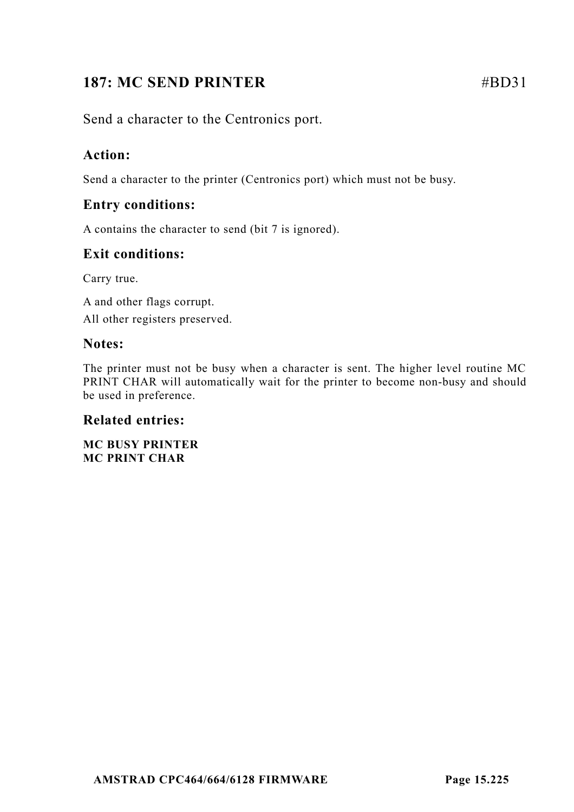# **187: MC SEND PRINTER** #BD31

Send a character to the Centronics port.

# **Action:**

Send a character to the printer (Centronics port) which must not be busy.

# **Entry conditions:**

A contains the character to send (bit 7 is ignored).

# **Exit conditions:**

Carry true.

A and other flags corrupt. All other registers preserved.

## **Notes:**

The printer must not be busy when a character is sent. The higher level routine MC PRINT CHAR will automatically wait for the printer to become non-busy and should be used in preference.

#### **Related entries:**

**MC BUSY PRINTER MC PRINT CHAR**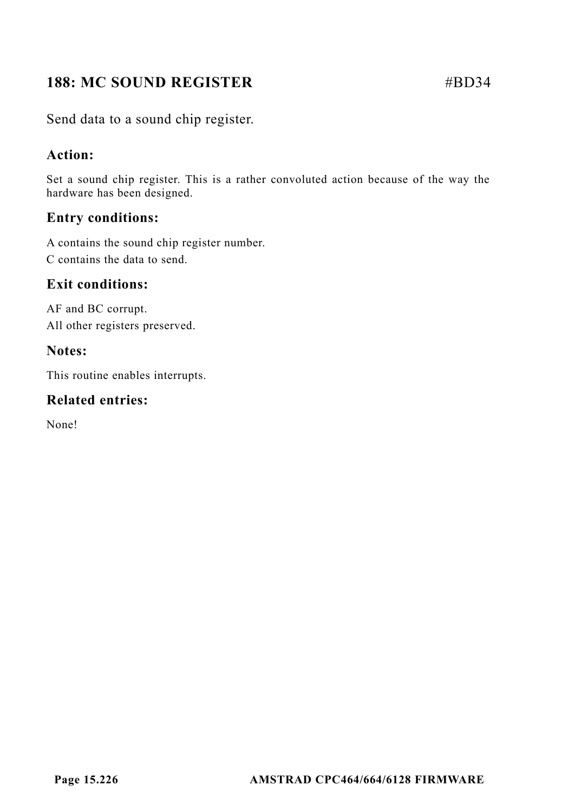# **188: MC SOUND REGISTER** #BD34

Send data to a sound chip register.

# **Action:**

Set a sound chip register. This is a rather convoluted action because of the way the hardware has been designed.

# **Entry conditions:**

A contains the sound chip register number. C contains the data to send.

# **Exit conditions:**

AF and BC corrupt. All other registers preserved.

# **Notes:**

This routine enables interrupts.

# **Related entries:**

None!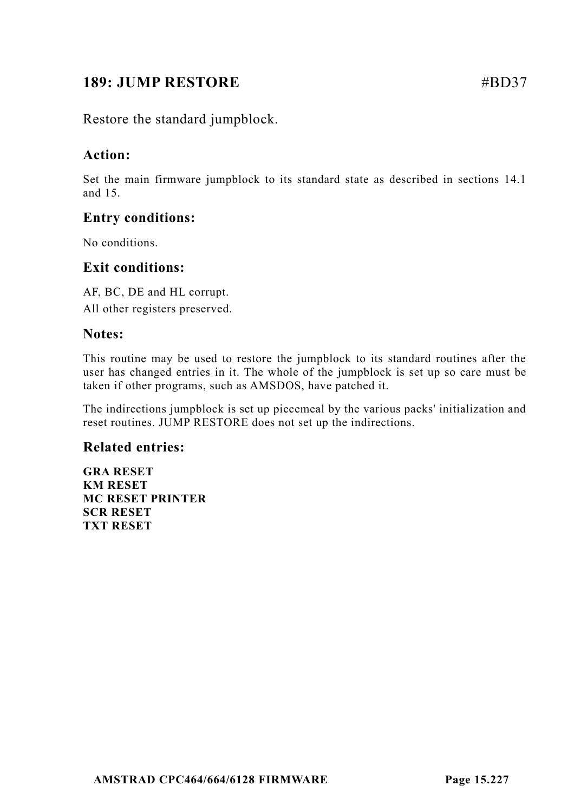# **189: JUMP RESTORE** #BD37

Restore the standard jumpblock.

# **Action:**

Set the main firmware jumpblock to its standard state as described in sections 14.1 and 15.

# **Entry conditions:**

No conditions.

## **Exit conditions:**

AF, BC, DE and HL corrupt. All other registers preserved.

#### **Notes:**

This routine may be used to restore the jumpblock to its standard routines after the user has changed entries in it. The whole of the jumpblock is set up so care must be taken if other programs, such as AMSDOS, have patched it.

The indirections jumpblock is set up piecemeal by the various packs' initialization and reset routines. JUMP RESTORE does not set up the indirections.

#### **Related entries:**

**GRA RESET KM RESET MC RESET PRINTER SCR RESET TXT RESET**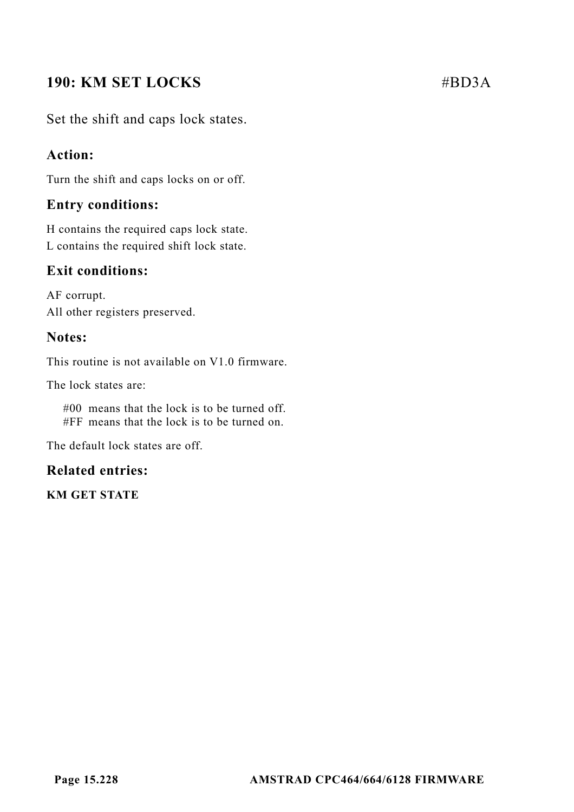# **190: KM SET LOCKS** #BD3A

Set the shift and caps lock states.

## **Action:**

Turn the shift and caps locks on or off.

## **Entry conditions:**

H contains the required caps lock state. L contains the required shift lock state.

# **Exit conditions:**

AF corrupt. All other registers preserved.

#### **Notes:**

This routine is not available on V1.0 firmware.

The lock states are:

#00 means that the lock is to be turned off. #FF means that the lock is to be turned on.

The default lock states are off.

#### **Related entries:**

**KM GET STATE**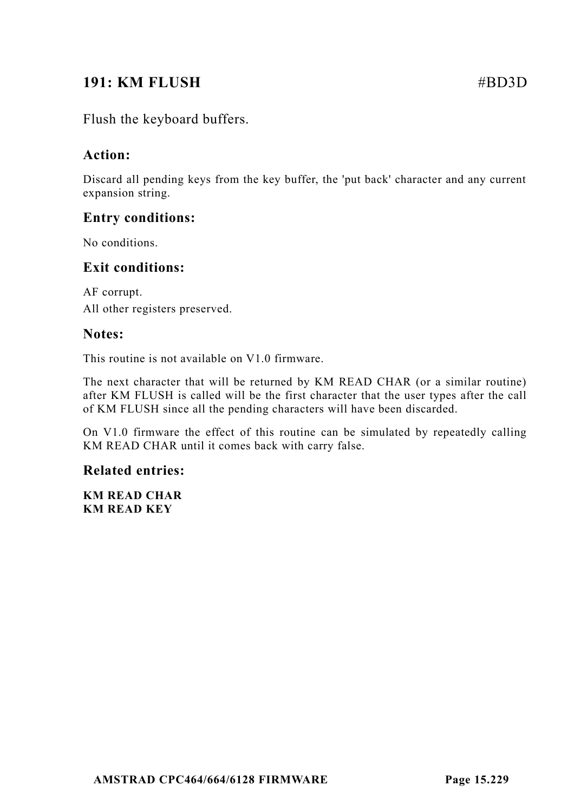# **191: KM FLUSH** #BD3D

Flush the keyboard buffers.

# **Action:**

Discard all pending keys from the key buffer, the 'put back' character and any current expansion string.

# **Entry conditions:**

No conditions.

#### **Exit conditions:**

AF corrupt. All other registers preserved.

#### **Notes:**

This routine is not available on V1.0 firmware.

The next character that will be returned by KM READ CHAR (or a similar routine) after KM FLUSH is called will be the first character that the user types after the call of KM FLUSH since all the pending characters will have been discarded.

On V1.0 firmware the effect of this routine can be simulated by repeatedly calling KM READ CHAR until it comes back with carry false.

#### **Related entries:**

**KM READ CHAR KM READ KEY**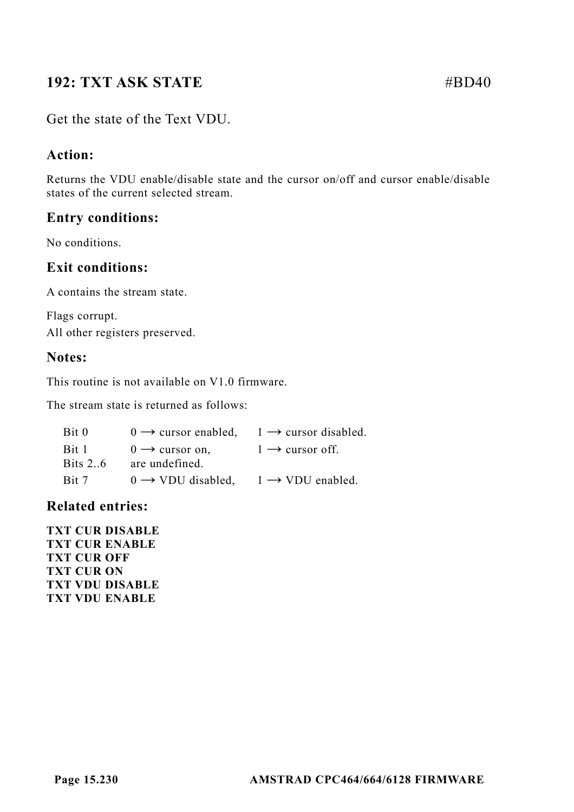# **192: TXT ASK STATE** #BD40

## Get the state of the Text VDU.

## **Action:**

Returns the VDU enable/disable state and the cursor on/off and cursor enable/disable states of the current selected stream.

#### **Entry conditions:**

No conditions.

#### **Exit conditions:**

A contains the stream state.

Flags corrupt. All other registers preserved.

#### **Notes:**

This routine is not available on V1.0 firmware.

The stream state is returned as follows:

| Bit 0          | $0 \rightarrow$ cursor enabled, | $1 \rightarrow$ cursor disabled. |
|----------------|---------------------------------|----------------------------------|
| Bit 1          | $0 \rightarrow$ cursor on,      | $1 \rightarrow$ cursor off.      |
| <b>Bits 26</b> | are undefined.                  |                                  |
| Bit 7          | $0 \rightarrow VDU$ disabled.   | $1 \rightarrow VDU$ enabled.     |

#### **Related entries:**

**TXT CUR DISABLE TXT CUR ENABLE TXT CUR OFF TXT CUR ON TXT VDU DISABLE TXT VDU ENABLE**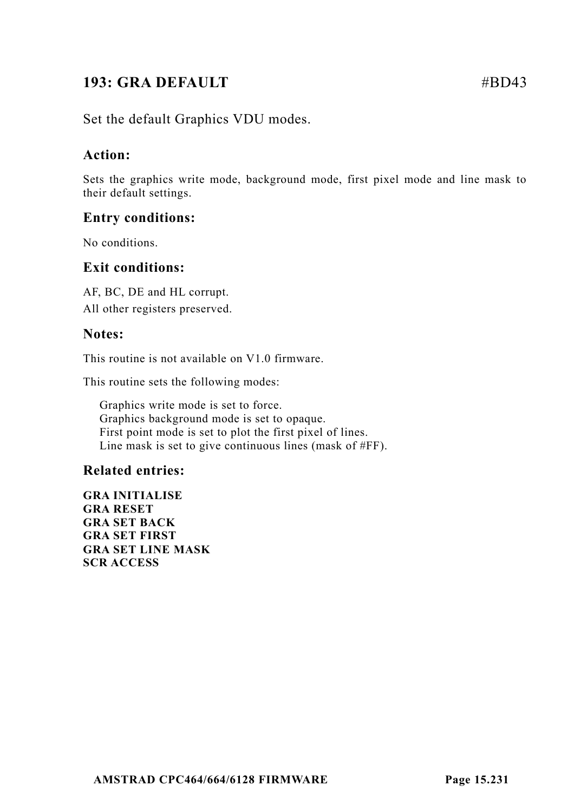# **193: GRA DEFAULT** #BD43

Set the default Graphics VDU modes.

#### **Action:**

Sets the graphics write mode, background mode, first pixel mode and line mask to their default settings.

#### **Entry conditions:**

No conditions.

#### **Exit conditions:**

AF, BC, DE and HL corrupt. All other registers preserved.

#### **Notes:**

This routine is not available on V1.0 firmware.

This routine sets the following modes:

Graphics write mode is set to force. Graphics background mode is set to opaque. First point mode is set to plot the first pixel of lines. Line mask is set to give continuous lines (mask of #FF).

#### **Related entries:**

**GRA INITIALISE GRA RESET GRA SET BACK GRA SET FIRST GRA SET LINE MASK SCR ACCESS**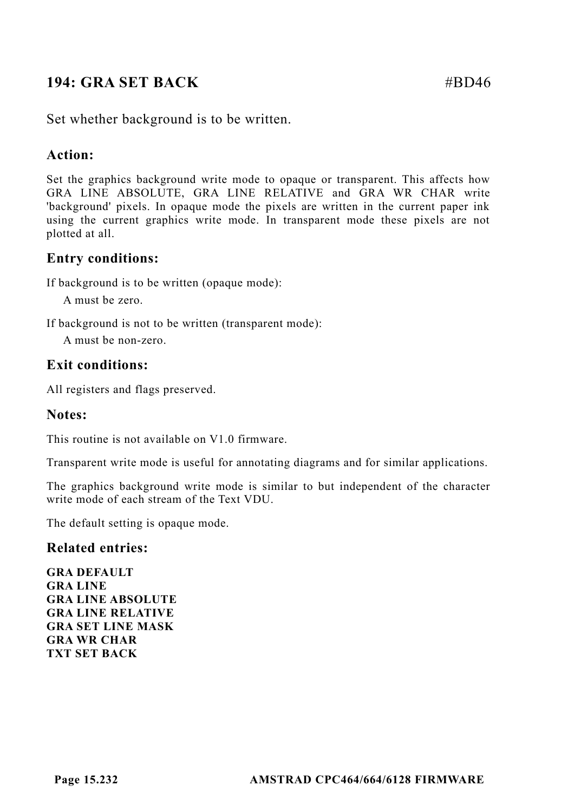# **194: GRA SET BACK** #BD46

Set whether background is to be written.

## **Action:**

Set the graphics background write mode to opaque or transparent. This affects how GRA LINE ABSOLUTE, GRA LINE RELATIVE and GRA WR CHAR write 'background' pixels. In opaque mode the pixels are written in the current paper ink using the current graphics write mode. In transparent mode these pixels are not plotted at all.

## **Entry conditions:**

If background is to be written (opaque mode):

A must be zero.

If background is not to be written (transparent mode):

A must be non-zero.

#### **Exit conditions:**

All registers and flags preserved.

#### **Notes:**

This routine is not available on V1.0 firmware.

Transparent write mode is useful for annotating diagrams and for similar applications.

The graphics background write mode is similar to but independent of the character write mode of each stream of the Text VDU.

The default setting is opaque mode.

#### **Related entries:**

**GRA DEFAULT GRA LINE GRA LINE ABSOLUTE GRA LINE RELATIVE GRA SET LINE MASK GRA WR CHAR TXT SET BACK**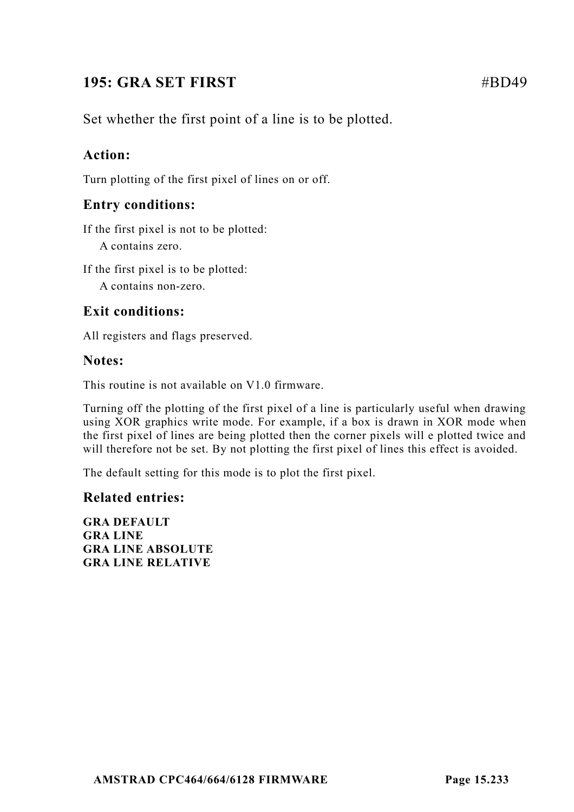# **195: GRA SET FIRST** #BD49

Set whether the first point of a line is to be plotted.

# **Action:**

Turn plotting of the first pixel of lines on or off.

# **Entry conditions:**

If the first pixel is not to be plotted: A contains zero.

If the first pixel is to be plotted:

A contains non-zero.

# **Exit conditions:**

All registers and flags preserved.

#### **Notes:**

This routine is not available on V1.0 firmware.

Turning off the plotting of the first pixel of a line is particularly useful when drawing using XOR graphics write mode. For example, if a box is drawn in XOR mode when the first pixel of lines are being plotted then the corner pixels will e plotted twice and will therefore not be set. By not plotting the first pixel of lines this effect is avoided.

The default setting for this mode is to plot the first pixel.

#### **Related entries:**

**GRA DEFAULT GRA LINE GRA LINE ABSOLUTE GRA LINE RELATIVE**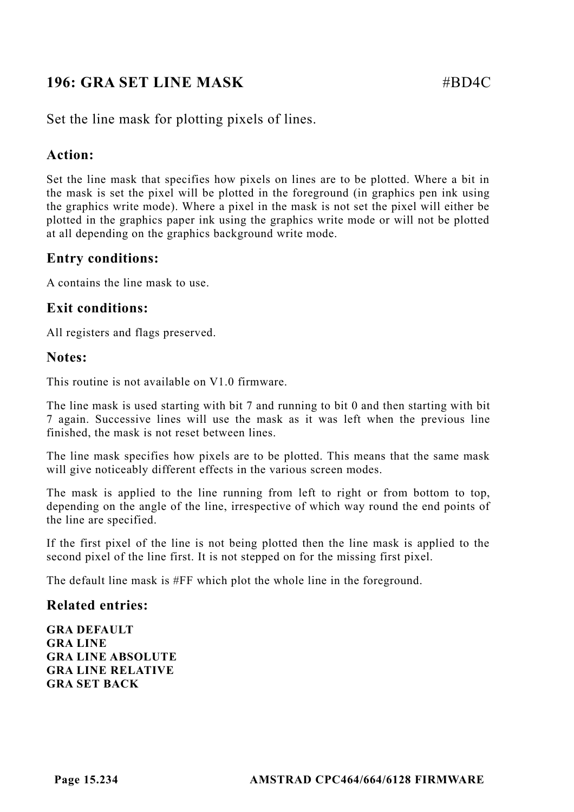# **196: GRA SET LINE MASK #BD4C**

Set the line mask for plotting pixels of lines.

## **Action:**

Set the line mask that specifies how pixels on lines are to be plotted. Where a bit in the mask is set the pixel will be plotted in the foreground (in graphics pen ink using the graphics write mode). Where a pixel in the mask is not set the pixel will either be plotted in the graphics paper ink using the graphics write mode or will not be plotted at all depending on the graphics background write mode.

## **Entry conditions:**

A contains the line mask to use.

#### **Exit conditions:**

All registers and flags preserved.

#### **Notes:**

This routine is not available on V1.0 firmware.

The line mask is used starting with bit 7 and running to bit 0 and then starting with bit 7 again. Successive lines will use the mask as it was left when the previous line finished, the mask is not reset between lines.

The line mask specifies how pixels are to be plotted. This means that the same mask will give noticeably different effects in the various screen modes.

The mask is applied to the line running from left to right or from bottom to top, depending on the angle of the line, irrespective of which way round the end points of the line are specified.

If the first pixel of the line is not being plotted then the line mask is applied to the second pixel of the line first. It is not stepped on for the missing first pixel.

The default line mask is #FF which plot the whole line in the foreground.

#### **Related entries:**

**GRA DEFAULT GRA LINE GRA LINE ABSOLUTE GRA LINE RELATIVE GRA SET BACK**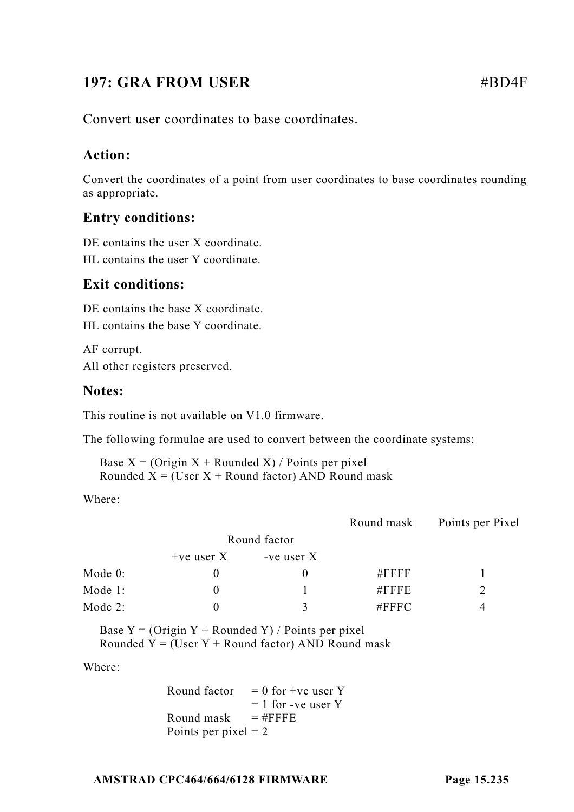# **197: GRA FROM USER** #BD4F

Convert user coordinates to base coordinates.

## **Action:**

Convert the coordinates of a point from user coordinates to base coordinates rounding as appropriate.

# **Entry conditions:**

DE contains the user X coordinate. HL contains the user Y coordinate.

## **Exit conditions:**

DE contains the base X coordinate. HL contains the base Y coordinate.

AF corrupt. All other registers preserved.

#### **Notes:**

This routine is not available on V1.0 firmware.

The following formulae are used to convert between the coordinate systems:

Base  $X = (O$ rigin  $X + R$ ounded  $X) / P$ oints per pixel Rounded  $X = (User X + Round factor)$  AND Round mask

Where:

|              |              | Round mask   | Points per Pixel |
|--------------|--------------|--------------|------------------|
|              |              |              |                  |
| $+ve$ user X | -ve user $X$ |              |                  |
|              |              | $\#$ FFFF    |                  |
|              |              | $#$ FFFE     |                  |
|              |              | $\#$ FFFC    |                  |
|              |              | Round factor |                  |

Base  $Y = (O$ rigin  $Y + R$ ounded  $Y) / P$ oints per pixel Rounded  $Y = (User Y + Round factor) AND Round mask$ 

Where:

Round factor  $= 0$  for +ve user Y  $= 1$  for -ve user Y Round mask  $=$  #FFFFE Points per pixel  $= 2$ 

#### **AMSTRAD CPC464/664/6128 FIRMWARE Page 15.235**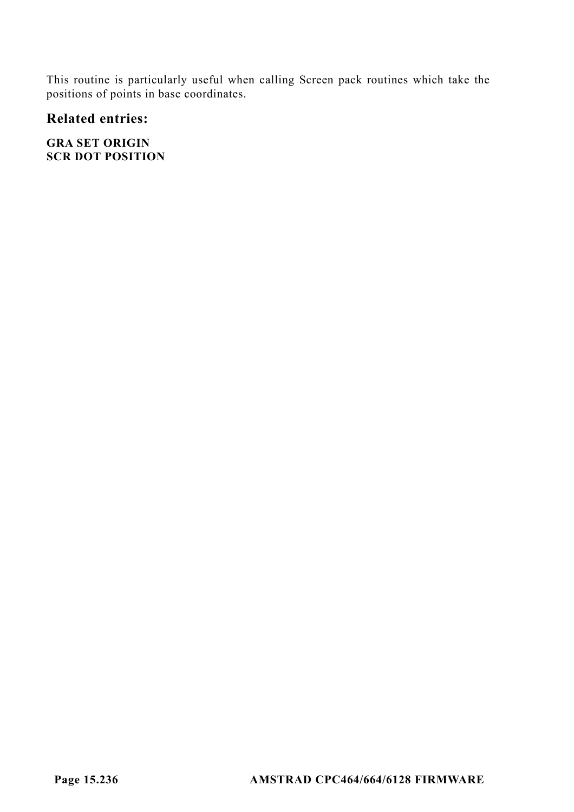This routine is particularly useful when calling Screen pack routines which take the positions of points in base coordinates.

# **Related entries:**

**GRA SET ORIGIN SCR DOT POSITION**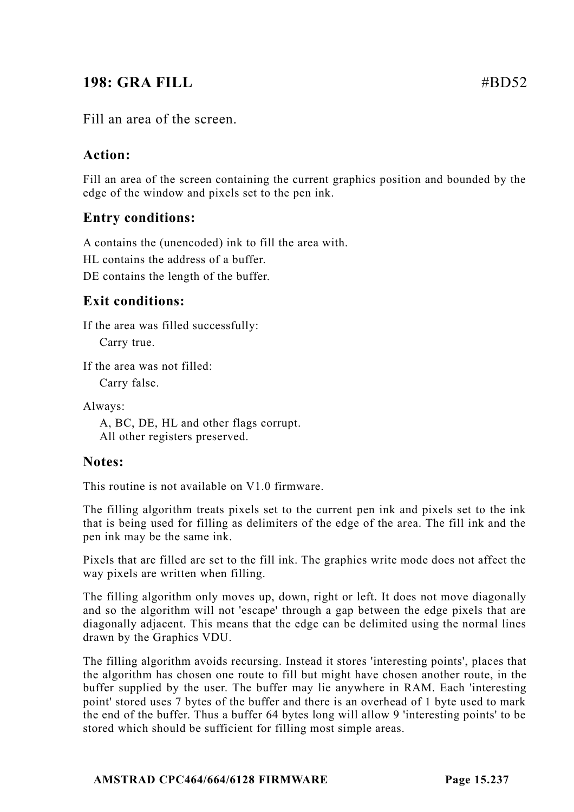# **198: GRA FILL** #BD52

Fill an area of the screen.

# **Action:**

Fill an area of the screen containing the current graphics position and bounded by the edge of the window and pixels set to the pen ink.

# **Entry conditions:**

A contains the (unencoded) ink to fill the area with.

HL contains the address of a buffer.

DE contains the length of the buffer.

# **Exit conditions:**

If the area was filled successfully:

Carry true.

If the area was not filled:

Carry false.

Always:

A, BC, DE, HL and other flags corrupt. All other registers preserved.

#### **Notes:**

This routine is not available on V1.0 firmware.

The filling algorithm treats pixels set to the current pen ink and pixels set to the ink that is being used for filling as delimiters of the edge of the area. The fill ink and the pen ink may be the same ink.

Pixels that are filled are set to the fill ink. The graphics write mode does not affect the way pixels are written when filling.

The filling algorithm only moves up, down, right or left. It does not move diagonally and so the algorithm will not 'escape' through a gap between the edge pixels that are diagonally adjacent. This means that the edge can be delimited using the normal lines drawn by the Graphics VDU.

The filling algorithm avoids recursing. Instead it stores 'interesting points', places that the algorithm has chosen one route to fill but might have chosen another route, in the buffer supplied by the user. The buffer may lie anywhere in RAM. Each 'interesting point' stored uses 7 bytes of the buffer and there is an overhead of 1 byte used to mark the end of the buffer. Thus a buffer 64 bytes long will allow 9 'interesting points' to be stored which should be sufficient for filling most simple areas.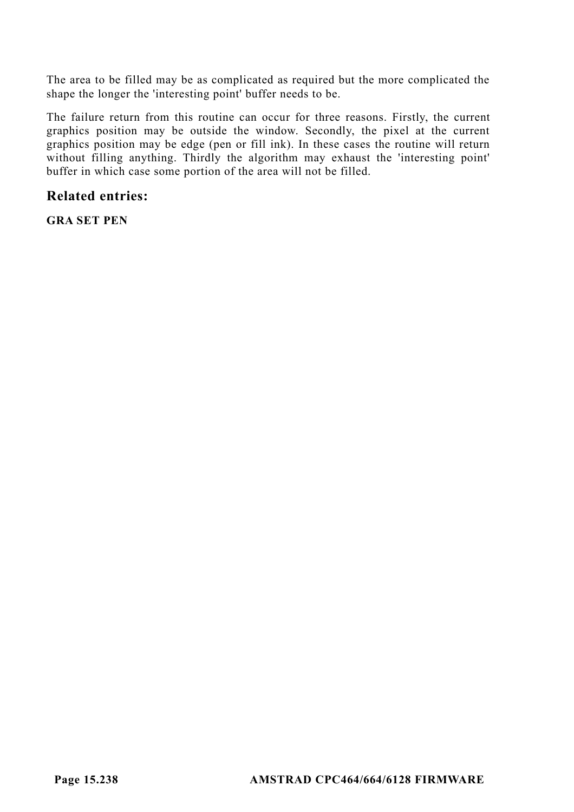The area to be filled may be as complicated as required but the more complicated the shape the longer the 'interesting point' buffer needs to be.

The failure return from this routine can occur for three reasons. Firstly, the current graphics position may be outside the window. Secondly, the pixel at the current graphics position may be edge (pen or fill ink). In these cases the routine will return without filling anything. Thirdly the algorithm may exhaust the 'interesting point' buffer in which case some portion of the area will not be filled.

#### **Related entries:**

**GRA SET PEN**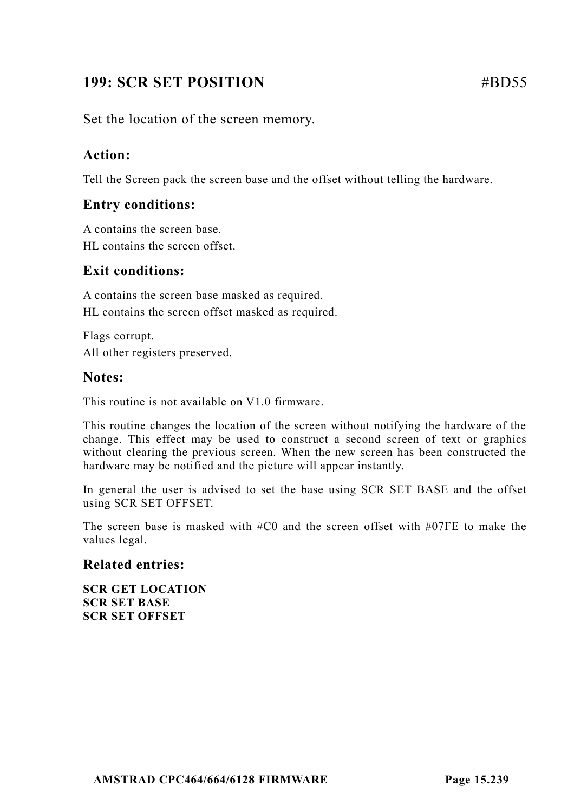# **199: SCR SET POSITION** #BD55

Set the location of the screen memory.

## **Action:**

Tell the Screen pack the screen base and the offset without telling the hardware.

#### **Entry conditions:**

A contains the screen base. HL contains the screen offset.

## **Exit conditions:**

A contains the screen base masked as required. HL contains the screen offset masked as required.

Flags corrupt. All other registers preserved.

#### **Notes:**

This routine is not available on V1.0 firmware.

This routine changes the location of the screen without notifying the hardware of the change. This effect may be used to construct a second screen of text or graphics without clearing the previous screen. When the new screen has been constructed the hardware may be notified and the picture will appear instantly.

In general the user is advised to set the base using SCR SET BASE and the offset using SCR SET OFFSET.

The screen base is masked with  $#C0$  and the screen offset with  $#O7FE$  to make the values legal.

#### **Related entries:**

**SCR GET LOCATION SCR SET BASE SCR SET OFFSET**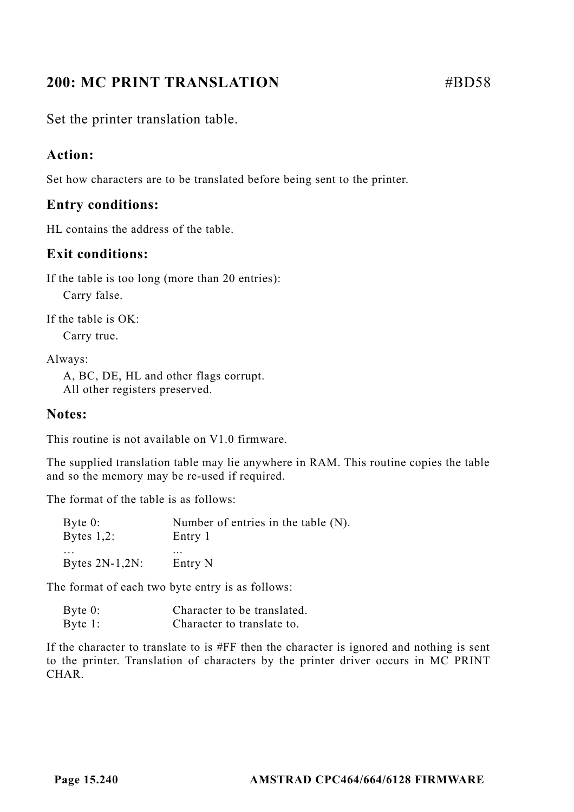# **200: MC PRINT TRANSLATION #BD58**

Set the printer translation table.

# **Action:**

Set how characters are to be translated before being sent to the printer.

# **Entry conditions:**

HL contains the address of the table.

# **Exit conditions:**

If the table is too long (more than 20 entries):

Carry false.

If the table is OK: Carry true.

Always:

A, BC, DE, HL and other flags corrupt. All other registers preserved.

# **Notes:**

This routine is not available on V1.0 firmware.

The supplied translation table may lie anywhere in RAM. This routine copies the table and so the memory may be re-used if required.

The format of the table is as follows:

| Byte $0$ :        | Number of entries in the table $(N)$ . |
|-------------------|----------------------------------------|
| Bytes $1,2$ :     | Entry 1                                |
| $\cdots$          | $\cdots$                               |
| Bytes $2N-1,2N$ : | Entry N                                |

The format of each two byte entry is as follows:

| Byte $0$ : | Character to be translated. |
|------------|-----------------------------|
| Byte $1$ : | Character to translate to.  |

If the character to translate to is #FF then the character is ignored and nothing is sent to the printer. Translation of characters by the printer driver occurs in MC PRINT CHAR.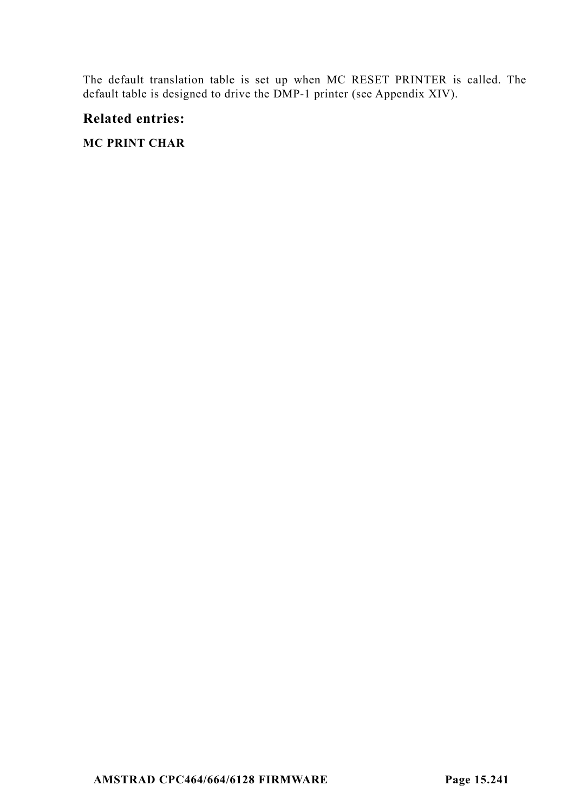The default translation table is set up when MC RESET PRINTER is called. The default table is designed to drive the DMP-1 printer (see Appendix XIV).

#### **Related entries:**

#### **MC PRINT CHAR**